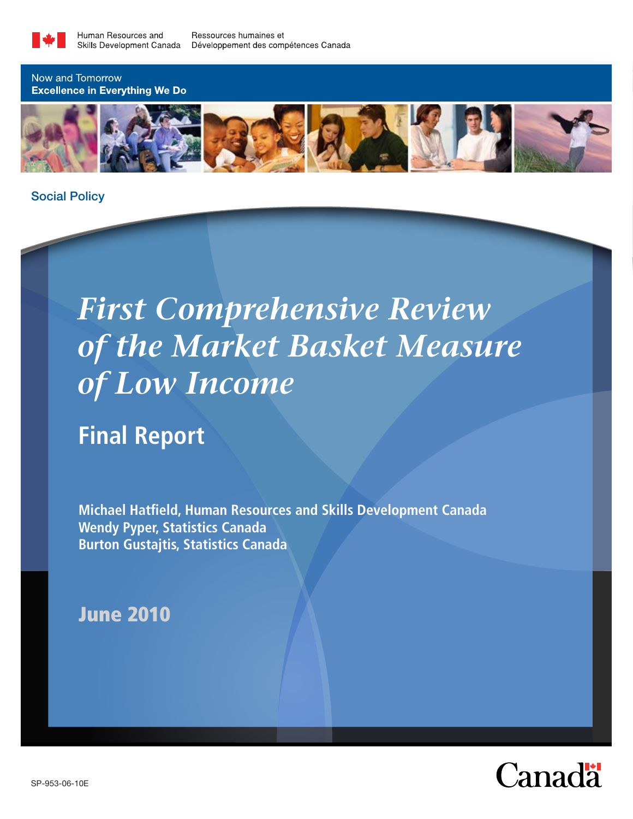

Now and Tomorrow **Excellence in Everything We Do** 



Social Policy

# *First Comprehensive Review of the Market Basket Measure of Low Income*

**Final Report**

**Michael Hatfield, Human Resources and Skills Development Canada Wendy Pyper, Statistics Canada Burton Gustajtis, Statistics Canada**

## June 2010

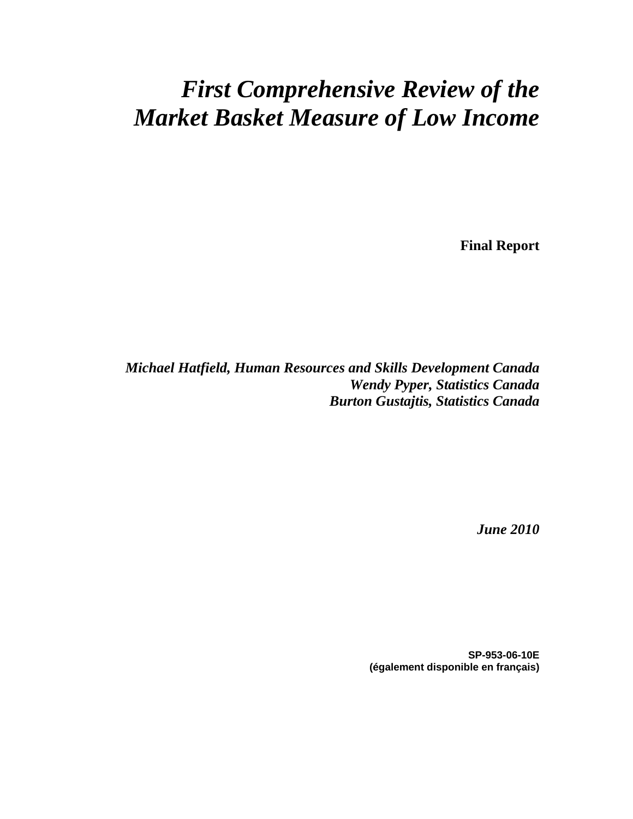## *First Comprehensive Review of the Market Basket Measure of Low Income*

**Final Report** 

*Michael Hatfield, Human Resources and Skills Development Canada Wendy Pyper, Statistics Canada Burton Gustajtis, Statistics Canada* 

*June 2010* 

**SP-953-06-10E (également disponible en français)**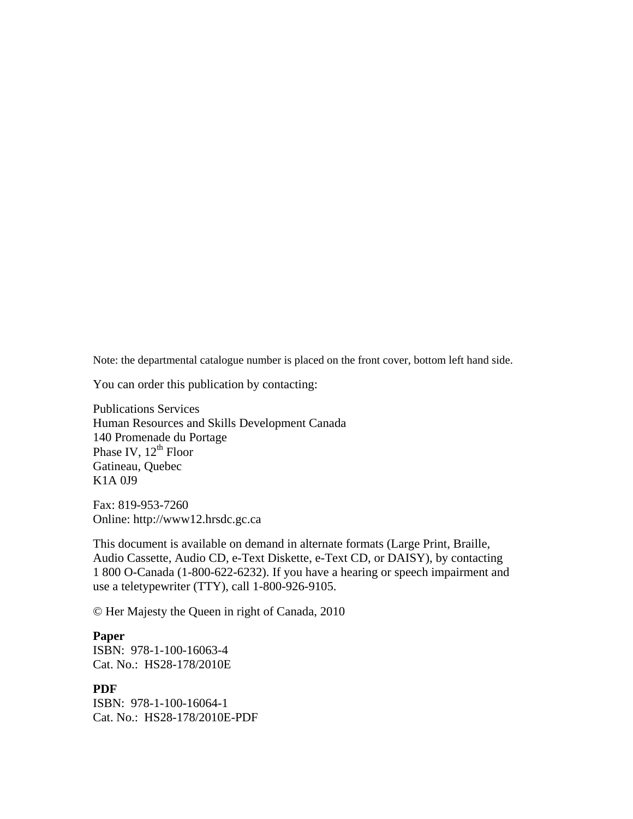Note: the departmental catalogue number is placed on the front cover, bottom left hand side.

You can order this publication by contacting:

Publications Services Human Resources and Skills Development Canada 140 Promenade du Portage Phase IV, 12<sup>th</sup> Floor Gatineau, Quebec K1A 0J9

Fax: 819-953-7260 Online: http://www12.hrsdc.gc.ca

This document is available on demand in alternate formats (Large Print, Braille, Audio Cassette, Audio CD, e-Text Diskette, e-Text CD, or DAISY), by contacting 1 800 O-Canada (1-800-622-6232). If you have a hearing or speech impairment and use a teletypewriter (TTY), call 1-800-926-9105.

© Her Majesty the Queen in right of Canada, 2010

#### **Paper**

ISBN: 978-1-100-16063-4 Cat. No.: HS28-178/2010E

#### **PDF**

ISBN: 978-1-100-16064-1 Cat. No.: HS28-178/2010E-PDF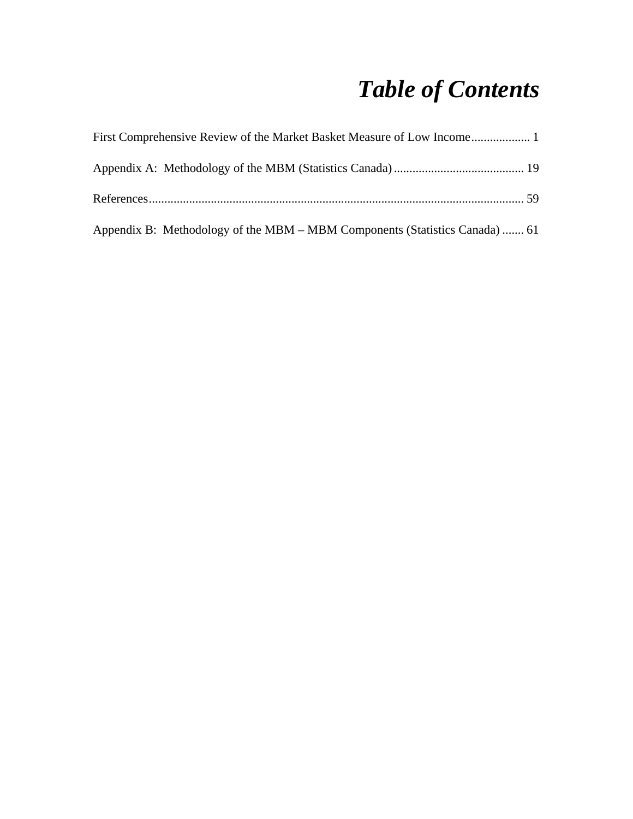## *Table of Contents*

| First Comprehensive Review of the Market Basket Measure of Low Income 1     |  |
|-----------------------------------------------------------------------------|--|
|                                                                             |  |
|                                                                             |  |
| Appendix B: Methodology of the MBM – MBM Components (Statistics Canada)  61 |  |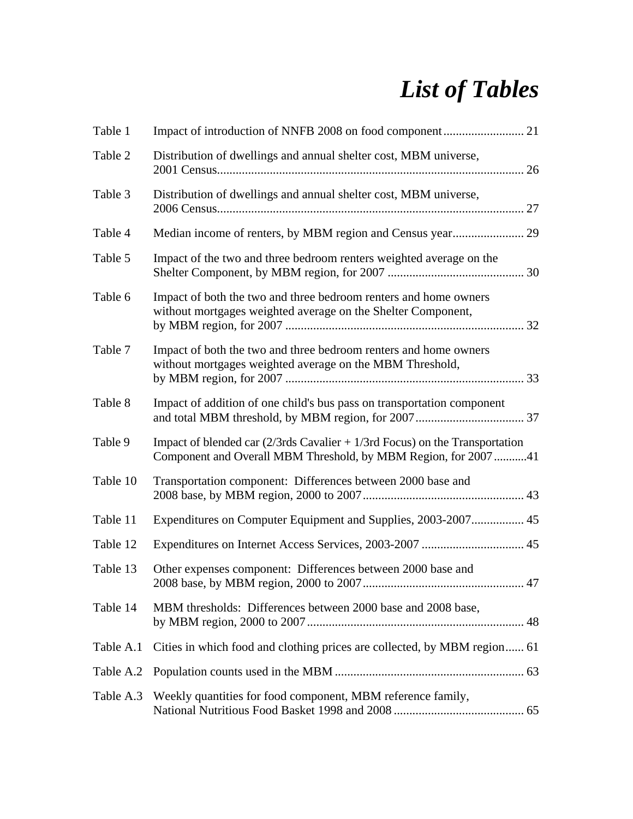## *List of Tables*

| Table 1   |                                                                                                                                                   |
|-----------|---------------------------------------------------------------------------------------------------------------------------------------------------|
| Table 2   | Distribution of dwellings and annual shelter cost, MBM universe,                                                                                  |
| Table 3   | Distribution of dwellings and annual shelter cost, MBM universe,                                                                                  |
| Table 4   |                                                                                                                                                   |
| Table 5   | Impact of the two and three bedroom renters weighted average on the                                                                               |
| Table 6   | Impact of both the two and three bedroom renters and home owners<br>without mortgages weighted average on the Shelter Component,                  |
| Table 7   | Impact of both the two and three bedroom renters and home owners<br>without mortgages weighted average on the MBM Threshold,                      |
| Table 8   | Impact of addition of one child's bus pass on transportation component                                                                            |
| Table 9   | Impact of blended car $(2/3rds)$ Cavalier + 1/3rd Focus) on the Transportation<br>Component and Overall MBM Threshold, by MBM Region, for 2007 41 |
| Table 10  | Transportation component: Differences between 2000 base and                                                                                       |
| Table 11  |                                                                                                                                                   |
| Table 12  |                                                                                                                                                   |
| Table 13  | Other expenses component: Differences between 2000 base and                                                                                       |
| Table 14  | MBM thresholds: Differences between 2000 base and 2008 base,                                                                                      |
| Table A.1 | Cities in which food and clothing prices are collected, by MBM region 61                                                                          |
|           |                                                                                                                                                   |
| Table A.3 | Weekly quantities for food component, MBM reference family,                                                                                       |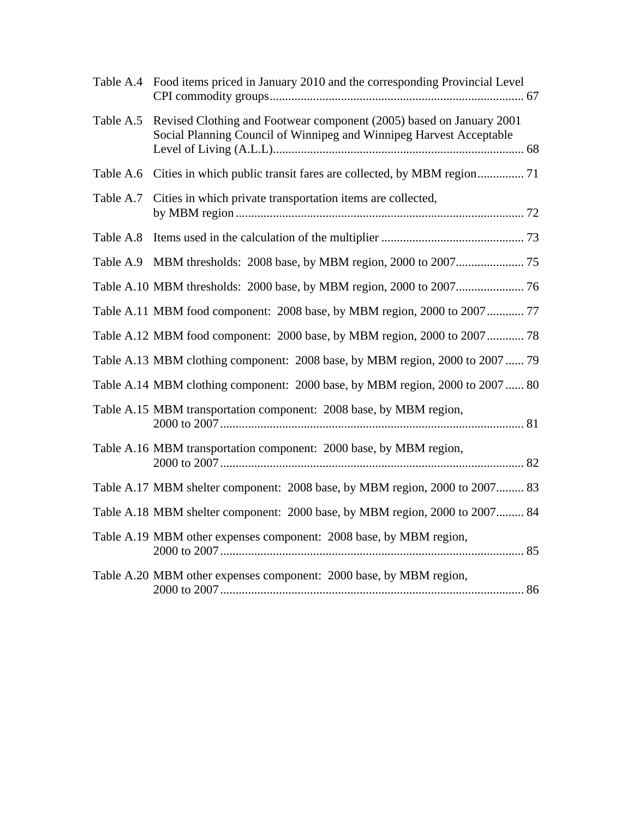|           | Table A.4 Food items priced in January 2010 and the corresponding Provincial Level                                                                    |
|-----------|-------------------------------------------------------------------------------------------------------------------------------------------------------|
|           | Table A.5 Revised Clothing and Footwear component (2005) based on January 2001<br>Social Planning Council of Winnipeg and Winnipeg Harvest Acceptable |
| Table A.6 | Cities in which public transit fares are collected, by MBM region 71                                                                                  |
| Table A.7 | Cities in which private transportation items are collected,                                                                                           |
| Table A.8 |                                                                                                                                                       |
|           |                                                                                                                                                       |
|           |                                                                                                                                                       |
|           | Table A.11 MBM food component: 2008 base, by MBM region, 2000 to 2007 77                                                                              |
|           | Table A.12 MBM food component: 2000 base, by MBM region, 2000 to 2007 78                                                                              |
|           | Table A.13 MBM clothing component: 2008 base, by MBM region, 2000 to 2007  79                                                                         |
|           | Table A.14 MBM clothing component: 2000 base, by MBM region, 2000 to 2007  80                                                                         |
|           | Table A.15 MBM transportation component: 2008 base, by MBM region,                                                                                    |
|           | Table A.16 MBM transportation component: 2000 base, by MBM region,                                                                                    |
|           | Table A.17 MBM shelter component: 2008 base, by MBM region, 2000 to 2007 83                                                                           |
|           | Table A.18 MBM shelter component: 2000 base, by MBM region, 2000 to 2007 84                                                                           |
|           | Table A.19 MBM other expenses component: 2008 base, by MBM region,                                                                                    |
|           | Table A.20 MBM other expenses component: 2000 base, by MBM region,                                                                                    |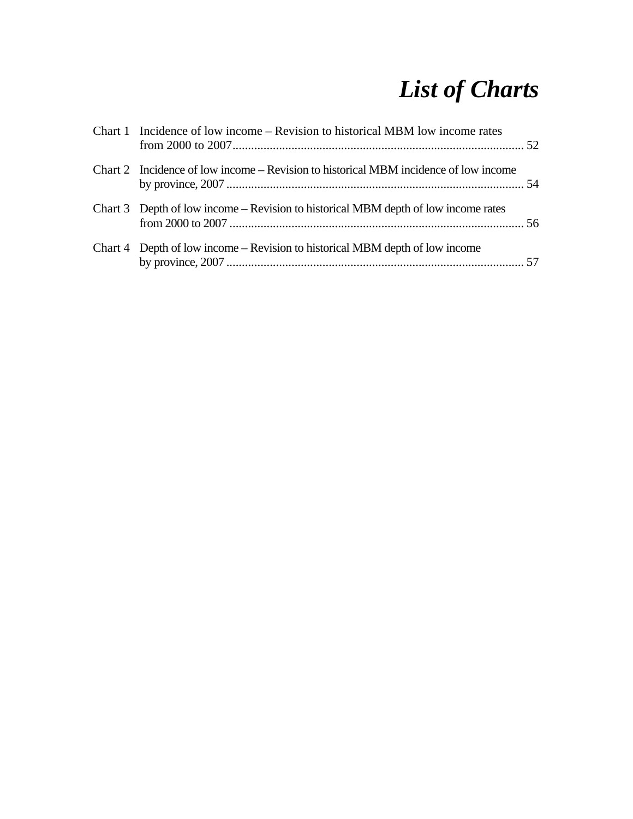## *List of Charts*

| Chart 1 Incidence of low income – Revision to historical MBM low income rates        |  |
|--------------------------------------------------------------------------------------|--|
| Chart 2 Incidence of low income – Revision to historical MBM incidence of low income |  |
| Chart 3 Depth of low income – Revision to historical MBM depth of low income rates   |  |
| Chart 4 Depth of low income – Revision to historical MBM depth of low income         |  |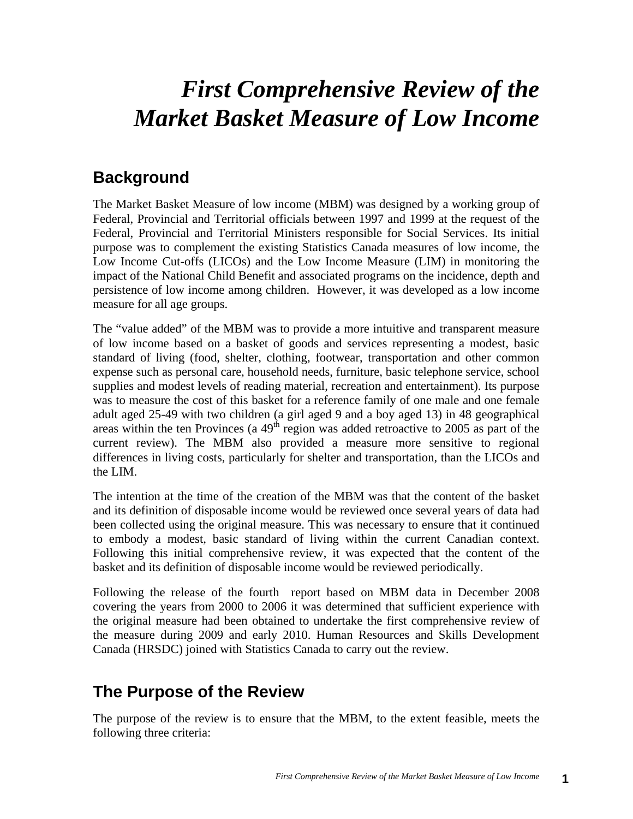## *First Comprehensive Review of the Market Basket Measure of Low Income*

### **Background**

The Market Basket Measure of low income (MBM) was designed by a working group of Federal, Provincial and Territorial officials between 1997 and 1999 at the request of the Federal, Provincial and Territorial Ministers responsible for Social Services. Its initial purpose was to complement the existing Statistics Canada measures of low income, the Low Income Cut-offs (LICOs) and the Low Income Measure (LIM) in monitoring the impact of the National Child Benefit and associated programs on the incidence, depth and persistence of low income among children. However, it was developed as a low income measure for all age groups.

The "value added" of the MBM was to provide a more intuitive and transparent measure of low income based on a basket of goods and services representing a modest, basic standard of living (food, shelter, clothing, footwear, transportation and other common expense such as personal care, household needs, furniture, basic telephone service, school supplies and modest levels of reading material, recreation and entertainment). Its purpose was to measure the cost of this basket for a reference family of one male and one female adult aged 25-49 with two children (a girl aged 9 and a boy aged 13) in 48 geographical areas within the ten Provinces (a  $49<sup>th</sup>$  region was added retroactive to 2005 as part of the current review). The MBM also provided a measure more sensitive to regional differences in living costs, particularly for shelter and transportation, than the LICOs and the LIM.

The intention at the time of the creation of the MBM was that the content of the basket and its definition of disposable income would be reviewed once several years of data had been collected using the original measure. This was necessary to ensure that it continued to embody a modest, basic standard of living within the current Canadian context. Following this initial comprehensive review, it was expected that the content of the basket and its definition of disposable income would be reviewed periodically.

Following the release of the fourth report based on MBM data in December 2008 covering the years from 2000 to 2006 it was determined that sufficient experience with the original measure had been obtained to undertake the first comprehensive review of the measure during 2009 and early 2010. Human Resources and Skills Development Canada (HRSDC) joined with Statistics Canada to carry out the review.

## **The Purpose of the Review**

The purpose of the review is to ensure that the MBM, to the extent feasible, meets the following three criteria: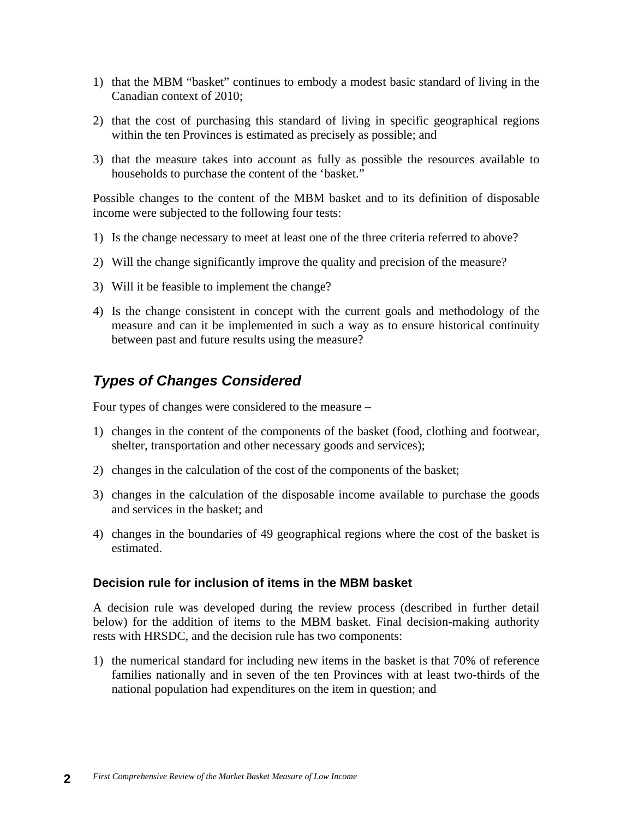- 1) that the MBM "basket" continues to embody a modest basic standard of living in the Canadian context of 2010;
- 2) that the cost of purchasing this standard of living in specific geographical regions within the ten Provinces is estimated as precisely as possible; and
- 3) that the measure takes into account as fully as possible the resources available to households to purchase the content of the 'basket."

Possible changes to the content of the MBM basket and to its definition of disposable income were subjected to the following four tests:

- 1) Is the change necessary to meet at least one of the three criteria referred to above?
- 2) Will the change significantly improve the quality and precision of the measure?
- 3) Will it be feasible to implement the change?
- 4) Is the change consistent in concept with the current goals and methodology of the measure and can it be implemented in such a way as to ensure historical continuity between past and future results using the measure?

#### *Types of Changes Considered*

Four types of changes were considered to the measure –

- 1) changes in the content of the components of the basket (food, clothing and footwear, shelter, transportation and other necessary goods and services);
- 2) changes in the calculation of the cost of the components of the basket;
- 3) changes in the calculation of the disposable income available to purchase the goods and services in the basket; and
- 4) changes in the boundaries of 49 geographical regions where the cost of the basket is estimated.

#### **Decision rule for inclusion of items in the MBM basket**

A decision rule was developed during the review process (described in further detail below) for the addition of items to the MBM basket. Final decision-making authority rests with HRSDC, and the decision rule has two components:

1) the numerical standard for including new items in the basket is that 70% of reference families nationally and in seven of the ten Provinces with at least two-thirds of the national population had expenditures on the item in question; and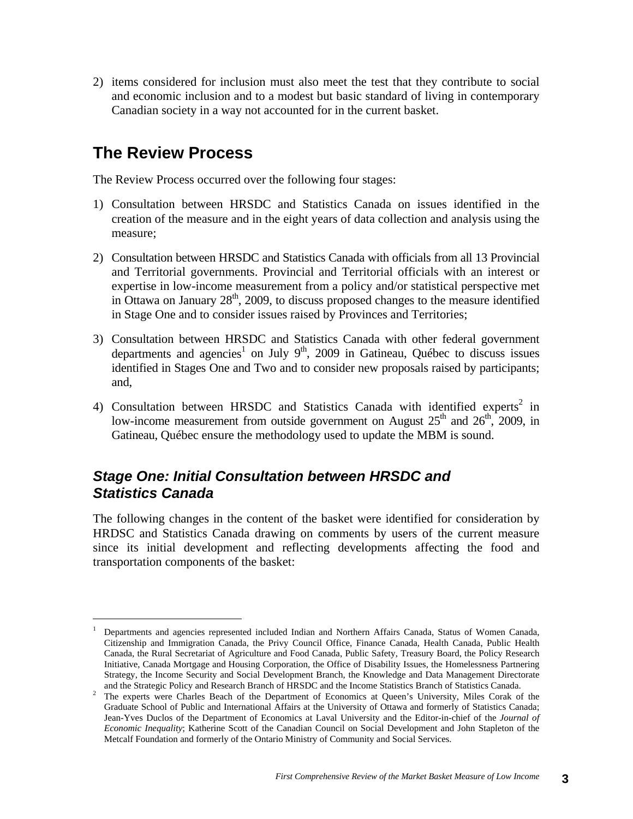2) items considered for inclusion must also meet the test that they contribute to social and economic inclusion and to a modest but basic standard of living in contemporary Canadian society in a way not accounted for in the current basket.

## **The Review Process**

The Review Process occurred over the following four stages:

- 1) Consultation between HRSDC and Statistics Canada on issues identified in the creation of the measure and in the eight years of data collection and analysis using the measure;
- 2) Consultation between HRSDC and Statistics Canada with officials from all 13 Provincial and Territorial governments. Provincial and Territorial officials with an interest or expertise in low-income measurement from a policy and/or statistical perspective met in Ottawa on January  $28<sup>th</sup>$ , 2009, to discuss proposed changes to the measure identified in Stage One and to consider issues raised by Provinces and Territories;
- 3) Consultation between HRSDC and Statistics Canada with other federal government departments and agencies<sup>1</sup> on July 9<sup>th</sup>, 2009 in Gatineau, Québec to discuss issues identified in Stages One and Two and to consider new proposals raised by participants; and,
- 4) Consultation between HRSDC and Statistics Canada with identified experts<sup>2</sup> in low-income measurement from outside government on August  $25<sup>th</sup>$  and  $26<sup>th</sup>$ , 2009, in Gatineau, Québec ensure the methodology used to update the MBM is sound.

#### *Stage One: Initial Consultation between HRSDC and Statistics Canada*

The following changes in the content of the basket were identified for consideration by HRDSC and Statistics Canada drawing on comments by users of the current measure since its initial development and reflecting developments affecting the food and transportation components of the basket:

<sup>1</sup> Departments and agencies represented included Indian and Northern Affairs Canada, Status of Women Canada, Citizenship and Immigration Canada, the Privy Council Office, Finance Canada, Health Canada, Public Health Canada, the Rural Secretariat of Agriculture and Food Canada, Public Safety, Treasury Board, the Policy Research Initiative, Canada Mortgage and Housing Corporation, the Office of Disability Issues, the Homelessness Partnering Strategy, the Income Security and Social Development Branch, the Knowledge and Data Management Directorate and the Strategic Policy and Research Branch of HRSDC and the Income Statistics Branch of Statistics Canada. 2

<sup>&</sup>lt;sup>2</sup> The experts were Charles Beach of the Department of Economics at Queen's University, Miles Corak of the Graduate School of Public and International Affairs at the University of Ottawa and formerly of Statistics Canada; Jean-Yves Duclos of the Department of Economics at Laval University and the Editor-in-chief of the *Journal of Economic Inequality*; Katherine Scott of the Canadian Council on Social Development and John Stapleton of the Metcalf Foundation and formerly of the Ontario Ministry of Community and Social Services.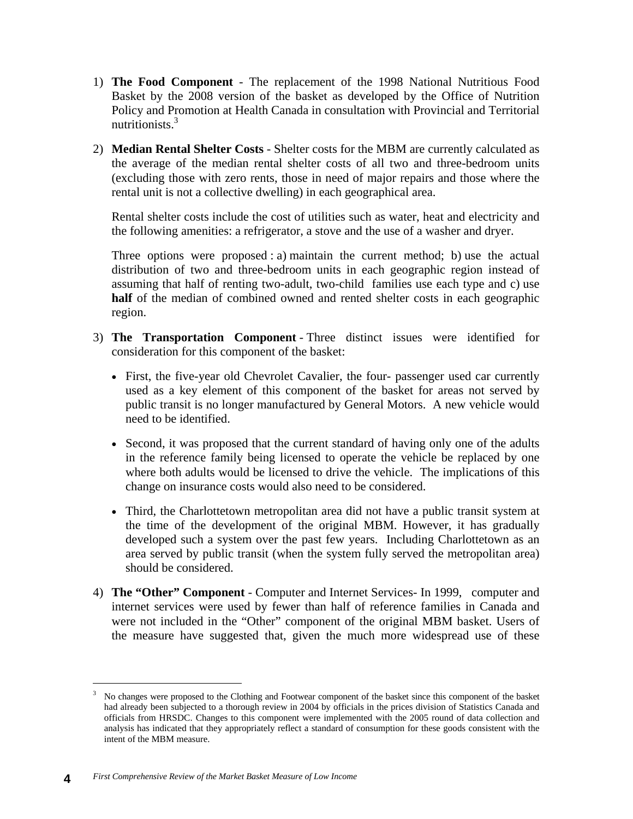- 1) **The Food Component**  The replacement of the 1998 National Nutritious Food Basket by the 2008 version of the basket as developed by the Office of Nutrition Policy and Promotion at Health Canada in consultation with Provincial and Territorial nutritionists.3
- 2) **Median Rental Shelter Costs**  Shelter costs for the MBM are currently calculated as the average of the median rental shelter costs of all two and three-bedroom units (excluding those with zero rents, those in need of major repairs and those where the rental unit is not a collective dwelling) in each geographical area.

Rental shelter costs include the cost of utilities such as water, heat and electricity and the following amenities: a refrigerator, a stove and the use of a washer and dryer.

Three options were proposed : a) maintain the current method; b) use the actual distribution of two and three-bedroom units in each geographic region instead of assuming that half of renting two-adult, two-child families use each type and c) use **half** of the median of combined owned and rented shelter costs in each geographic region.

- 3) **The Transportation Component**  Three distinct issues were identified for consideration for this component of the basket:
	- First, the five-year old Chevrolet Cavalier, the four- passenger used car currently used as a key element of this component of the basket for areas not served by public transit is no longer manufactured by General Motors. A new vehicle would need to be identified.
	- Second, it was proposed that the current standard of having only one of the adults in the reference family being licensed to operate the vehicle be replaced by one where both adults would be licensed to drive the vehicle. The implications of this change on insurance costs would also need to be considered.
	- Third, the Charlottetown metropolitan area did not have a public transit system at the time of the development of the original MBM. However, it has gradually developed such a system over the past few years. Including Charlottetown as an area served by public transit (when the system fully served the metropolitan area) should be considered.
- 4) **The "Other" Component**  Computer and Internet Services- In 1999, computer and internet services were used by fewer than half of reference families in Canada and were not included in the "Other" component of the original MBM basket. Users of the measure have suggested that, given the much more widespread use of these

<sup>3</sup> No changes were proposed to the Clothing and Footwear component of the basket since this component of the basket had already been subjected to a thorough review in 2004 by officials in the prices division of Statistics Canada and officials from HRSDC. Changes to this component were implemented with the 2005 round of data collection and analysis has indicated that they appropriately reflect a standard of consumption for these goods consistent with the intent of the MBM measure.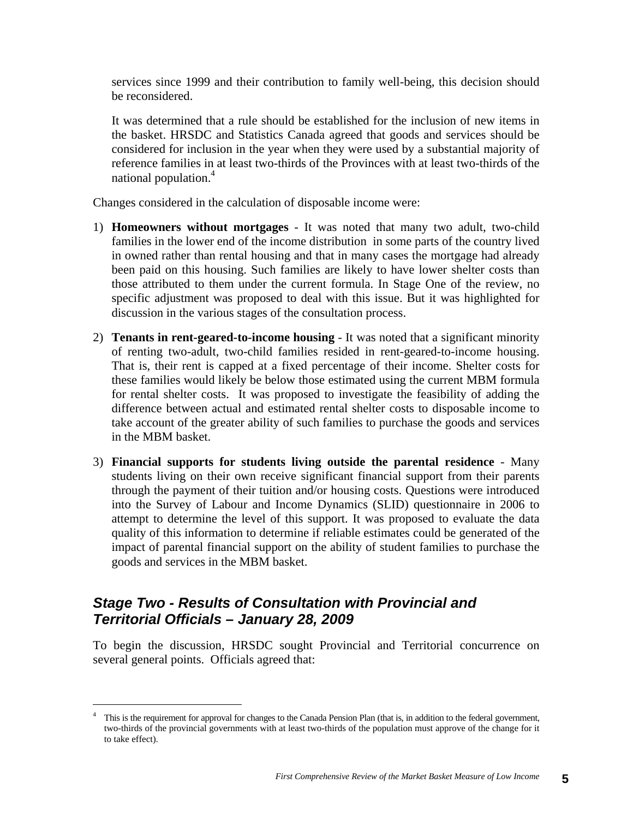services since 1999 and their contribution to family well-being, this decision should be reconsidered.

It was determined that a rule should be established for the inclusion of new items in the basket. HRSDC and Statistics Canada agreed that goods and services should be considered for inclusion in the year when they were used by a substantial majority of reference families in at least two-thirds of the Provinces with at least two-thirds of the national population.<sup>4</sup>

Changes considered in the calculation of disposable income were:

- 1) **Homeowners without mortgages** It was noted that many two adult, two-child families in the lower end of the income distribution in some parts of the country lived in owned rather than rental housing and that in many cases the mortgage had already been paid on this housing. Such families are likely to have lower shelter costs than those attributed to them under the current formula. In Stage One of the review, no specific adjustment was proposed to deal with this issue. But it was highlighted for discussion in the various stages of the consultation process.
- 2) **Tenants in rent-geared-to-income housing**  It was noted that a significant minority of renting two-adult, two-child families resided in rent-geared-to-income housing. That is, their rent is capped at a fixed percentage of their income. Shelter costs for these families would likely be below those estimated using the current MBM formula for rental shelter costs. It was proposed to investigate the feasibility of adding the difference between actual and estimated rental shelter costs to disposable income to take account of the greater ability of such families to purchase the goods and services in the MBM basket.
- 3) **Financial supports for students living outside the parental residence**  Many students living on their own receive significant financial support from their parents through the payment of their tuition and/or housing costs. Questions were introduced into the Survey of Labour and Income Dynamics (SLID) questionnaire in 2006 to attempt to determine the level of this support. It was proposed to evaluate the data quality of this information to determine if reliable estimates could be generated of the impact of parental financial support on the ability of student families to purchase the goods and services in the MBM basket.

#### *Stage Two - Results of Consultation with Provincial and Territorial Officials – January 28, 2009*

To begin the discussion, HRSDC sought Provincial and Territorial concurrence on several general points. Officials agreed that:

<sup>4</sup> This is the requirement for approval for changes to the Canada Pension Plan (that is, in addition to the federal government, two-thirds of the provincial governments with at least two-thirds of the population must approve of the change for it to take effect).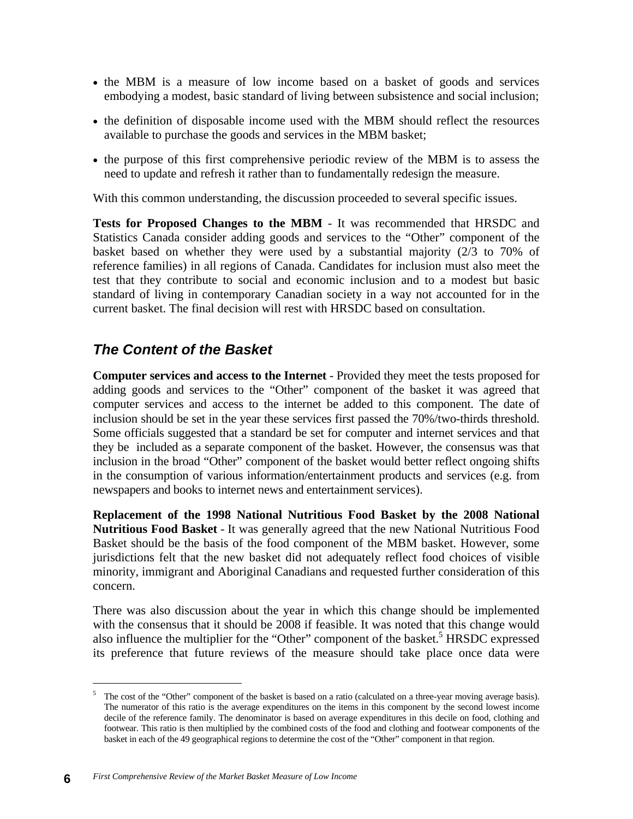- the MBM is a measure of low income based on a basket of goods and services embodying a modest, basic standard of living between subsistence and social inclusion;
- the definition of disposable income used with the MBM should reflect the resources available to purchase the goods and services in the MBM basket;
- the purpose of this first comprehensive periodic review of the MBM is to assess the need to update and refresh it rather than to fundamentally redesign the measure.

With this common understanding, the discussion proceeded to several specific issues.

**Tests for Proposed Changes to the MBM** - It was recommended that HRSDC and Statistics Canada consider adding goods and services to the "Other" component of the basket based on whether they were used by a substantial majority (2/3 to 70% of reference families) in all regions of Canada. Candidates for inclusion must also meet the test that they contribute to social and economic inclusion and to a modest but basic standard of living in contemporary Canadian society in a way not accounted for in the current basket. The final decision will rest with HRSDC based on consultation.

### *The Content of the Basket*

**Computer services and access to the Internet** - Provided they meet the tests proposed for adding goods and services to the "Other" component of the basket it was agreed that computer services and access to the internet be added to this component. The date of inclusion should be set in the year these services first passed the 70%/two-thirds threshold. Some officials suggested that a standard be set for computer and internet services and that they be included as a separate component of the basket. However, the consensus was that inclusion in the broad "Other" component of the basket would better reflect ongoing shifts in the consumption of various information/entertainment products and services (e.g. from newspapers and books to internet news and entertainment services).

**Replacement of the 1998 National Nutritious Food Basket by the 2008 National Nutritious Food Basket** - It was generally agreed that the new National Nutritious Food Basket should be the basis of the food component of the MBM basket. However, some jurisdictions felt that the new basket did not adequately reflect food choices of visible minority, immigrant and Aboriginal Canadians and requested further consideration of this concern.

There was also discussion about the year in which this change should be implemented with the consensus that it should be 2008 if feasible. It was noted that this change would also influence the multiplier for the "Other" component of the basket.<sup>5</sup> HRSDC expressed its preference that future reviews of the measure should take place once data were

<sup>&</sup>lt;sup>5</sup> The cost of the "Other" component of the basket is based on a ratio (calculated on a three-year moving average basis). The numerator of this ratio is the average expenditures on the items in this component by the second lowest income decile of the reference family. The denominator is based on average expenditures in this decile on food, clothing and footwear. This ratio is then multiplied by the combined costs of the food and clothing and footwear components of the basket in each of the 49 geographical regions to determine the cost of the "Other" component in that region.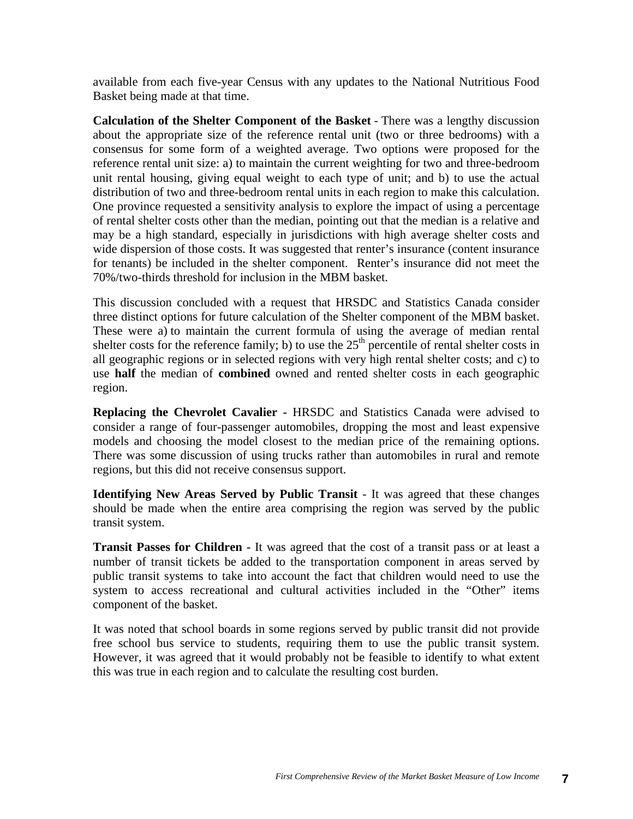available from each five-year Census with any updates to the National Nutritious Food Basket being made at that time.

**Calculation of the Shelter Component of the Basket** - There was a lengthy discussion about the appropriate size of the reference rental unit (two or three bedrooms) with a consensus for some form of a weighted average. Two options were proposed for the reference rental unit size: a) to maintain the current weighting for two and three-bedroom unit rental housing, giving equal weight to each type of unit; and b) to use the actual distribution of two and three-bedroom rental units in each region to make this calculation. One province requested a sensitivity analysis to explore the impact of using a percentage of rental shelter costs other than the median, pointing out that the median is a relative and may be a high standard, especially in jurisdictions with high average shelter costs and wide dispersion of those costs. It was suggested that renter's insurance (content insurance for tenants) be included in the shelter component. Renter's insurance did not meet the 70%/two-thirds threshold for inclusion in the MBM basket.

This discussion concluded with a request that HRSDC and Statistics Canada consider three distinct options for future calculation of the Shelter component of the MBM basket. These were a) to maintain the current formula of using the average of median rental shelter costs for the reference family; b) to use the  $25<sup>th</sup>$  percentile of rental shelter costs in all geographic regions or in selected regions with very high rental shelter costs; and c) to use **half** the median of **combined** owned and rented shelter costs in each geographic region.

**Replacing the Chevrolet Cavalier -** HRSDC and Statistics Canada were advised to consider a range of four-passenger automobiles, dropping the most and least expensive models and choosing the model closest to the median price of the remaining options. There was some discussion of using trucks rather than automobiles in rural and remote regions, but this did not receive consensus support.

**Identifying New Areas Served by Public Transit** - It was agreed that these changes should be made when the entire area comprising the region was served by the public transit system.

**Transit Passes for Children -** It was agreed that the cost of a transit pass or at least a number of transit tickets be added to the transportation component in areas served by public transit systems to take into account the fact that children would need to use the system to access recreational and cultural activities included in the "Other" items component of the basket.

It was noted that school boards in some regions served by public transit did not provide free school bus service to students, requiring them to use the public transit system. However, it was agreed that it would probably not be feasible to identify to what extent this was true in each region and to calculate the resulting cost burden.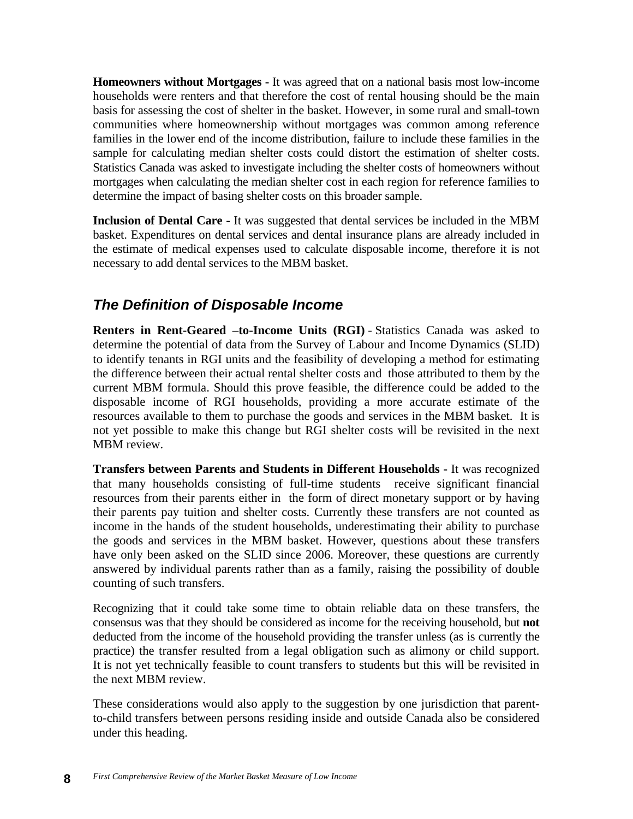**Homeowners without Mortgages -** It was agreed that on a national basis most low-income households were renters and that therefore the cost of rental housing should be the main basis for assessing the cost of shelter in the basket. However, in some rural and small-town communities where homeownership without mortgages was common among reference families in the lower end of the income distribution, failure to include these families in the sample for calculating median shelter costs could distort the estimation of shelter costs. Statistics Canada was asked to investigate including the shelter costs of homeowners without mortgages when calculating the median shelter cost in each region for reference families to determine the impact of basing shelter costs on this broader sample.

**Inclusion of Dental Care -** It was suggested that dental services be included in the MBM basket. Expenditures on dental services and dental insurance plans are already included in the estimate of medical expenses used to calculate disposable income, therefore it is not necessary to add dental services to the MBM basket.

### *The Definition of Disposable Income*

**Renters in Rent-Geared –to-Income Units (RGI)** - Statistics Canada was asked to determine the potential of data from the Survey of Labour and Income Dynamics (SLID) to identify tenants in RGI units and the feasibility of developing a method for estimating the difference between their actual rental shelter costs and those attributed to them by the current MBM formula. Should this prove feasible, the difference could be added to the disposable income of RGI households, providing a more accurate estimate of the resources available to them to purchase the goods and services in the MBM basket. It is not yet possible to make this change but RGI shelter costs will be revisited in the next MBM review.

**Transfers between Parents and Students in Different Households -** It was recognized that many households consisting of full-time students receive significant financial resources from their parents either in the form of direct monetary support or by having their parents pay tuition and shelter costs. Currently these transfers are not counted as income in the hands of the student households, underestimating their ability to purchase the goods and services in the MBM basket. However, questions about these transfers have only been asked on the SLID since 2006. Moreover, these questions are currently answered by individual parents rather than as a family, raising the possibility of double counting of such transfers.

Recognizing that it could take some time to obtain reliable data on these transfers, the consensus was that they should be considered as income for the receiving household, but **not** deducted from the income of the household providing the transfer unless (as is currently the practice) the transfer resulted from a legal obligation such as alimony or child support. It is not yet technically feasible to count transfers to students but this will be revisited in the next MBM review.

These considerations would also apply to the suggestion by one jurisdiction that parentto-child transfers between persons residing inside and outside Canada also be considered under this heading.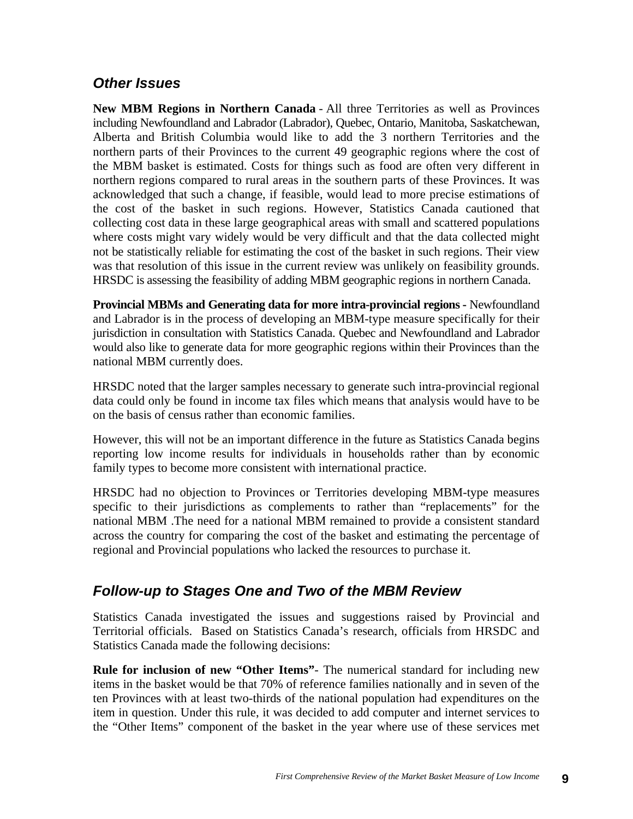#### *Other Issues*

**New MBM Regions in Northern Canada** - All three Territories as well as Provinces including Newfoundland and Labrador (Labrador), Quebec, Ontario, Manitoba, Saskatchewan, Alberta and British Columbia would like to add the 3 northern Territories and the northern parts of their Provinces to the current 49 geographic regions where the cost of the MBM basket is estimated. Costs for things such as food are often very different in northern regions compared to rural areas in the southern parts of these Provinces. It was acknowledged that such a change, if feasible, would lead to more precise estimations of the cost of the basket in such regions. However, Statistics Canada cautioned that collecting cost data in these large geographical areas with small and scattered populations where costs might vary widely would be very difficult and that the data collected might not be statistically reliable for estimating the cost of the basket in such regions. Their view was that resolution of this issue in the current review was unlikely on feasibility grounds. HRSDC is assessing the feasibility of adding MBM geographic regions in northern Canada.

**Provincial MBMs and Generating data for more intra-provincial regions -** Newfoundland and Labrador is in the process of developing an MBM-type measure specifically for their jurisdiction in consultation with Statistics Canada. Quebec and Newfoundland and Labrador would also like to generate data for more geographic regions within their Provinces than the national MBM currently does.

HRSDC noted that the larger samples necessary to generate such intra-provincial regional data could only be found in income tax files which means that analysis would have to be on the basis of census rather than economic families.

However, this will not be an important difference in the future as Statistics Canada begins reporting low income results for individuals in households rather than by economic family types to become more consistent with international practice.

HRSDC had no objection to Provinces or Territories developing MBM-type measures specific to their jurisdictions as complements to rather than "replacements" for the national MBM .The need for a national MBM remained to provide a consistent standard across the country for comparing the cost of the basket and estimating the percentage of regional and Provincial populations who lacked the resources to purchase it.

### *Follow-up to Stages One and Two of the MBM Review*

Statistics Canada investigated the issues and suggestions raised by Provincial and Territorial officials. Based on Statistics Canada's research, officials from HRSDC and Statistics Canada made the following decisions:

**Rule for inclusion of new "Other Items"**- The numerical standard for including new items in the basket would be that 70% of reference families nationally and in seven of the ten Provinces with at least two-thirds of the national population had expenditures on the item in question. Under this rule, it was decided to add computer and internet services to the "Other Items" component of the basket in the year where use of these services met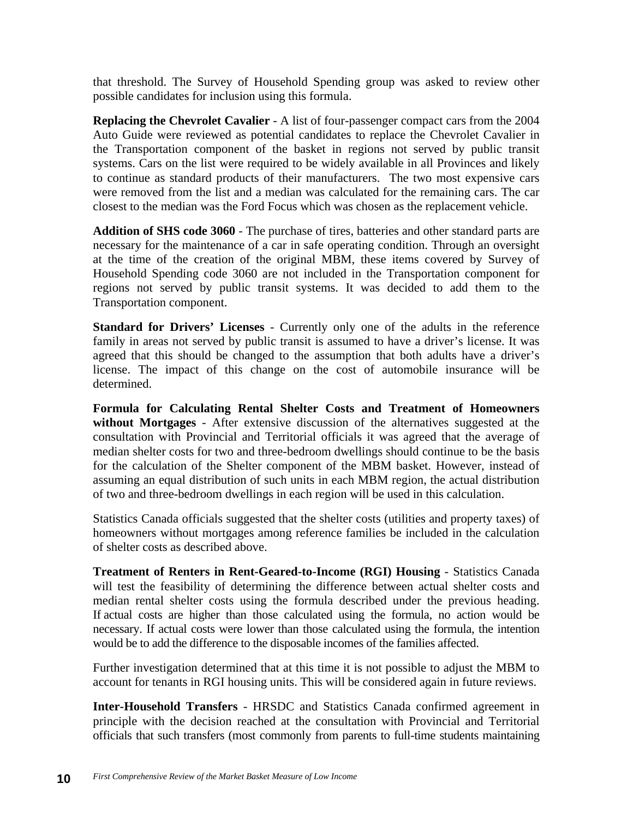that threshold. The Survey of Household Spending group was asked to review other possible candidates for inclusion using this formula.

**Replacing the Chevrolet Cavalier** - A list of four-passenger compact cars from the 2004 Auto Guide were reviewed as potential candidates to replace the Chevrolet Cavalier in the Transportation component of the basket in regions not served by public transit systems. Cars on the list were required to be widely available in all Provinces and likely to continue as standard products of their manufacturers. The two most expensive cars were removed from the list and a median was calculated for the remaining cars. The car closest to the median was the Ford Focus which was chosen as the replacement vehicle.

**Addition of SHS code 3060** - The purchase of tires, batteries and other standard parts are necessary for the maintenance of a car in safe operating condition. Through an oversight at the time of the creation of the original MBM, these items covered by Survey of Household Spending code 3060 are not included in the Transportation component for regions not served by public transit systems. It was decided to add them to the Transportation component.

**Standard for Drivers' Licenses** - Currently only one of the adults in the reference family in areas not served by public transit is assumed to have a driver's license. It was agreed that this should be changed to the assumption that both adults have a driver's license. The impact of this change on the cost of automobile insurance will be determined.

**Formula for Calculating Rental Shelter Costs and Treatment of Homeowners without Mortgages** - After extensive discussion of the alternatives suggested at the consultation with Provincial and Territorial officials it was agreed that the average of median shelter costs for two and three-bedroom dwellings should continue to be the basis for the calculation of the Shelter component of the MBM basket. However, instead of assuming an equal distribution of such units in each MBM region, the actual distribution of two and three-bedroom dwellings in each region will be used in this calculation.

Statistics Canada officials suggested that the shelter costs (utilities and property taxes) of homeowners without mortgages among reference families be included in the calculation of shelter costs as described above.

**Treatment of Renters in Rent-Geared-to-Income (RGI) Housing** - Statistics Canada will test the feasibility of determining the difference between actual shelter costs and median rental shelter costs using the formula described under the previous heading. If actual costs are higher than those calculated using the formula, no action would be necessary. If actual costs were lower than those calculated using the formula, the intention would be to add the difference to the disposable incomes of the families affected.

Further investigation determined that at this time it is not possible to adjust the MBM to account for tenants in RGI housing units. This will be considered again in future reviews.

**Inter-Household Transfers** - HRSDC and Statistics Canada confirmed agreement in principle with the decision reached at the consultation with Provincial and Territorial officials that such transfers (most commonly from parents to full-time students maintaining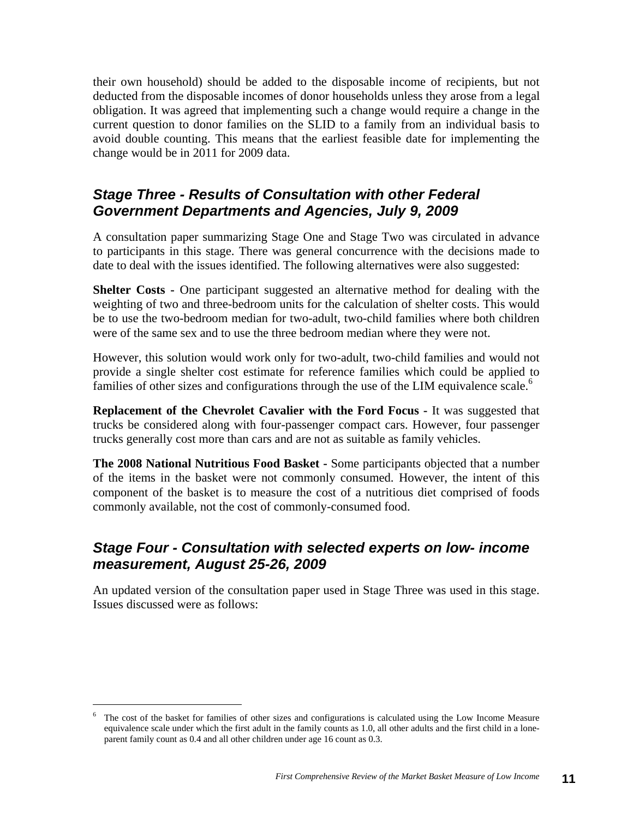their own household) should be added to the disposable income of recipients, but not deducted from the disposable incomes of donor households unless they arose from a legal obligation. It was agreed that implementing such a change would require a change in the current question to donor families on the SLID to a family from an individual basis to avoid double counting. This means that the earliest feasible date for implementing the change would be in 2011 for 2009 data.

#### *Stage Three - Results of Consultation with other Federal Government Departments and Agencies, July 9, 2009*

A consultation paper summarizing Stage One and Stage Two was circulated in advance to participants in this stage. There was general concurrence with the decisions made to date to deal with the issues identified. The following alternatives were also suggested:

**Shelter Costs -** One participant suggested an alternative method for dealing with the weighting of two and three-bedroom units for the calculation of shelter costs. This would be to use the two-bedroom median for two-adult, two-child families where both children were of the same sex and to use the three bedroom median where they were not.

However, this solution would work only for two-adult, two-child families and would not provide a single shelter cost estimate for reference families which could be applied to families of other sizes and configurations through the use of the LIM equivalence scale.<sup>6</sup>

**Replacement of the Chevrolet Cavalier with the Ford Focus -** It was suggested that trucks be considered along with four-passenger compact cars. However, four passenger trucks generally cost more than cars and are not as suitable as family vehicles.

**The 2008 National Nutritious Food Basket -** Some participants objected that a number of the items in the basket were not commonly consumed. However, the intent of this component of the basket is to measure the cost of a nutritious diet comprised of foods commonly available, not the cost of commonly-consumed food.

### *Stage Four - Consultation with selected experts on low- income measurement, August 25-26, 2009*

An updated version of the consultation paper used in Stage Three was used in this stage. Issues discussed were as follows:

<sup>6</sup> The cost of the basket for families of other sizes and configurations is calculated using the Low Income Measure equivalence scale under which the first adult in the family counts as 1.0, all other adults and the first child in a loneparent family count as 0.4 and all other children under age 16 count as 0.3.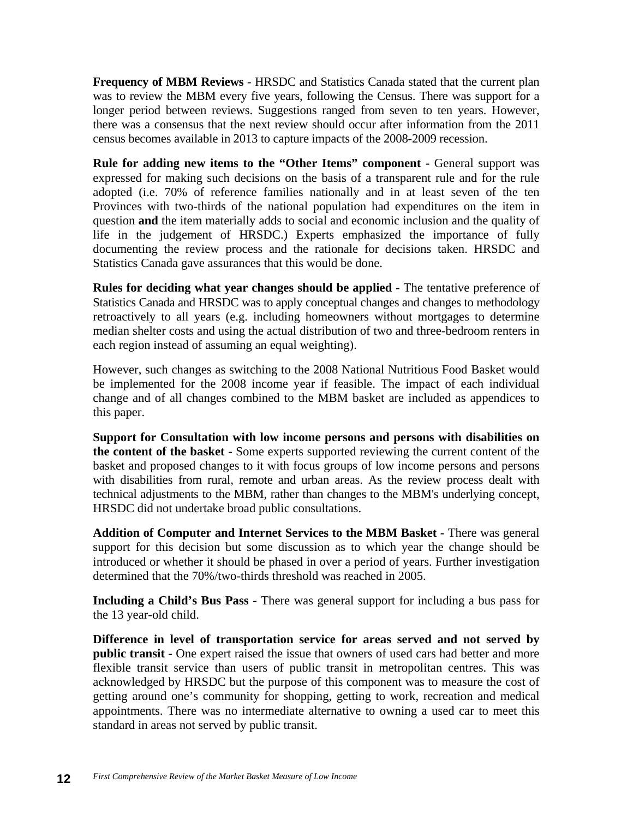**Frequency of MBM Reviews** - HRSDC and Statistics Canada stated that the current plan was to review the MBM every five years, following the Census. There was support for a longer period between reviews. Suggestions ranged from seven to ten years. However, there was a consensus that the next review should occur after information from the 2011 census becomes available in 2013 to capture impacts of the 2008-2009 recession.

**Rule for adding new items to the "Other Items" component - General support was** expressed for making such decisions on the basis of a transparent rule and for the rule adopted (i.e. 70% of reference families nationally and in at least seven of the ten Provinces with two-thirds of the national population had expenditures on the item in question **and** the item materially adds to social and economic inclusion and the quality of life in the judgement of HRSDC.) Experts emphasized the importance of fully documenting the review process and the rationale for decisions taken. HRSDC and Statistics Canada gave assurances that this would be done.

**Rules for deciding what year changes should be applied** - The tentative preference of Statistics Canada and HRSDC was to apply conceptual changes and changes to methodology retroactively to all years (e.g. including homeowners without mortgages to determine median shelter costs and using the actual distribution of two and three-bedroom renters in each region instead of assuming an equal weighting).

However, such changes as switching to the 2008 National Nutritious Food Basket would be implemented for the 2008 income year if feasible. The impact of each individual change and of all changes combined to the MBM basket are included as appendices to this paper.

**Support for Consultation with low income persons and persons with disabilities on the content of the basket -** Some experts supported reviewing the current content of the basket and proposed changes to it with focus groups of low income persons and persons with disabilities from rural, remote and urban areas. As the review process dealt with technical adjustments to the MBM, rather than changes to the MBM's underlying concept, HRSDC did not undertake broad public consultations.

**Addition of Computer and Internet Services to the MBM Basket -** There was general support for this decision but some discussion as to which year the change should be introduced or whether it should be phased in over a period of years. Further investigation determined that the 70%/two-thirds threshold was reached in 2005.

**Including a Child's Bus Pass -** There was general support for including a bus pass for the 13 year-old child.

**Difference in level of transportation service for areas served and not served by public transit -** One expert raised the issue that owners of used cars had better and more flexible transit service than users of public transit in metropolitan centres. This was acknowledged by HRSDC but the purpose of this component was to measure the cost of getting around one's community for shopping, getting to work, recreation and medical appointments. There was no intermediate alternative to owning a used car to meet this standard in areas not served by public transit.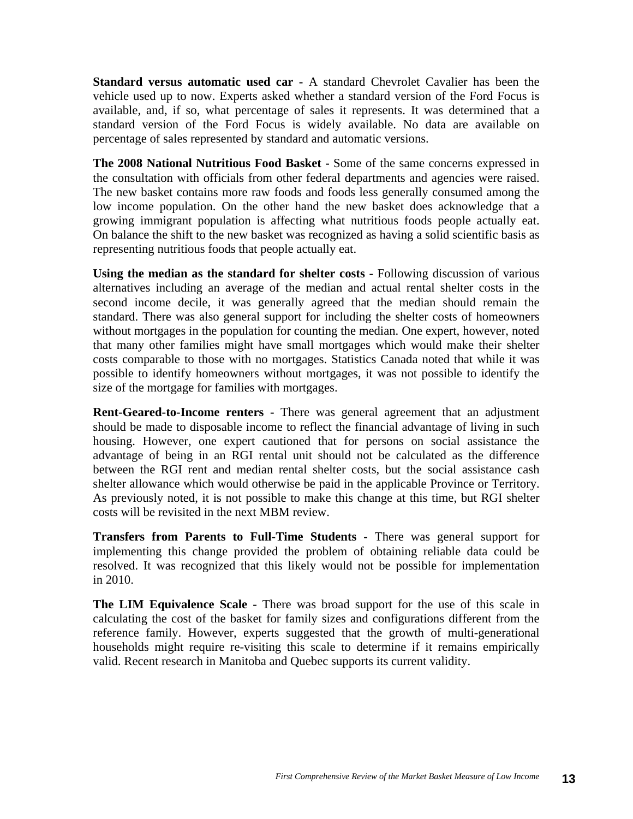**Standard versus automatic used car -** A standard Chevrolet Cavalier has been the vehicle used up to now. Experts asked whether a standard version of the Ford Focus is available, and, if so, what percentage of sales it represents. It was determined that a standard version of the Ford Focus is widely available. No data are available on percentage of sales represented by standard and automatic versions.

**The 2008 National Nutritious Food Basket -** Some of the same concerns expressed in the consultation with officials from other federal departments and agencies were raised. The new basket contains more raw foods and foods less generally consumed among the low income population. On the other hand the new basket does acknowledge that a growing immigrant population is affecting what nutritious foods people actually eat. On balance the shift to the new basket was recognized as having a solid scientific basis as representing nutritious foods that people actually eat.

**Using the median as the standard for shelter costs - Following discussion of various** alternatives including an average of the median and actual rental shelter costs in the second income decile, it was generally agreed that the median should remain the standard. There was also general support for including the shelter costs of homeowners without mortgages in the population for counting the median. One expert, however, noted that many other families might have small mortgages which would make their shelter costs comparable to those with no mortgages. Statistics Canada noted that while it was possible to identify homeowners without mortgages, it was not possible to identify the size of the mortgage for families with mortgages.

**Rent-Geared-to-Income renters -** There was general agreement that an adjustment should be made to disposable income to reflect the financial advantage of living in such housing. However, one expert cautioned that for persons on social assistance the advantage of being in an RGI rental unit should not be calculated as the difference between the RGI rent and median rental shelter costs, but the social assistance cash shelter allowance which would otherwise be paid in the applicable Province or Territory. As previously noted, it is not possible to make this change at this time, but RGI shelter costs will be revisited in the next MBM review.

**Transfers from Parents to Full-Time Students -** There was general support for implementing this change provided the problem of obtaining reliable data could be resolved. It was recognized that this likely would not be possible for implementation in 2010.

**The LIM Equivalence Scale -** There was broad support for the use of this scale in calculating the cost of the basket for family sizes and configurations different from the reference family. However, experts suggested that the growth of multi-generational households might require re-visiting this scale to determine if it remains empirically valid. Recent research in Manitoba and Quebec supports its current validity.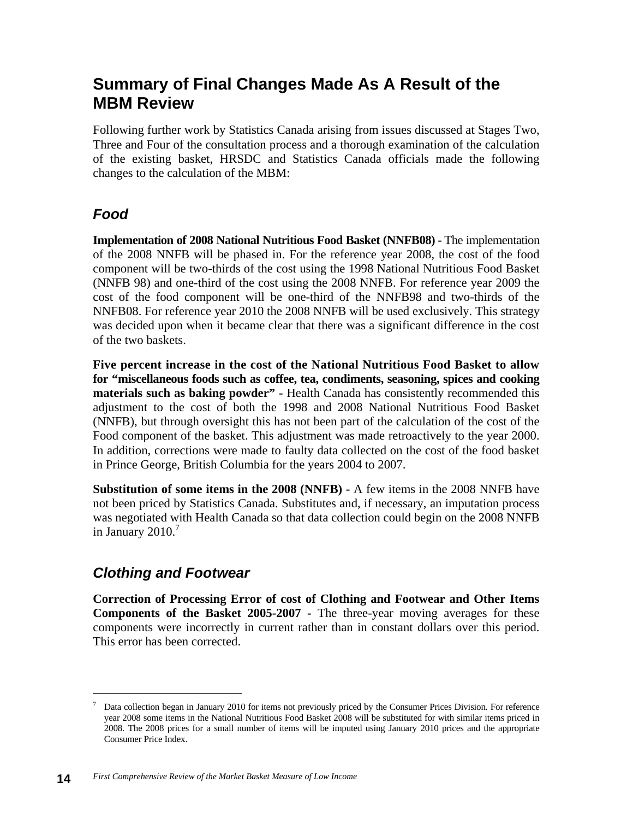## **Summary of Final Changes Made As A Result of the MBM Review**

Following further work by Statistics Canada arising from issues discussed at Stages Two, Three and Four of the consultation process and a thorough examination of the calculation of the existing basket, HRSDC and Statistics Canada officials made the following changes to the calculation of the MBM:

## *Food*

**Implementation of 2008 National Nutritious Food Basket (NNFB08) -** The implementation of the 2008 NNFB will be phased in. For the reference year 2008, the cost of the food component will be two-thirds of the cost using the 1998 National Nutritious Food Basket (NNFB 98) and one-third of the cost using the 2008 NNFB. For reference year 2009 the cost of the food component will be one-third of the NNFB98 and two-thirds of the NNFB08. For reference year 2010 the 2008 NNFB will be used exclusively. This strategy was decided upon when it became clear that there was a significant difference in the cost of the two baskets.

**Five percent increase in the cost of the National Nutritious Food Basket to allow for "miscellaneous foods such as coffee, tea, condiments, seasoning, spices and cooking materials such as baking powder" -** Health Canada has consistently recommended this adjustment to the cost of both the 1998 and 2008 National Nutritious Food Basket (NNFB), but through oversight this has not been part of the calculation of the cost of the Food component of the basket. This adjustment was made retroactively to the year 2000. In addition, corrections were made to faulty data collected on the cost of the food basket in Prince George, British Columbia for the years 2004 to 2007.

**Substitution of some items in the 2008 (NNFB) -** A few items in the 2008 NNFB have not been priced by Statistics Canada. Substitutes and, if necessary, an imputation process was negotiated with Health Canada so that data collection could begin on the 2008 NNFB in January  $2010$ .<sup>7</sup>

### *Clothing and Footwear*

**Correction of Processing Error of cost of Clothing and Footwear and Other Items Components of the Basket 2005-2007 -** The three-year moving averages for these components were incorrectly in current rather than in constant dollars over this period. This error has been corrected.

<sup>7</sup> Data collection began in January 2010 for items not previously priced by the Consumer Prices Division. For reference year 2008 some items in the National Nutritious Food Basket 2008 will be substituted for with similar items priced in 2008. The 2008 prices for a small number of items will be imputed using January 2010 prices and the appropriate Consumer Price Index.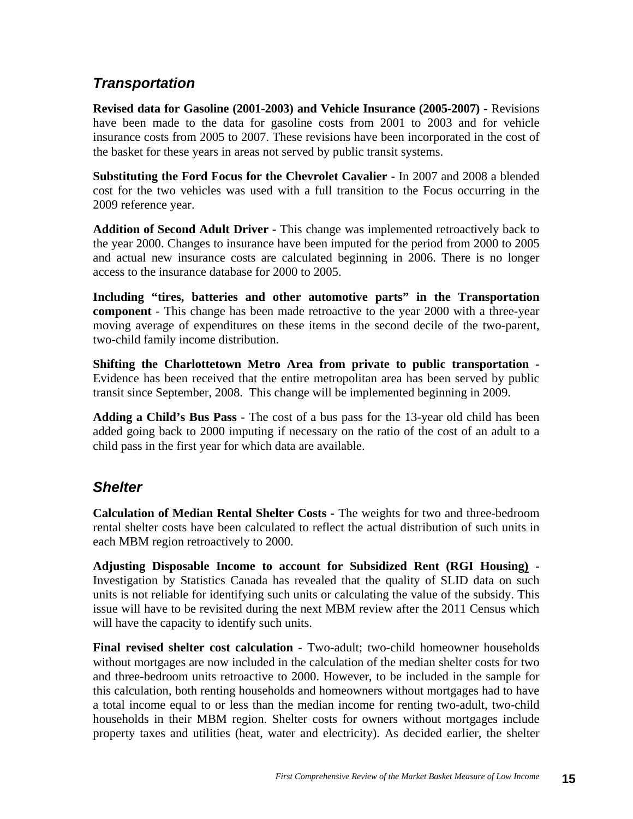### *Transportation*

**Revised data for Gasoline (2001-2003) and Vehicle Insurance (2005-2007)** - Revisions have been made to the data for gasoline costs from 2001 to 2003 and for vehicle insurance costs from 2005 to 2007. These revisions have been incorporated in the cost of the basket for these years in areas not served by public transit systems.

**Substituting the Ford Focus for the Chevrolet Cavalier -** In 2007 and 2008 a blended cost for the two vehicles was used with a full transition to the Focus occurring in the 2009 reference year.

**Addition of Second Adult Driver -** This change was implemented retroactively back to the year 2000. Changes to insurance have been imputed for the period from 2000 to 2005 and actual new insurance costs are calculated beginning in 2006. There is no longer access to the insurance database for 2000 to 2005.

**Including "tires, batteries and other automotive parts" in the Transportation component** - This change has been made retroactive to the year 2000 with a three-year moving average of expenditures on these items in the second decile of the two-parent, two-child family income distribution.

**Shifting the Charlottetown Metro Area from private to public transportation -** Evidence has been received that the entire metropolitan area has been served by public transit since September, 2008. This change will be implemented beginning in 2009.

**Adding a Child's Bus Pass -** The cost of a bus pass for the 13-year old child has been added going back to 2000 imputing if necessary on the ratio of the cost of an adult to a child pass in the first year for which data are available.

### *Shelter*

**Calculation of Median Rental Shelter Costs -** The weights for two and three-bedroom rental shelter costs have been calculated to reflect the actual distribution of such units in each MBM region retroactively to 2000.

**Adjusting Disposable Income to account for Subsidized Rent (RGI Housing) -** Investigation by Statistics Canada has revealed that the quality of SLID data on such units is not reliable for identifying such units or calculating the value of the subsidy. This issue will have to be revisited during the next MBM review after the 2011 Census which will have the capacity to identify such units.

**Final revised shelter cost calculation** - Two-adult; two-child homeowner households without mortgages are now included in the calculation of the median shelter costs for two and three-bedroom units retroactive to 2000. However, to be included in the sample for this calculation, both renting households and homeowners without mortgages had to have a total income equal to or less than the median income for renting two-adult, two-child households in their MBM region. Shelter costs for owners without mortgages include property taxes and utilities (heat, water and electricity). As decided earlier, the shelter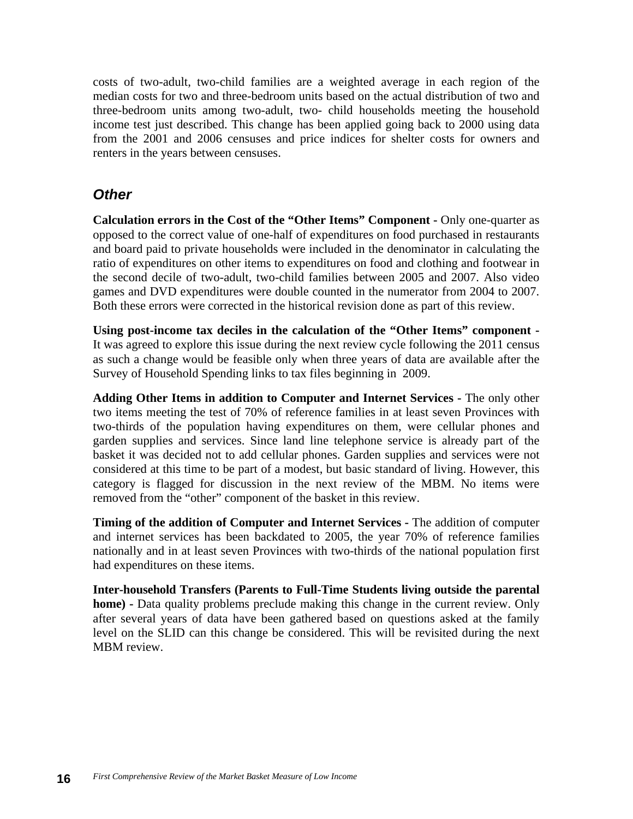costs of two-adult, two-child families are a weighted average in each region of the median costs for two and three-bedroom units based on the actual distribution of two and three-bedroom units among two-adult, two- child households meeting the household income test just described. This change has been applied going back to 2000 using data from the 2001 and 2006 censuses and price indices for shelter costs for owners and renters in the years between censuses.

#### *Other*

**Calculation errors in the Cost of the "Other Items" Component -** Only one-quarter as opposed to the correct value of one-half of expenditures on food purchased in restaurants and board paid to private households were included in the denominator in calculating the ratio of expenditures on other items to expenditures on food and clothing and footwear in the second decile of two-adult, two-child families between 2005 and 2007. Also video games and DVD expenditures were double counted in the numerator from 2004 to 2007. Both these errors were corrected in the historical revision done as part of this review.

**Using post-income tax deciles in the calculation of the "Other Items" component -** It was agreed to explore this issue during the next review cycle following the 2011 census as such a change would be feasible only when three years of data are available after the Survey of Household Spending links to tax files beginning in 2009.

**Adding Other Items in addition to Computer and Internet Services -** The only other two items meeting the test of 70% of reference families in at least seven Provinces with two-thirds of the population having expenditures on them, were cellular phones and garden supplies and services. Since land line telephone service is already part of the basket it was decided not to add cellular phones. Garden supplies and services were not considered at this time to be part of a modest, but basic standard of living. However, this category is flagged for discussion in the next review of the MBM. No items were removed from the "other" component of the basket in this review.

**Timing of the addition of Computer and Internet Services -** The addition of computer and internet services has been backdated to 2005, the year 70% of reference families nationally and in at least seven Provinces with two-thirds of the national population first had expenditures on these items.

**Inter-household Transfers (Parents to Full-Time Students living outside the parental home) -** Data quality problems preclude making this change in the current review. Only after several years of data have been gathered based on questions asked at the family level on the SLID can this change be considered. This will be revisited during the next MBM review.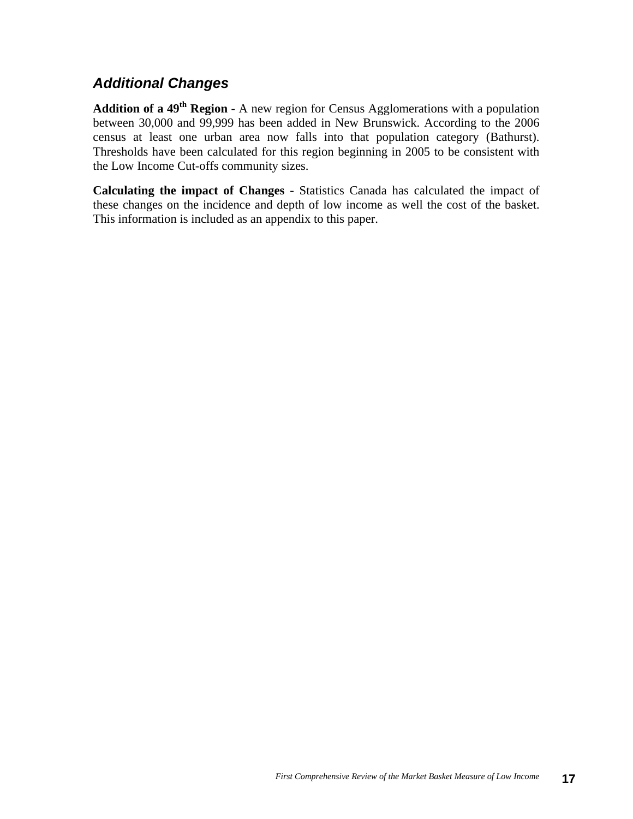#### *Additional Changes*

**Addition of a 49th Region -** A new region for Census Agglomerations with a population between 30,000 and 99,999 has been added in New Brunswick. According to the 2006 census at least one urban area now falls into that population category (Bathurst). Thresholds have been calculated for this region beginning in 2005 to be consistent with the Low Income Cut-offs community sizes.

**Calculating the impact of Changes -** Statistics Canada has calculated the impact of these changes on the incidence and depth of low income as well the cost of the basket. This information is included as an appendix to this paper.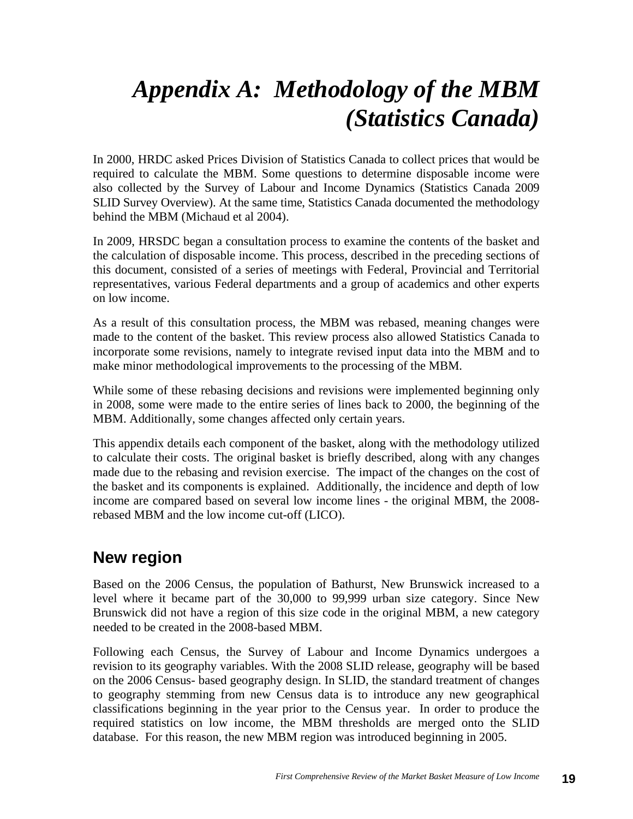## *Appendix A: Methodology of the MBM (Statistics Canada)*

In 2000, HRDC asked Prices Division of Statistics Canada to collect prices that would be required to calculate the MBM. Some questions to determine disposable income were also collected by the Survey of Labour and Income Dynamics (Statistics Canada 2009 SLID Survey Overview). At the same time, Statistics Canada documented the methodology behind the MBM (Michaud et al 2004).

In 2009, HRSDC began a consultation process to examine the contents of the basket and the calculation of disposable income. This process, described in the preceding sections of this document, consisted of a series of meetings with Federal, Provincial and Territorial representatives, various Federal departments and a group of academics and other experts on low income.

As a result of this consultation process, the MBM was rebased, meaning changes were made to the content of the basket. This review process also allowed Statistics Canada to incorporate some revisions, namely to integrate revised input data into the MBM and to make minor methodological improvements to the processing of the MBM.

While some of these rebasing decisions and revisions were implemented beginning only in 2008, some were made to the entire series of lines back to 2000, the beginning of the MBM. Additionally, some changes affected only certain years.

This appendix details each component of the basket, along with the methodology utilized to calculate their costs. The original basket is briefly described, along with any changes made due to the rebasing and revision exercise. The impact of the changes on the cost of the basket and its components is explained. Additionally, the incidence and depth of low income are compared based on several low income lines - the original MBM, the 2008 rebased MBM and the low income cut-off (LICO).

## **New region**

Based on the 2006 Census, the population of Bathurst, New Brunswick increased to a level where it became part of the 30,000 to 99,999 urban size category. Since New Brunswick did not have a region of this size code in the original MBM, a new category needed to be created in the 2008-based MBM.

Following each Census, the Survey of Labour and Income Dynamics undergoes a revision to its geography variables. With the 2008 SLID release, geography will be based on the 2006 Census- based geography design. In SLID, the standard treatment of changes to geography stemming from new Census data is to introduce any new geographical classifications beginning in the year prior to the Census year. In order to produce the required statistics on low income, the MBM thresholds are merged onto the SLID database. For this reason, the new MBM region was introduced beginning in 2005.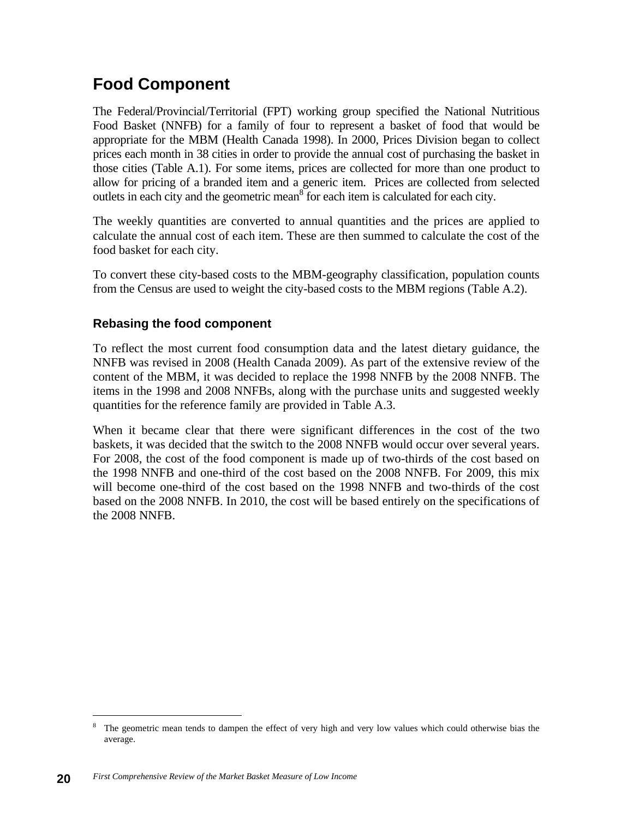## **Food Component**

The Federal/Provincial/Territorial (FPT) working group specified the National Nutritious Food Basket (NNFB) for a family of four to represent a basket of food that would be appropriate for the MBM (Health Canada 1998). In 2000, Prices Division began to collect prices each month in 38 cities in order to provide the annual cost of purchasing the basket in those cities (Table A.1). For some items, prices are collected for more than one product to allow for pricing of a branded item and a generic item. Prices are collected from selected outlets in each city and the geometric mean  $\delta$  for each item is calculated for each city.

The weekly quantities are converted to annual quantities and the prices are applied to calculate the annual cost of each item. These are then summed to calculate the cost of the food basket for each city.

To convert these city-based costs to the MBM-geography classification, population counts from the Census are used to weight the city-based costs to the MBM regions (Table A.2).

#### **Rebasing the food component**

To reflect the most current food consumption data and the latest dietary guidance, the NNFB was revised in 2008 (Health Canada 2009). As part of the extensive review of the content of the MBM, it was decided to replace the 1998 NNFB by the 2008 NNFB. The items in the 1998 and 2008 NNFBs, along with the purchase units and suggested weekly quantities for the reference family are provided in Table A.3.

When it became clear that there were significant differences in the cost of the two baskets, it was decided that the switch to the 2008 NNFB would occur over several years. For 2008, the cost of the food component is made up of two-thirds of the cost based on the 1998 NNFB and one-third of the cost based on the 2008 NNFB. For 2009, this mix will become one-third of the cost based on the 1998 NNFB and two-thirds of the cost based on the 2008 NNFB. In 2010, the cost will be based entirely on the specifications of the 2008 NNFB.

<sup>8</sup> The geometric mean tends to dampen the effect of very high and very low values which could otherwise bias the average.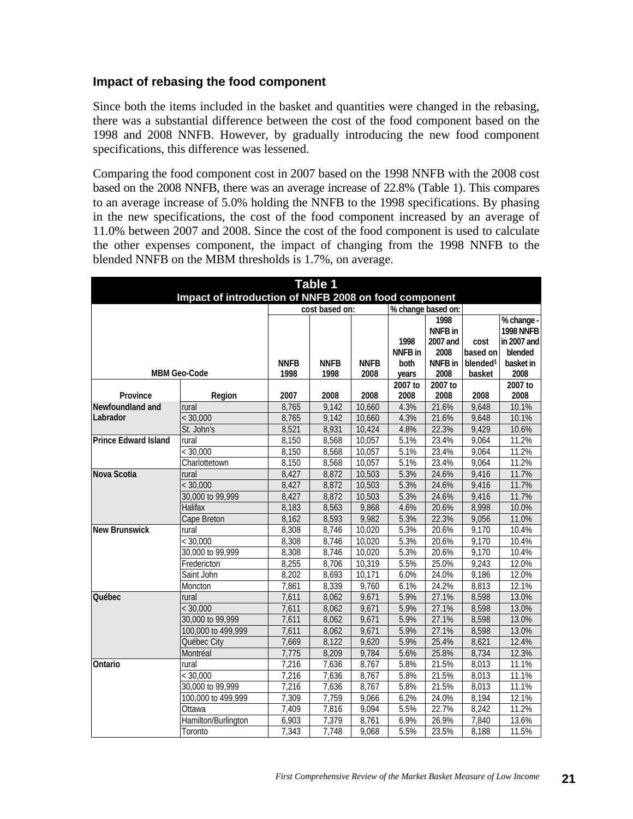#### **Impact of rebasing the food component**

Since both the items included in the basket and quantities were changed in the rebasing, there was a substantial difference between the cost of the food component based on the 1998 and 2008 NNFB. However, by gradually introducing the new food component specifications, this difference was lessened.

Comparing the food component cost in 2007 based on the 1998 NNFB with the 2008 cost based on the 2008 NNFB, there was an average increase of 22.8% (Table 1). This compares to an average increase of 5.0% holding the NNFB to the 1998 specifications. By phasing in the new specifications, the cost of the food component increased by an average of 11.0% between 2007 and 2008. Since the cost of the food component is used to calculate the other expenses component, the impact of changing from the 1998 NNFB to the blended NNFB on the MBM thresholds is 1.7%, on average.

| <b>Table 1</b>                                        |                     |             |                |             |                 |                    |                      |                  |  |  |
|-------------------------------------------------------|---------------------|-------------|----------------|-------------|-----------------|--------------------|----------------------|------------------|--|--|
| Impact of introduction of NNFB 2008 on food component |                     |             |                |             |                 |                    |                      |                  |  |  |
|                                                       |                     |             | cost based on: |             |                 | % change based on: |                      |                  |  |  |
|                                                       |                     |             |                |             |                 | 1998               |                      | % change -       |  |  |
|                                                       |                     |             |                |             |                 | NNFB in            |                      | <b>1998 NNFB</b> |  |  |
|                                                       |                     |             |                |             | 1998            | 2007 and           | cost                 | in 2007 and      |  |  |
|                                                       |                     |             |                |             | <b>NNFB</b> in  | 2008               | based on             | blended          |  |  |
|                                                       |                     | <b>NNFB</b> | <b>NNFB</b>    | <b>NNFB</b> | both            | <b>NNFB</b> in     | blended <sup>1</sup> | basket in        |  |  |
|                                                       | <b>MBM Geo-Code</b> | 1998        | 1998           | 2008        | years           | 2008<br>2007 to    | basket               | 2008<br>2007 to  |  |  |
| Province                                              | Region              | 2007        | 2008           | 2008        | 2007 to<br>2008 | 2008               | 2008                 | 2008             |  |  |
| Newfoundland and                                      | rural               | 8,765       | 9,142          | 10,660      | 4.3%            | 21.6%              | 9,648                | 10.1%            |  |  |
| Labrador                                              | < 30,000            | 8,765       | 9,142          | 10,660      | 4.3%            | 21.6%              | 9,648                | 10.1%            |  |  |
|                                                       | St. John's          | 8,521       | 8,931          | 10,424      | 4.8%            | 22.3%              | 9,429                | 10.6%            |  |  |
| <b>Prince Edward Island</b>                           | rural               | 8,150       | 8,568          | 10,057      | 5.1%            | 23.4%              | 9,064                | 11.2%            |  |  |
|                                                       | < 30,000            | 8,150       | 8,568          | 10,057      | 5.1%            | 23.4%              | 9,064                | 11.2%            |  |  |
|                                                       | Charlottetown       | 8,150       | 8,568          | 10,057      | 5.1%            | 23.4%              | 9,064                | 11.2%            |  |  |
| Nova Scotia                                           | rural               | 8.427       | 8,872          | 10,503      | 5.3%            | 24.6%              | 9,416                | 11.7%            |  |  |
|                                                       | < 30,000            | 8,427       | 8,872          | 10,503      | 5.3%            | 24.6%              | 9,416                | 11.7%            |  |  |
|                                                       | 30,000 to 99,999    | 8,427       | 8,872          | 10,503      | 5.3%            | 24.6%              | 9,416                | 11.7%            |  |  |
|                                                       | Halifax             | 8,183       | 8,563          | 9,868       | 4.6%            | 20.6%              | 8,998                | 10.0%            |  |  |
|                                                       | Cape Breton         | 8,162       | 8,593          | 9,982       | 5.3%            | 22.3%              | 9,056                | 11.0%            |  |  |
| <b>New Brunswick</b>                                  | rural               | 8,308       | 8,746          | 10,020      | 5.3%            | 20.6%              | 9,170                | 10.4%            |  |  |
|                                                       | < 30,000            | 8,308       | 8,746          | 10,020      | 5.3%            | 20.6%              | 9,170                | 10.4%            |  |  |
|                                                       | 30,000 to 99,999    | 8,308       | 8,746          | 10,020      | 5.3%            | 20.6%              | 9,170                | 10.4%            |  |  |
|                                                       | Fredericton         | 8,255       | 8,706          | 10,319      | 5.5%            | 25.0%              | 9,243                | 12.0%            |  |  |
|                                                       | Saint John          | 8,202       | 8,693          | 10,171      | 6.0%            | 24.0%              | 9,186                | 12.0%            |  |  |
|                                                       | Moncton             | 7,861       | 8,339          | 9,760       | 6.1%            | 24.2%              | 8,813                | 12.1%            |  |  |
| Québec                                                | rural               | 7,611       | 8,062          | 9,671       | 5.9%            | 27.1%              | 8,598                | 13.0%            |  |  |
|                                                       | < 30,000            | 7,611       | 8.062          | 9,671       | 5.9%            | 27.1%              | 8,598                | 13.0%            |  |  |
|                                                       | 30,000 to 99,999    | 7,611       | 8,062          | 9,671       | 5.9%            | 27.1%              | 8,598                | 13.0%            |  |  |
|                                                       | 100,000 to 499,999  | 7,611       | 8,062          | 9,671       | 5.9%            | 27.1%              | 8,598                | 13.0%            |  |  |
|                                                       | Québec City         | 7,669       | 8,122          | 9,620       | 5.9%            | 25.4%              | 8,621                | 12.4%            |  |  |
|                                                       | Montréal            | 7,775       | 8,209          | 9,784       | 5.6%            | 25.8%              | 8,734                | 12.3%            |  |  |
| Ontario                                               | rural               | 7,216       | 7,636          | 8,767       | 5.8%            | 21.5%              | 8,013                | 11.1%            |  |  |
|                                                       | < 30,000            | 7,216       | 7,636          | 8,767       | 5.8%            | 21.5%              | 8,013                | 11.1%            |  |  |
|                                                       | 30,000 to 99,999    | 7,216       | 7,636          | 8,767       | 5.8%            | 21.5%              | 8,013                | 11.1%            |  |  |
|                                                       | 100,000 to 499,999  | 7,309       | 7,759          | 9,066       | 6.2%            | 24.0%              | 8,194                | 12.1%            |  |  |
|                                                       | Ottawa              | 7,409       | 7,816          | 9,094       | 5.5%            | 22.7%              | 8,242                | 11.2%            |  |  |
|                                                       | Hamilton/Burlington | 6,903       | 7,379          | 8,761       | 6.9%            | 26.9%              | 7,840                | 13.6%            |  |  |
|                                                       | Toronto             | 7,343       | 7,748          | 9,068       | 5.5%            | 23.5%              | 8,188                | 11.5%            |  |  |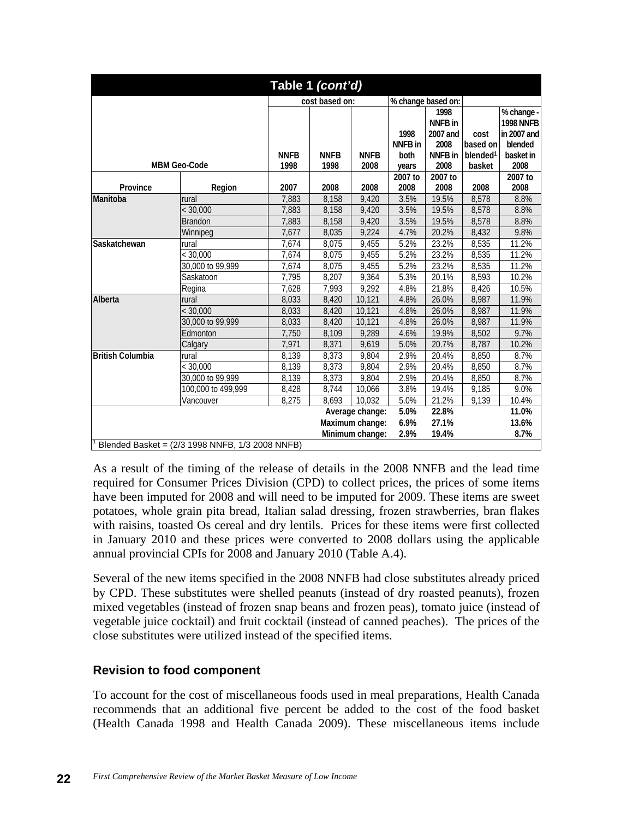| Table 1 (cont'd)                                |                      |                     |                     |                     |                                    |                         |                                               |                              |  |  |
|-------------------------------------------------|----------------------|---------------------|---------------------|---------------------|------------------------------------|-------------------------|-----------------------------------------------|------------------------------|--|--|
|                                                 |                      | cost based on:      |                     |                     | % change based on:                 |                         |                                               |                              |  |  |
|                                                 |                      |                     |                     | 1998                | 1998<br><b>NNFB</b> in<br>2007 and | cost                    | % change -<br><b>1998 NNFB</b><br>in 2007 and |                              |  |  |
|                                                 | <b>MBM Geo-Code</b>  | <b>NNFB</b><br>1998 | <b>NNFB</b><br>1998 | <b>NNFB</b><br>2008 | NNFB in<br>both<br>years           | 2008<br>NNFB in<br>2008 | based on<br>blended <sup>1</sup><br>basket    | blended<br>basket in<br>2008 |  |  |
| Province                                        | 2007                 | 2008                | 2008                | 2007 to<br>2008     | 2007 to<br>2008                    | 2008                    | 2007 to<br>2008                               |                              |  |  |
| Manitoba                                        | rural                | 7,883               | 8,158               | 9,420               | 3.5%                               | 19.5%                   | 8,578                                         | 8.8%                         |  |  |
|                                                 | $\overline{<}30,000$ | 7,883               | 8,158               | 9,420               | 3.5%                               | 19.5%                   | 8,578                                         | 8.8%                         |  |  |
|                                                 | <b>Brandon</b>       | 7,883               | 8,158               | 9,420               | 3.5%                               | 19.5%                   | 8,578                                         | 8.8%                         |  |  |
|                                                 | Winnipeg             | 7,677               | 8,035               | 9,224               | 4.7%                               | 20.2%                   | 8,432                                         | 9.8%                         |  |  |
| Saskatchewan                                    | rural                | 7,674               | 8,075               | 9,455               | 5.2%                               | 23.2%                   | 8,535                                         | 11.2%                        |  |  |
|                                                 | < 30,000             | 7,674               | 8,075               | 9,455               | 5.2%                               | 23.2%                   | 8,535                                         | 11.2%                        |  |  |
|                                                 | 30,000 to 99,999     | 7,674               | 8,075               | 9,455               | 5.2%                               | 23.2%                   | 8,535                                         | 11.2%                        |  |  |
|                                                 | Saskatoon            | 7.795               | 8.207               | 9,364               | 5.3%                               | 20.1%                   | 8,593                                         | 10.2%                        |  |  |
|                                                 | Regina               | 7,628               | 7,993               | 9,292               | 4.8%                               | 21.8%                   | 8,426                                         | 10.5%                        |  |  |
| Alberta                                         | rural                | 8,033               | 8,420               | 10,121              | 4.8%                               | 26.0%                   | 8,987                                         | 11.9%                        |  |  |
|                                                 | < 30,000             | 8,033               | 8,420               | 10,121              | 4.8%                               | 26.0%                   | 8,987                                         | 11.9%                        |  |  |
|                                                 | 30,000 to 99,999     | 8,033               | 8,420               | 10,121              | 4.8%                               | 26.0%                   | 8,987                                         | 11.9%                        |  |  |
|                                                 | Edmonton             | 7,750               | 8.109               | 9.289               | 4.6%                               | 19.9%                   | 8,502                                         | 9.7%                         |  |  |
|                                                 | Calgary              | 7,971               | 8,371               | 9,619               | 5.0%                               | 20.7%                   | 8,787                                         | 10.2%                        |  |  |
| <b>British Columbia</b>                         | rural                | 8,139               | 8,373               | 9,804               | 2.9%                               | 20.4%                   | 8,850                                         | 8.7%                         |  |  |
|                                                 | < 30.000             | 8,139               | 8,373               | 9,804               | 2.9%                               | 20.4%                   | 8,850                                         | 8.7%                         |  |  |
|                                                 | 30,000 to 99,999     | 8,139               | 8,373               | 9,804               | 2.9%                               | 20.4%                   | 8,850                                         | 8.7%                         |  |  |
|                                                 | 100,000 to 499,999   | 8,428<br>8,275      | 8,744               | 10,066              | 3.8%                               | 19.4%                   | 9,185                                         | 9.0%                         |  |  |
|                                                 | Vancouver            | 8,693               | 10,032              | 5.0%                | 21.2%                              | 9,139                   | 10.4%                                         |                              |  |  |
| 5.0%<br>22.8%<br>11.0%<br>Average change:       |                      |                     |                     |                     |                                    |                         |                                               |                              |  |  |
|                                                 |                      |                     | Maximum change:     | 6.9%                | 27.1%                              |                         | 13.6%                                         |                              |  |  |
|                                                 |                      |                     |                     | Minimum change:     | 2.9%                               | 19.4%                   |                                               | 8.7%                         |  |  |
| Blended Basket = (2/3 1998 NNFB, 1/3 2008 NNFB) |                      |                     |                     |                     |                                    |                         |                                               |                              |  |  |

As a result of the timing of the release of details in the 2008 NNFB and the lead time required for Consumer Prices Division (CPD) to collect prices, the prices of some items have been imputed for 2008 and will need to be imputed for 2009. These items are sweet potatoes, whole grain pita bread, Italian salad dressing, frozen strawberries, bran flakes with raisins, toasted Os cereal and dry lentils. Prices for these items were first collected in January 2010 and these prices were converted to 2008 dollars using the applicable annual provincial CPIs for 2008 and January 2010 (Table A.4).

Several of the new items specified in the 2008 NNFB had close substitutes already priced by CPD. These substitutes were shelled peanuts (instead of dry roasted peanuts), frozen mixed vegetables (instead of frozen snap beans and frozen peas), tomato juice (instead of vegetable juice cocktail) and fruit cocktail (instead of canned peaches). The prices of the close substitutes were utilized instead of the specified items.

#### **Revision to food component**

To account for the cost of miscellaneous foods used in meal preparations, Health Canada recommends that an additional five percent be added to the cost of the food basket (Health Canada 1998 and Health Canada 2009). These miscellaneous items include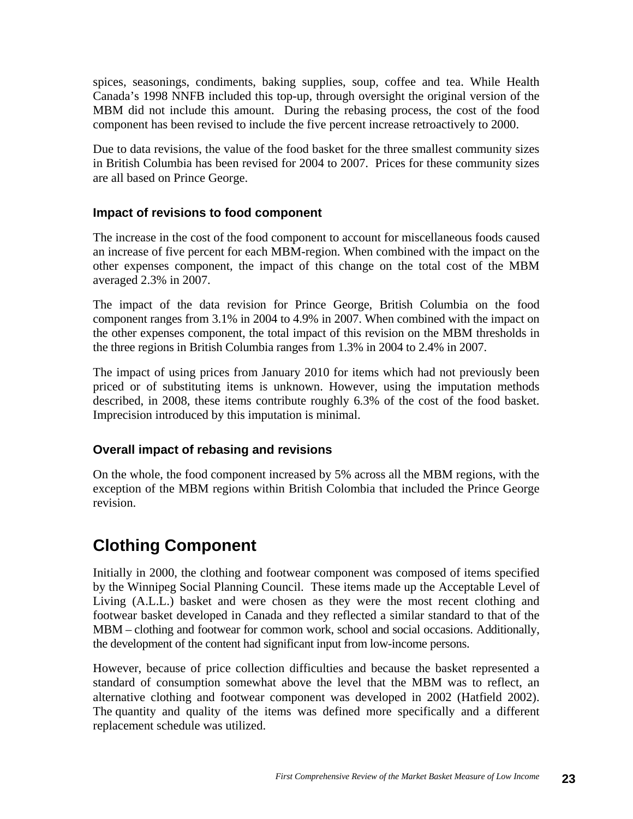spices, seasonings, condiments, baking supplies, soup, coffee and tea. While Health Canada's 1998 NNFB included this top-up, through oversight the original version of the MBM did not include this amount. During the rebasing process, the cost of the food component has been revised to include the five percent increase retroactively to 2000.

Due to data revisions, the value of the food basket for the three smallest community sizes in British Columbia has been revised for 2004 to 2007. Prices for these community sizes are all based on Prince George.

#### **Impact of revisions to food component**

The increase in the cost of the food component to account for miscellaneous foods caused an increase of five percent for each MBM-region. When combined with the impact on the other expenses component, the impact of this change on the total cost of the MBM averaged 2.3% in 2007.

The impact of the data revision for Prince George, British Columbia on the food component ranges from 3.1% in 2004 to 4.9% in 2007. When combined with the impact on the other expenses component, the total impact of this revision on the MBM thresholds in the three regions in British Columbia ranges from 1.3% in 2004 to 2.4% in 2007.

The impact of using prices from January 2010 for items which had not previously been priced or of substituting items is unknown. However, using the imputation methods described, in 2008, these items contribute roughly 6.3% of the cost of the food basket. Imprecision introduced by this imputation is minimal.

#### **Overall impact of rebasing and revisions**

On the whole, the food component increased by 5% across all the MBM regions, with the exception of the MBM regions within British Colombia that included the Prince George revision.

## **Clothing Component**

Initially in 2000, the clothing and footwear component was composed of items specified by the Winnipeg Social Planning Council. These items made up the Acceptable Level of Living (A.L.L.) basket and were chosen as they were the most recent clothing and footwear basket developed in Canada and they reflected a similar standard to that of the MBM – clothing and footwear for common work, school and social occasions. Additionally, the development of the content had significant input from low-income persons.

However, because of price collection difficulties and because the basket represented a standard of consumption somewhat above the level that the MBM was to reflect, an alternative clothing and footwear component was developed in 2002 (Hatfield 2002). The quantity and quality of the items was defined more specifically and a different replacement schedule was utilized.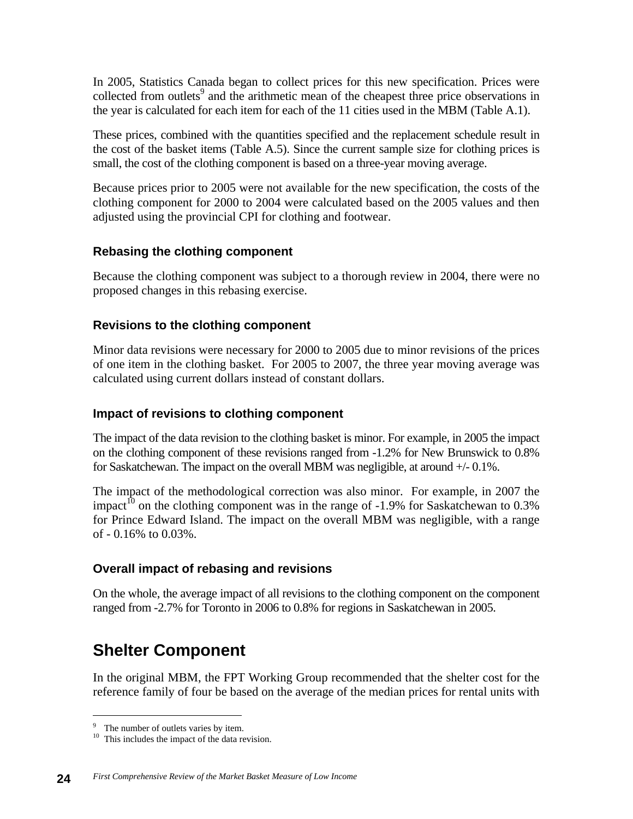In 2005, Statistics Canada began to collect prices for this new specification. Prices were collected from outlets<sup>9</sup> and the arithmetic mean of the cheapest three price observations in the year is calculated for each item for each of the 11 cities used in the MBM (Table A.1).

These prices, combined with the quantities specified and the replacement schedule result in the cost of the basket items (Table A.5). Since the current sample size for clothing prices is small, the cost of the clothing component is based on a three-year moving average.

Because prices prior to 2005 were not available for the new specification, the costs of the clothing component for 2000 to 2004 were calculated based on the 2005 values and then adjusted using the provincial CPI for clothing and footwear.

#### **Rebasing the clothing component**

Because the clothing component was subject to a thorough review in 2004, there were no proposed changes in this rebasing exercise.

#### **Revisions to the clothing component**

Minor data revisions were necessary for 2000 to 2005 due to minor revisions of the prices of one item in the clothing basket. For 2005 to 2007, the three year moving average was calculated using current dollars instead of constant dollars.

#### **Impact of revisions to clothing component**

The impact of the data revision to the clothing basket is minor. For example, in 2005 the impact on the clothing component of these revisions ranged from -1.2% for New Brunswick to 0.8% for Saskatchewan. The impact on the overall MBM was negligible, at around +/- 0.1%.

The impact of the methodological correction was also minor. For example, in 2007 the impact<sup>10</sup> on the clothing component was in the range of -1.9% for Saskatchewan to 0.3% for Prince Edward Island. The impact on the overall MBM was negligible, with a range of - 0.16% to 0.03%.

#### **Overall impact of rebasing and revisions**

On the whole, the average impact of all revisions to the clothing component on the component ranged from -2.7% for Toronto in 2006 to 0.8% for regions in Saskatchewan in 2005.

## **Shelter Component**

In the original MBM, the FPT Working Group recommended that the shelter cost for the reference family of four be based on the average of the median prices for rental units with

<sup>&</sup>lt;sup>9</sup> The number of outlets varies by item.

<sup>&</sup>lt;sup>10</sup> This includes the impact of the data revision.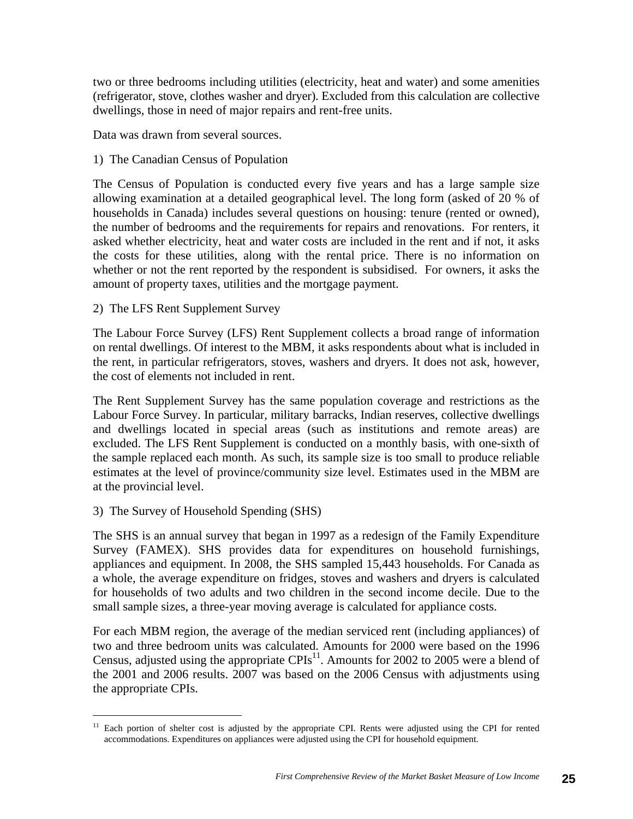two or three bedrooms including utilities (electricity, heat and water) and some amenities (refrigerator, stove, clothes washer and dryer). Excluded from this calculation are collective dwellings, those in need of major repairs and rent-free units.

Data was drawn from several sources.

1) The Canadian Census of Population

The Census of Population is conducted every five years and has a large sample size allowing examination at a detailed geographical level. The long form (asked of 20 % of households in Canada) includes several questions on housing: tenure (rented or owned), the number of bedrooms and the requirements for repairs and renovations. For renters, it asked whether electricity, heat and water costs are included in the rent and if not, it asks the costs for these utilities, along with the rental price. There is no information on whether or not the rent reported by the respondent is subsidised. For owners, it asks the amount of property taxes, utilities and the mortgage payment.

2) The LFS Rent Supplement Survey

The Labour Force Survey (LFS) Rent Supplement collects a broad range of information on rental dwellings. Of interest to the MBM, it asks respondents about what is included in the rent, in particular refrigerators, stoves, washers and dryers. It does not ask, however, the cost of elements not included in rent.

The Rent Supplement Survey has the same population coverage and restrictions as the Labour Force Survey. In particular, military barracks, Indian reserves, collective dwellings and dwellings located in special areas (such as institutions and remote areas) are excluded. The LFS Rent Supplement is conducted on a monthly basis, with one-sixth of the sample replaced each month. As such, its sample size is too small to produce reliable estimates at the level of province/community size level. Estimates used in the MBM are at the provincial level.

#### 3) The Survey of Household Spending (SHS)

The SHS is an annual survey that began in 1997 as a redesign of the Family Expenditure Survey (FAMEX). SHS provides data for expenditures on household furnishings, appliances and equipment. In 2008, the SHS sampled 15,443 households. For Canada as a whole, the average expenditure on fridges, stoves and washers and dryers is calculated for households of two adults and two children in the second income decile. Due to the small sample sizes, a three-year moving average is calculated for appliance costs.

For each MBM region, the average of the median serviced rent (including appliances) of two and three bedroom units was calculated. Amounts for 2000 were based on the 1996 Census, adjusted using the appropriate CPIs<sup>11</sup>. Amounts for 2002 to 2005 were a blend of the 2001 and 2006 results. 2007 was based on the 2006 Census with adjustments using the appropriate CPIs.

<sup>&</sup>lt;sup>11</sup> Each portion of shelter cost is adjusted by the appropriate CPI. Rents were adjusted using the CPI for rented accommodations. Expenditures on appliances were adjusted using the CPI for household equipment.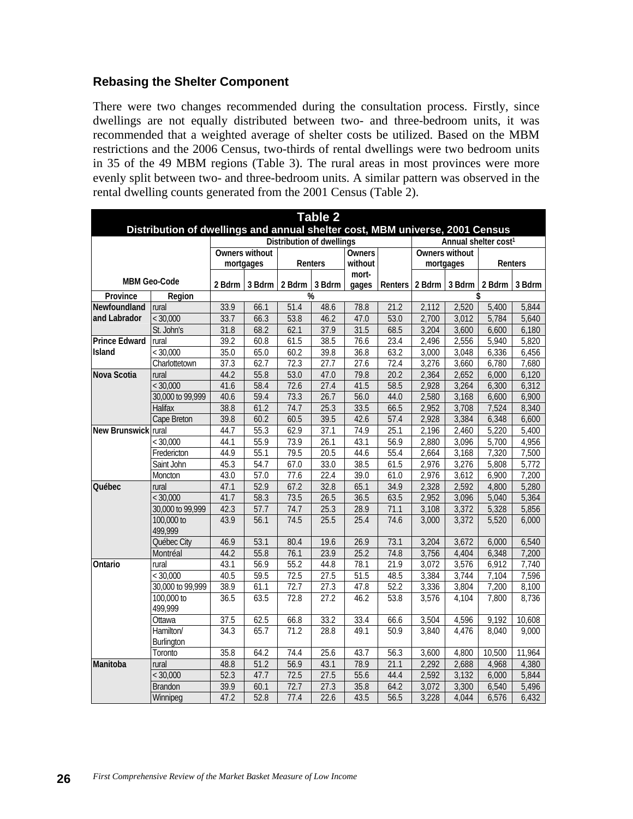#### **Rebasing the Shelter Component**

There were two changes recommended during the consultation process. Firstly, since dwellings are not equally distributed between two- and three-bedroom units, it was recommended that a weighted average of shelter costs be utilized. Based on the MBM restrictions and the 2006 Census, two-thirds of rental dwellings were two bedroom units in 35 of the 49 MBM regions (Table 3). The rural areas in most provinces were more evenly split between two- and three-bedroom units. A similar pattern was observed in the rental dwelling counts generated from the 2001 Census (Table 2).

| <b>Table 2</b>                                                               |                         |                           |                    |                   |      |                |         |                       |                                  |        |        |  |
|------------------------------------------------------------------------------|-------------------------|---------------------------|--------------------|-------------------|------|----------------|---------|-----------------------|----------------------------------|--------|--------|--|
| Distribution of dwellings and annual shelter cost, MBM universe, 2001 Census |                         |                           |                    |                   |      |                |         |                       |                                  |        |        |  |
|                                                                              |                         | Distribution of dwellings |                    |                   |      |                |         |                       | Annual shelter cost <sup>1</sup> |        |        |  |
|                                                                              |                         | <b>Owners without</b>     |                    |                   |      | <b>Owners</b>  |         | <b>Owners without</b> |                                  |        |        |  |
|                                                                              |                         | mortgages<br>Renters      |                    | without           |      | mortgages      |         | Renters               |                                  |        |        |  |
|                                                                              | <b>MBM Geo-Code</b>     | 2 Bdrm                    | 3 Bdrm             |                   |      | mort-<br>gages | Renters |                       | 2 Bdrm 3 Bdrm                    | 2 Bdrm | 3 Bdrm |  |
| Province                                                                     | Region                  |                           | 2 Bdrm 3 Bdrm<br>% |                   |      |                | \$      |                       |                                  |        |        |  |
| Newfoundland                                                                 | rural                   | 33.9                      | 66.1               | $\overline{51.4}$ | 48.6 | 78.8           | 21.2    | 2,112                 | 2,520                            | 5,400  | 5,844  |  |
| and Labrador                                                                 | < 30,000                | 33.7                      | 66.3               | 53.8              | 46.2 | 47.0           | 53.0    | 2,700                 | 3,012                            | 5,784  | 5,640  |  |
|                                                                              | St. John's              | 31.8                      | 68.2               | 62.1              | 37.9 | 31.5           | 68.5    | 3,204                 | 3,600                            | 6,600  | 6,180  |  |
| <b>Prince Edward</b>                                                         | rural                   | 39.2                      | 60.8               | 61.5              | 38.5 | 76.6           | 23.4    | 2,496                 | 2,556                            | 5,940  | 5,820  |  |
| <b>Island</b>                                                                | < 30,000                | 35.0                      | 65.0               | 60.2              | 39.8 | 36.8           | 63.2    | 3,000                 | 3,048                            | 6,336  | 6,456  |  |
|                                                                              | Charlottetown           | 37.3                      | 62.7               | 72.3              | 27.7 | 27.6           | 72.4    | 3,276                 | 3,660                            | 6,780  | 7,680  |  |
| Nova Scotia                                                                  | rural                   | 44.2                      | 55.8               | 53.0              | 47.0 | 79.8           | 20.2    | 2,364                 | 2,652                            | 6,000  | 6,120  |  |
|                                                                              | < 30,000                | 41.6                      | 58.4               | 72.6              | 27.4 | 41.5           | 58.5    | 2,928                 | 3,264                            | 6,300  | 6,312  |  |
|                                                                              | 30,000 to 99,999        | 40.6                      | 59.4               | 73.3              | 26.7 | 56.0           | 44.0    | 2,580                 | 3,168                            | 6,600  | 6,900  |  |
|                                                                              | <b>Halifax</b>          | 38.8                      | 61.2               | 74.7              | 25.3 | 33.5           | 66.5    | 2,952                 | 3,708                            | 7,524  | 8,340  |  |
|                                                                              | Cape Breton             | 39.8                      | 60.2               | 60.5              | 39.5 | 42.6           | 57.4    | 2,928                 | 3,384                            | 6,348  | 6,600  |  |
| New Brunswick rural                                                          |                         | 44.7                      | 55.3               | 62.9              | 37.1 | 74.9           | 25.1    | 2,196                 | 2,460                            | 5,220  | 5,400  |  |
|                                                                              | < 30,000                | 44.1                      | 55.9               | 73.9              | 26.1 | 43.1           | 56.9    | 2,880                 | 3,096                            | 5,700  | 4,956  |  |
|                                                                              | Fredericton             | 44.9                      | 55.1               | 79.5              | 20.5 | 44.6           | 55.4    | 2,664                 | 3,168                            | 7,320  | 7,500  |  |
|                                                                              | Saint John              | 45.3                      | 54.7               | 67.0              | 33.0 | 38.5           | 61.5    | 2,976                 | 3,276                            | 5,808  | 5,772  |  |
|                                                                              | Moncton                 | 43.0                      | 57.0               | 77.6              | 22.4 | 39.0           | 61.0    | 2,976                 | 3,612                            | 6,900  | 7,200  |  |
| Québec                                                                       | rural                   | 47.1                      | 52.9               | 67.2              | 32.8 | 65.1           | 34.9    | 2,328                 | 2,592                            | 4,800  | 5,280  |  |
|                                                                              | < 30,000                | 41.7                      | 58.3               | 73.5              | 26.5 | 36.5           | 63.5    | 2,952                 | 3,096                            | 5,040  | 5,364  |  |
|                                                                              | 30,000 to 99,999        | 42.3                      | 57.7               | 74.7              | 25.3 | 28.9           | 71.1    | 3,108                 | 3,372                            | 5,328  | 5,856  |  |
|                                                                              | 100,000 to<br>499,999   | 43.9                      | 56.1               | 74.5              | 25.5 | 25.4           | 74.6    | 3,000                 | 3,372                            | 5,520  | 6,000  |  |
|                                                                              | Québec City             | 46.9                      | 53.1               | 80.4              | 19.6 | 26.9           | 73.1    | 3,204                 | 3,672                            | 6,000  | 6,540  |  |
|                                                                              | Montréal                | 44.2                      | 55.8               | 76.1              | 23.9 | 25.2           | 74.8    | 3,756                 | 4,404                            | 6,348  | 7,200  |  |
| Ontario                                                                      | rural                   | 43.1                      | 56.9               | 55.2              | 44.8 | 78.1           | 21.9    | 3,072                 | 3,576                            | 6,912  | 7,740  |  |
|                                                                              | < 30,000                | 40.5                      | 59.5               | 72.5              | 27.5 | 51.5           | 48.5    | 3,384                 | 3,744                            | 7,104  | 7,596  |  |
|                                                                              | 30,000 to 99,999        | 38.9                      | 61.1               | 72.7              | 27.3 | 47.8           | 52.2    | 3,336                 | 3,804                            | 7,200  | 8,100  |  |
|                                                                              | 100,000 to<br>499,999   | 36.5                      | 63.5               | 72.8              | 27.2 | 46.2           | 53.8    | 3,576                 | 4,104                            | 7,800  | 8,736  |  |
|                                                                              | Ottawa                  | 37.5                      | 62.5               | 66.8              | 33.2 | 33.4           | 66.6    | 3,504                 | 4,596                            | 9,192  | 10,608 |  |
|                                                                              | Hamilton/<br>Burlington | 34.3                      | 65.7               | 71.2              | 28.8 | 49.1           | 50.9    | 3,840                 | 4,476                            | 8.040  | 9,000  |  |
|                                                                              | Toronto                 | 35.8                      | 64.2               | 74.4              | 25.6 | 43.7           | 56.3    | 3,600                 | 4,800                            | 10,500 | 11,964 |  |
| Manitoba                                                                     | rural                   | 48.8                      | 51.2               | 56.9              | 43.1 | 78.9           | 21.1    | 2,292                 | 2,688                            | 4,968  | 4,380  |  |
|                                                                              | < 30,000                | 52.3                      | 47.7               | 72.5              | 27.5 | 55.6           | 44.4    | 2,592                 | 3,132                            | 6,000  | 5,844  |  |
|                                                                              | <b>Brandon</b>          | 39.9                      | 60.1               | 72.7              | 27.3 | 35.8           | 64.2    | 3,072                 | 3,300                            | 6,540  | 5,496  |  |
|                                                                              | Winnipeg                | 47.2                      | 52.8               | 77.4              | 22.6 | 43.5           | 56.5    | 3,228                 | 4,044                            | 6,576  | 6,432  |  |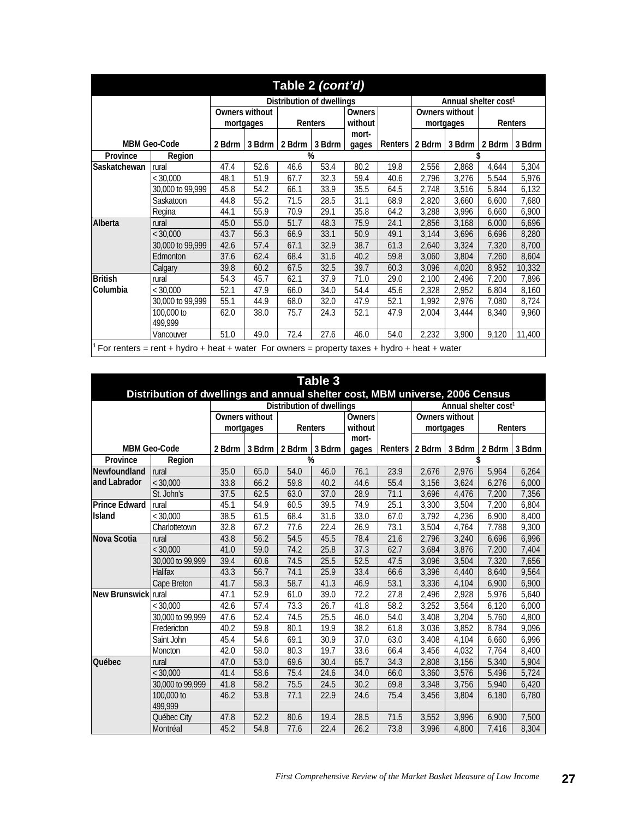|                     |                                                                                                  |                           |                      | Table 2 (cont'd) |        |                |         |                                  |           |       |               |  |
|---------------------|--------------------------------------------------------------------------------------------------|---------------------------|----------------------|------------------|--------|----------------|---------|----------------------------------|-----------|-------|---------------|--|
|                     |                                                                                                  | Distribution of dwellings |                      |                  |        |                |         | Annual shelter cost <sup>1</sup> |           |       |               |  |
|                     |                                                                                                  | Owners without            |                      | Owners           |        | Owners without |         |                                  |           |       |               |  |
|                     |                                                                                                  |                           | Renters<br>mortgages |                  |        | without        |         |                                  | mortgages |       | Renters       |  |
|                     |                                                                                                  |                           |                      |                  |        | mort-          |         |                                  |           |       |               |  |
| <b>MBM Geo-Code</b> |                                                                                                  | 2 Bdrm                    | 3 Bdrm               | 2 Bdrm           | 3 Bdrm | gages          | Renters | 2 Bdrm                           | 3 Bdrm    |       | 2 Bdrm 3 Bdrm |  |
| Province            | Region                                                                                           |                           |                      |                  | %      |                |         |                                  |           |       |               |  |
| Saskatchewan        | rural                                                                                            | 47.4                      | 52.6                 | 46.6             | 53.4   | 80.2           | 19.8    | 2,556                            | 2,868     | 4,644 | 5,304         |  |
|                     | < 30,000                                                                                         | 48.1                      | 51.9                 | 67.7             | 32.3   | 59.4           | 40.6    | 2,796                            | 3,276     | 5,544 | 5,976         |  |
|                     | 30,000 to 99,999                                                                                 | 45.8                      | 54.2                 | 66.1             | 33.9   | 35.5           | 64.5    | 2.748                            | 3,516     | 5,844 | 6,132         |  |
|                     | Saskatoon                                                                                        | 44.8                      | 55.2                 | 71.5             | 28.5   | 31.1           | 68.9    | 2,820                            | 3,660     | 6,600 | 7,680         |  |
|                     | Regina                                                                                           | 44.1                      | 55.9                 | 70.9             | 29.1   | 35.8           | 64.2    | 3,288                            | 3,996     | 6,660 | 6,900         |  |
| Alberta             | rural                                                                                            | 45.0                      | 55.0                 | 51.7             | 48.3   | 75.9           | 24.1    | 2,856                            | 3,168     | 6,000 | 6,696         |  |
|                     | $<$ 30.000                                                                                       | 43.7                      | 56.3                 | 66.9             | 33.1   | 50.9           | 49.1    | 3,144                            | 3,696     | 6,696 | 8,280         |  |
|                     | 30,000 to 99,999                                                                                 | 42.6                      | 57.4                 | 67.1             | 32.9   | 38.7           | 61.3    | 2,640                            | 3,324     | 7,320 | 8,700         |  |
|                     | Edmonton                                                                                         | 37.6                      | 62.4                 | 68.4             | 31.6   | 40.2           | 59.8    | 3,060                            | 3,804     | 7,260 | 8,604         |  |
|                     | Calgary                                                                                          | 39.8                      | 60.2                 | 67.5             | 32.5   | 39.7           | 60.3    | 3,096                            | 4,020     | 8,952 | 10,332        |  |
| <b>British</b>      | rural                                                                                            | 54.3                      | 45.7                 | 62.1             | 37.9   | 71.0           | 29.0    | 2,100                            | 2,496     | 7,200 | 7,896         |  |
| Columbia            | < 30,000                                                                                         | 52.1                      | 47.9                 | 66.0             | 34.0   | 54.4           | 45.6    | 2,328                            | 2,952     | 6,804 | 8,160         |  |
|                     | 30,000 to 99,999                                                                                 | 55.1                      | 44.9                 | 68.0             | 32.0   | 47.9           | 52.1    | 1.992                            | 2,976     | 7,080 | 8,724         |  |
|                     | 100,000 to                                                                                       | 62.0                      | 38.0                 | 75.7             | 24.3   | 52.1           | 47.9    | 2,004                            | 3,444     | 8,340 | 9,960         |  |
|                     | 499.999                                                                                          |                           |                      |                  |        |                |         |                                  |           |       |               |  |
|                     | Vancouver                                                                                        | 51.0                      | 49.0                 | 72.4             | 27.6   | 46.0           | 54.0    | 2,232                            | 3,900     | 9,120 | 11,400        |  |
|                     | $1$ For renters = rent + hydro + heat + water For owners = property taxes + hydro + heat + water |                           |                      |                  |        |                |         |                                  |           |       |               |  |

| Table 3<br>Distribution of dwellings and annual shelter cost, MBM universe, 2006 Census |                       |        |                |                           |         |        |         |                                  |           |        |         |  |
|-----------------------------------------------------------------------------------------|-----------------------|--------|----------------|---------------------------|---------|--------|---------|----------------------------------|-----------|--------|---------|--|
|                                                                                         |                       |        |                | Distribution of dwellings |         |        |         | Annual shelter cost <sup>1</sup> |           |        |         |  |
|                                                                                         |                       |        | Owners without |                           |         | Owners |         | Owners without                   |           |        |         |  |
|                                                                                         |                       |        | mortgages      |                           | Renters |        |         |                                  | mortgages |        | Renters |  |
|                                                                                         |                       |        |                |                           |         | mort-  |         |                                  |           |        |         |  |
| <b>MBM Geo-Code</b>                                                                     |                       | 2 Bdrm | 3 Bdrm         | 2 Bdrm                    | 3 Bdrm  | gages  | Renters | 2 Bdrm                           | 3 Bdrm    | 2 Bdrm | 3 Bdrm  |  |
| Province                                                                                | Region                |        | %              |                           |         |        |         |                                  |           | \$     |         |  |
| Newfoundland                                                                            | rural                 | 35.0   | 65.0           | 54.0                      | 46.0    | 76.1   | 23.9    | 2.676                            | 2.976     | 5.964  | 6.264   |  |
| and Labrador                                                                            | < 30,000              | 33.8   | 66.2           | 59.8                      | 40.2    | 44.6   | 55.4    | 3,156                            | 3,624     | 6,276  | 6,000   |  |
|                                                                                         | St. John's            | 37.5   | 62.5           | 63.0                      | 37.0    | 28.9   | 71.1    | 3,696                            | 4,476     | 7,200  | 7,356   |  |
| <b>Prince Edward</b>                                                                    | rural                 | 45.1   | 54.9           | 60.5                      | 39.5    | 74.9   | 25.1    | 3.300                            | 3,504     | 7.200  | 6,804   |  |
| <b>Island</b>                                                                           | < 30,000              | 38.5   | 61.5           | 68.4                      | 31.6    | 33.0   | 67.0    | 3,792                            | 4,236     | 6,900  | 8,400   |  |
|                                                                                         | Charlottetown         | 32.8   | 67.2           | 77.6                      | 22.4    | 26.9   | 73.1    | $\overline{3,}504$               | 4,764     | 7,788  | 9,300   |  |
| Nova Scotia                                                                             | rural                 | 43.8   | 56.2           | 54.5                      | 45.5    | 78.4   | 21.6    | 2.796                            | 3.240     | 6.696  | 6,996   |  |
|                                                                                         | < 30.000              | 41.0   | 59.0           | 74.2                      | 25.8    | 37.3   | 62.7    | 3,684                            | 3,876     | 7,200  | 7,404   |  |
|                                                                                         | 30,000 to 99,999      | 39.4   | 60.6           | 74.5                      | 25.5    | 52.5   | 47.5    | 3,096                            | 3,504     | 7,320  | 7,656   |  |
|                                                                                         | Halifax               | 43.3   | 56.7           | 74.1                      | 25.9    | 33.4   | 66.6    | 3.396                            | 4.440     | 8.640  | 9.564   |  |
|                                                                                         | Cape Breton           | 41.7   | 58.3           | 58.7                      | 41.3    | 46.9   | 53.1    | 3,336                            | 4,104     | 6,900  | 6,900   |  |
| New Brunswick rural                                                                     |                       | 47.1   | 52.9           | 61.0                      | 39.0    | 72.2   | 27.8    | 2,496                            | 2,928     | 5,976  | 5,640   |  |
|                                                                                         | < 30,000              | 42.6   | 57.4           | 73.3                      | 26.7    | 41.8   | 58.2    | 3.252                            | 3.564     | 6.120  | 6.000   |  |
|                                                                                         | 30,000 to 99,999      | 47.6   | 52.4           | 74.5                      | 25.5    | 46.0   | 54.0    | 3,408                            | 3,204     | 5,760  | 4,800   |  |
|                                                                                         | Fredericton           | 40.2   | 59.8           | 80.1                      | 19.9    | 38.2   | 61.8    | 3,036                            | 3,852     | 8,784  | 9,096   |  |
|                                                                                         | Saint John            | 45.4   | 54.6           | 69.1                      | 30.9    | 37.0   | 63.0    | 3,408                            | 4,104     | 6,660  | 6,996   |  |
|                                                                                         | Moncton               | 42.0   | 58.0           | 80.3                      | 19.7    | 33.6   | 66.4    | 3,456                            | 4,032     | 7,764  | 8,400   |  |
| Québec                                                                                  | rural                 | 47.0   | 53.0           | 69.6                      | 30.4    | 65.7   | 34.3    | 2.808                            | 3,156     | 5,340  | 5,904   |  |
|                                                                                         | < 30,000              | 41.4   | 58.6           | 75.4                      | 24.6    | 34.0   | 66.0    | 3,360                            | 3,576     | 5,496  | 5,724   |  |
|                                                                                         | 30,000 to 99,999      | 41.8   | 58.2           | 75.5                      | 24.5    | 30.2   | 69.8    | 3,348                            | 3,756     | 5,940  | 6,420   |  |
|                                                                                         | 100,000 to<br>499.999 | 46.2   | 53.8           | 77.1                      | 22.9    | 24.6   | 75.4    | 3,456                            | 3.804     | 6,180  | 6,780   |  |
|                                                                                         | Québec City           | 47.8   | 52.2           | 80.6                      | 19.4    | 28.5   | 71.5    | 3.552                            | 3.996     | 6.900  | 7.500   |  |
|                                                                                         | Montréal              | 45.2   | 54.8           | 77.6                      | 22.4    | 26.2   | 73.8    | 3,996                            | 4,800     | 7,416  | 8,304   |  |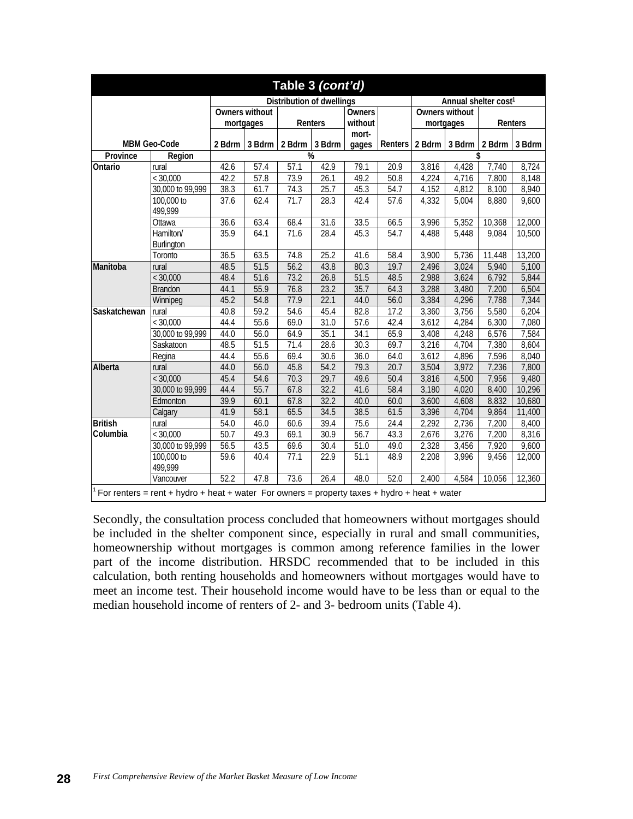|                |                                                                                                  |        |                       | Table 3 (cont'd)                 |        |                   |               |        |                    |                                  |         |  |
|----------------|--------------------------------------------------------------------------------------------------|--------|-----------------------|----------------------------------|--------|-------------------|---------------|--------|--------------------|----------------------------------|---------|--|
|                |                                                                                                  |        |                       | <b>Distribution of dwellings</b> |        |                   |               |        |                    | Annual shelter cost <sup>1</sup> |         |  |
|                |                                                                                                  |        | <b>Owners without</b> |                                  |        |                   | <b>Owners</b> |        | Owners without     |                                  |         |  |
|                |                                                                                                  |        | mortgages             | Renters                          |        | without           |               |        | mortgages          |                                  | Renters |  |
|                |                                                                                                  |        |                       |                                  |        | mort-             |               |        |                    |                                  |         |  |
|                | <b>MBM Geo-Code</b>                                                                              | 2 Bdrm | 3 Bdrm 2 Bdrm         |                                  | 3 Bdrm | qaqes             | Renters       | 2 Bdrm | 3 Bdrm             | 2 Bdrm 3 Bdrm                    |         |  |
| Province       | Region                                                                                           |        |                       | %                                |        |                   |               |        |                    | \$                               |         |  |
| Ontario        | rural                                                                                            | 42.6   | 57.4                  | 57.1                             | 42.9   | 79.1              | 20.9          | 3,816  | 4,428              | 7,740                            | 8,724   |  |
|                | < 30,000                                                                                         | 42.2   | 57.8                  | 73.9                             | 26.1   | 49.2              | 50.8          | 4,224  | 4,716              | 7,800                            | 8,148   |  |
|                | 30,000 to 99,999                                                                                 | 38.3   | 61.7                  | 74.3                             | 25.7   | 45.3              | 54.7          | 4,152  | 4,812              | 8,100                            | 8,940   |  |
|                | 100,000 to<br>499,999                                                                            | 37.6   | 62.4                  | 71.7                             | 28.3   | 42.4              | 57.6          | 4,332  | 5,004              | 8,880                            | 9,600   |  |
|                | Ottawa                                                                                           | 36.6   | 63.4                  | 68.4                             | 31.6   | 33.5              | 66.5          | 3,996  | 5,352              | 10,368                           | 12,000  |  |
|                | Hamilton/                                                                                        | 35.9   | 64.1                  | 71.6                             | 28.4   | 45.3              | 54.7          | 4,488  | $\overline{5,}448$ | 9,084                            | 10,500  |  |
|                | Burlington                                                                                       |        |                       |                                  |        |                   |               |        |                    |                                  |         |  |
|                | Toronto                                                                                          | 36.5   | 63.5                  | 74.8                             | 25.2   | 41.6              | 58.4          | 3,900  | 5,736              | 11,448                           | 13,200  |  |
| Manitoba       | rural                                                                                            | 48.5   | 51.5                  | 56.2                             | 43.8   | 80.3              | 19.7          | 2,496  | 3,024              | 5,940                            | 5,100   |  |
|                | < 30,000                                                                                         | 48.4   | 51.6                  | 73.2                             | 26.8   | 51.5              | 48.5          | 2,988  | 3,624              | 6,792                            | 5,844   |  |
|                | <b>Brandon</b>                                                                                   | 44.1   | 55.9                  | 76.8                             | 23.2   | 35.7              | 64.3          | 3,288  | 3,480              | 7,200                            | 6,504   |  |
|                | Winnipeg                                                                                         | 45.2   | 54.8                  | 77.9                             | 22.1   | 44.0              | 56.0          | 3,384  | 4,296              | 7,788                            | 7,344   |  |
| Saskatchewan   | rural                                                                                            | 40.8   | 59.2                  | 54.6                             | 45.4   | 82.8              | 17.2          | 3,360  | 3,756              | 5,580                            | 6,204   |  |
|                | < 30,000                                                                                         | 44.4   | 55.6                  | 69.0                             | 31.0   | $\overline{57.6}$ | 42.4          | 3,612  | 4,284              | 6,300                            | 7,080   |  |
|                | 30,000 to 99,999                                                                                 | 44.0   | 56.0                  | 64.9                             | 35.1   | 34.1              | 65.9          | 3,408  | 4,248              | 6,576                            | 7,584   |  |
|                | Saskatoon                                                                                        | 48.5   | $\overline{5}1.5$     | 71.4                             | 28.6   | 30.3              | 69.7          | 3,216  | 4,704              | 7,380                            | 8,604   |  |
|                | Regina                                                                                           | 44.4   | 55.6                  | 69.4                             | 30.6   | 36.0              | 64.0          | 3,612  | 4,896              | 7,596                            | 8,040   |  |
| Alberta        | rural                                                                                            | 44.0   | 56.0                  | 45.8                             | 54.2   | 79.3              | 20.7          | 3,504  | 3,972              | 7,236                            | 7,800   |  |
|                | < 30,000                                                                                         | 45.4   | 54.6                  | 70.3                             | 29.7   | 49.6              | 50.4          | 3,816  | 4,500              | 7,956                            | 9,480   |  |
|                | 30,000 to 99,999                                                                                 | 44.4   | 55.7                  | 67.8                             | 32.2   | 41.6              | 58.4          | 3,180  | 4,020              | 8,400                            | 10,296  |  |
|                | Edmonton                                                                                         | 39.9   | 60.1                  | 67.8                             | 32.2   | 40.0              | 60.0          | 3,600  | 4,608              | 8,832                            | 10,680  |  |
|                | Calgary                                                                                          | 41.9   | 58.1                  | 65.5                             | 34.5   | 38.5              | 61.5          | 3,396  | 4,704              | 9,864                            | 11,400  |  |
| <b>British</b> | rural                                                                                            | 54.0   | 46.0                  | 60.6                             | 39.4   | 75.6              | 24.4          | 2,292  | 2,736              | 7,200                            | 8,400   |  |
| Columbia       | < 30,000                                                                                         | 50.7   | 49.3                  | 69.1                             | 30.9   | 56.7              | 43.3          | 2,676  | 3,276              | 7,200                            | 8,316   |  |
|                | 30,000 to 99,999                                                                                 | 56.5   | 43.5                  | 69.6                             | 30.4   | 51.0              | 49.0          | 2,328  | 3,456              | 7,920                            | 9,600   |  |
|                | 100,000 to<br>499,999                                                                            | 59.6   | $\overline{40.4}$     | 77.1                             | 22.9   | 51.1              | 48.9          | 2,208  | 3,996              | 9,456                            | 12,000  |  |
|                | Vancouver                                                                                        | 52.2   | 47.8                  | 73.6                             | 26.4   | 48.0              | 52.0          | 2,400  | 4,584              | 10,056                           | 12,360  |  |
|                | $1$ For renters = rent + hydro + heat + water For owners = property taxes + hydro + heat + water |        |                       |                                  |        |                   |               |        |                    |                                  |         |  |

Secondly, the consultation process concluded that homeowners without mortgages should be included in the shelter component since, especially in rural and small communities, homeownership without mortgages is common among reference families in the lower part of the income distribution. HRSDC recommended that to be included in this calculation, both renting households and homeowners without mortgages would have to meet an income test. Their household income would have to be less than or equal to the median household income of renters of 2- and 3- bedroom units (Table 4).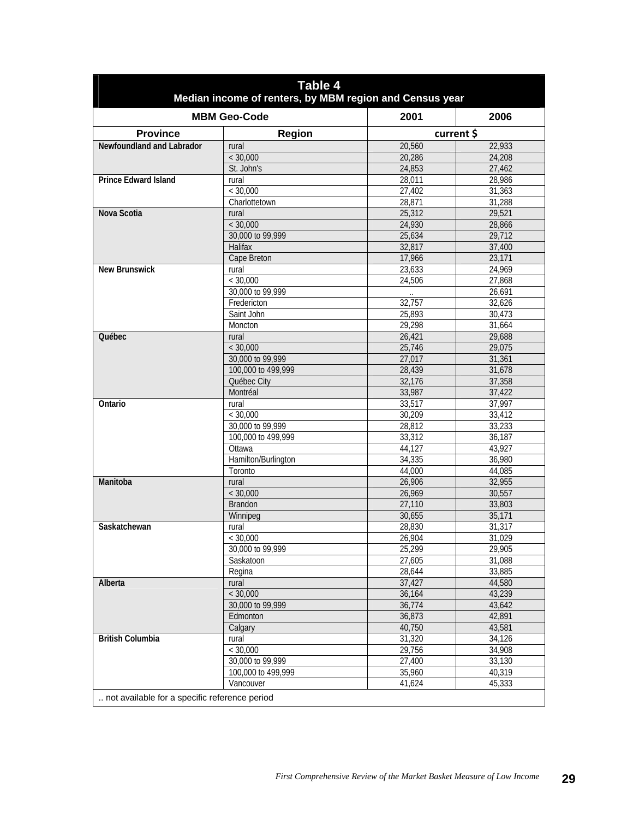|                                               | Table 4<br>Median income of renters, by MBM region and Census year |                  |                  |
|-----------------------------------------------|--------------------------------------------------------------------|------------------|------------------|
|                                               | <b>MBM Geo-Code</b>                                                | 2001             | 2006             |
| <b>Province</b>                               | <b>Region</b>                                                      | current \$       |                  |
| Newfoundland and Labrador                     | rural                                                              | 20,560           | 22,933           |
|                                               | < 30,000                                                           | 20,286           | 24,208           |
|                                               | St. John's                                                         | 24,853           | 27,462           |
| <b>Prince Edward Island</b>                   | rural                                                              | 28,011           | 28,986           |
|                                               | < 30,000                                                           | 27,402           | 31,363           |
|                                               | Charlottetown                                                      | 28,871           | 31,288           |
| Nova Scotia                                   | rural                                                              | 25,312           | 29,521           |
|                                               | < 30,000                                                           | 24,930           | 28,866           |
|                                               | 30,000 to 99,999                                                   | 25,634           | 29,712           |
|                                               | <b>Halifax</b>                                                     | 32,817           | 37,400           |
|                                               | Cape Breton                                                        | 17,966           | 23,171           |
| <b>New Brunswick</b>                          | rural                                                              | 23,633           | 24,969           |
|                                               | $\frac{1}{5}$ 30,000                                               | 24,506           | 27,868           |
|                                               | 30,000 to 99,999                                                   |                  | 26,691           |
|                                               | Fredericton                                                        | 32,757           | 32,626           |
|                                               | Saint John                                                         | 25,893           | 30,473           |
|                                               | Moncton                                                            | 29,298           | 31,664           |
| Québec                                        | rural                                                              | 26,421           | 29,688           |
|                                               | < 30,000                                                           | 25,746           | 29,075           |
|                                               | 30,000 to 99,999                                                   | 27,017           | 31,361           |
|                                               | 100,000 to 499,999                                                 | 28,439           | 31,678           |
|                                               | Québec City                                                        | 32,176           | 37,358           |
|                                               | Montréal                                                           | 33,987           | 37,422           |
| Ontario                                       | rural                                                              | 33,517           | 37,997           |
|                                               | < 30,000                                                           | 30,209           | 33,412           |
|                                               | 30,000 to 99,999                                                   | 28,812           | 33,233           |
|                                               | 100,000 to 499,999                                                 | 33,312           | 36,187           |
|                                               | Ottawa                                                             | 44,127           | 43,927           |
|                                               | Hamilton/Burlington                                                | 34,335           | 36,980           |
|                                               | Toronto                                                            | 44,000           | 44,085           |
| Manitoba                                      | rural<br>< 30,000                                                  | 26,906<br>26,969 | 32,955<br>30,557 |
|                                               | <b>Brandon</b>                                                     | 27,110           | 33,803           |
|                                               | Winnipeg                                                           | 30,655           | 35,171           |
| Saskatchewan                                  |                                                                    | 28,830           | 31,317           |
|                                               | rural<br>< 30,000                                                  | 26,904           | 31,029           |
|                                               | 30,000 to 99,999                                                   | 25,299           | 29,905           |
|                                               | Saskatoon                                                          | 27,605           | 31,088           |
|                                               | Regina                                                             | 28,644           | 33,885           |
| Alberta                                       | rural                                                              | 37,427           | 44,580           |
|                                               | < 30,000                                                           | 36,164           | 43,239           |
|                                               | 30,000 to 99,999                                                   | 36,774           | 43,642           |
|                                               | Edmonton                                                           | 36,873           | 42,891           |
|                                               | Calgary                                                            | 40,750           | 43,581           |
| <b>British Columbia</b>                       | rural                                                              | 31,320           | 34,126           |
|                                               | < 30,000                                                           | 29,756           | 34,908           |
|                                               | 30,000 to 99,999                                                   | 27,400           | 33,130           |
|                                               | 100,000 to 499,999                                                 | 35,960           | 40,319           |
|                                               | Vancouver                                                          | 41,624           | 45,333           |
| not available for a specific reference period |                                                                    |                  |                  |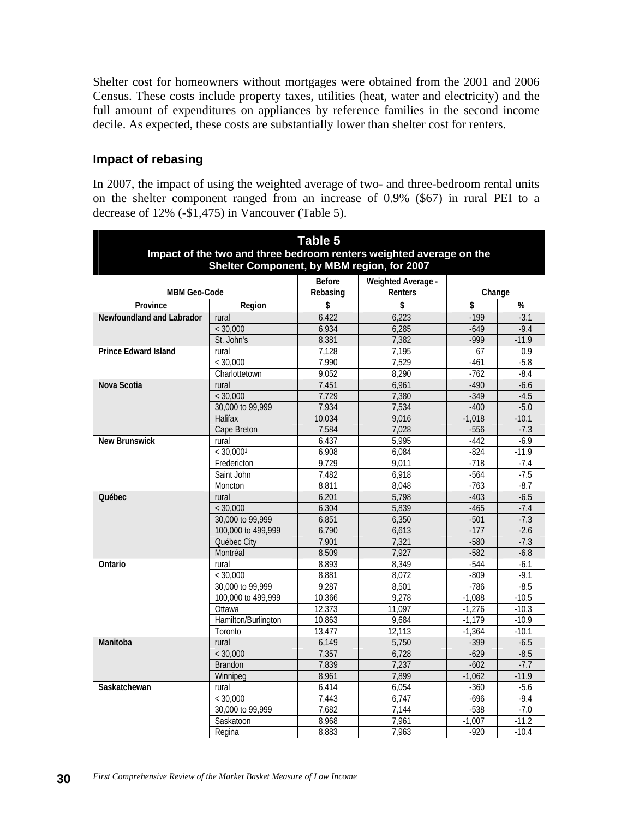Shelter cost for homeowners without mortgages were obtained from the 2001 and 2006 Census. These costs include property taxes, utilities (heat, water and electricity) and the full amount of expenditures on appliances by reference families in the second income decile. As expected, these costs are substantially lower than shelter cost for renters.

#### **Impact of rebasing**

In 2007, the impact of using the weighted average of two- and three-bedroom rental units on the shelter component ranged from an increase of 0.9% (\$67) in rural PEI to a decrease of 12% (-\$1,475) in Vancouver (Table 5).

| <b>Table 5</b><br>Impact of the two and three bedroom renters weighted average on the<br>Shelter Component, by MBM region, for 2007 |                     |               |                    |          |         |  |  |  |  |  |
|-------------------------------------------------------------------------------------------------------------------------------------|---------------------|---------------|--------------------|----------|---------|--|--|--|--|--|
|                                                                                                                                     |                     | <b>Before</b> | Weighted Average - |          |         |  |  |  |  |  |
| <b>MBM Geo-Code</b>                                                                                                                 |                     | Rebasing      | Renters            | Change   |         |  |  |  |  |  |
| Province                                                                                                                            | Region              | \$            | \$                 | \$       | %       |  |  |  |  |  |
| Newfoundland and Labrador                                                                                                           | rural               | 6,422         | 6,223              | $-199$   | $-3.1$  |  |  |  |  |  |
|                                                                                                                                     | < 30,000            | 6,934         | 6,285              | $-649$   | $-9.4$  |  |  |  |  |  |
|                                                                                                                                     | St. John's          | 8,381         | 7,382              | $-999$   | $-11.9$ |  |  |  |  |  |
| <b>Prince Edward Island</b>                                                                                                         | rural               | 7,128         | 7,195              | 67       | 0.9     |  |  |  |  |  |
|                                                                                                                                     | < 30,000            | 7.990         | 7.529              | $-461$   | $-5.8$  |  |  |  |  |  |
|                                                                                                                                     | Charlottetown       | 9,052         | 8,290              | $-762$   | $-8.4$  |  |  |  |  |  |
| Nova Scotia                                                                                                                         | rural               | 7,451         | 6,961              | $-490$   | $-6.6$  |  |  |  |  |  |
|                                                                                                                                     | < 30,000            | 7.729         | 7,380              | $-349$   | $-4.5$  |  |  |  |  |  |
|                                                                                                                                     | 30,000 to 99,999    | 7,934         | 7,534              | $-400$   | $-5.0$  |  |  |  |  |  |
|                                                                                                                                     | Halifax             | 10,034        | 9,016              | $-1,018$ | $-10.1$ |  |  |  |  |  |
|                                                                                                                                     | Cape Breton         | 7,584         | 7,028              | $-556$   | $-7.3$  |  |  |  |  |  |
| <b>New Brunswick</b>                                                                                                                | rural               | 6,437         | 5,995              | $-442$   | $-6.9$  |  |  |  |  |  |
|                                                                                                                                     | < 30.0001           | 6,908         | 6,084              | $-824$   | $-11.9$ |  |  |  |  |  |
|                                                                                                                                     | Fredericton         | 9,729         | 9,011              | $-718$   | $-7.4$  |  |  |  |  |  |
|                                                                                                                                     | Saint John          | 7,482         | 6,918              | $-564$   | $-7.5$  |  |  |  |  |  |
|                                                                                                                                     | Moncton             | 8,811         | 8.048              | $-763$   | $-8.7$  |  |  |  |  |  |
| <b>Québec</b>                                                                                                                       | rural               | 6,201         | 5,798              | $-403$   | $-6.5$  |  |  |  |  |  |
|                                                                                                                                     | < 30,000            | 6,304         | 5,839              | $-465$   | $-7.4$  |  |  |  |  |  |
|                                                                                                                                     | 30,000 to 99,999    | 6,851         | 6,350              | $-501$   | $-7.3$  |  |  |  |  |  |
|                                                                                                                                     | 100,000 to 499,999  | 6,790         | 6.613              | $-177$   | $-2.6$  |  |  |  |  |  |
|                                                                                                                                     | Québec City         | 7,901         | 7,321              | $-580$   | $-7.3$  |  |  |  |  |  |
|                                                                                                                                     | Montréal            | 8.509         | 7,927              | $-582$   | $-6.8$  |  |  |  |  |  |
| Ontario                                                                                                                             | rural               | 8,893         | 8,349              | $-544$   | $-6.1$  |  |  |  |  |  |
|                                                                                                                                     | < 30,000            | 8,881         | 8,072              | $-809$   | $-9.1$  |  |  |  |  |  |
|                                                                                                                                     | 30,000 to 99,999    | 9,287         | 8,501              | $-786$   | $-8.5$  |  |  |  |  |  |
|                                                                                                                                     | 100,000 to 499,999  | 10,366        | 9,278              | $-1,088$ | $-10.5$ |  |  |  |  |  |
|                                                                                                                                     | Ottawa              | 12,373        | 11,097             | $-1,276$ | $-10.3$ |  |  |  |  |  |
|                                                                                                                                     | Hamilton/Burlington | 10,863        | 9,684              | $-1,179$ | $-10.9$ |  |  |  |  |  |
|                                                                                                                                     | Toronto             | 13,477        | 12,113             | $-1,364$ | $-10.1$ |  |  |  |  |  |
| Manitoba                                                                                                                            | rural               | 6.149         | 5,750              | $-399$   | $-6.5$  |  |  |  |  |  |
|                                                                                                                                     | < 30,000            | 7,357         | 6,728              | $-629$   | $-8.5$  |  |  |  |  |  |
|                                                                                                                                     | <b>Brandon</b>      | 7,839         | 7,237              | $-602$   | $-7.7$  |  |  |  |  |  |
|                                                                                                                                     | Winnipeg            | 8,961         | 7,899              | $-1,062$ | $-11.9$ |  |  |  |  |  |
| Saskatchewan                                                                                                                        | rural               | 6,414         | 6,054              | $-360$   | $-5.6$  |  |  |  |  |  |
|                                                                                                                                     | < 30,000            | 7,443         | 6,747              | $-696$   | $-9.4$  |  |  |  |  |  |
|                                                                                                                                     | 30,000 to 99,999    | 7,682         | 7,144              | $-538$   | $-7.0$  |  |  |  |  |  |
|                                                                                                                                     | Saskatoon           | 8,968         | 7,961              | $-1,007$ | $-11.2$ |  |  |  |  |  |
|                                                                                                                                     | Regina              | 8,883         | 7,963              | $-920$   | $-10.4$ |  |  |  |  |  |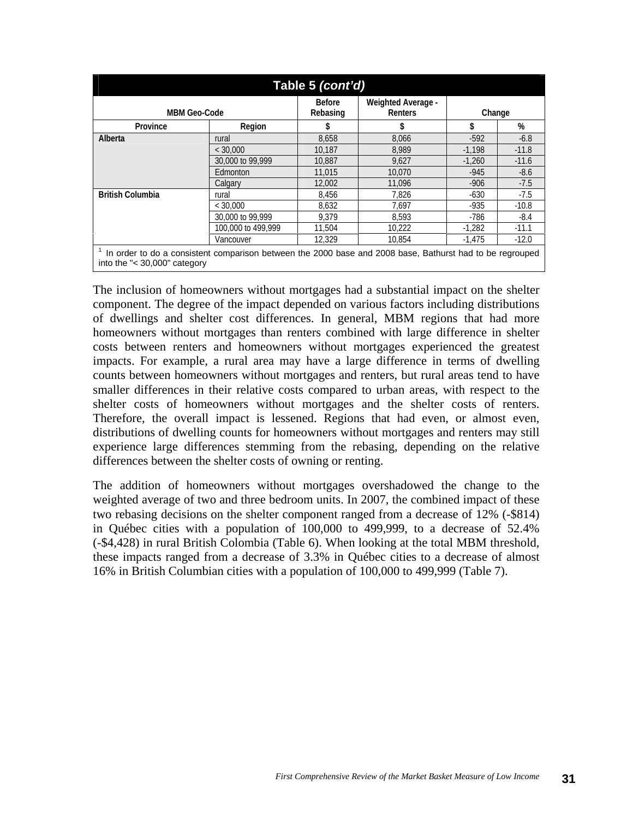| Table 5 <i>(cont'd)</i>                                                                                                                     |                    |                           |                               |          |         |  |  |  |  |  |
|---------------------------------------------------------------------------------------------------------------------------------------------|--------------------|---------------------------|-------------------------------|----------|---------|--|--|--|--|--|
| <b>MBM Geo-Code</b>                                                                                                                         |                    | <b>Before</b><br>Rebasing | Weighted Average -<br>Renters | Change   |         |  |  |  |  |  |
| Province                                                                                                                                    | Region             | \$                        |                               | \$       | %       |  |  |  |  |  |
| Alberta                                                                                                                                     | rural              | 8,658                     | 8,066                         | $-592$   | $-6.8$  |  |  |  |  |  |
|                                                                                                                                             | $<$ 30.000         | 10.187                    | 8.989                         | $-1.198$ | $-11.8$ |  |  |  |  |  |
|                                                                                                                                             | 30,000 to 99,999   | 10,887                    | 9,627                         | $-1.260$ | $-11.6$ |  |  |  |  |  |
|                                                                                                                                             | Edmonton           | 11,015                    | 10,070                        | $-945$   | $-8.6$  |  |  |  |  |  |
|                                                                                                                                             | Calgary            | 12.002                    | 11.096                        | $-906$   | $-7.5$  |  |  |  |  |  |
| <b>British Columbia</b>                                                                                                                     | rural              | 8,456                     | 7.826                         | $-630$   | $-7.5$  |  |  |  |  |  |
|                                                                                                                                             | $<$ 30.000         | 8.632                     | 7.697                         | -935     | $-10.8$ |  |  |  |  |  |
|                                                                                                                                             | 30,000 to 99,999   | 9.379                     | 8.593                         | -786     | $-8.4$  |  |  |  |  |  |
|                                                                                                                                             | 100,000 to 499,999 | 11,504                    | 10,222                        | $-1.282$ | $-11.1$ |  |  |  |  |  |
|                                                                                                                                             | Vancouver          | 12,329                    | 10.854                        | $-1,475$ | $-12.0$ |  |  |  |  |  |
| In order to do a consistent comparison between the 2000 base and 2008 base, Bathurst had to be regrouped<br>into the " $<$ 30,000" category |                    |                           |                               |          |         |  |  |  |  |  |

The inclusion of homeowners without mortgages had a substantial impact on the shelter component. The degree of the impact depended on various factors including distributions of dwellings and shelter cost differences. In general, MBM regions that had more homeowners without mortgages than renters combined with large difference in shelter costs between renters and homeowners without mortgages experienced the greatest impacts. For example, a rural area may have a large difference in terms of dwelling counts between homeowners without mortgages and renters, but rural areas tend to have smaller differences in their relative costs compared to urban areas, with respect to the shelter costs of homeowners without mortgages and the shelter costs of renters. Therefore, the overall impact is lessened. Regions that had even, or almost even, distributions of dwelling counts for homeowners without mortgages and renters may still experience large differences stemming from the rebasing, depending on the relative differences between the shelter costs of owning or renting.

The addition of homeowners without mortgages overshadowed the change to the weighted average of two and three bedroom units. In 2007, the combined impact of these two rebasing decisions on the shelter component ranged from a decrease of 12% (-\$814) in Québec cities with a population of 100,000 to 499,999, to a decrease of 52.4% (-\$4,428) in rural British Colombia (Table 6). When looking at the total MBM threshold, these impacts ranged from a decrease of 3.3% in Québec cities to a decrease of almost 16% in British Columbian cities with a population of 100,000 to 499,999 (Table 7).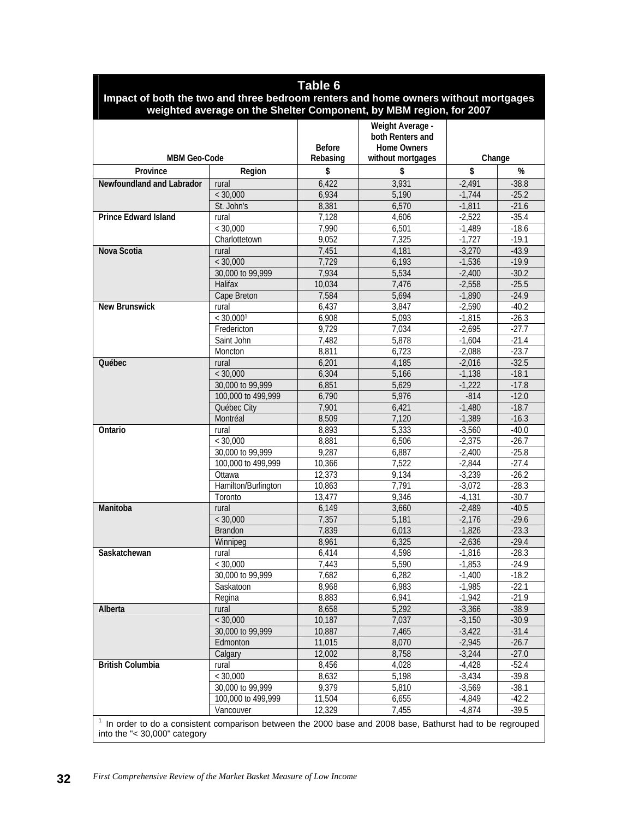|                                                                                                                                              |                     | Table 6                   |                                                                                 |          |         |  |  |
|----------------------------------------------------------------------------------------------------------------------------------------------|---------------------|---------------------------|---------------------------------------------------------------------------------|----------|---------|--|--|
| Impact of both the two and three bedroom renters and home owners without mortgages                                                           |                     |                           | weighted average on the Shelter Component, by MBM region, for 2007              |          |         |  |  |
| <b>MBM Geo-Code</b>                                                                                                                          |                     | <b>Before</b><br>Rebasing | Weight Average -<br>both Renters and<br><b>Home Owners</b><br>without mortgages | Change   |         |  |  |
| Province                                                                                                                                     | Region              | \$                        | \$                                                                              | \$       | %       |  |  |
| Newfoundland and Labrador                                                                                                                    | rural               | 6,422                     | 3,931                                                                           | $-2,491$ | $-38.8$ |  |  |
|                                                                                                                                              | < 30,000            | 6,934                     | 5,190                                                                           | $-1,744$ | $-25.2$ |  |  |
|                                                                                                                                              | St. John's          | 8,381                     | 6,570                                                                           | $-1,811$ | $-21.6$ |  |  |
| <b>Prince Edward Island</b>                                                                                                                  | rural               | 7,128                     | 4.606                                                                           | $-2,522$ | $-35.4$ |  |  |
|                                                                                                                                              | < 30.000            | 7,990                     | 6,501                                                                           | $-1,489$ | $-18.6$ |  |  |
|                                                                                                                                              | Charlottetown       | 9,052                     | 7,325                                                                           | $-1,727$ | $-19.1$ |  |  |
| Nova Scotia                                                                                                                                  | rural               | 7,451                     | 4,181                                                                           | $-3,270$ | $-43.9$ |  |  |
|                                                                                                                                              | < 30,000            | 7,729                     | 6,193                                                                           | $-1,536$ | $-19.9$ |  |  |
|                                                                                                                                              | 30,000 to 99,999    | 7,934                     | 5,534                                                                           | $-2,400$ | $-30.2$ |  |  |
|                                                                                                                                              | Halifax             | 10,034                    | 7,476                                                                           | $-2,558$ | $-25.5$ |  |  |
|                                                                                                                                              | Cape Breton         | 7,584                     | 5,694                                                                           | $-1,890$ | $-24.9$ |  |  |
| <b>New Brunswick</b>                                                                                                                         | rural               | 6,437                     | 3,847                                                                           | $-2,590$ | $-40.2$ |  |  |
|                                                                                                                                              | < 30,0001           | 6,908                     | 5,093                                                                           | $-1,815$ | $-26.3$ |  |  |
|                                                                                                                                              | Fredericton         | 9,729                     | 7,034                                                                           | $-2.695$ | $-27.7$ |  |  |
|                                                                                                                                              | Saint John          | 7,482                     | 5,878                                                                           | $-1,604$ | $-21.4$ |  |  |
|                                                                                                                                              | Moncton             | 8,811                     | 6,723                                                                           | $-2,088$ | $-23.7$ |  |  |
| Québec                                                                                                                                       | rural               | 6,201                     | 4,185                                                                           | $-2,016$ | $-32.5$ |  |  |
|                                                                                                                                              | < 30,000            | 6,304                     | 5,166                                                                           | $-1,138$ | $-18.1$ |  |  |
|                                                                                                                                              | 30,000 to 99,999    | 6,851                     | 5,629                                                                           | $-1,222$ | $-17.8$ |  |  |
|                                                                                                                                              | 100,000 to 499,999  | 6,790                     | 5,976                                                                           | $-814$   | $-12.0$ |  |  |
|                                                                                                                                              | Québec City         | 7,901                     | 6,421                                                                           | $-1,480$ | $-18.7$ |  |  |
|                                                                                                                                              | Montréal            | 8,509                     | 7,120                                                                           | $-1,389$ | $-16.3$ |  |  |
|                                                                                                                                              | rural               | 8,893                     | 5,333                                                                           | $-3,560$ | $-40.0$ |  |  |
| Ontario                                                                                                                                      | < 30,000            | 8,881                     | 6,506                                                                           | $-2,375$ | $-26.7$ |  |  |
|                                                                                                                                              | 30,000 to 99,999    | 9,287                     | 6,887                                                                           | $-2,400$ | $-25.8$ |  |  |
|                                                                                                                                              | 100,000 to 499,999  | 10,366                    | 7,522                                                                           | $-2,844$ | $-27.4$ |  |  |
|                                                                                                                                              | Ottawa              | 12,373                    | 9,134                                                                           | $-3,239$ | $-26.2$ |  |  |
|                                                                                                                                              | Hamilton/Burlington | 10,863                    | 7,791                                                                           | $-3,072$ | $-28.3$ |  |  |
|                                                                                                                                              | Toronto             | 13,477                    | 9,346                                                                           | $-4.131$ | $-30.7$ |  |  |
| Manitoba                                                                                                                                     | rural               | 6,149                     | 3,660                                                                           | $-2,489$ | $-40.5$ |  |  |
|                                                                                                                                              | < 30,000            | 7,357                     | 5,181                                                                           | $-2,176$ | $-29.6$ |  |  |
|                                                                                                                                              | <b>Brandon</b>      | 7,839                     | 6,013                                                                           | $-1,826$ | $-23.3$ |  |  |
|                                                                                                                                              | Winnipeg            | 8,961                     | 6,325                                                                           | $-2,636$ | $-29.4$ |  |  |
| Saskatchewan                                                                                                                                 | rural               | 6,414                     | 4,598                                                                           | $-1,816$ | $-28.3$ |  |  |
|                                                                                                                                              | < 30,000            | 7,443                     | 5,590                                                                           | $-1,853$ | $-24.9$ |  |  |
|                                                                                                                                              | 30,000 to 99,999    | 7,682                     | 6,282                                                                           | $-1,400$ | $-18.2$ |  |  |
|                                                                                                                                              | Saskatoon           | 8,968                     | 6,983                                                                           | $-1,985$ | $-22.1$ |  |  |
|                                                                                                                                              | Regina              | 8,883                     | 6,941                                                                           | $-1,942$ | $-21.9$ |  |  |
| Alberta                                                                                                                                      | rural               | 8,658                     | 5,292                                                                           | $-3,366$ | $-38.9$ |  |  |
|                                                                                                                                              | < 30,000            | 10,187                    | 7,037                                                                           | $-3,150$ | $-30.9$ |  |  |
|                                                                                                                                              | 30,000 to 99,999    | 10,887                    | 7,465                                                                           | $-3,422$ | $-31.4$ |  |  |
|                                                                                                                                              | Edmonton            | 11,015                    | 8,070                                                                           | $-2,945$ | $-26.7$ |  |  |
|                                                                                                                                              | Calgary             | 12,002                    | 8,758                                                                           | $-3,244$ | $-27.0$ |  |  |
| <b>British Columbia</b>                                                                                                                      | rural               | 8,456                     | 4,028                                                                           | $-4,428$ | $-52.4$ |  |  |
|                                                                                                                                              | < 30,000            | 8,632                     | 5,198                                                                           | $-3,434$ | $-39.8$ |  |  |
|                                                                                                                                              | 30,000 to 99,999    | 9,379                     | 5,810                                                                           | $-3,569$ | $-38.1$ |  |  |
|                                                                                                                                              | 100,000 to 499,999  | 11,504                    | 6,655                                                                           | $-4,849$ | $-42.2$ |  |  |
|                                                                                                                                              | Vancouver           | 12,329                    | 7,455                                                                           | $-4,874$ | $-39.5$ |  |  |
|                                                                                                                                              |                     |                           |                                                                                 |          |         |  |  |
| $1$ In order to do a consistent comparison between the 2000 base and 2008 base, Bathurst had to be regrouped<br>into the "< 30,000" category |                     |                           |                                                                                 |          |         |  |  |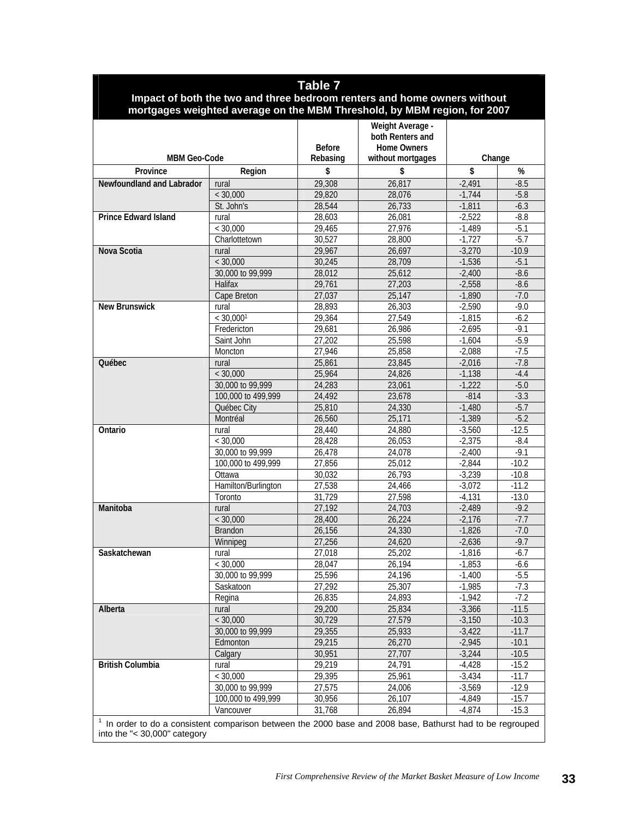| Table 7<br>Impact of both the two and three bedroom renters and home owners without                                                          |                     |                  |                                                                          |                      |                  |  |  |  |  |
|----------------------------------------------------------------------------------------------------------------------------------------------|---------------------|------------------|--------------------------------------------------------------------------|----------------------|------------------|--|--|--|--|
|                                                                                                                                              |                     |                  |                                                                          |                      |                  |  |  |  |  |
|                                                                                                                                              |                     |                  | mortgages weighted average on the MBM Threshold, by MBM region, for 2007 |                      |                  |  |  |  |  |
|                                                                                                                                              |                     |                  | Weight Average -                                                         |                      |                  |  |  |  |  |
|                                                                                                                                              |                     |                  | both Renters and                                                         |                      |                  |  |  |  |  |
|                                                                                                                                              |                     | <b>Before</b>    | <b>Home Owners</b>                                                       |                      |                  |  |  |  |  |
| <b>MBM Geo-Code</b>                                                                                                                          |                     | Rebasing         | without mortgages                                                        | Change               |                  |  |  |  |  |
| Province                                                                                                                                     | Region              | \$               | \$                                                                       | \$                   | %                |  |  |  |  |
| <b>Newfoundland and Labrador</b>                                                                                                             | rural               | 29,308           | 26,817                                                                   | $-2,491$             | $-8.5$           |  |  |  |  |
|                                                                                                                                              | < 30,000            | 29,820           | 28,076                                                                   | $-1,744$             | $-5.8$           |  |  |  |  |
| <b>Prince Edward Island</b>                                                                                                                  | St. John's          | 28,544           | 26,733                                                                   | $-1,811$             | $-6.3$           |  |  |  |  |
|                                                                                                                                              | rural<br>< 30,000   | 28,603<br>29,465 | 26,081<br>27,976                                                         | $-2,522$<br>$-1,489$ | $-8.8$<br>$-5.1$ |  |  |  |  |
|                                                                                                                                              | Charlottetown       | 30,527           | 28,800                                                                   | $-1,727$             | $-5.7$           |  |  |  |  |
| Nova Scotia                                                                                                                                  | rural               | 29,967           | 26,697                                                                   | $-3,270$             | $-10.9$          |  |  |  |  |
|                                                                                                                                              | < 30,000            | 30,245           | 28,709                                                                   | $-1,536$             | $-5.1$           |  |  |  |  |
|                                                                                                                                              | 30,000 to 99,999    | 28,012           | 25,612                                                                   | $-2,400$             | $-8.6$           |  |  |  |  |
|                                                                                                                                              | <b>Halifax</b>      | 29,761           | 27,203                                                                   | $-2,558$             | $-8.6$           |  |  |  |  |
|                                                                                                                                              | Cape Breton         | 27,037           | 25,147                                                                   | $-1,890$             | $-7.0$           |  |  |  |  |
| New Brunswick                                                                                                                                | rural               | 28,893           | 26,303                                                                   | $-2,590$             | $-9.0$           |  |  |  |  |
|                                                                                                                                              | < 30.0001           | 29,364           | 27,549                                                                   | $-1,815$             | $-6.2$           |  |  |  |  |
|                                                                                                                                              | Fredericton         | 29,681           | 26,986                                                                   | $-2,695$             | $-9.1$           |  |  |  |  |
|                                                                                                                                              | Saint John          | 27,202           | 25,598                                                                   | $-1,604$             | $-5.9$           |  |  |  |  |
|                                                                                                                                              | Moncton             | 27,946           | 25,858                                                                   | $-2,088$             | $-7.5$           |  |  |  |  |
| Québec                                                                                                                                       | rural               | 25.861           | 23,845                                                                   | $-2,016$             | $-7.8$           |  |  |  |  |
|                                                                                                                                              | < 30,000            | 25,964           | 24,826                                                                   | $-1,138$             | $-4.4$           |  |  |  |  |
|                                                                                                                                              | 30,000 to 99,999    | 24,283           | 23,061                                                                   | $-1,222$             | $-5.0$           |  |  |  |  |
|                                                                                                                                              | 100,000 to 499,999  | 24,492           | 23,678                                                                   | $-814$               | $-3.3$           |  |  |  |  |
|                                                                                                                                              | Québec City         | 25,810           | 24,330                                                                   | $-1,480$             | $-5.7$           |  |  |  |  |
|                                                                                                                                              | Montréal            | 26,560           | 25,171                                                                   | $-1.389$             | $-5.2$           |  |  |  |  |
| Ontario                                                                                                                                      | rural               | 28,440           | 24,880                                                                   | $-3,560$             | $-12.5$          |  |  |  |  |
|                                                                                                                                              | < 30,000            | 28,428           | 26,053                                                                   | $-2,375$             | $-8.4$           |  |  |  |  |
|                                                                                                                                              | 30,000 to 99,999    | 26,478           | 24,078                                                                   | $-2,400$             | $-9.1$           |  |  |  |  |
|                                                                                                                                              | 100,000 to 499,999  | 27,856           | 25,012                                                                   | $-2,844$             | $-10.2$          |  |  |  |  |
|                                                                                                                                              | Ottawa              | 30,032           | 26,793                                                                   | $-3,239$             | $-10.8$          |  |  |  |  |
|                                                                                                                                              | Hamilton/Burlington | 27,538           | 24,466                                                                   | $-3,072$             | $-11.2$          |  |  |  |  |
|                                                                                                                                              | Toronto             | 31,729           | 27,598<br>24,703                                                         | $-4,131$             | $-13.0$          |  |  |  |  |
| Manitoba                                                                                                                                     | rural               | 27,192           | 26,224                                                                   | $-2,489$             | $-9.2$<br>$-7.7$ |  |  |  |  |
|                                                                                                                                              | < 30,000<br>Brandon | 28,400<br>26,156 | 24,330                                                                   | $-2,176$<br>$-1,826$ | $-7.0$           |  |  |  |  |
|                                                                                                                                              | Winnipeg            | 27,256           | 24,620                                                                   | $-2,636$             | $-9.7$           |  |  |  |  |
| Saskatchewan                                                                                                                                 | rural               | 27,018           | 25,202                                                                   | $-1,816$             | $-6.7$           |  |  |  |  |
|                                                                                                                                              | < 30,000            | 28,047           | 26,194                                                                   | $-1,853$             | -6.6             |  |  |  |  |
|                                                                                                                                              | 30,000 to 99,999    | 25,596           | 24,196                                                                   | $-1,400$             | $-5.5$           |  |  |  |  |
|                                                                                                                                              | Saskatoon           | 27,292           | 25,307                                                                   | $-1,985$             | $-7.3$           |  |  |  |  |
|                                                                                                                                              | Regina              | 26,835           | 24,893                                                                   | $-1,942$             | $-7.2$           |  |  |  |  |
| Alberta                                                                                                                                      | rural               | 29,200           | 25,834                                                                   | $-3,366$             | $-11.5$          |  |  |  |  |
|                                                                                                                                              | < 30,000            | 30,729           | 27,579                                                                   | $-3,150$             | $-10.3$          |  |  |  |  |
|                                                                                                                                              | 30,000 to 99,999    | 29,355           | 25,933                                                                   | $-3,422$             | $-11.7$          |  |  |  |  |
|                                                                                                                                              | Edmonton            | 29,215           | 26,270                                                                   | $-2,945$             | $-10.1$          |  |  |  |  |
|                                                                                                                                              | Calgary             | 30,951           | 27,707                                                                   | $-3,244$             | $-10.5$          |  |  |  |  |
| <b>British Columbia</b>                                                                                                                      | rural               | 29,219           | 24,791                                                                   | $-4,428$             | $-15.2$          |  |  |  |  |
|                                                                                                                                              | < 30,000            | 29,395           | 25,961                                                                   | $-3,434$             | $-11.7$          |  |  |  |  |
|                                                                                                                                              | 30,000 to 99,999    | 27,575           | 24,006                                                                   | $-3,569$             | $-12.9$          |  |  |  |  |
|                                                                                                                                              | 100,000 to 499,999  | 30,956           | 26,107                                                                   | $-4,849$             | $-15.7$          |  |  |  |  |
|                                                                                                                                              | Vancouver           | 31,768           | 26,894                                                                   | $-4,874$             | $-15.3$          |  |  |  |  |
| $1$ In order to do a consistent comparison between the 2000 base and 2008 base, Bathurst had to be regrouped<br>into the "< 30,000" category |                     |                  |                                                                          |                      |                  |  |  |  |  |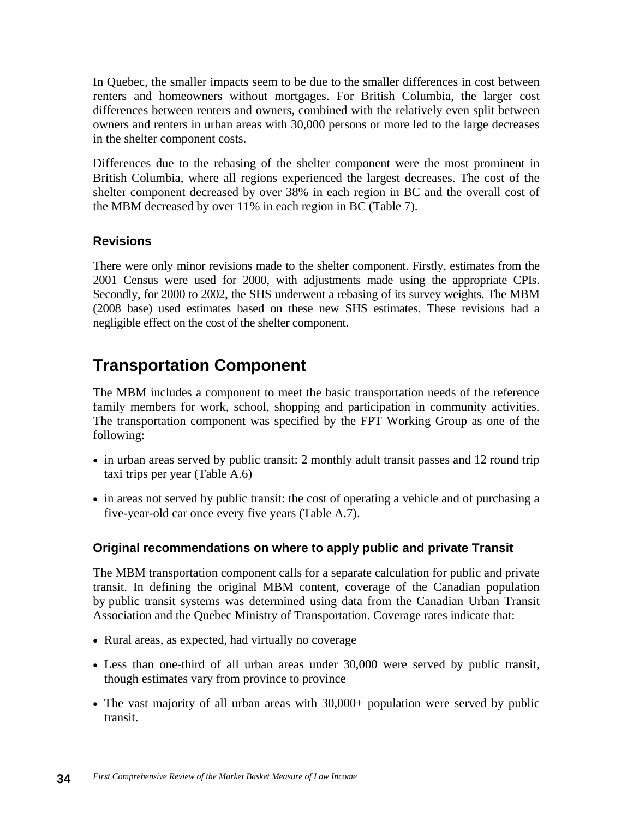In Quebec, the smaller impacts seem to be due to the smaller differences in cost between renters and homeowners without mortgages. For British Columbia, the larger cost differences between renters and owners, combined with the relatively even split between owners and renters in urban areas with 30,000 persons or more led to the large decreases in the shelter component costs.

Differences due to the rebasing of the shelter component were the most prominent in British Columbia, where all regions experienced the largest decreases. The cost of the shelter component decreased by over 38% in each region in BC and the overall cost of the MBM decreased by over 11% in each region in BC (Table 7).

## **Revisions**

There were only minor revisions made to the shelter component. Firstly, estimates from the 2001 Census were used for 2000, with adjustments made using the appropriate CPIs. Secondly, for 2000 to 2002, the SHS underwent a rebasing of its survey weights. The MBM (2008 base) used estimates based on these new SHS estimates. These revisions had a negligible effect on the cost of the shelter component.

# **Transportation Component**

The MBM includes a component to meet the basic transportation needs of the reference family members for work, school, shopping and participation in community activities. The transportation component was specified by the FPT Working Group as one of the following:

- in urban areas served by public transit: 2 monthly adult transit passes and 12 round trip taxi trips per year (Table A.6)
- in areas not served by public transit: the cost of operating a vehicle and of purchasing a five-year-old car once every five years (Table A.7).

#### **Original recommendations on where to apply public and private Transit**

The MBM transportation component calls for a separate calculation for public and private transit. In defining the original MBM content, coverage of the Canadian population by public transit systems was determined using data from the Canadian Urban Transit Association and the Quebec Ministry of Transportation. Coverage rates indicate that:

- Rural areas, as expected, had virtually no coverage
- Less than one-third of all urban areas under 30,000 were served by public transit, though estimates vary from province to province
- The vast majority of all urban areas with 30,000+ population were served by public transit.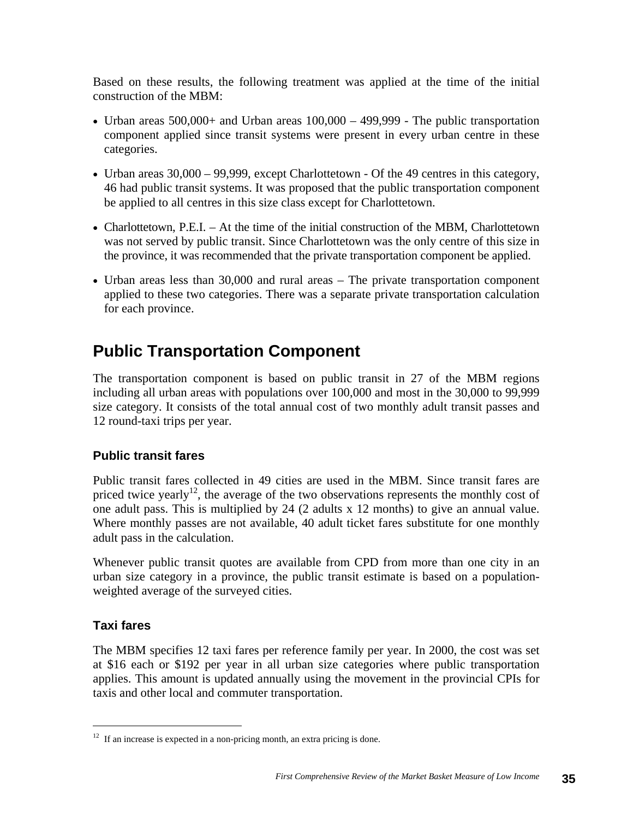Based on these results, the following treatment was applied at the time of the initial construction of the MBM:

- Urban areas  $500,000+$  and Urban areas  $100,000 499,999$  The public transportation component applied since transit systems were present in every urban centre in these categories.
- Urban areas  $30,000 99,999$ , except Charlottetown Of the 49 centres in this category, 46 had public transit systems. It was proposed that the public transportation component be applied to all centres in this size class except for Charlottetown.
- Charlottetown, P.E.I. At the time of the initial construction of the MBM, Charlottetown was not served by public transit. Since Charlottetown was the only centre of this size in the province, it was recommended that the private transportation component be applied.
- Urban areas less than 30,000 and rural areas The private transportation component applied to these two categories. There was a separate private transportation calculation for each province.

# **Public Transportation Component**

The transportation component is based on public transit in 27 of the MBM regions including all urban areas with populations over 100,000 and most in the 30,000 to 99,999 size category. It consists of the total annual cost of two monthly adult transit passes and 12 round-taxi trips per year.

## **Public transit fares**

Public transit fares collected in 49 cities are used in the MBM. Since transit fares are priced twice yearly<sup>12</sup>, the average of the two observations represents the monthly cost of one adult pass. This is multiplied by 24 (2 adults x 12 months) to give an annual value. Where monthly passes are not available, 40 adult ticket fares substitute for one monthly adult pass in the calculation.

Whenever public transit quotes are available from CPD from more than one city in an urban size category in a province, the public transit estimate is based on a populationweighted average of the surveyed cities.

#### **Taxi fares**

The MBM specifies 12 taxi fares per reference family per year. In 2000, the cost was set at \$16 each or \$192 per year in all urban size categories where public transportation applies. This amount is updated annually using the movement in the provincial CPIs for taxis and other local and commuter transportation.

 $12$  If an increase is expected in a non-pricing month, an extra pricing is done.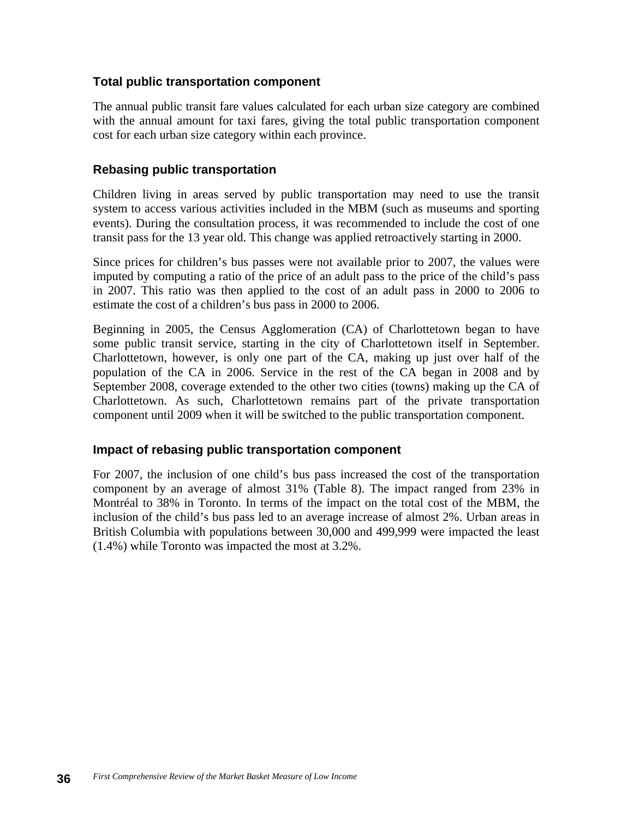#### **Total public transportation component**

The annual public transit fare values calculated for each urban size category are combined with the annual amount for taxi fares, giving the total public transportation component cost for each urban size category within each province.

#### **Rebasing public transportation**

Children living in areas served by public transportation may need to use the transit system to access various activities included in the MBM (such as museums and sporting events). During the consultation process, it was recommended to include the cost of one transit pass for the 13 year old. This change was applied retroactively starting in 2000.

Since prices for children's bus passes were not available prior to 2007, the values were imputed by computing a ratio of the price of an adult pass to the price of the child's pass in 2007. This ratio was then applied to the cost of an adult pass in 2000 to 2006 to estimate the cost of a children's bus pass in 2000 to 2006.

Beginning in 2005, the Census Agglomeration (CA) of Charlottetown began to have some public transit service, starting in the city of Charlottetown itself in September. Charlottetown, however, is only one part of the CA, making up just over half of the population of the CA in 2006. Service in the rest of the CA began in 2008 and by September 2008, coverage extended to the other two cities (towns) making up the CA of Charlottetown. As such, Charlottetown remains part of the private transportation component until 2009 when it will be switched to the public transportation component.

#### **Impact of rebasing public transportation component**

For 2007, the inclusion of one child's bus pass increased the cost of the transportation component by an average of almost 31% (Table 8). The impact ranged from 23% in Montréal to 38% in Toronto. In terms of the impact on the total cost of the MBM, the inclusion of the child's bus pass led to an average increase of almost 2%. Urban areas in British Columbia with populations between 30,000 and 499,999 were impacted the least (1.4%) while Toronto was impacted the most at 3.2%.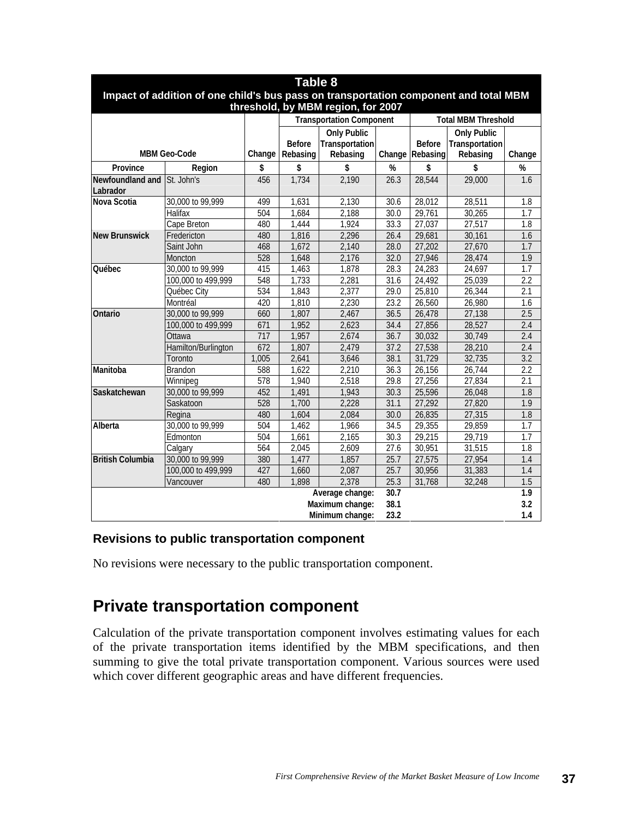| Table 8                                                                                                                    |                     |        |                           |                                                  |      |                                  |                                                  |        |  |  |  |
|----------------------------------------------------------------------------------------------------------------------------|---------------------|--------|---------------------------|--------------------------------------------------|------|----------------------------------|--------------------------------------------------|--------|--|--|--|
| Impact of addition of one child's bus pass on transportation component and total MBM<br>threshold, by MBM region, for 2007 |                     |        |                           |                                                  |      |                                  |                                                  |        |  |  |  |
|                                                                                                                            |                     |        |                           | <b>Transportation Component</b>                  |      |                                  | <b>Total MBM Threshold</b>                       |        |  |  |  |
| <b>MBM Geo-Code</b>                                                                                                        |                     | Change | <b>Before</b><br>Rebasing | <b>Only Public</b><br>Transportation<br>Rebasing |      | <b>Before</b><br>Change Rebasing | <b>Only Public</b><br>Transportation<br>Rebasing | Change |  |  |  |
| Province                                                                                                                   | Region              | \$     | \$                        | \$                                               | %    | \$                               | \$                                               | %      |  |  |  |
| Newfoundland and<br>Labrador                                                                                               | St. John's          | 456    | 1,734                     | 2,190                                            | 26.3 | 28,544                           | 29,000                                           | 1.6    |  |  |  |
| Nova Scotia                                                                                                                | 30,000 to 99,999    | 499    | 1,631                     | 2,130                                            | 30.6 | 28,012                           | 28,511                                           | 1.8    |  |  |  |
|                                                                                                                            | Halifax             | 504    | 1,684                     | 2,188                                            | 30.0 | 29,761                           | 30,265                                           | 1.7    |  |  |  |
|                                                                                                                            | Cape Breton         | 480    | 1,444                     | 1,924                                            | 33.3 | 27,037                           | 27,517                                           | 1.8    |  |  |  |
| <b>New Brunswick</b>                                                                                                       | Fredericton         | 480    | 1,816                     | 2,296                                            | 26.4 | 29,681                           | 30,161                                           | 1.6    |  |  |  |
|                                                                                                                            | Saint John          | 468    | 1,672                     | 2,140                                            | 28.0 | 27,202                           | 27,670                                           | 1.7    |  |  |  |
|                                                                                                                            | Moncton             | 528    | 1,648                     | 2,176                                            | 32.0 | 27,946                           | 28,474                                           | 1.9    |  |  |  |
| <b>Ouébec</b>                                                                                                              | 30,000 to 99,999    | 415    | 1,463                     | 1,878                                            | 28.3 | 24,283                           | 24,697                                           | 1.7    |  |  |  |
|                                                                                                                            | 100,000 to 499,999  | 548    | 1,733                     | 2,281                                            | 31.6 | 24,492                           | 25,039                                           | 2.2    |  |  |  |
|                                                                                                                            | Québec City         | 534    | 1,843                     | 2,377                                            | 29.0 | 25,810                           | 26,344                                           | 2.1    |  |  |  |
|                                                                                                                            | Montréal            | 420    | 1,810                     | 2,230                                            | 23.2 | 26,560                           | 26,980                                           | 1.6    |  |  |  |
| Ontario                                                                                                                    | 30,000 to 99,999    | 660    | 1,807                     | 2,467                                            | 36.5 | 26,478                           | 27,138                                           | 2.5    |  |  |  |
|                                                                                                                            | 100,000 to 499,999  | 671    | 1,952                     | 2,623                                            | 34.4 | 27,856                           | 28,527                                           | 2.4    |  |  |  |
|                                                                                                                            | Ottawa              | 717    | 1,957                     | 2,674                                            | 36.7 | 30,032                           | 30,749                                           | 2.4    |  |  |  |
|                                                                                                                            | Hamilton/Burlington | 672    | 1,807                     | 2,479                                            | 37.2 | 27,538                           | 28,210                                           | 2.4    |  |  |  |
|                                                                                                                            | Toronto             | 1,005  | 2,641                     | 3,646                                            | 38.1 | 31,729                           | 32,735                                           | 3.2    |  |  |  |
| Manitoba                                                                                                                   | <b>Brandon</b>      | 588    | 1,622                     | 2,210                                            | 36.3 | 26,156                           | 26,744                                           | 2.2    |  |  |  |
|                                                                                                                            | Winnipeg            | 578    | 1,940                     | 2,518                                            | 29.8 | 27,256                           | 27,834                                           | 2.1    |  |  |  |
| Saskatchewan                                                                                                               | 30,000 to 99,999    | 452    | 1,491                     | 1,943                                            | 30.3 | 25,596                           | 26,048                                           | 1.8    |  |  |  |
|                                                                                                                            | Saskatoon           | 528    | 1,700                     | 2,228                                            | 31.1 | 27,292                           | 27,820                                           | 1.9    |  |  |  |
|                                                                                                                            | Regina              | 480    | 1,604                     | 2,084                                            | 30.0 | 26,835                           | 27,315                                           | 1.8    |  |  |  |
| Alberta                                                                                                                    | 30,000 to 99,999    | 504    | 1,462                     | 1,966                                            | 34.5 | 29,355                           | 29,859                                           | 1.7    |  |  |  |
|                                                                                                                            | Edmonton            | 504    | 1,661                     | 2,165                                            | 30.3 | 29,215                           | 29,719                                           | 1.7    |  |  |  |
|                                                                                                                            | Calgary             | 564    | 2,045                     | 2,609                                            | 27.6 | 30,951                           | 31,515                                           | 1.8    |  |  |  |
| <b>British Columbia</b>                                                                                                    | 30,000 to 99,999    | 380    | 1,477                     | 1,857                                            | 25.7 | 27,575                           | 27,954                                           | 1.4    |  |  |  |
|                                                                                                                            | 100,000 to 499,999  | 427    | 1,660                     | 2,087                                            | 25.7 | 30,956                           | 31,383                                           | 1.4    |  |  |  |
|                                                                                                                            | Vancouver           | 480    | 1,898                     | 2,378                                            | 25.3 | 31,768                           | 32,248                                           | 1.5    |  |  |  |
|                                                                                                                            |                     |        |                           | Average change:                                  | 30.7 |                                  |                                                  | 1.9    |  |  |  |
|                                                                                                                            |                     |        |                           | Maximum change:                                  | 38.1 |                                  |                                                  | 3.2    |  |  |  |
|                                                                                                                            |                     |        |                           | Minimum change:                                  | 23.2 |                                  |                                                  | 1.4    |  |  |  |

#### **Revisions to public transportation component**

No revisions were necessary to the public transportation component.

# **Private transportation component**

Calculation of the private transportation component involves estimating values for each of the private transportation items identified by the MBM specifications, and then summing to give the total private transportation component. Various sources were used which cover different geographic areas and have different frequencies.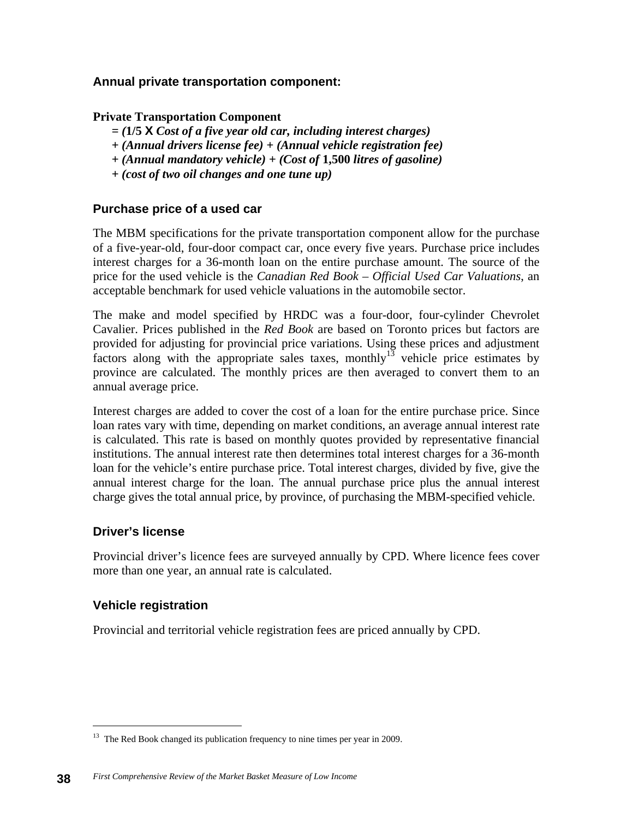### **Annual private transportation component:**

#### **Private Transportation Component**

- *= (***1/5 X** *Cost of a five year old car, including interest charges)*
- *+ (Annual drivers license fee) + (Annual vehicle registration fee)*
- *+ (Annual mandatory vehicle) + (Cost of* **1,500** *litres of gasoline)*
- *+ (cost of two oil changes and one tune up)*

#### **Purchase price of a used car**

The MBM specifications for the private transportation component allow for the purchase of a five-year-old, four-door compact car, once every five years. Purchase price includes interest charges for a 36-month loan on the entire purchase amount. The source of the price for the used vehicle is the *Canadian Red Book – Official Used Car Valuations*, an acceptable benchmark for used vehicle valuations in the automobile sector.

The make and model specified by HRDC was a four-door, four-cylinder Chevrolet Cavalier. Prices published in the *Red Book* are based on Toronto prices but factors are provided for adjusting for provincial price variations. Using these prices and adjustment factors along with the appropriate sales taxes, monthly<sup>13</sup> vehicle price estimates by province are calculated. The monthly prices are then averaged to convert them to an annual average price.

Interest charges are added to cover the cost of a loan for the entire purchase price. Since loan rates vary with time, depending on market conditions, an average annual interest rate is calculated. This rate is based on monthly quotes provided by representative financial institutions. The annual interest rate then determines total interest charges for a 36-month loan for the vehicle's entire purchase price. Total interest charges, divided by five, give the annual interest charge for the loan. The annual purchase price plus the annual interest charge gives the total annual price, by province, of purchasing the MBM-specified vehicle.

#### **Driver's license**

Provincial driver's licence fees are surveyed annually by CPD. Where licence fees cover more than one year, an annual rate is calculated.

#### **Vehicle registration**

Provincial and territorial vehicle registration fees are priced annually by CPD.

<sup>&</sup>lt;sup>13</sup> The Red Book changed its publication frequency to nine times per year in 2009.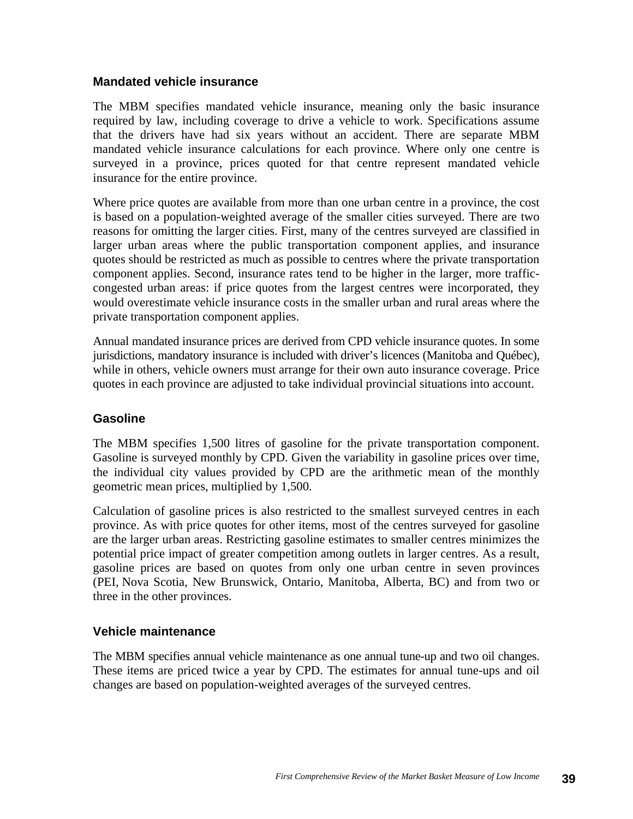#### **Mandated vehicle insurance**

The MBM specifies mandated vehicle insurance, meaning only the basic insurance required by law, including coverage to drive a vehicle to work. Specifications assume that the drivers have had six years without an accident. There are separate MBM mandated vehicle insurance calculations for each province. Where only one centre is surveyed in a province, prices quoted for that centre represent mandated vehicle insurance for the entire province.

Where price quotes are available from more than one urban centre in a province, the cost is based on a population-weighted average of the smaller cities surveyed. There are two reasons for omitting the larger cities. First, many of the centres surveyed are classified in larger urban areas where the public transportation component applies, and insurance quotes should be restricted as much as possible to centres where the private transportation component applies. Second, insurance rates tend to be higher in the larger, more trafficcongested urban areas: if price quotes from the largest centres were incorporated, they would overestimate vehicle insurance costs in the smaller urban and rural areas where the private transportation component applies.

Annual mandated insurance prices are derived from CPD vehicle insurance quotes. In some jurisdictions, mandatory insurance is included with driver's licences (Manitoba and Québec), while in others, vehicle owners must arrange for their own auto insurance coverage. Price quotes in each province are adjusted to take individual provincial situations into account.

#### **Gasoline**

The MBM specifies 1,500 litres of gasoline for the private transportation component. Gasoline is surveyed monthly by CPD. Given the variability in gasoline prices over time, the individual city values provided by CPD are the arithmetic mean of the monthly geometric mean prices, multiplied by 1,500.

Calculation of gasoline prices is also restricted to the smallest surveyed centres in each province. As with price quotes for other items, most of the centres surveyed for gasoline are the larger urban areas. Restricting gasoline estimates to smaller centres minimizes the potential price impact of greater competition among outlets in larger centres. As a result, gasoline prices are based on quotes from only one urban centre in seven provinces (PEI, Nova Scotia, New Brunswick, Ontario, Manitoba, Alberta, BC) and from two or three in the other provinces.

#### **Vehicle maintenance**

The MBM specifies annual vehicle maintenance as one annual tune-up and two oil changes. These items are priced twice a year by CPD. The estimates for annual tune-ups and oil changes are based on population-weighted averages of the surveyed centres.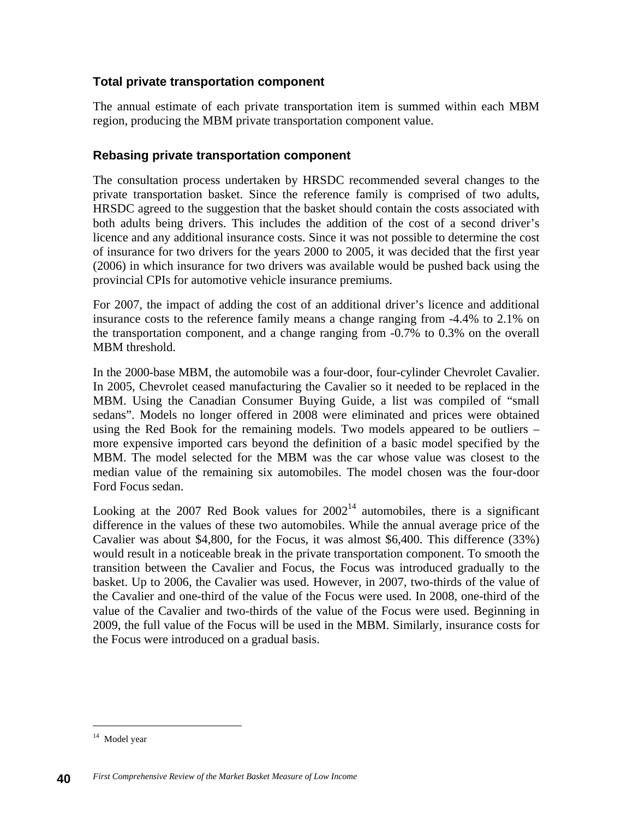### **Total private transportation component**

The annual estimate of each private transportation item is summed within each MBM region, producing the MBM private transportation component value.

### **Rebasing private transportation component**

The consultation process undertaken by HRSDC recommended several changes to the private transportation basket. Since the reference family is comprised of two adults, HRSDC agreed to the suggestion that the basket should contain the costs associated with both adults being drivers. This includes the addition of the cost of a second driver's licence and any additional insurance costs. Since it was not possible to determine the cost of insurance for two drivers for the years 2000 to 2005, it was decided that the first year (2006) in which insurance for two drivers was available would be pushed back using the provincial CPIs for automotive vehicle insurance premiums.

For 2007, the impact of adding the cost of an additional driver's licence and additional insurance costs to the reference family means a change ranging from -4.4% to 2.1% on the transportation component, and a change ranging from -0.7% to 0.3% on the overall MBM threshold.

In the 2000-base MBM, the automobile was a four-door, four-cylinder Chevrolet Cavalier. In 2005, Chevrolet ceased manufacturing the Cavalier so it needed to be replaced in the MBM. Using the Canadian Consumer Buying Guide, a list was compiled of "small sedans". Models no longer offered in 2008 were eliminated and prices were obtained using the Red Book for the remaining models. Two models appeared to be outliers – more expensive imported cars beyond the definition of a basic model specified by the MBM. The model selected for the MBM was the car whose value was closest to the median value of the remaining six automobiles. The model chosen was the four-door Ford Focus sedan.

Looking at the 2007 Red Book values for  $2002<sup>14</sup>$  automobiles, there is a significant difference in the values of these two automobiles. While the annual average price of the Cavalier was about \$4,800, for the Focus, it was almost \$6,400. This difference (33%) would result in a noticeable break in the private transportation component. To smooth the transition between the Cavalier and Focus, the Focus was introduced gradually to the basket. Up to 2006, the Cavalier was used. However, in 2007, two-thirds of the value of the Cavalier and one-third of the value of the Focus were used. In 2008, one-third of the value of the Cavalier and two-thirds of the value of the Focus were used. Beginning in 2009, the full value of the Focus will be used in the MBM. Similarly, insurance costs for the Focus were introduced on a gradual basis.

<sup>14</sup> Model year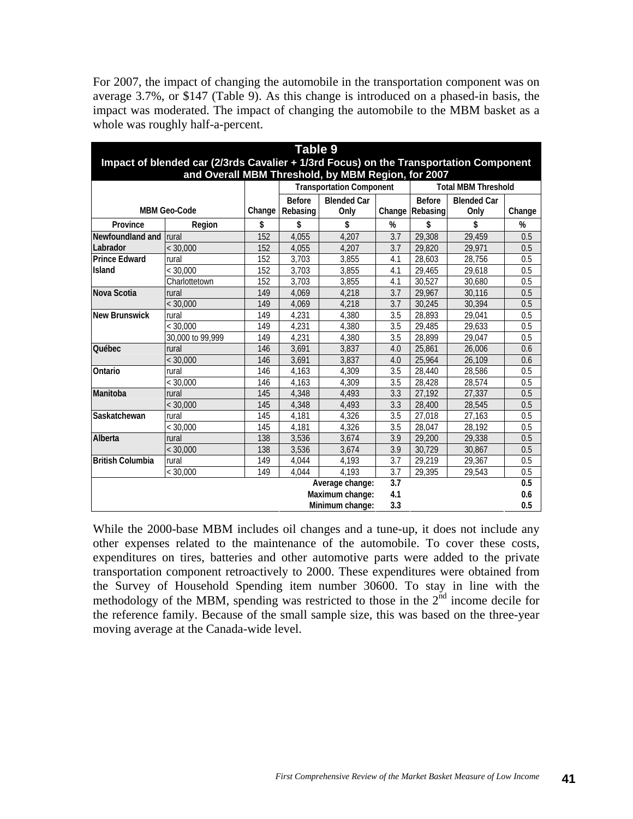For 2007, the impact of changing the automobile in the transportation component was on average 3.7%, or \$147 (Table 9). As this change is introduced on a phased-in basis, the impact was moderated. The impact of changing the automobile to the MBM basket as a whole was roughly half-a-percent.

| Table 9                                                                                                                                     |                     |        |               |                                 |     |                            |                    |        |  |
|---------------------------------------------------------------------------------------------------------------------------------------------|---------------------|--------|---------------|---------------------------------|-----|----------------------------|--------------------|--------|--|
| Impact of blended car (2/3rds Cavalier + 1/3rd Focus) on the Transportation Component<br>and Overall MBM Threshold, by MBM Region, for 2007 |                     |        |               |                                 |     |                            |                    |        |  |
|                                                                                                                                             |                     |        |               | <b>Transportation Component</b> |     | <b>Total MBM Threshold</b> |                    |        |  |
|                                                                                                                                             |                     |        | <b>Before</b> | <b>Blended Car</b>              |     | <b>Before</b>              | <b>Blended Car</b> |        |  |
|                                                                                                                                             | <b>MBM Geo-Code</b> | Change | Rebasing      | Only                            |     | Change Rebasing            | Only               | Change |  |
| Province                                                                                                                                    | Region              | \$     | \$            | \$                              | %   | \$                         | \$                 | %      |  |
| Newfoundland and                                                                                                                            | <b>Irural</b>       | 152    | 4,055         | 4.207                           | 3.7 | 29,308                     | 29,459             | 0.5    |  |
| Labrador                                                                                                                                    | < 30.000            | 152    | 4,055         | 4.207                           | 3.7 | 29.820                     | 29.971             | 0.5    |  |
| <b>Prince Edward</b>                                                                                                                        | rural               | 152    | 3,703         | 3,855                           | 4.1 | 28,603                     | 28,756             | 0.5    |  |
| <b>Island</b>                                                                                                                               | < 30,000            | 152    | 3,703         | 3,855                           | 4.1 | 29,465                     | 29,618             | 0.5    |  |
|                                                                                                                                             | Charlottetown       | 152    | 3,703         | 3,855                           | 4.1 | 30,527                     | 30.680             | 0.5    |  |
| Nova Scotia                                                                                                                                 | rural               | 149    | 4,069         | 4,218                           | 3.7 | 29,967                     | 30,116             | 0.5    |  |
|                                                                                                                                             | < 30.000            | 149    | 4,069         | 4,218                           | 3.7 | 30,245                     | 30.394             | 0.5    |  |
| <b>New Brunswick</b>                                                                                                                        | rural               | 149    | 4,231         | 4,380                           | 3.5 | 28,893                     | 29.041             | 0.5    |  |
|                                                                                                                                             | < 30.000            | 149    | 4,231         | 4,380                           | 3.5 | 29,485                     | 29.633             | 0.5    |  |
|                                                                                                                                             | 30,000 to 99,999    | 149    | 4,231         | 4,380                           | 3.5 | 28,899                     | 29.047             | 0.5    |  |
| Québec                                                                                                                                      | rural               | 146    | 3,691         | 3,837                           | 4.0 | 25,861                     | 26,006             | 0.6    |  |
|                                                                                                                                             | < 30,000            | 146    | 3,691         | 3,837                           | 4.0 | 25,964                     | 26,109             | 0.6    |  |
| Ontario                                                                                                                                     | rural               | 146    | 4,163         | 4,309                           | 3.5 | 28,440                     | 28,586             | 0.5    |  |
|                                                                                                                                             | < 30.000            | 146    | 4,163         | 4,309                           | 3.5 | 28,428                     | 28,574             | 0.5    |  |
| Manitoba                                                                                                                                    | rural               | 145    | 4,348         | 4,493                           | 3.3 | 27,192                     | 27,337             | 0.5    |  |
|                                                                                                                                             | < 30,000            | 145    | 4,348         | 4,493                           | 3.3 | 28,400                     | 28,545             | 0.5    |  |
| Saskatchewan                                                                                                                                | rural               | 145    | 4,181         | 4,326                           | 3.5 | 27,018                     | 27,163             | 0.5    |  |
|                                                                                                                                             | < 30,000            | 145    | 4.181         | 4,326                           | 3.5 | 28,047                     | 28.192             | 0.5    |  |
| Alberta                                                                                                                                     | rural               | 138    | 3,536         | 3,674                           | 3.9 | 29,200                     | 29,338             | 0.5    |  |
|                                                                                                                                             | < 30.000            | 138    | 3,536         | 3,674                           | 3.9 | 30,729                     | 30.867             | 0.5    |  |
| <b>British Columbia</b>                                                                                                                     | rural               | 149    | 4,044         | 4.193                           | 3.7 | 29,219                     | 29,367             | 0.5    |  |
|                                                                                                                                             | < 30,000            | 149    | 4.044         | 4,193                           | 3.7 | 29,395                     | 29,543             | 0.5    |  |
|                                                                                                                                             |                     |        |               | Average change:                 | 3.7 |                            |                    | 0.5    |  |
|                                                                                                                                             |                     |        |               | Maximum change:                 | 4.1 |                            |                    | 0.6    |  |
|                                                                                                                                             |                     |        |               | Minimum change:                 | 3.3 |                            |                    | 0.5    |  |

While the 2000-base MBM includes oil changes and a tune-up, it does not include any other expenses related to the maintenance of the automobile. To cover these costs, expenditures on tires, batteries and other automotive parts were added to the private transportation component retroactively to 2000. These expenditures were obtained from the Survey of Household Spending item number 30600. To stay in line with the methodology of the MBM, spending was restricted to those in the  $2<sup>nd</sup>$  income decile for the reference family. Because of the small sample size, this was based on the three-year moving average at the Canada-wide level.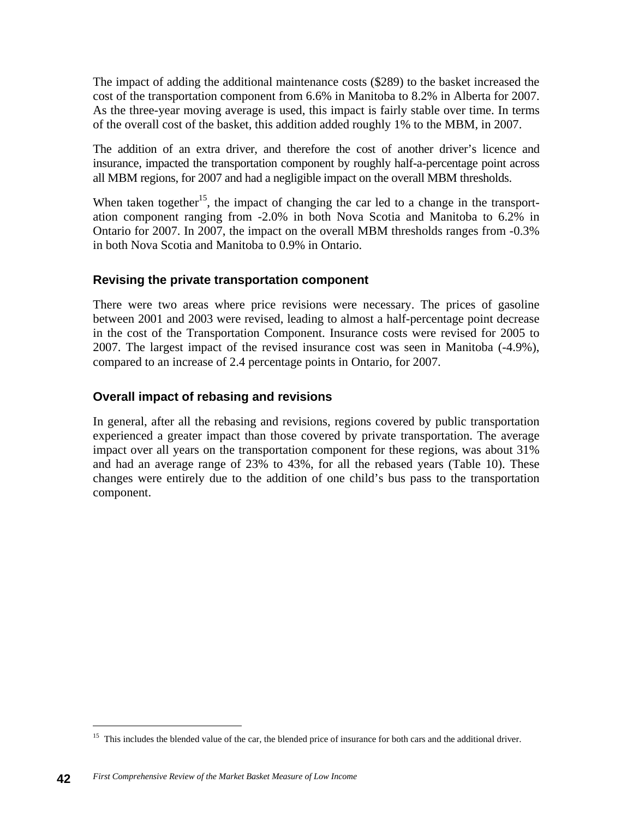The impact of adding the additional maintenance costs (\$289) to the basket increased the cost of the transportation component from 6.6% in Manitoba to 8.2% in Alberta for 2007. As the three-year moving average is used, this impact is fairly stable over time. In terms of the overall cost of the basket, this addition added roughly 1% to the MBM, in 2007.

The addition of an extra driver, and therefore the cost of another driver's licence and insurance, impacted the transportation component by roughly half-a-percentage point across all MBM regions, for 2007 and had a negligible impact on the overall MBM thresholds.

When taken together<sup>15</sup>, the impact of changing the car led to a change in the transportation component ranging from -2.0% in both Nova Scotia and Manitoba to 6.2% in Ontario for 2007. In 2007, the impact on the overall MBM thresholds ranges from -0.3% in both Nova Scotia and Manitoba to 0.9% in Ontario.

#### **Revising the private transportation component**

There were two areas where price revisions were necessary. The prices of gasoline between 2001 and 2003 were revised, leading to almost a half-percentage point decrease in the cost of the Transportation Component. Insurance costs were revised for 2005 to 2007. The largest impact of the revised insurance cost was seen in Manitoba (-4.9%), compared to an increase of 2.4 percentage points in Ontario, for 2007.

## **Overall impact of rebasing and revisions**

In general, after all the rebasing and revisions, regions covered by public transportation experienced a greater impact than those covered by private transportation. The average impact over all years on the transportation component for these regions, was about 31% and had an average range of 23% to 43%, for all the rebased years (Table 10). These changes were entirely due to the addition of one child's bus pass to the transportation component.

<sup>&</sup>lt;sup>15</sup> This includes the blended value of the car, the blended price of insurance for both cars and the additional driver.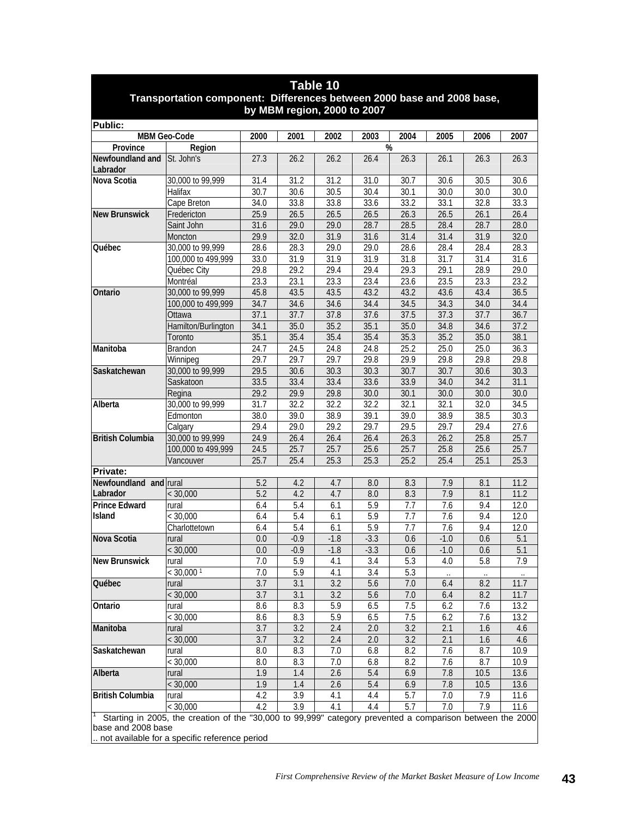| <b>I QUIC IV</b><br>Transportation component: Differences between 2000 base and 2008 base,<br>by MBM region, 2000 to 2007 |                                                                                                           |            |                  |               |            |            |               |            |             |  |
|---------------------------------------------------------------------------------------------------------------------------|-----------------------------------------------------------------------------------------------------------|------------|------------------|---------------|------------|------------|---------------|------------|-------------|--|
| Public:                                                                                                                   |                                                                                                           |            |                  |               |            |            |               |            |             |  |
|                                                                                                                           | MBM Geo-Code                                                                                              | 2000       | 2001             | 2002          | 2003       | 2004       | 2005          | 2006       | 2007        |  |
| Province                                                                                                                  | Region                                                                                                    |            |                  |               | %          |            |               |            |             |  |
| Newfoundland and<br>Labrador                                                                                              | St. John's                                                                                                | 27.3       | 26.2             | 26.2          | 26.4       | 26.3       | 26.1          | 26.3       | 26.3        |  |
| Nova Scotia                                                                                                               | 30,000 to 99,999                                                                                          | 31.4       | 31.2             | 31.2          | 31.0       | 30.7       | 30.6          | 30.5       | 30.6        |  |
|                                                                                                                           | Halifax                                                                                                   | 30.7       | 30.6             | 30.5          | 30.4       | 30.1       | 30.0          | 30.0       | 30.0        |  |
|                                                                                                                           | Cape Breton                                                                                               | 34.0       | 33.8             | 33.8          | 33.6       | 33.2       | 33.1          | 32.8       | 33.3        |  |
| <b>New Brunswick</b>                                                                                                      | Fredericton                                                                                               | 25.9       | 26.5             | 26.5          | 26.5       | 26.3       | 26.5          | 26.1       | 26.4        |  |
|                                                                                                                           | Saint John                                                                                                | 31.6       | 29.0             | 29.0          | 28.7       | 28.5       | 28.4          | 28.7       | 28.0        |  |
|                                                                                                                           | Moncton                                                                                                   | 29.9       | 32.0             | 31.9          | 31.6       | 31.4       | 31.4          | 31.9       | 32.0        |  |
| Québec                                                                                                                    | 30,000 to 99,999                                                                                          | 28.6       | 28.3             | 29.0          | 29.0       | 28.6       | 28.4          | 28.4       | 28.3        |  |
|                                                                                                                           | 100,000 to 499,999                                                                                        | 33.0       | 31.9             | 31.9          | 31.9       | 31.8       | 31.7          | 31.4       | 31.6        |  |
|                                                                                                                           | Québec City                                                                                               | 29.8       | 29.2             | 29.4          | 29.4       | 29.3       | 29.1          | 28.9       | 29.0        |  |
|                                                                                                                           | Montréal                                                                                                  | 23.3       | 23.1             | 23.3          | 23.4       | 23.6       | 23.5          | 23.3       | 23.2        |  |
| Ontario                                                                                                                   | 30,000 to 99,999                                                                                          | 45.8       | 43.5             | 43.5          | 43.2       | 43.2       | 43.6          | 43.4       | 36.5        |  |
|                                                                                                                           | 100,000 to 499,999                                                                                        | 34.7       | 34.6             | 34.6          | 34.4       | 34.5       | 34.3          | 34.0       | 34.4        |  |
|                                                                                                                           | Ottawa                                                                                                    | 37.1       | 37.7             | 37.8          | 37.6       | 37.5       | 37.3          | 37.7       | 36.7        |  |
|                                                                                                                           | Hamilton/Burlington                                                                                       | 34.1       | 35.0             | 35.2          | 35.1       | 35.0       | 34.8          | 34.6       | 37.2        |  |
|                                                                                                                           | Toronto                                                                                                   | 35.1       | 35.4             | 35.4          | 35.4       | 35.3       | 35.2          | 35.0       | 38.1        |  |
| Manitoba                                                                                                                  | Brandon                                                                                                   | 24.7       | 24.5             | 24.8          | 24.8       | 25.2       | 25.0          | 25.0       | 36.3        |  |
|                                                                                                                           | Winnipeg                                                                                                  | 29.7       | 29.7             | 29.7          | 29.8       | 29.9       | 29.8          | 29.8       | 29.8        |  |
| Saskatchewan                                                                                                              | 30,000 to 99,999                                                                                          | 29.5       | 30.6             | 30.3          | 30.3       | 30.7       | 30.7          | 30.6       | 30.3        |  |
|                                                                                                                           | Saskatoon                                                                                                 | 33.5       | 33.4             | 33.4          | 33.6       | 33.9       | 34.0          | 34.2       | 31.1        |  |
|                                                                                                                           | Regina                                                                                                    | 29.2       | 29.9             | 29.8          | 30.0       | 30.1       | 30.0          | 30.0       | 30.0        |  |
| Alberta                                                                                                                   | 30,000 to 99,999                                                                                          | 31.7       | 32.2             | 32.2          | 32.2       | 32.1       | 32.1          | 32.0       | 34.5        |  |
|                                                                                                                           | Edmonton                                                                                                  | 38.0       | 39.0             | 38.9          | 39.1       | 39.0       | 38.9          | 38.5       | 30.3        |  |
|                                                                                                                           | Calgary                                                                                                   | 29.4       | 29.0             | 29.2          | 29.7       | 29.5       | 29.7          | 29.4       | 27.6        |  |
| <b>British Columbia</b>                                                                                                   | 30,000 to 99,999                                                                                          | 24.9       | 26.4             | 26.4          | 26.4       | 26.3       | 26.2          | 25.8       | 25.7        |  |
|                                                                                                                           | 100,000 to 499,999                                                                                        | 24.5       | 25.7             | 25.7          | 25.6       | 25.7       | 25.8          | 25.6       | 25.7        |  |
|                                                                                                                           | Vancouver                                                                                                 | 25.7       | 25.4             | 25.3          | 25.3       | 25.2       | 25.4          | 25.1       | 25.3        |  |
| <b>Private:</b>                                                                                                           |                                                                                                           |            |                  |               |            |            |               |            |             |  |
| Newfoundland and rural                                                                                                    |                                                                                                           | 5.2        | 4.2              | 4.7           | 8.0        | 8.3        | 7.9           | 8.1        | 11.2        |  |
| Labrador                                                                                                                  | < 30,000                                                                                                  | 5.2        | 4.2              | 4.7           | 8.0        | 8.3        | 7.9           | 8.1        | 11.2        |  |
| <b>Prince Edward</b><br>Island                                                                                            | rural                                                                                                     | 6.4        | 5.4              | 6.1           | 5.9        | 7.7        | 7.6           | 9.4        | 12.0        |  |
|                                                                                                                           | < 30,000                                                                                                  | 6.4        | 5.4              | 6.1           | 5.9<br>5.9 | 7.7<br>7.7 | 7.6           | 9.4        | 12.0        |  |
| Nova Scotia                                                                                                               | Charlottetown                                                                                             | 6.4<br>0.0 | 5.4<br>$-0.9$    | 6.1<br>$-1.8$ | $-3.3$     |            | 7.6<br>$-1.0$ | 9.4        | 12.0<br>5.1 |  |
|                                                                                                                           | rural<br>< 30,000                                                                                         | 0.0        | $-0.9$           | $-1.8$        | $-3.3$     | 0.6<br>0.6 | $-1.0$        | 0.6<br>0.6 | 5.1         |  |
| <b>New Brunswick</b>                                                                                                      |                                                                                                           | 7.0        | 5.9              | 4.1           | 3.4        | 5.3        | 4.0           | 5.8        | 7.9         |  |
|                                                                                                                           | rural<br>$< 30,000$ <sup>1</sup>                                                                          | 7.0        | 5.9              | 4.1           | 3.4        | 5.3        |               |            |             |  |
| Québec                                                                                                                    | rural                                                                                                     | 3.7        | 3.1              | 3.2           | 5.6        | 7.0        | 6.4           | 8.2        | 11.7        |  |
|                                                                                                                           | < 30,000                                                                                                  | 3.7        | $\overline{3.1}$ | 3.2           | 5.6        | 7.0        | 6.4           | 8.2        | 11.7        |  |
| Ontario                                                                                                                   | rural                                                                                                     | 8.6        | 8.3              | 5.9           | 6.5        | 7.5        | 6.2           | 7.6        | 13.2        |  |
|                                                                                                                           | < 30,000                                                                                                  | 8.6        | 8.3              | 5.9           | 6.5        | 7.5        | 6.2           | 7.6        | 13.2        |  |
| Manitoba                                                                                                                  | rural                                                                                                     | 3.7        | 3.2              | 2.4           | 2.0        | 3.2        | 2.1           | 1.6        | 4.6         |  |
|                                                                                                                           | < 30,000                                                                                                  | 3.7        | 3.2              | 2.4           | 2.0        | 3.2        | 2.1           | 1.6        | 4.6         |  |
| Saskatchewan                                                                                                              | rural                                                                                                     | 8.0        | 8.3              | 7.0           | 6.8        | 8.2        | 7.6           | 8.7        | 10.9        |  |
|                                                                                                                           | < 30,000                                                                                                  | 8.0        | 8.3              | 7.0           | 6.8        | 8.2        | 7.6           | 8.7        | 10.9        |  |
| Alberta                                                                                                                   | rural                                                                                                     | 1.9        | 1.4              | 2.6           | 5.4        | 6.9        | 7.8           | 10.5       | 13.6        |  |
|                                                                                                                           | < 30,000                                                                                                  | 1.9        | 1.4              | 2.6           | 5.4        | 6.9        | 7.8           | 10.5       | 13.6        |  |
| <b>British Columbia</b>                                                                                                   | rural                                                                                                     | 4.2        | 3.9              | 4.1           | 4.4        | 5.7        | 7.0           | 7.9        | 11.6        |  |
|                                                                                                                           | < 30,000                                                                                                  | 4.2        | 3.9              | 4.1           | 4.4        | 5.7        | 7.0           | 7.9        | 11.6        |  |
| base and 2008 base                                                                                                        | Starting in 2005, the creation of the "30,000 to 99,999" category prevented a comparison between the 2000 |            |                  |               |            |            |               |            |             |  |

**Table 10** 

.. not available for a specific reference period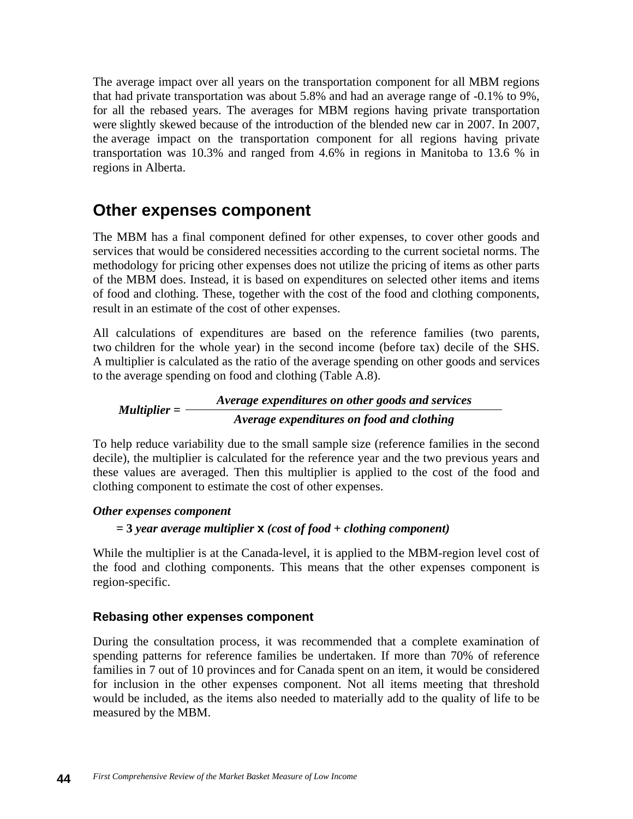The average impact over all years on the transportation component for all MBM regions that had private transportation was about 5.8% and had an average range of -0.1% to 9%, for all the rebased years. The averages for MBM regions having private transportation were slightly skewed because of the introduction of the blended new car in 2007. In 2007, the average impact on the transportation component for all regions having private transportation was 10.3% and ranged from 4.6% in regions in Manitoba to 13.6 % in regions in Alberta.

# **Other expenses component**

The MBM has a final component defined for other expenses, to cover other goods and services that would be considered necessities according to the current societal norms. The methodology for pricing other expenses does not utilize the pricing of items as other parts of the MBM does. Instead, it is based on expenditures on selected other items and items of food and clothing. These, together with the cost of the food and clothing components, result in an estimate of the cost of other expenses.

All calculations of expenditures are based on the reference families (two parents, two children for the whole year) in the second income (before tax) decile of the SHS. A multiplier is calculated as the ratio of the average spending on other goods and services to the average spending on food and clothing (Table A.8).

*Average expenditures on other goods and services Multiplier = Average expenditures on food and clothing*

To help reduce variability due to the small sample size (reference families in the second decile), the multiplier is calculated for the reference year and the two previous years and these values are averaged. Then this multiplier is applied to the cost of the food and clothing component to estimate the cost of other expenses.

#### *Other expenses component*

#### *=* **3** *year average multiplier* **x** *(cost of food* **+** *clothing component)*

While the multiplier is at the Canada-level, it is applied to the MBM-region level cost of the food and clothing components. This means that the other expenses component is region-specific.

#### **Rebasing other expenses component**

During the consultation process, it was recommended that a complete examination of spending patterns for reference families be undertaken. If more than 70% of reference families in 7 out of 10 provinces and for Canada spent on an item, it would be considered for inclusion in the other expenses component. Not all items meeting that threshold would be included, as the items also needed to materially add to the quality of life to be measured by the MBM.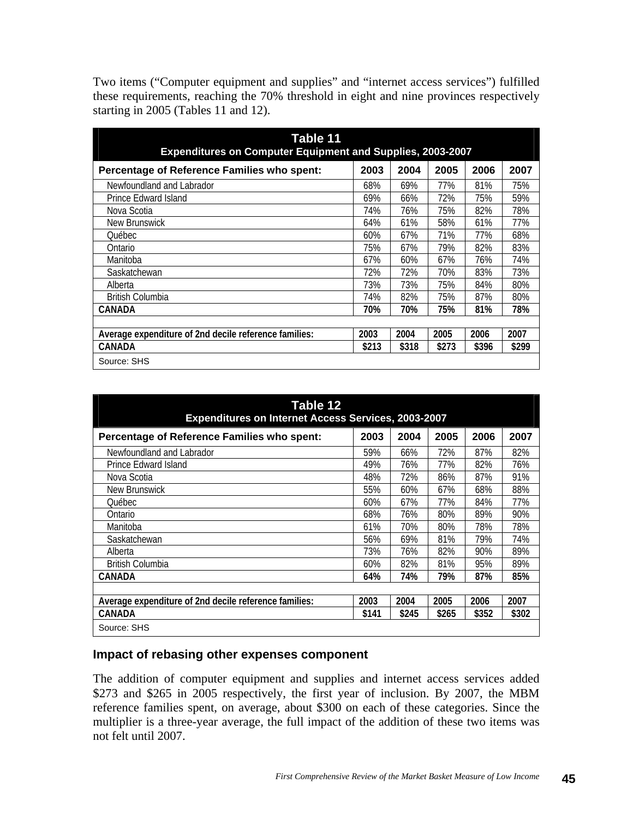Two items ("Computer equipment and supplies" and "internet access services") fulfilled these requirements, reaching the 70% threshold in eight and nine provinces respectively starting in 2005 (Tables 11 and 12).

| Table 11<br><b>Expenditures on Computer Equipment and Supplies, 2003-2007</b> |       |       |       |       |       |  |  |  |  |  |
|-------------------------------------------------------------------------------|-------|-------|-------|-------|-------|--|--|--|--|--|
| Percentage of Reference Families who spent:                                   | 2003  | 2004  | 2005  | 2006  | 2007  |  |  |  |  |  |
| Newfoundland and Labrador                                                     | 68%   | 69%   | 77%   | 81%   | 75%   |  |  |  |  |  |
| Prince Edward Island                                                          | 69%   | 66%   | 72%   | 75%   | 59%   |  |  |  |  |  |
| Nova Scotia                                                                   | 74%   | 76%   | 75%   | 82%   | 78%   |  |  |  |  |  |
| New Brunswick                                                                 | 64%   | 61%   | 58%   | 61%   | 77%   |  |  |  |  |  |
| Ouébec                                                                        | 60%   | 67%   | 71%   | 77%   | 68%   |  |  |  |  |  |
| Ontario                                                                       | 75%   | 67%   | 79%   | 82%   | 83%   |  |  |  |  |  |
| Manitoba                                                                      | 67%   | 60%   | 67%   | 76%   | 74%   |  |  |  |  |  |
| Saskatchewan                                                                  | 72%   | 72%   | 70%   | 83%   | 73%   |  |  |  |  |  |
| Alberta                                                                       | 73%   | 73%   | 75%   | 84%   | 80%   |  |  |  |  |  |
| <b>British Columbia</b>                                                       | 74%   | 82%   | 75%   | 87%   | 80%   |  |  |  |  |  |
| CANADA                                                                        | 70%   | 70%   | 75%   | 81%   | 78%   |  |  |  |  |  |
|                                                                               |       |       |       |       |       |  |  |  |  |  |
| Average expenditure of 2nd decile reference families:                         | 2003  | 2004  | 2005  | 2006  | 2007  |  |  |  |  |  |
| CANADA                                                                        | \$213 | \$318 | \$273 | \$396 | \$299 |  |  |  |  |  |
| Source: SHS                                                                   |       |       |       |       |       |  |  |  |  |  |

| Table 12<br><b>Expenditures on Internet Access Services, 2003-2007</b> |       |       |       |       |       |  |
|------------------------------------------------------------------------|-------|-------|-------|-------|-------|--|
| Percentage of Reference Families who spent:                            | 2003  | 2004  | 2005  | 2006  | 2007  |  |
| Newfoundland and Labrador                                              | 59%   | 66%   | 72%   | 87%   | 82%   |  |
| Prince Edward Island                                                   | 49%   | 76%   | 77%   | 82%   | 76%   |  |
| Nova Scotia                                                            | 48%   | 72%   | 86%   | 87%   | 91%   |  |
| New Brunswick                                                          | 55%   | 60%   | 67%   | 68%   | 88%   |  |
| <b>Ouébec</b>                                                          | 60%   | 67%   | 77%   | 84%   | 77%   |  |
| Ontario                                                                | 68%   | 76%   | 80%   | 89%   | 90%   |  |
| Manitoba                                                               | 61%   | 70%   | 80%   | 78%   | 78%   |  |
| Saskatchewan                                                           | 56%   | 69%   | 81%   | 79%   | 74%   |  |
| Alberta                                                                | 73%   | 76%   | 82%   | 90%   | 89%   |  |
| <b>British Columbia</b>                                                | 60%   | 82%   | 81%   | 95%   | 89%   |  |
| CANADA                                                                 | 64%   | 74%   | 79%   | 87%   | 85%   |  |
|                                                                        |       |       |       |       |       |  |
| Average expenditure of 2nd decile reference families:                  | 2003  | 2004  | 2005  | 2006  | 2007  |  |
| CANADA                                                                 | \$141 | \$245 | \$265 | \$352 | \$302 |  |
| Source: SHS                                                            |       |       |       |       |       |  |

#### **Impact of rebasing other expenses component**

The addition of computer equipment and supplies and internet access services added \$273 and \$265 in 2005 respectively, the first year of inclusion. By 2007, the MBM reference families spent, on average, about \$300 on each of these categories. Since the multiplier is a three-year average, the full impact of the addition of these two items was not felt until 2007.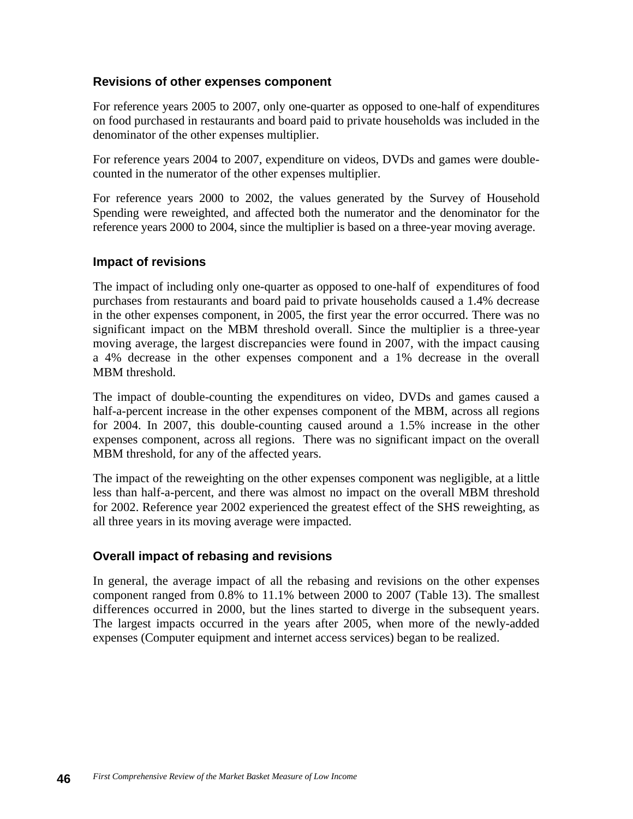#### **Revisions of other expenses component**

For reference years 2005 to 2007, only one-quarter as opposed to one-half of expenditures on food purchased in restaurants and board paid to private households was included in the denominator of the other expenses multiplier.

For reference years 2004 to 2007, expenditure on videos, DVDs and games were doublecounted in the numerator of the other expenses multiplier.

For reference years 2000 to 2002, the values generated by the Survey of Household Spending were reweighted, and affected both the numerator and the denominator for the reference years 2000 to 2004, since the multiplier is based on a three-year moving average.

#### **Impact of revisions**

The impact of including only one-quarter as opposed to one-half of expenditures of food purchases from restaurants and board paid to private households caused a 1.4% decrease in the other expenses component, in 2005, the first year the error occurred. There was no significant impact on the MBM threshold overall. Since the multiplier is a three-year moving average, the largest discrepancies were found in 2007, with the impact causing a 4% decrease in the other expenses component and a 1% decrease in the overall MBM threshold.

The impact of double-counting the expenditures on video, DVDs and games caused a half-a-percent increase in the other expenses component of the MBM, across all regions for 2004. In 2007, this double-counting caused around a 1.5% increase in the other expenses component, across all regions. There was no significant impact on the overall MBM threshold, for any of the affected years.

The impact of the reweighting on the other expenses component was negligible, at a little less than half-a-percent, and there was almost no impact on the overall MBM threshold for 2002. Reference year 2002 experienced the greatest effect of the SHS reweighting, as all three years in its moving average were impacted.

#### **Overall impact of rebasing and revisions**

In general, the average impact of all the rebasing and revisions on the other expenses component ranged from 0.8% to 11.1% between 2000 to 2007 (Table 13). The smallest differences occurred in 2000, but the lines started to diverge in the subsequent years. The largest impacts occurred in the years after 2005, when more of the newly-added expenses (Computer equipment and internet access services) began to be realized.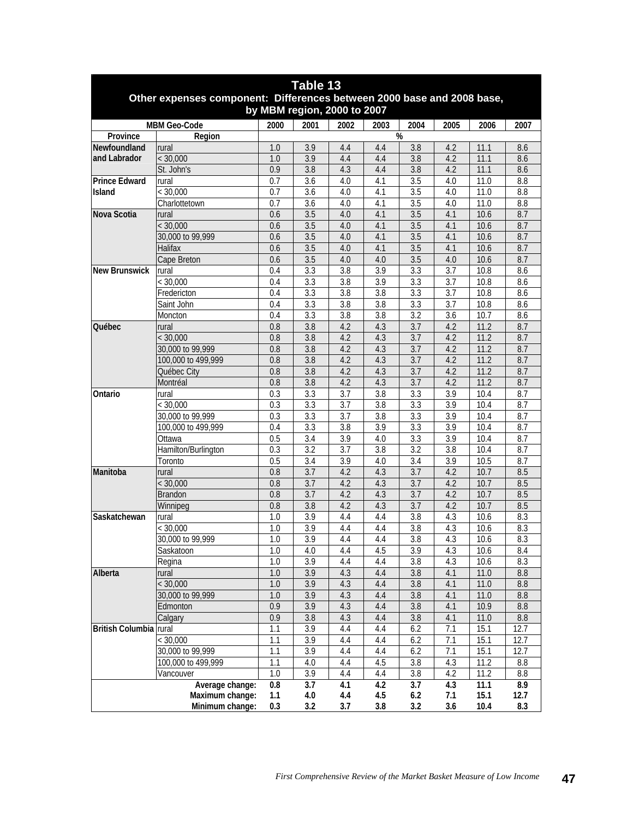| Table 13                                                                                              |                      |                  |                  |                  |                  |                  |                  |      |                  |
|-------------------------------------------------------------------------------------------------------|----------------------|------------------|------------------|------------------|------------------|------------------|------------------|------|------------------|
| Other expenses component: Differences between 2000 base and 2008 base,<br>by MBM region, 2000 to 2007 |                      |                  |                  |                  |                  |                  |                  |      |                  |
|                                                                                                       | <b>MBM Geo-Code</b>  | 2000             | 2001             | 2002             | 2003             | 2004             | 2005             | 2006 | 2007             |
| Province                                                                                              | Region               |                  |                  |                  |                  | %                |                  |      |                  |
| Newfoundland                                                                                          | rural                | 1.0              | 3.9              | 4.4              | 4.4              | 3.8              | 4.2              | 11.1 | 8.6              |
| and Labrador                                                                                          | < 30,000             | 1.0              | 3.9              | 4.4              | 4.4              | 3.8              | 4.2              | 11.1 | 8.6              |
|                                                                                                       | St. John's           | 0.9              | 3.8              | 4.3              | 4.4              | 3.8              | 4.2              | 11.1 | 8.6              |
| <b>Prince Edward</b>                                                                                  | rural                | 0.7              | 3.6              | 4.0              | 4.1              | 3.5              | 4.0              | 11.0 | 8.8              |
| <b>Island</b>                                                                                         | < 30,000             | 0.7              | $\overline{3.6}$ | 4.0              | 4.1              | $\overline{3.5}$ | 4.0              | 11.0 | $\overline{8.8}$ |
|                                                                                                       | Charlottetown        | 0.7              | 3.6              | 4.0              | 4.1              | 3.5              | 4.0              | 11.0 | 8.8              |
| Nova Scotia                                                                                           | rural                | 0.6              | 3.5              | 4.0              | 4.1              | 3.5              | 4.1              | 10.6 | 8.7              |
|                                                                                                       | < 30,000             | 0.6              | 3.5              | 4.0              | 4.1              | 3.5              | 4.1              | 10.6 | 8.7              |
|                                                                                                       | 30,000 to 99,999     | 0.6              | 3.5              | 4.0              | 4.1              | 3.5              | 4.1              | 10.6 | 8.7              |
|                                                                                                       | Halifax              | 0.6              | 3.5              | 4.0              | 4.1              | 3.5              | 4.1              | 10.6 | 8.7              |
|                                                                                                       | Cape Breton          | 0.6              | 3.5              | 4.0              | 4.0              | 3.5              | 4.0              | 10.6 | 8.7              |
| <b>New Brunswick</b>                                                                                  | rural                | 0.4              | 3.3              | 3.8              | 3.9              | 3.3              | 3.7              | 10.8 | 8.6              |
|                                                                                                       | < 30,000             | 0.4              | 3.3              | 3.8              | 3.9              | 3.3              | 3.7              | 10.8 | 8.6              |
|                                                                                                       | Fredericton          | 0.4              | 3.3              | 3.8              | 3.8              | 3.3              | 3.7              | 10.8 | 8.6              |
|                                                                                                       | Saint John           | 0.4              | 3.3              | 3.8              | 3.8              | 3.3              | 3.7              | 10.8 | 8.6              |
|                                                                                                       | Moncton              | 0.4              | 3.3              | 3.8              | 3.8              | 3.2              | 3.6              | 10.7 | 8.6              |
| <b>Ouébec</b>                                                                                         | rural                | 0.8              | 3.8              | 4.2              | 4.3              | 3.7              | 4.2              | 11.2 | 8.7              |
|                                                                                                       | < 30,000             | $\overline{0.8}$ | 3.8              | 4.2              | 4.3              | 3.7              | 4.2              | 11.2 | 8.7              |
|                                                                                                       | 30,000 to 99,999     | 0.8              | $\overline{3.8}$ | 4.2              | 4.3              | $\overline{3.7}$ | 4.2              | 11.2 | 8.7              |
|                                                                                                       | 100,000 to 499,999   | 0.8              | 3.8              | 4.2              | 4.3              | 3.7              | 4.2              | 11.2 | 8.7              |
|                                                                                                       | Québec City          | 0.8              | 3.8              | 4.2              | 4.3              | 3.7              | 4.2              | 11.2 | 8.7              |
|                                                                                                       | Montréal             | 0.8              | 3.8              | 4.2              | 4.3              | 3.7              | 4.2              | 11.2 | 8.7              |
| Ontario                                                                                               | rural                | 0.3              | 3.3              | 3.7              | 3.8              | 3.3              | 3.9              | 10.4 | 8.7              |
|                                                                                                       | < 30,000             | 0.3              | 3.3              | 3.7              | 3.8              | 3.3              | 3.9              | 10.4 | 8.7              |
|                                                                                                       | 30,000 to 99,999     | 0.3              | 3.3              | $\overline{3.7}$ | 3.8              | 3.3              | 3.9              | 10.4 | 8.7              |
|                                                                                                       | 100,000 to 499,999   | 0.4              | $\overline{3.3}$ | 3.8              | $\overline{3.9}$ | $\overline{3.3}$ | $\overline{3.9}$ | 10.4 | 8.7              |
|                                                                                                       | Ottawa               | 0.5              | 3.4              | 3.9              | 4.0              | 3.3              | 3.9              | 10.4 | 8.7              |
|                                                                                                       | Hamilton/Burlington  | 0.3              | 3.2              | 3.7              | 3.8              | 3.2              | 3.8              | 10.4 | 8.7              |
|                                                                                                       | Toronto              | 0.5              | 3.4              | 3.9              | 4.0              | 3.4              | 3.9              | 10.5 | 8.7              |
| Manitoba                                                                                              | rural                | $\overline{0.8}$ | $\overline{3.7}$ | 4.2              | 4.3              | 3.7              | 4.2              | 10.7 | 8.5              |
|                                                                                                       | $\overline{<}30,000$ | 0.8              | 3.7              | 4.2              | 4.3              | 3.7              | 4.2              | 10.7 | 8.5              |
|                                                                                                       | <b>Brandon</b>       | 0.8              | 3.7              | 4.2              | 4.3              | 3.7              | 4.2              | 10.7 | 8.5              |
|                                                                                                       | Winnipeg             | 0.8              | 3.8              | 4.2              | 4.3              | 3.7              | 4.2              | 10.7 | 8.5              |
| Saskatchewan                                                                                          | rural                | 1.0              | 3.9              | 4.4              | 4.4              | $\overline{3.8}$ | 4.3              | 10.6 | 8.3              |
|                                                                                                       | < 30,000             | 1.0              | 3.9              | 4.4              | 4.4              | $\overline{3.8}$ | 4.3              | 10.6 | 8.3              |
|                                                                                                       | 30,000 to 99,999     | $1.0\,$          | $\overline{3.9}$ | 4.4              | 4.4              | 3.8              | 4.3              | 10.6 | 8.3              |
|                                                                                                       | Saskatoon            | 1.0              | 4.0              | 4.4              | 4.5              | 3.9              | 4.3              | 10.6 | $8.4\,$          |
|                                                                                                       | Regina               | 1.0              | 3.9              | 4.4              | 4.4              | 3.8              | 4.3              | 10.6 | 8.3              |
| Alberta                                                                                               | rural                | 1.0              | 3.9              | 4.3              | 4.4              | 3.8              | 4.1              | 11.0 | 8.8              |
|                                                                                                       | < 30,000             | 1.0              | 3.9              | 4.3              | 4.4              | 3.8              | 4.1              | 11.0 | 8.8              |
|                                                                                                       | 30,000 to 99,999     | 1.0              | 3.9              | 4.3              | 4.4              | $\overline{3.8}$ | 4.1              | 11.0 | 8.8              |
|                                                                                                       | Edmonton             | 0.9              | 3.9              | 4.3              | 4.4              | 3.8              | 4.1              | 10.9 | 8.8              |
|                                                                                                       | Calgary              | 0.9              | 3.8              | 4.3              | 4.4              | 3.8              | 4.1              | 11.0 | 8.8              |
| British Columbia rural                                                                                |                      | 1.1              | 3.9              | 4.4              | 4.4              | 6.2              | 7.1              | 15.1 | 12.7             |
|                                                                                                       |                      |                  |                  |                  |                  |                  |                  |      |                  |
|                                                                                                       | < 30,000             | 1.1              | 3.9              | 4.4              | 4.4              | 6.2              | 7.1              | 15.1 | 12.7             |
|                                                                                                       | 30,000 to 99,999     | 1.1              | 3.9              | 4.4              | 4.4              | 6.2              | 7.1              | 15.1 | 12.7             |
|                                                                                                       | 100,000 to 499,999   | 1.1              | 4.0              | 4.4              | 4.5              | 3.8              | 4.3              | 11.2 | $8.8\,$          |
|                                                                                                       | Vancouver            | 1.0              | 3.9              | 4.4              | 4.4              | $3.8\,$          | 4.2              | 11.2 | $\,8.8$          |
|                                                                                                       | Average change:      | $0.8\,$          | 3.7              | 4.1              | 4.2              | 3.7              | 4.3              | 11.1 | 8.9              |
|                                                                                                       | Maximum change:      | 1.1              | 4.0              | 4.4              | 4.5              | 6.2              | 7.1              | 15.1 | 12.7             |
|                                                                                                       | Minimum change:      | 0.3              | 3.2              | 3.7              | 3.8              | 3.2              | 3.6              | 10.4 | 8.3              |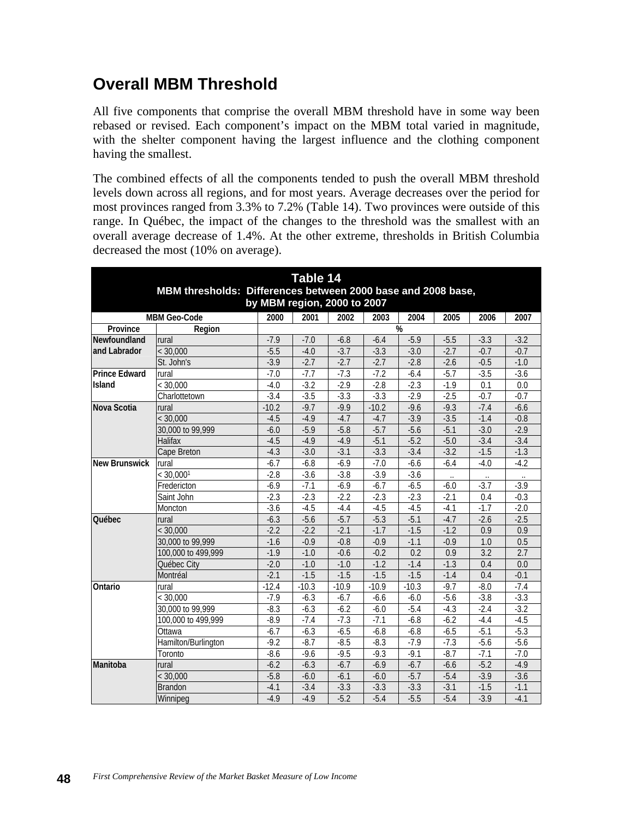# **Overall MBM Threshold**

All five components that comprise the overall MBM threshold have in some way been rebased or revised. Each component's impact on the MBM total varied in magnitude, with the shelter component having the largest influence and the clothing component having the smallest.

The combined effects of all the components tended to push the overall MBM threshold levels down across all regions, and for most years. Average decreases over the period for most provinces ranged from 3.3% to 7.2% (Table 14). Two provinces were outside of this range. In Québec, the impact of the changes to the threshold was the smallest with an overall average decrease of 1.4%. At the other extreme, thresholds in British Columbia decreased the most (10% on average).

| Table 14<br>MBM thresholds: Differences between 2000 base and 2008 base,<br>by MBM region, 2000 to 2007 |                                                                             |         |         |         |         |         |        |        |        |
|---------------------------------------------------------------------------------------------------------|-----------------------------------------------------------------------------|---------|---------|---------|---------|---------|--------|--------|--------|
|                                                                                                         | <b>MBM Geo-Code</b><br>2000<br>2001<br>2002<br>2003<br>2004<br>2005<br>2006 |         |         |         |         |         | 2007   |        |        |
| Province                                                                                                | %<br>Region                                                                 |         |         |         |         |         |        |        |        |
| Newfoundland                                                                                            | rural                                                                       | $-7.9$  | $-7.0$  | $-6.8$  | $-6.4$  | $-5.9$  | $-5.5$ | $-3.3$ | $-3.2$ |
| and Labrador                                                                                            | < 30,000                                                                    | $-5.5$  | $-4.0$  | $-3.7$  | $-3.3$  | $-3.0$  | $-2.7$ | $-0.7$ | $-0.7$ |
|                                                                                                         | St. John's                                                                  | $-3.9$  | $-2.7$  | $-2.7$  | $-2.7$  | $-2.8$  | $-2.6$ | $-0.5$ | $-1.0$ |
| <b>Prince Edward</b>                                                                                    | rural                                                                       | $-7.0$  | $-7.7$  | $-7.3$  | $-7.2$  | $-6.4$  | $-5.7$ | $-3.5$ | $-3.6$ |
| Island                                                                                                  | < 30,000                                                                    | $-4.0$  | $-3.2$  | $-2.9$  | $-2.8$  | $-2.3$  | $-1.9$ | 0.1    | 0.0    |
|                                                                                                         | Charlottetown                                                               | $-3.4$  | $-3.5$  | $-3.3$  | $-3.3$  | $-2.9$  | $-2.5$ | $-0.7$ | $-0.7$ |
| Nova Scotia                                                                                             | rural                                                                       | $-10.2$ | $-9.7$  | $-9.9$  | $-10.2$ | $-9.6$  | $-9.3$ | $-7.4$ | $-6.6$ |
|                                                                                                         | < 30,000                                                                    | $-4.5$  | $-4.9$  | $-4.7$  | $-4.7$  | $-3.9$  | $-3.5$ | $-1.4$ | $-0.8$ |
|                                                                                                         | 30,000 to 99,999                                                            | $-6.0$  | $-5.9$  | $-5.8$  | $-5.7$  | $-5.6$  | $-5.1$ | $-3.0$ | $-2.9$ |
|                                                                                                         | Halifax                                                                     | $-4.5$  | $-4.9$  | $-4.9$  | $-5.1$  | $-5.2$  | $-5.0$ | $-3.4$ | $-3.4$ |
|                                                                                                         | Cape Breton                                                                 | $-4.3$  | $-3.0$  | $-3.1$  | $-3.3$  | $-3.4$  | $-3.2$ | $-1.5$ | $-1.3$ |
| <b>New Brunswick</b>                                                                                    | rural                                                                       | $-6.7$  | $-6.8$  | $-6.9$  | $-7.0$  | $-6.6$  | $-6.4$ | $-4.0$ | $-4.2$ |
|                                                                                                         | < 30,000 <sup>1</sup>                                                       | $-2.8$  | $-3.6$  | $-3.8$  | $-3.9$  | $-3.6$  |        |        |        |
|                                                                                                         | Fredericton                                                                 | $-6.9$  | $-7.1$  | $-6.9$  | $-6.7$  | $-6.5$  | $-6.0$ | $-3.7$ | $-3.9$ |
|                                                                                                         | Saint John                                                                  | $-2.3$  | $-2.3$  | $-2.2$  | $-2.3$  | $-2.3$  | $-2.1$ | 0.4    | $-0.3$ |
|                                                                                                         | Moncton                                                                     | $-3.6$  | $-4.5$  | $-4.4$  | $-4.5$  | $-4.5$  | $-4.1$ | $-1.7$ | $-2.0$ |
| <b>Québec</b>                                                                                           | rural                                                                       | $-6.3$  | $-5.6$  | $-5.7$  | $-5.3$  | $-5.1$  | $-4.7$ | $-2.6$ | $-2.5$ |
|                                                                                                         | < 30,000                                                                    | $-2.2$  | $-2.2$  | $-2.1$  | $-1.7$  | $-1.5$  | $-1.2$ | 0.9    | 0.9    |
|                                                                                                         | 30,000 to 99,999                                                            | $-1.6$  | $-0.9$  | $-0.8$  | $-0.9$  | $-1.1$  | $-0.9$ | 1.0    | 0.5    |
|                                                                                                         | 100,000 to 499,999                                                          | $-1.9$  | $-1.0$  | $-0.6$  | $-0.2$  | 0.2     | 0.9    | 3.2    | 2.7    |
|                                                                                                         | Québec City                                                                 | $-2.0$  | $-1.0$  | $-1.0$  | $-1.2$  | $-1.4$  | $-1.3$ | 0.4    | 0.0    |
|                                                                                                         | Montréal                                                                    | $-2.1$  | $-1.5$  | $-1.5$  | $-1.5$  | $-1.5$  | $-1.4$ | 0.4    | $-0.1$ |
| Ontario                                                                                                 | rural                                                                       | $-12.4$ | $-10.3$ | $-10.9$ | $-10.9$ | $-10.3$ | $-9.7$ | $-8.0$ | $-7.4$ |
|                                                                                                         | < 30,000                                                                    | $-7.9$  | $-6.3$  | $-6.7$  | $-6.6$  | $-6.0$  | $-5.6$ | $-3.8$ | $-3.3$ |
|                                                                                                         | 30,000 to 99,999                                                            | $-8.3$  | $-6.3$  | $-6.2$  | $-6.0$  | $-5.4$  | $-4.3$ | $-2.4$ | $-3.2$ |
|                                                                                                         | 100,000 to 499,999                                                          | $-8.9$  | $-7.4$  | $-7.3$  | $-7.1$  | $-6.8$  | $-6.2$ | $-4.4$ | $-4.5$ |
|                                                                                                         | Ottawa                                                                      | $-6.7$  | $-6.3$  | $-6.5$  | $-6.8$  | $-6.8$  | $-6.5$ | $-5.1$ | $-5.3$ |
|                                                                                                         | Hamilton/Burlington                                                         | $-9.2$  | $-8.7$  | $-8.5$  | $-8.3$  | $-7.9$  | $-7.3$ | $-5.6$ | $-5.6$ |
|                                                                                                         | Toronto                                                                     | $-8.6$  | $-9.6$  | $-9.5$  | $-9.3$  | $-9.1$  | $-8.7$ | $-7.1$ | $-7.0$ |
| Manitoba                                                                                                | rural                                                                       | $-6.2$  | $-6.3$  | $-6.7$  | $-6.9$  | $-6.7$  | $-6.6$ | $-5.2$ | $-4.9$ |
|                                                                                                         | < 30,000                                                                    | $-5.8$  | $-6.0$  | $-6.1$  | $-6.0$  | $-5.7$  | $-5.4$ | $-3.9$ | $-3.6$ |
|                                                                                                         | <b>Brandon</b>                                                              | $-4.1$  | $-3.4$  | $-3.3$  | $-3.3$  | $-3.3$  | $-3.1$ | $-1.5$ | $-1.1$ |
|                                                                                                         | Winnipeg                                                                    | $-4.9$  | $-4.9$  | $-5.2$  | $-5.4$  | $-5.5$  | $-5.4$ | $-3.9$ | $-4.1$ |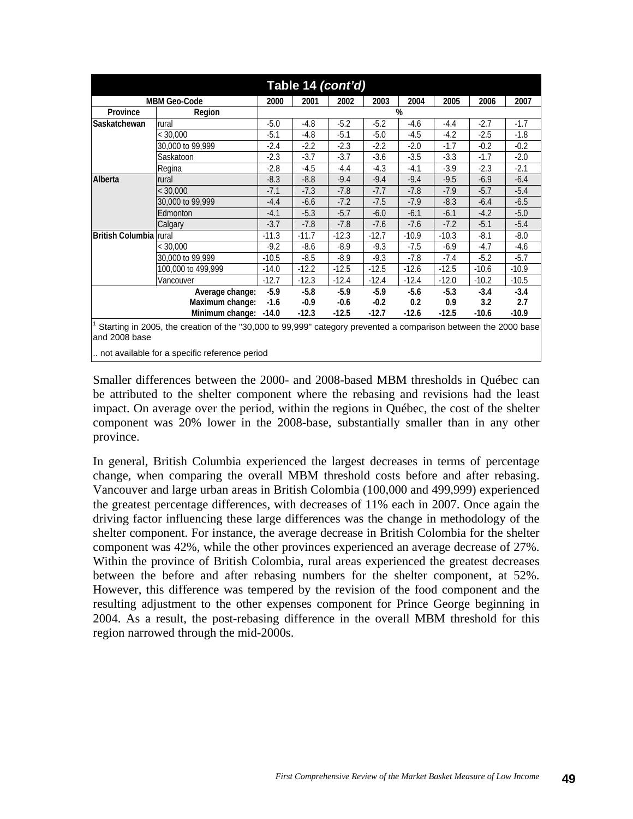| Table 14 (cont'd)                                                                                              |                                                                             |         |         |         |         |         |         |         |         |
|----------------------------------------------------------------------------------------------------------------|-----------------------------------------------------------------------------|---------|---------|---------|---------|---------|---------|---------|---------|
|                                                                                                                | <b>MBM Geo-Code</b><br>2000<br>2001<br>2002<br>2003<br>2004<br>2005<br>2006 |         |         |         |         |         |         | 2007    |         |
| Province                                                                                                       | Region                                                                      |         |         |         |         | %       |         |         |         |
| Saskatchewan                                                                                                   | rural                                                                       | $-5.0$  | $-4.8$  | $-5.2$  | $-5.2$  | $-4.6$  | $-4.4$  | $-2.7$  | $-1.7$  |
|                                                                                                                | $<$ 30,000                                                                  | $-5.1$  | $-4.8$  | $-5.1$  | $-5.0$  | $-4.5$  | $-4.2$  | $-2.5$  | $-1.8$  |
|                                                                                                                | 30,000 to 99,999                                                            | $-2.4$  | $-2.2$  | $-2.3$  | $-2.2$  | $-2.0$  | $-1.7$  | $-0.2$  | $-0.2$  |
|                                                                                                                | Saskatoon                                                                   | $-2.3$  | $-3.7$  | $-3.7$  | $-3.6$  | $-3.5$  | $-3.3$  | $-1.7$  | $-2.0$  |
|                                                                                                                | Regina                                                                      | $-2.8$  | $-4.5$  | $-4.4$  | $-4.3$  | $-4.1$  | $-3.9$  | $-2.3$  | $-2.1$  |
| Alberta                                                                                                        | rural                                                                       | $-8.3$  | $-8.8$  | $-9.4$  | $-9.4$  | $-9.4$  | $-9.5$  | $-6.9$  | $-6.4$  |
|                                                                                                                | < 30,000                                                                    | $-7.1$  | $-7.3$  | $-7.8$  | $-7.7$  | $-7.8$  | $-7.9$  | $-5.7$  | $-5.4$  |
|                                                                                                                | 30,000 to 99,999                                                            | $-4.4$  | $-6.6$  | $-7.2$  | $-7.5$  | $-7.9$  | $-8.3$  | $-6.4$  | $-6.5$  |
|                                                                                                                | Edmonton                                                                    | $-4.1$  | $-5.3$  | $-5.7$  | $-6.0$  | $-6.1$  | $-6.1$  | $-4.2$  | $-5.0$  |
|                                                                                                                | Calgary                                                                     | $-3.7$  | $-7.8$  | $-7.8$  | $-7.6$  | $-7.6$  | $-7.2$  | $-5.1$  | $-5.4$  |
| <b>British Columbia Irural</b>                                                                                 |                                                                             | $-11.3$ | $-11.7$ | $-12.3$ | $-12.7$ | $-10.9$ | $-10.3$ | $-8.1$  | $-8.0$  |
|                                                                                                                | < 30.000                                                                    | $-9.2$  | $-8.6$  | $-8.9$  | $-9.3$  | $-7.5$  | $-6.9$  | $-4.7$  | $-4.6$  |
|                                                                                                                | 30,000 to 99,999                                                            | $-10.5$ | $-8.5$  | $-8.9$  | $-9.3$  | $-7.8$  | $-7.4$  | $-5.2$  | $-5.7$  |
|                                                                                                                | 100,000 to 499,999                                                          | $-14.0$ | $-12.2$ | $-12.5$ | $-12.5$ | $-12.6$ | $-12.5$ | $-10.6$ | $-10.9$ |
|                                                                                                                | Vancouver                                                                   | $-12.7$ | $-12.3$ | $-12.4$ | $-12.4$ | $-12.4$ | $-12.0$ | $-10.2$ | $-10.5$ |
| $-5.9$<br>$-5.8$<br>$-5.9$<br>$-5.9$<br>$-5.6$<br>$-5.3$<br>$-3.4$<br>Average change:                          |                                                                             |         |         |         | $-3.4$  |         |         |         |         |
| Maximum change:<br>$-0.9$<br>$-0.2$<br>0.2<br>0.9<br>3.2<br>$-1.6$<br>$-0.6$                                   |                                                                             |         |         |         | 2.7     |         |         |         |         |
| Minimum change: -14.0<br>$-12.7$<br>$-12.6$<br>$-10.9$<br>$-12.3$<br>$-12.5$<br>$-12.5$<br>$-10.6$             |                                                                             |         |         |         |         |         |         |         |         |
| Starting in 2005, the creation of the "30,000 to 99,999" category prevented a comparison between the 2000 base |                                                                             |         |         |         |         |         |         |         |         |

and 2008 base

.. not available for a specific reference period

Smaller differences between the 2000- and 2008-based MBM thresholds in Québec can be attributed to the shelter component where the rebasing and revisions had the least impact. On average over the period, within the regions in Québec, the cost of the shelter component was 20% lower in the 2008-base, substantially smaller than in any other province.

In general, British Columbia experienced the largest decreases in terms of percentage change, when comparing the overall MBM threshold costs before and after rebasing. Vancouver and large urban areas in British Colombia (100,000 and 499,999) experienced the greatest percentage differences, with decreases of 11% each in 2007. Once again the driving factor influencing these large differences was the change in methodology of the shelter component. For instance, the average decrease in British Colombia for the shelter component was 42%, while the other provinces experienced an average decrease of 27%. Within the province of British Colombia, rural areas experienced the greatest decreases between the before and after rebasing numbers for the shelter component, at 52%. However, this difference was tempered by the revision of the food component and the resulting adjustment to the other expenses component for Prince George beginning in 2004. As a result, the post-rebasing difference in the overall MBM threshold for this region narrowed through the mid-2000s.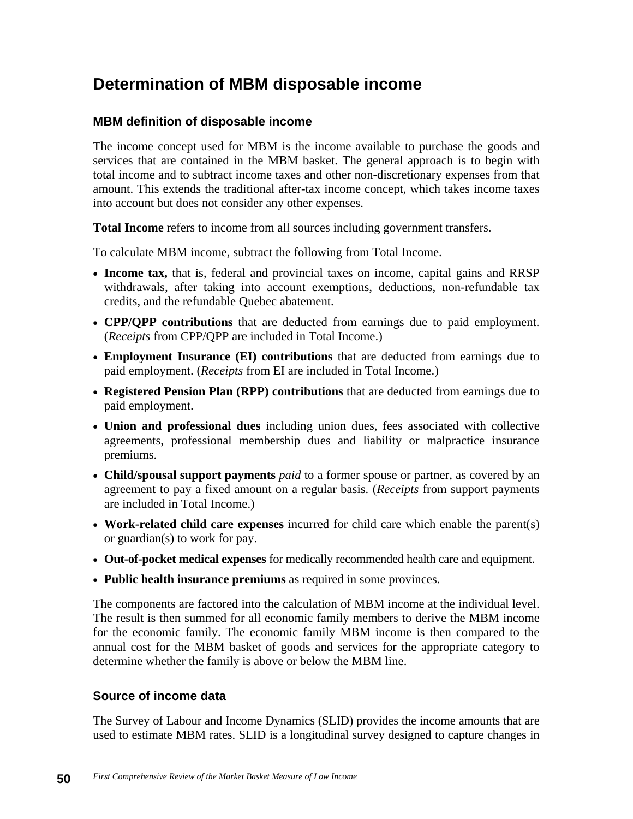# **Determination of MBM disposable income**

## **MBM definition of disposable income**

The income concept used for MBM is the income available to purchase the goods and services that are contained in the MBM basket. The general approach is to begin with total income and to subtract income taxes and other non-discretionary expenses from that amount. This extends the traditional after-tax income concept, which takes income taxes into account but does not consider any other expenses.

**Total Income** refers to income from all sources including government transfers.

To calculate MBM income, subtract the following from Total Income.

- **Income tax,** that is, federal and provincial taxes on income, capital gains and RRSP withdrawals, after taking into account exemptions, deductions, non-refundable tax credits, and the refundable Quebec abatement.
- **CPP/QPP contributions** that are deducted from earnings due to paid employment. (*Receipts* from CPP/QPP are included in Total Income.)
- **Employment Insurance (EI) contributions** that are deducted from earnings due to paid employment. (*Receipts* from EI are included in Total Income.)
- **Registered Pension Plan (RPP) contributions** that are deducted from earnings due to paid employment.
- **Union and professional dues** including union dues, fees associated with collective agreements, professional membership dues and liability or malpractice insurance premiums.
- **Child/spousal support payments** *paid* to a former spouse or partner, as covered by an agreement to pay a fixed amount on a regular basis. (*Receipts* from support payments are included in Total Income.)
- **Work-related child care expenses** incurred for child care which enable the parent(s) or guardian(s) to work for pay.
- **Out-of-pocket medical expenses** for medically recommended health care and equipment.
- **Public health insurance premiums** as required in some provinces.

The components are factored into the calculation of MBM income at the individual level. The result is then summed for all economic family members to derive the MBM income for the economic family. The economic family MBM income is then compared to the annual cost for the MBM basket of goods and services for the appropriate category to determine whether the family is above or below the MBM line.

## **Source of income data**

The Survey of Labour and Income Dynamics (SLID) provides the income amounts that are used to estimate MBM rates. SLID is a longitudinal survey designed to capture changes in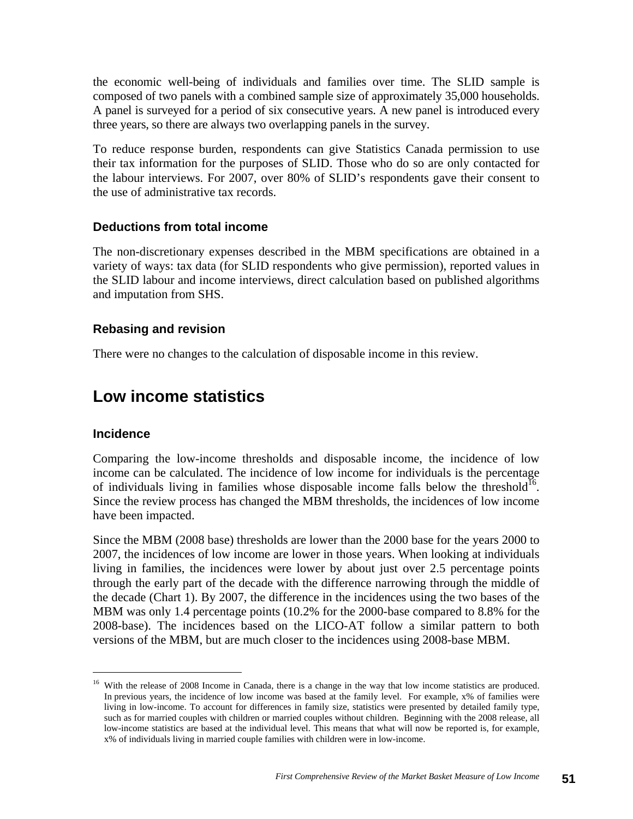the economic well-being of individuals and families over time. The SLID sample is composed of two panels with a combined sample size of approximately 35,000 households. A panel is surveyed for a period of six consecutive years. A new panel is introduced every three years, so there are always two overlapping panels in the survey.

To reduce response burden, respondents can give Statistics Canada permission to use their tax information for the purposes of SLID. Those who do so are only contacted for the labour interviews. For 2007, over 80% of SLID's respondents gave their consent to the use of administrative tax records.

#### **Deductions from total income**

The non-discretionary expenses described in the MBM specifications are obtained in a variety of ways: tax data (for SLID respondents who give permission), reported values in the SLID labour and income interviews, direct calculation based on published algorithms and imputation from SHS.

#### **Rebasing and revision**

There were no changes to the calculation of disposable income in this review.

# **Low income statistics**

#### **Incidence**

Comparing the low-income thresholds and disposable income, the incidence of low income can be calculated. The incidence of low income for individuals is the percentage of individuals living in families whose disposable income falls below the threshold<sup>16</sup>. Since the review process has changed the MBM thresholds, the incidences of low income have been impacted.

Since the MBM (2008 base) thresholds are lower than the 2000 base for the years 2000 to 2007, the incidences of low income are lower in those years. When looking at individuals living in families, the incidences were lower by about just over 2.5 percentage points through the early part of the decade with the difference narrowing through the middle of the decade (Chart 1). By 2007, the difference in the incidences using the two bases of the MBM was only 1.4 percentage points (10.2% for the 2000-base compared to 8.8% for the 2008-base). The incidences based on the LICO-AT follow a similar pattern to both versions of the MBM, but are much closer to the incidences using 2008-base MBM.

<sup>&</sup>lt;sup>16</sup> With the release of 2008 Income in Canada, there is a change in the way that low income statistics are produced. In previous years, the incidence of low income was based at the family level. For example, x% of families were living in low-income. To account for differences in family size, statistics were presented by detailed family type, such as for married couples with children or married couples without children. Beginning with the 2008 release, all low-income statistics are based at the individual level. This means that what will now be reported is, for example, x% of individuals living in married couple families with children were in low-income.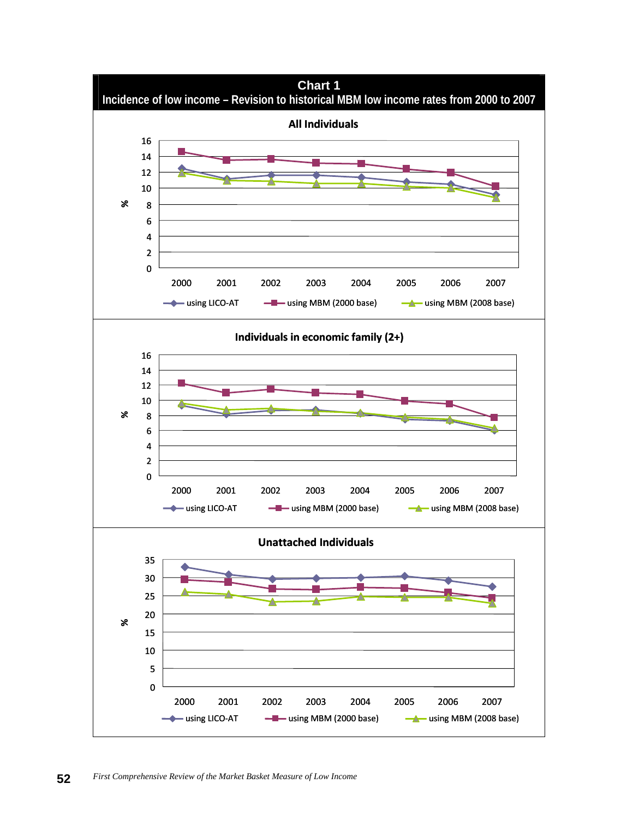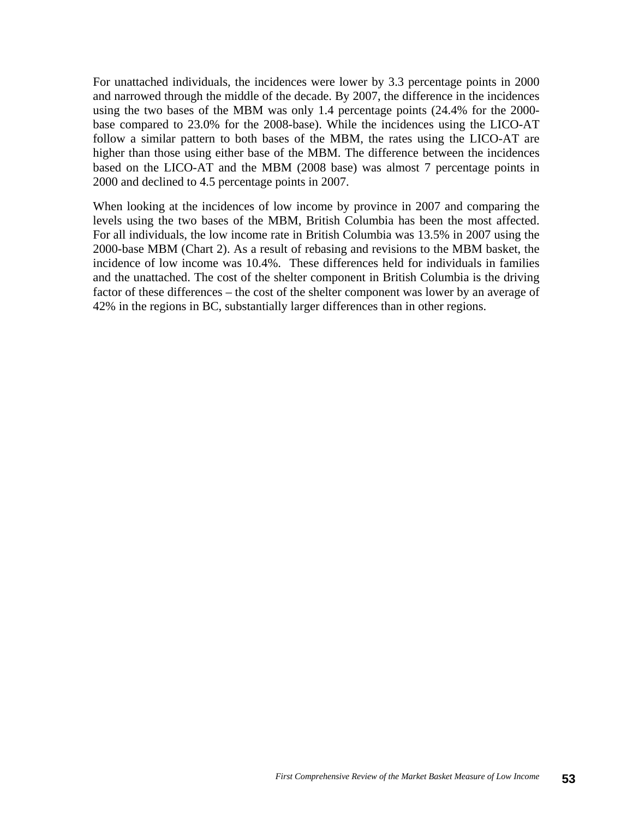For unattached individuals, the incidences were lower by 3.3 percentage points in 2000 and narrowed through the middle of the decade. By 2007, the difference in the incidences using the two bases of the MBM was only 1.4 percentage points (24.4% for the 2000 base compared to 23.0% for the 2008-base). While the incidences using the LICO-AT follow a similar pattern to both bases of the MBM, the rates using the LICO-AT are higher than those using either base of the MBM. The difference between the incidences based on the LICO-AT and the MBM (2008 base) was almost 7 percentage points in 2000 and declined to 4.5 percentage points in 2007.

When looking at the incidences of low income by province in 2007 and comparing the levels using the two bases of the MBM, British Columbia has been the most affected. For all individuals, the low income rate in British Columbia was 13.5% in 2007 using the 2000-base MBM (Chart 2). As a result of rebasing and revisions to the MBM basket, the incidence of low income was 10.4%. These differences held for individuals in families and the unattached. The cost of the shelter component in British Columbia is the driving factor of these differences – the cost of the shelter component was lower by an average of 42% in the regions in BC, substantially larger differences than in other regions.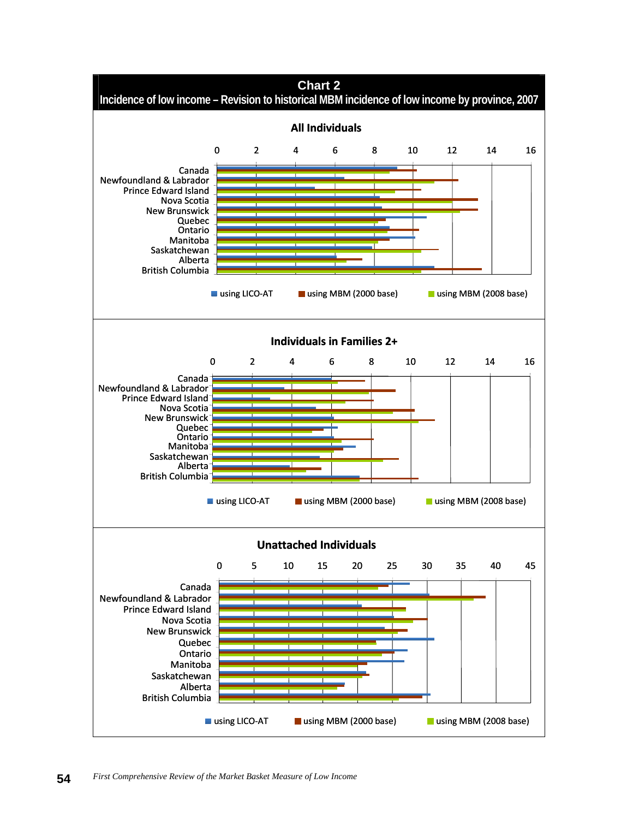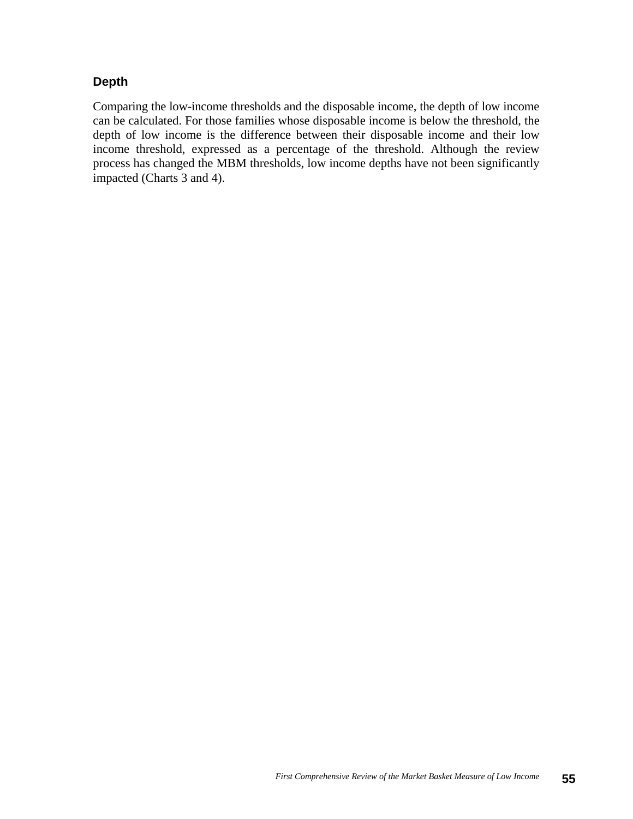## **Depth**

Comparing the low-income thresholds and the disposable income, the depth of low income can be calculated. For those families whose disposable income is below the threshold, the depth of low income is the difference between their disposable income and their low income threshold, expressed as a percentage of the threshold. Although the review process has changed the MBM thresholds, low income depths have not been significantly impacted (Charts 3 and 4).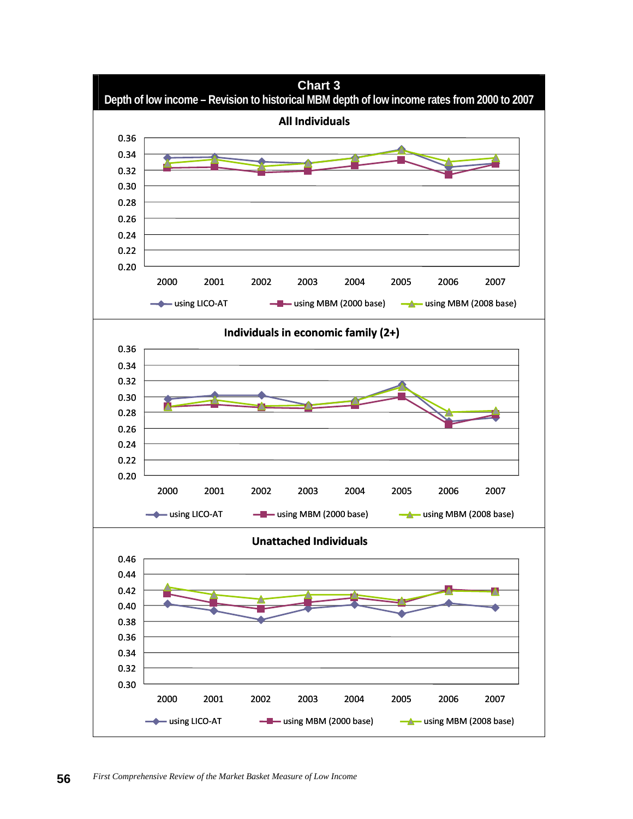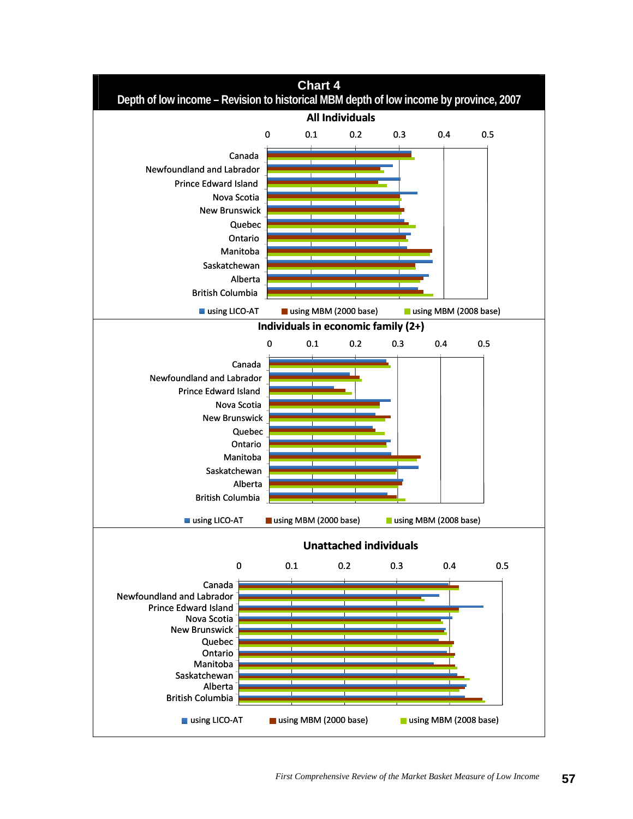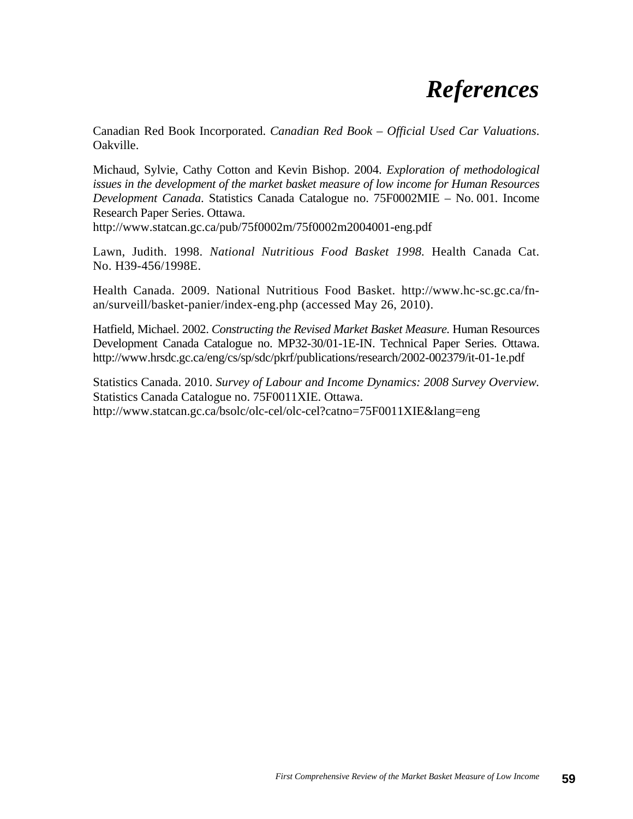# *References*

Canadian Red Book Incorporated. *Canadian Red Book – Official Used Car Valuations*. Oakville.

Michaud, Sylvie, Cathy Cotton and Kevin Bishop. 2004. *Exploration of methodological issues in the development of the market basket measure of low income for Human Resources Development Canada*. Statistics Canada Catalogue no. 75F0002MIE – No. 001. Income Research Paper Series. Ottawa.

http://www.statcan.gc.ca/pub/75f0002m/75f0002m2004001-eng.pdf

Lawn, Judith. 1998. *National Nutritious Food Basket 1998.* Health Canada Cat. No. H39-456/1998E.

Health Canada. 2009. National Nutritious Food Basket. http://www.hc-sc.gc.ca/fnan/surveill/basket-panier/index-eng.php (accessed May 26, 2010).

Hatfield, Michael. 2002. *Constructing the Revised Market Basket Measure.* Human Resources Development Canada Catalogue no. MP32-30/01-1E-IN. Technical Paper Series. Ottawa. http://www.hrsdc.gc.ca/eng/cs/sp/sdc/pkrf/publications/research/2002-002379/it-01-1e.pdf

Statistics Canada. 2010. *Survey of Labour and Income Dynamics: 2008 Survey Overview.*  Statistics Canada Catalogue no. 75F0011XIE. Ottawa. http://www.statcan.gc.ca/bsolc/olc-cel/olc-cel?catno=75F0011XIE&lang=eng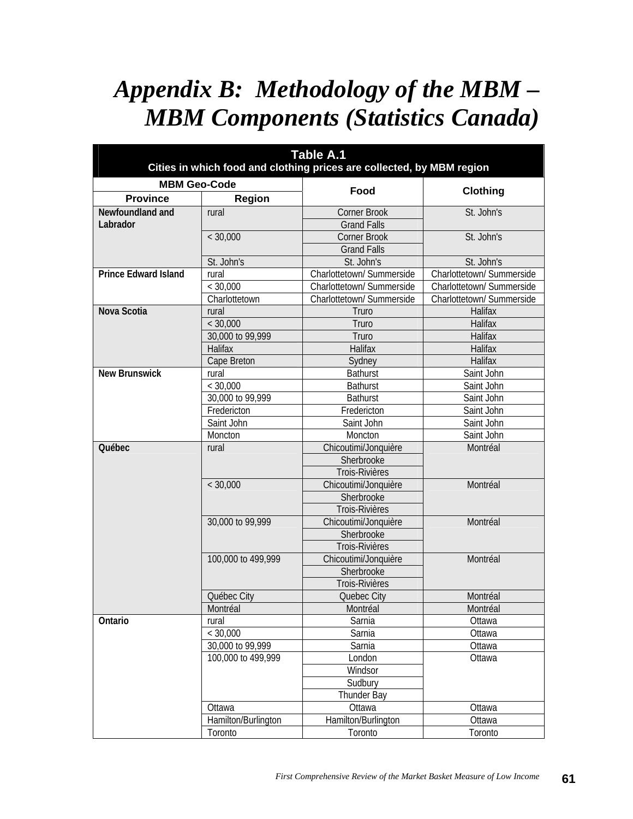# *Appendix B: Methodology of the MBM – MBM Components (Statistics Canada)*

| <b>Table A.1</b><br>Cities in which food and clothing prices are collected, by MBM region |                     |                           |                           |  |  |  |
|-------------------------------------------------------------------------------------------|---------------------|---------------------------|---------------------------|--|--|--|
| <b>MBM Geo-Code</b>                                                                       |                     |                           |                           |  |  |  |
| <b>Province</b>                                                                           | Region              | Food                      | Clothing                  |  |  |  |
| Newfoundland and                                                                          | rural               | <b>Corner Brook</b>       | St. John's                |  |  |  |
| Labrador                                                                                  |                     | <b>Grand Falls</b>        |                           |  |  |  |
|                                                                                           | < 30,000            | Corner Brook              | St. John's                |  |  |  |
|                                                                                           |                     | <b>Grand Falls</b>        |                           |  |  |  |
|                                                                                           | St. John's          | St. John's                | St. John's                |  |  |  |
| <b>Prince Edward Island</b>                                                               | rural               | Charlottetown/ Summerside | Charlottetown/ Summerside |  |  |  |
|                                                                                           | < 30,000            | Charlottetown/ Summerside | Charlottetown/ Summerside |  |  |  |
|                                                                                           | Charlottetown       | Charlottetown/ Summerside | Charlottetown/ Summerside |  |  |  |
| Nova Scotia                                                                               | rural               | Truro                     | Halifax                   |  |  |  |
|                                                                                           | < 30,000            | Truro                     | Halifax                   |  |  |  |
|                                                                                           | 30,000 to 99,999    | Truro                     | Halifax                   |  |  |  |
|                                                                                           | Halifax             | Halifax                   | Halifax                   |  |  |  |
|                                                                                           | Cape Breton         | Sydney                    | Halifax                   |  |  |  |
| <b>New Brunswick</b>                                                                      | rural               | <b>Bathurst</b>           | Saint John                |  |  |  |
|                                                                                           | < 30,000            | <b>Bathurst</b>           | Saint John                |  |  |  |
|                                                                                           | 30,000 to 99,999    | <b>Bathurst</b>           | Saint John                |  |  |  |
|                                                                                           | Fredericton         | Fredericton               | Saint John                |  |  |  |
|                                                                                           | Saint John          | Saint John                | Saint John                |  |  |  |
|                                                                                           | Moncton             | Moncton                   | Saint John                |  |  |  |
| Québec                                                                                    | rural               | Chicoutimi/Jonquière      | Montréal                  |  |  |  |
|                                                                                           |                     | Sherbrooke                |                           |  |  |  |
|                                                                                           |                     | Trois-Rivières            |                           |  |  |  |
|                                                                                           | < 30,000            | Chicoutimi/Jonquière      | Montréal                  |  |  |  |
|                                                                                           |                     | Sherbrooke                |                           |  |  |  |
|                                                                                           |                     | Trois-Rivières            |                           |  |  |  |
|                                                                                           | 30,000 to 99,999    | Chicoutimi/Jonquière      | Montréal                  |  |  |  |
|                                                                                           |                     | Sherbrooke                |                           |  |  |  |
|                                                                                           |                     | Trois-Rivières            |                           |  |  |  |
|                                                                                           | 100,000 to 499,999  | Chicoutimi/Jonquière      | Montréal                  |  |  |  |
|                                                                                           |                     | Sherbrooke                |                           |  |  |  |
|                                                                                           |                     | Trois-Rivières            |                           |  |  |  |
|                                                                                           | Québec City         | Quebec City               | Montréal                  |  |  |  |
|                                                                                           | Montréal            | Montréal                  | Montréal                  |  |  |  |
| Ontario                                                                                   | rural               | Sarnia                    | Ottawa                    |  |  |  |
|                                                                                           | < 30,000            | Sarnia                    | Ottawa                    |  |  |  |
|                                                                                           | 30,000 to 99,999    | Sarnia                    | Ottawa                    |  |  |  |
|                                                                                           | 100,000 to 499,999  | London                    | Ottawa                    |  |  |  |
|                                                                                           |                     | Windsor                   |                           |  |  |  |
|                                                                                           |                     | Sudbury                   |                           |  |  |  |
|                                                                                           |                     | Thunder Bay               |                           |  |  |  |
|                                                                                           | Ottawa              | Ottawa                    | Ottawa                    |  |  |  |
|                                                                                           | Hamilton/Burlington | Hamilton/Burlington       | Ottawa                    |  |  |  |
|                                                                                           | Toronto             | Toronto                   | Toronto                   |  |  |  |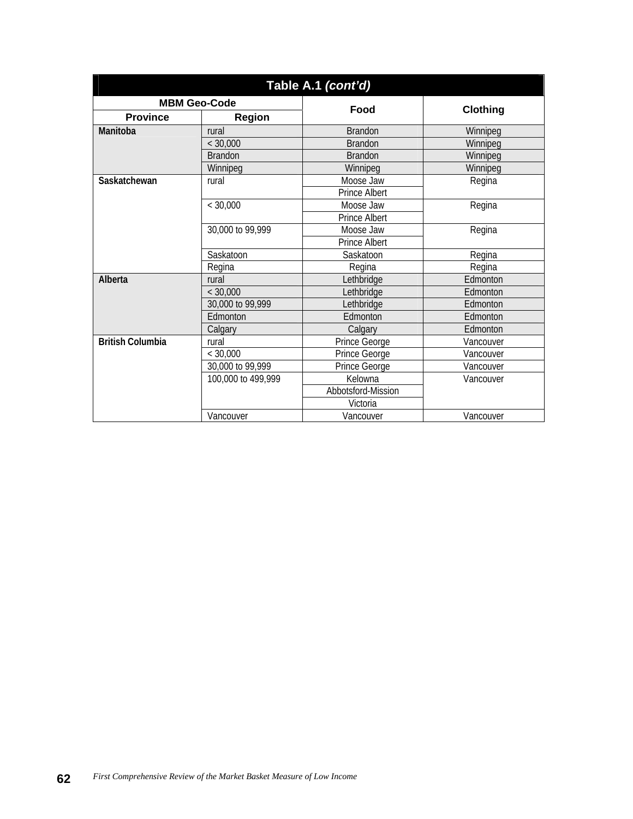| Table A.1 (cont'd)      |                         |                      |                 |  |  |  |  |
|-------------------------|-------------------------|----------------------|-----------------|--|--|--|--|
| <b>MBM Geo-Code</b>     |                         | Food                 |                 |  |  |  |  |
| <b>Province</b>         | <b>Region</b>           |                      | <b>Clothing</b> |  |  |  |  |
| Manitoba                | <b>Brandon</b><br>rural |                      | Winnipeg        |  |  |  |  |
|                         | $<$ 30.000              | <b>Brandon</b>       | Winnipea        |  |  |  |  |
|                         | <b>Brandon</b>          | <b>Brandon</b>       | Winnipeg        |  |  |  |  |
|                         | Winnipeg                | Winnipeg             | Winnipeg        |  |  |  |  |
| Saskatchewan            | rural                   | Moose Jaw            | Regina          |  |  |  |  |
|                         |                         | <b>Prince Albert</b> |                 |  |  |  |  |
|                         | < 30,000                | Moose Jaw            | Regina          |  |  |  |  |
|                         |                         | <b>Prince Albert</b> |                 |  |  |  |  |
|                         | 30,000 to 99,999        | Moose Jaw            | Regina          |  |  |  |  |
|                         |                         | Prince Albert        |                 |  |  |  |  |
|                         | Saskatoon               | Saskatoon            | Regina          |  |  |  |  |
|                         | Regina                  | Regina               | Regina          |  |  |  |  |
| Alberta                 | rural                   | Lethbridge           | Edmonton        |  |  |  |  |
|                         | < 30,000                | Lethbridge           | Edmonton        |  |  |  |  |
|                         | 30,000 to 99,999        | Lethbridge           | Edmonton        |  |  |  |  |
|                         | Edmonton                | Edmonton             | Edmonton        |  |  |  |  |
|                         | Calgary                 | Calgary              | Edmonton        |  |  |  |  |
| <b>British Columbia</b> | rural                   | Prince George        | Vancouver       |  |  |  |  |
|                         | < 30,000                | Prince George        | Vancouver       |  |  |  |  |
|                         | 30,000 to 99,999        | Prince George        | Vancouver       |  |  |  |  |
|                         | 100,000 to 499,999      | Kelowna              | Vancouver       |  |  |  |  |
|                         |                         | Abbotsford-Mission   |                 |  |  |  |  |
|                         |                         | Victoria             |                 |  |  |  |  |
|                         | Vancouver               | Vancouver            | Vancouver       |  |  |  |  |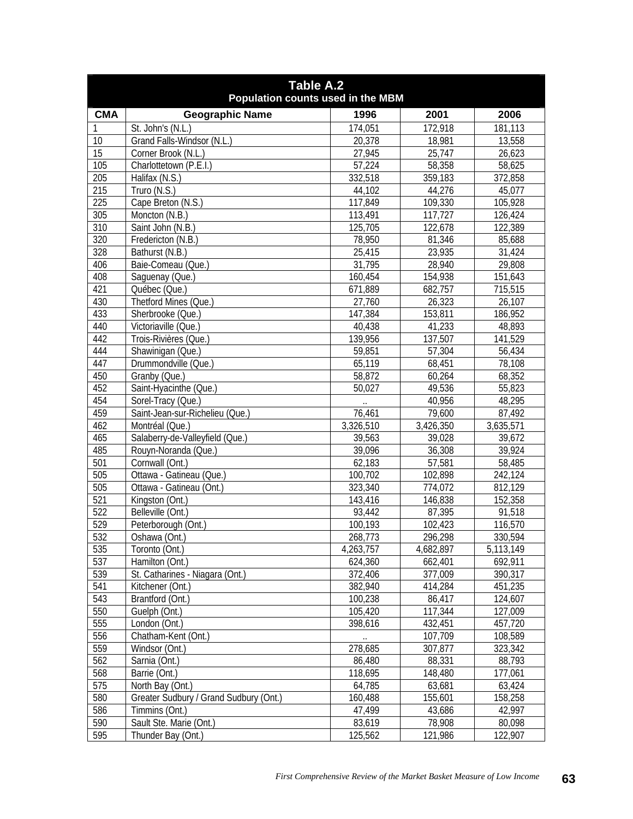| <b>Geographic Name</b><br><b>CMA</b><br>1996<br>2001<br>2006<br>St. John's (N.L.)<br>174,051<br>172,918<br>181,113<br>Grand Falls-Windsor (N.L.)<br>20,378<br>18,981<br>13,558<br>10<br>$\overline{15}$<br>27,945<br>25,747<br>26,623<br>Corner Brook (N.L.)<br>57,224<br>58,358<br>105<br>Charlottetown (P.E.I.)<br>58,625<br>332,518<br>205<br>Halifax (N.S.)<br>372,858<br>359,183<br>215<br>44,102<br>Truro (N.S.)<br>44,276<br>45,077<br>225<br>Cape Breton (N.S.)<br>117,849<br>109,330<br>105,928<br>305<br>113,491<br>117,727<br>126,424<br>Moncton (N.B.)<br>310<br>125,705<br>Saint John (N.B.)<br>122,678<br>122,389<br>320<br>Fredericton (N.B.)<br>78,950<br>81,346<br>85,688<br>328<br>25,415<br>Bathurst (N.B.)<br>23,935<br>31,424<br>31,795<br>406<br>28,940<br>29,808<br>Baie-Comeau (Que.)<br>408<br>Saguenay (Que.)<br>160,454<br>154,938<br>151,643<br>421<br>671,889<br>Québec (Que.)<br>682,757<br>715,515<br>430<br>Thetford Mines (Que.)<br>27,760<br>26,323<br>26,107<br>433<br>147,384<br>Sherbrooke (Que.)<br>153,811<br>186,952<br>41,233<br>440<br>Victoriaville (Que.)<br>40,438<br>48,893<br>137,507<br>442<br>Trois-Rivières (Que.)<br>139,956<br>141,529<br>57,304<br>444<br>Shawinigan (Que.)<br>59,851<br>56,434<br>65,119<br>447<br>Drummondville (Que.)<br>68,451<br>78,108<br>58,872<br>68,352<br>450<br>Granby (Que.)<br>60,264<br>452<br>Saint-Hyacinthe (Que.)<br>49,536<br>55,823<br>50,027<br>454<br>48,295<br>Sorel-Tracy (Que.)<br>40,956<br>459<br>Saint-Jean-sur-Richelieu (Que.)<br>79,600<br>76,461<br>87,492<br>462<br>Montréal (Que.)<br>3,326,510<br>3,426,350<br>3,635,571<br>465<br>Salaberry-de-Valleyfield (Que.)<br>39,563<br>39,672<br>39,028<br>39,096<br>36,308<br>485<br>Rouyn-Noranda (Que.)<br>39,924<br>Cornwall (Ont.)<br>57,581<br>501<br>62,183<br>58,485<br>Ottawa - Gatineau (Que.)<br>100,702<br>102,898<br>242,124<br>505<br>505<br>812,129<br>Ottawa - Gatineau (Ont.)<br>323,340<br>774,072<br>521<br>152,358<br>Kingston (Ont.)<br>143,416<br>146,838<br>$\overline{522}$<br>Belleville (Ont.)<br>87,395<br>93,442<br>91,518<br>529<br>102,423<br>100,193<br>116,570<br>Peterborough (Ont.)<br>532<br>330,594<br>268,773<br>296,298<br>Oshawa (Ont.)<br>535<br>4,263,757<br>4,682,897<br>5,113,149<br>Toronto (Ont.)<br>537<br>Hamilton (Ont.)<br>662,401<br>692,911<br>624,360<br>539<br>St. Catharines - Niagara (Ont.)<br>372,406<br>377,009<br>390,317<br>541<br>Kitchener (Ont.)<br>382,940<br>451,235<br>414,284<br>543<br>100,238<br>Brantford (Ont.)<br>86,417<br>124,607<br>550<br>117,344<br>127,009<br>105,420<br>Guelph (Ont.)<br>555<br>398,616<br>432,451<br>457,720<br>London (Ont.)<br>556<br>107,709<br>108,589<br>Chatham-Kent (Ont.)<br>$\sim$ 100 $\mu$<br>559<br>278,685<br>Windsor (Ont.)<br>307,877<br>323,342<br>562<br>Sarnia (Ont.)<br>88,793<br>86,480<br>88,331<br>568<br>118,695<br>Barrie (Ont.)<br>148,480<br>177,061<br>575<br>63,424<br>North Bay (Ont.)<br>64,785<br>63,681<br>580<br>Greater Sudbury / Grand Sudbury (Ont.)<br>160,488<br>155,601<br>158,258<br>586<br>Timmins (Ont.)<br>47,499<br>42,997<br>43,686<br>590<br>Sault Ste. Marie (Ont.)<br>83,619<br>78,908<br>80,098<br>595<br>125,562<br>121,986<br>122,907<br>Thunder Bay (Ont.) | Table A.2<br>Population counts used in the MBM |  |  |  |  |
|-----------------------------------------------------------------------------------------------------------------------------------------------------------------------------------------------------------------------------------------------------------------------------------------------------------------------------------------------------------------------------------------------------------------------------------------------------------------------------------------------------------------------------------------------------------------------------------------------------------------------------------------------------------------------------------------------------------------------------------------------------------------------------------------------------------------------------------------------------------------------------------------------------------------------------------------------------------------------------------------------------------------------------------------------------------------------------------------------------------------------------------------------------------------------------------------------------------------------------------------------------------------------------------------------------------------------------------------------------------------------------------------------------------------------------------------------------------------------------------------------------------------------------------------------------------------------------------------------------------------------------------------------------------------------------------------------------------------------------------------------------------------------------------------------------------------------------------------------------------------------------------------------------------------------------------------------------------------------------------------------------------------------------------------------------------------------------------------------------------------------------------------------------------------------------------------------------------------------------------------------------------------------------------------------------------------------------------------------------------------------------------------------------------------------------------------------------------------------------------------------------------------------------------------------------------------------------------------------------------------------------------------------------------------------------------------------------------------------------------------------------------------------------------------------------------------------------------------------------------------------------------------------------------------------------------------------------------------------------------------------------------------------------------------------------------------------------------------------------------------------------------------------------------------------------------------------------------------------------------------------------------------|------------------------------------------------|--|--|--|--|
|                                                                                                                                                                                                                                                                                                                                                                                                                                                                                                                                                                                                                                                                                                                                                                                                                                                                                                                                                                                                                                                                                                                                                                                                                                                                                                                                                                                                                                                                                                                                                                                                                                                                                                                                                                                                                                                                                                                                                                                                                                                                                                                                                                                                                                                                                                                                                                                                                                                                                                                                                                                                                                                                                                                                                                                                                                                                                                                                                                                                                                                                                                                                                                                                                                                                 |                                                |  |  |  |  |
|                                                                                                                                                                                                                                                                                                                                                                                                                                                                                                                                                                                                                                                                                                                                                                                                                                                                                                                                                                                                                                                                                                                                                                                                                                                                                                                                                                                                                                                                                                                                                                                                                                                                                                                                                                                                                                                                                                                                                                                                                                                                                                                                                                                                                                                                                                                                                                                                                                                                                                                                                                                                                                                                                                                                                                                                                                                                                                                                                                                                                                                                                                                                                                                                                                                                 |                                                |  |  |  |  |
|                                                                                                                                                                                                                                                                                                                                                                                                                                                                                                                                                                                                                                                                                                                                                                                                                                                                                                                                                                                                                                                                                                                                                                                                                                                                                                                                                                                                                                                                                                                                                                                                                                                                                                                                                                                                                                                                                                                                                                                                                                                                                                                                                                                                                                                                                                                                                                                                                                                                                                                                                                                                                                                                                                                                                                                                                                                                                                                                                                                                                                                                                                                                                                                                                                                                 |                                                |  |  |  |  |
|                                                                                                                                                                                                                                                                                                                                                                                                                                                                                                                                                                                                                                                                                                                                                                                                                                                                                                                                                                                                                                                                                                                                                                                                                                                                                                                                                                                                                                                                                                                                                                                                                                                                                                                                                                                                                                                                                                                                                                                                                                                                                                                                                                                                                                                                                                                                                                                                                                                                                                                                                                                                                                                                                                                                                                                                                                                                                                                                                                                                                                                                                                                                                                                                                                                                 |                                                |  |  |  |  |
|                                                                                                                                                                                                                                                                                                                                                                                                                                                                                                                                                                                                                                                                                                                                                                                                                                                                                                                                                                                                                                                                                                                                                                                                                                                                                                                                                                                                                                                                                                                                                                                                                                                                                                                                                                                                                                                                                                                                                                                                                                                                                                                                                                                                                                                                                                                                                                                                                                                                                                                                                                                                                                                                                                                                                                                                                                                                                                                                                                                                                                                                                                                                                                                                                                                                 |                                                |  |  |  |  |
|                                                                                                                                                                                                                                                                                                                                                                                                                                                                                                                                                                                                                                                                                                                                                                                                                                                                                                                                                                                                                                                                                                                                                                                                                                                                                                                                                                                                                                                                                                                                                                                                                                                                                                                                                                                                                                                                                                                                                                                                                                                                                                                                                                                                                                                                                                                                                                                                                                                                                                                                                                                                                                                                                                                                                                                                                                                                                                                                                                                                                                                                                                                                                                                                                                                                 |                                                |  |  |  |  |
|                                                                                                                                                                                                                                                                                                                                                                                                                                                                                                                                                                                                                                                                                                                                                                                                                                                                                                                                                                                                                                                                                                                                                                                                                                                                                                                                                                                                                                                                                                                                                                                                                                                                                                                                                                                                                                                                                                                                                                                                                                                                                                                                                                                                                                                                                                                                                                                                                                                                                                                                                                                                                                                                                                                                                                                                                                                                                                                                                                                                                                                                                                                                                                                                                                                                 |                                                |  |  |  |  |
|                                                                                                                                                                                                                                                                                                                                                                                                                                                                                                                                                                                                                                                                                                                                                                                                                                                                                                                                                                                                                                                                                                                                                                                                                                                                                                                                                                                                                                                                                                                                                                                                                                                                                                                                                                                                                                                                                                                                                                                                                                                                                                                                                                                                                                                                                                                                                                                                                                                                                                                                                                                                                                                                                                                                                                                                                                                                                                                                                                                                                                                                                                                                                                                                                                                                 |                                                |  |  |  |  |
|                                                                                                                                                                                                                                                                                                                                                                                                                                                                                                                                                                                                                                                                                                                                                                                                                                                                                                                                                                                                                                                                                                                                                                                                                                                                                                                                                                                                                                                                                                                                                                                                                                                                                                                                                                                                                                                                                                                                                                                                                                                                                                                                                                                                                                                                                                                                                                                                                                                                                                                                                                                                                                                                                                                                                                                                                                                                                                                                                                                                                                                                                                                                                                                                                                                                 |                                                |  |  |  |  |
|                                                                                                                                                                                                                                                                                                                                                                                                                                                                                                                                                                                                                                                                                                                                                                                                                                                                                                                                                                                                                                                                                                                                                                                                                                                                                                                                                                                                                                                                                                                                                                                                                                                                                                                                                                                                                                                                                                                                                                                                                                                                                                                                                                                                                                                                                                                                                                                                                                                                                                                                                                                                                                                                                                                                                                                                                                                                                                                                                                                                                                                                                                                                                                                                                                                                 |                                                |  |  |  |  |
|                                                                                                                                                                                                                                                                                                                                                                                                                                                                                                                                                                                                                                                                                                                                                                                                                                                                                                                                                                                                                                                                                                                                                                                                                                                                                                                                                                                                                                                                                                                                                                                                                                                                                                                                                                                                                                                                                                                                                                                                                                                                                                                                                                                                                                                                                                                                                                                                                                                                                                                                                                                                                                                                                                                                                                                                                                                                                                                                                                                                                                                                                                                                                                                                                                                                 |                                                |  |  |  |  |
|                                                                                                                                                                                                                                                                                                                                                                                                                                                                                                                                                                                                                                                                                                                                                                                                                                                                                                                                                                                                                                                                                                                                                                                                                                                                                                                                                                                                                                                                                                                                                                                                                                                                                                                                                                                                                                                                                                                                                                                                                                                                                                                                                                                                                                                                                                                                                                                                                                                                                                                                                                                                                                                                                                                                                                                                                                                                                                                                                                                                                                                                                                                                                                                                                                                                 |                                                |  |  |  |  |
|                                                                                                                                                                                                                                                                                                                                                                                                                                                                                                                                                                                                                                                                                                                                                                                                                                                                                                                                                                                                                                                                                                                                                                                                                                                                                                                                                                                                                                                                                                                                                                                                                                                                                                                                                                                                                                                                                                                                                                                                                                                                                                                                                                                                                                                                                                                                                                                                                                                                                                                                                                                                                                                                                                                                                                                                                                                                                                                                                                                                                                                                                                                                                                                                                                                                 |                                                |  |  |  |  |
|                                                                                                                                                                                                                                                                                                                                                                                                                                                                                                                                                                                                                                                                                                                                                                                                                                                                                                                                                                                                                                                                                                                                                                                                                                                                                                                                                                                                                                                                                                                                                                                                                                                                                                                                                                                                                                                                                                                                                                                                                                                                                                                                                                                                                                                                                                                                                                                                                                                                                                                                                                                                                                                                                                                                                                                                                                                                                                                                                                                                                                                                                                                                                                                                                                                                 |                                                |  |  |  |  |
|                                                                                                                                                                                                                                                                                                                                                                                                                                                                                                                                                                                                                                                                                                                                                                                                                                                                                                                                                                                                                                                                                                                                                                                                                                                                                                                                                                                                                                                                                                                                                                                                                                                                                                                                                                                                                                                                                                                                                                                                                                                                                                                                                                                                                                                                                                                                                                                                                                                                                                                                                                                                                                                                                                                                                                                                                                                                                                                                                                                                                                                                                                                                                                                                                                                                 |                                                |  |  |  |  |
|                                                                                                                                                                                                                                                                                                                                                                                                                                                                                                                                                                                                                                                                                                                                                                                                                                                                                                                                                                                                                                                                                                                                                                                                                                                                                                                                                                                                                                                                                                                                                                                                                                                                                                                                                                                                                                                                                                                                                                                                                                                                                                                                                                                                                                                                                                                                                                                                                                                                                                                                                                                                                                                                                                                                                                                                                                                                                                                                                                                                                                                                                                                                                                                                                                                                 |                                                |  |  |  |  |
|                                                                                                                                                                                                                                                                                                                                                                                                                                                                                                                                                                                                                                                                                                                                                                                                                                                                                                                                                                                                                                                                                                                                                                                                                                                                                                                                                                                                                                                                                                                                                                                                                                                                                                                                                                                                                                                                                                                                                                                                                                                                                                                                                                                                                                                                                                                                                                                                                                                                                                                                                                                                                                                                                                                                                                                                                                                                                                                                                                                                                                                                                                                                                                                                                                                                 |                                                |  |  |  |  |
|                                                                                                                                                                                                                                                                                                                                                                                                                                                                                                                                                                                                                                                                                                                                                                                                                                                                                                                                                                                                                                                                                                                                                                                                                                                                                                                                                                                                                                                                                                                                                                                                                                                                                                                                                                                                                                                                                                                                                                                                                                                                                                                                                                                                                                                                                                                                                                                                                                                                                                                                                                                                                                                                                                                                                                                                                                                                                                                                                                                                                                                                                                                                                                                                                                                                 |                                                |  |  |  |  |
|                                                                                                                                                                                                                                                                                                                                                                                                                                                                                                                                                                                                                                                                                                                                                                                                                                                                                                                                                                                                                                                                                                                                                                                                                                                                                                                                                                                                                                                                                                                                                                                                                                                                                                                                                                                                                                                                                                                                                                                                                                                                                                                                                                                                                                                                                                                                                                                                                                                                                                                                                                                                                                                                                                                                                                                                                                                                                                                                                                                                                                                                                                                                                                                                                                                                 |                                                |  |  |  |  |
|                                                                                                                                                                                                                                                                                                                                                                                                                                                                                                                                                                                                                                                                                                                                                                                                                                                                                                                                                                                                                                                                                                                                                                                                                                                                                                                                                                                                                                                                                                                                                                                                                                                                                                                                                                                                                                                                                                                                                                                                                                                                                                                                                                                                                                                                                                                                                                                                                                                                                                                                                                                                                                                                                                                                                                                                                                                                                                                                                                                                                                                                                                                                                                                                                                                                 |                                                |  |  |  |  |
|                                                                                                                                                                                                                                                                                                                                                                                                                                                                                                                                                                                                                                                                                                                                                                                                                                                                                                                                                                                                                                                                                                                                                                                                                                                                                                                                                                                                                                                                                                                                                                                                                                                                                                                                                                                                                                                                                                                                                                                                                                                                                                                                                                                                                                                                                                                                                                                                                                                                                                                                                                                                                                                                                                                                                                                                                                                                                                                                                                                                                                                                                                                                                                                                                                                                 |                                                |  |  |  |  |
|                                                                                                                                                                                                                                                                                                                                                                                                                                                                                                                                                                                                                                                                                                                                                                                                                                                                                                                                                                                                                                                                                                                                                                                                                                                                                                                                                                                                                                                                                                                                                                                                                                                                                                                                                                                                                                                                                                                                                                                                                                                                                                                                                                                                                                                                                                                                                                                                                                                                                                                                                                                                                                                                                                                                                                                                                                                                                                                                                                                                                                                                                                                                                                                                                                                                 |                                                |  |  |  |  |
|                                                                                                                                                                                                                                                                                                                                                                                                                                                                                                                                                                                                                                                                                                                                                                                                                                                                                                                                                                                                                                                                                                                                                                                                                                                                                                                                                                                                                                                                                                                                                                                                                                                                                                                                                                                                                                                                                                                                                                                                                                                                                                                                                                                                                                                                                                                                                                                                                                                                                                                                                                                                                                                                                                                                                                                                                                                                                                                                                                                                                                                                                                                                                                                                                                                                 |                                                |  |  |  |  |
|                                                                                                                                                                                                                                                                                                                                                                                                                                                                                                                                                                                                                                                                                                                                                                                                                                                                                                                                                                                                                                                                                                                                                                                                                                                                                                                                                                                                                                                                                                                                                                                                                                                                                                                                                                                                                                                                                                                                                                                                                                                                                                                                                                                                                                                                                                                                                                                                                                                                                                                                                                                                                                                                                                                                                                                                                                                                                                                                                                                                                                                                                                                                                                                                                                                                 |                                                |  |  |  |  |
|                                                                                                                                                                                                                                                                                                                                                                                                                                                                                                                                                                                                                                                                                                                                                                                                                                                                                                                                                                                                                                                                                                                                                                                                                                                                                                                                                                                                                                                                                                                                                                                                                                                                                                                                                                                                                                                                                                                                                                                                                                                                                                                                                                                                                                                                                                                                                                                                                                                                                                                                                                                                                                                                                                                                                                                                                                                                                                                                                                                                                                                                                                                                                                                                                                                                 |                                                |  |  |  |  |
|                                                                                                                                                                                                                                                                                                                                                                                                                                                                                                                                                                                                                                                                                                                                                                                                                                                                                                                                                                                                                                                                                                                                                                                                                                                                                                                                                                                                                                                                                                                                                                                                                                                                                                                                                                                                                                                                                                                                                                                                                                                                                                                                                                                                                                                                                                                                                                                                                                                                                                                                                                                                                                                                                                                                                                                                                                                                                                                                                                                                                                                                                                                                                                                                                                                                 |                                                |  |  |  |  |
|                                                                                                                                                                                                                                                                                                                                                                                                                                                                                                                                                                                                                                                                                                                                                                                                                                                                                                                                                                                                                                                                                                                                                                                                                                                                                                                                                                                                                                                                                                                                                                                                                                                                                                                                                                                                                                                                                                                                                                                                                                                                                                                                                                                                                                                                                                                                                                                                                                                                                                                                                                                                                                                                                                                                                                                                                                                                                                                                                                                                                                                                                                                                                                                                                                                                 |                                                |  |  |  |  |
|                                                                                                                                                                                                                                                                                                                                                                                                                                                                                                                                                                                                                                                                                                                                                                                                                                                                                                                                                                                                                                                                                                                                                                                                                                                                                                                                                                                                                                                                                                                                                                                                                                                                                                                                                                                                                                                                                                                                                                                                                                                                                                                                                                                                                                                                                                                                                                                                                                                                                                                                                                                                                                                                                                                                                                                                                                                                                                                                                                                                                                                                                                                                                                                                                                                                 |                                                |  |  |  |  |
|                                                                                                                                                                                                                                                                                                                                                                                                                                                                                                                                                                                                                                                                                                                                                                                                                                                                                                                                                                                                                                                                                                                                                                                                                                                                                                                                                                                                                                                                                                                                                                                                                                                                                                                                                                                                                                                                                                                                                                                                                                                                                                                                                                                                                                                                                                                                                                                                                                                                                                                                                                                                                                                                                                                                                                                                                                                                                                                                                                                                                                                                                                                                                                                                                                                                 |                                                |  |  |  |  |
|                                                                                                                                                                                                                                                                                                                                                                                                                                                                                                                                                                                                                                                                                                                                                                                                                                                                                                                                                                                                                                                                                                                                                                                                                                                                                                                                                                                                                                                                                                                                                                                                                                                                                                                                                                                                                                                                                                                                                                                                                                                                                                                                                                                                                                                                                                                                                                                                                                                                                                                                                                                                                                                                                                                                                                                                                                                                                                                                                                                                                                                                                                                                                                                                                                                                 |                                                |  |  |  |  |
|                                                                                                                                                                                                                                                                                                                                                                                                                                                                                                                                                                                                                                                                                                                                                                                                                                                                                                                                                                                                                                                                                                                                                                                                                                                                                                                                                                                                                                                                                                                                                                                                                                                                                                                                                                                                                                                                                                                                                                                                                                                                                                                                                                                                                                                                                                                                                                                                                                                                                                                                                                                                                                                                                                                                                                                                                                                                                                                                                                                                                                                                                                                                                                                                                                                                 |                                                |  |  |  |  |
|                                                                                                                                                                                                                                                                                                                                                                                                                                                                                                                                                                                                                                                                                                                                                                                                                                                                                                                                                                                                                                                                                                                                                                                                                                                                                                                                                                                                                                                                                                                                                                                                                                                                                                                                                                                                                                                                                                                                                                                                                                                                                                                                                                                                                                                                                                                                                                                                                                                                                                                                                                                                                                                                                                                                                                                                                                                                                                                                                                                                                                                                                                                                                                                                                                                                 |                                                |  |  |  |  |
|                                                                                                                                                                                                                                                                                                                                                                                                                                                                                                                                                                                                                                                                                                                                                                                                                                                                                                                                                                                                                                                                                                                                                                                                                                                                                                                                                                                                                                                                                                                                                                                                                                                                                                                                                                                                                                                                                                                                                                                                                                                                                                                                                                                                                                                                                                                                                                                                                                                                                                                                                                                                                                                                                                                                                                                                                                                                                                                                                                                                                                                                                                                                                                                                                                                                 |                                                |  |  |  |  |
|                                                                                                                                                                                                                                                                                                                                                                                                                                                                                                                                                                                                                                                                                                                                                                                                                                                                                                                                                                                                                                                                                                                                                                                                                                                                                                                                                                                                                                                                                                                                                                                                                                                                                                                                                                                                                                                                                                                                                                                                                                                                                                                                                                                                                                                                                                                                                                                                                                                                                                                                                                                                                                                                                                                                                                                                                                                                                                                                                                                                                                                                                                                                                                                                                                                                 |                                                |  |  |  |  |
|                                                                                                                                                                                                                                                                                                                                                                                                                                                                                                                                                                                                                                                                                                                                                                                                                                                                                                                                                                                                                                                                                                                                                                                                                                                                                                                                                                                                                                                                                                                                                                                                                                                                                                                                                                                                                                                                                                                                                                                                                                                                                                                                                                                                                                                                                                                                                                                                                                                                                                                                                                                                                                                                                                                                                                                                                                                                                                                                                                                                                                                                                                                                                                                                                                                                 |                                                |  |  |  |  |
|                                                                                                                                                                                                                                                                                                                                                                                                                                                                                                                                                                                                                                                                                                                                                                                                                                                                                                                                                                                                                                                                                                                                                                                                                                                                                                                                                                                                                                                                                                                                                                                                                                                                                                                                                                                                                                                                                                                                                                                                                                                                                                                                                                                                                                                                                                                                                                                                                                                                                                                                                                                                                                                                                                                                                                                                                                                                                                                                                                                                                                                                                                                                                                                                                                                                 |                                                |  |  |  |  |
|                                                                                                                                                                                                                                                                                                                                                                                                                                                                                                                                                                                                                                                                                                                                                                                                                                                                                                                                                                                                                                                                                                                                                                                                                                                                                                                                                                                                                                                                                                                                                                                                                                                                                                                                                                                                                                                                                                                                                                                                                                                                                                                                                                                                                                                                                                                                                                                                                                                                                                                                                                                                                                                                                                                                                                                                                                                                                                                                                                                                                                                                                                                                                                                                                                                                 |                                                |  |  |  |  |
|                                                                                                                                                                                                                                                                                                                                                                                                                                                                                                                                                                                                                                                                                                                                                                                                                                                                                                                                                                                                                                                                                                                                                                                                                                                                                                                                                                                                                                                                                                                                                                                                                                                                                                                                                                                                                                                                                                                                                                                                                                                                                                                                                                                                                                                                                                                                                                                                                                                                                                                                                                                                                                                                                                                                                                                                                                                                                                                                                                                                                                                                                                                                                                                                                                                                 |                                                |  |  |  |  |
|                                                                                                                                                                                                                                                                                                                                                                                                                                                                                                                                                                                                                                                                                                                                                                                                                                                                                                                                                                                                                                                                                                                                                                                                                                                                                                                                                                                                                                                                                                                                                                                                                                                                                                                                                                                                                                                                                                                                                                                                                                                                                                                                                                                                                                                                                                                                                                                                                                                                                                                                                                                                                                                                                                                                                                                                                                                                                                                                                                                                                                                                                                                                                                                                                                                                 |                                                |  |  |  |  |
|                                                                                                                                                                                                                                                                                                                                                                                                                                                                                                                                                                                                                                                                                                                                                                                                                                                                                                                                                                                                                                                                                                                                                                                                                                                                                                                                                                                                                                                                                                                                                                                                                                                                                                                                                                                                                                                                                                                                                                                                                                                                                                                                                                                                                                                                                                                                                                                                                                                                                                                                                                                                                                                                                                                                                                                                                                                                                                                                                                                                                                                                                                                                                                                                                                                                 |                                                |  |  |  |  |
|                                                                                                                                                                                                                                                                                                                                                                                                                                                                                                                                                                                                                                                                                                                                                                                                                                                                                                                                                                                                                                                                                                                                                                                                                                                                                                                                                                                                                                                                                                                                                                                                                                                                                                                                                                                                                                                                                                                                                                                                                                                                                                                                                                                                                                                                                                                                                                                                                                                                                                                                                                                                                                                                                                                                                                                                                                                                                                                                                                                                                                                                                                                                                                                                                                                                 |                                                |  |  |  |  |
|                                                                                                                                                                                                                                                                                                                                                                                                                                                                                                                                                                                                                                                                                                                                                                                                                                                                                                                                                                                                                                                                                                                                                                                                                                                                                                                                                                                                                                                                                                                                                                                                                                                                                                                                                                                                                                                                                                                                                                                                                                                                                                                                                                                                                                                                                                                                                                                                                                                                                                                                                                                                                                                                                                                                                                                                                                                                                                                                                                                                                                                                                                                                                                                                                                                                 |                                                |  |  |  |  |
|                                                                                                                                                                                                                                                                                                                                                                                                                                                                                                                                                                                                                                                                                                                                                                                                                                                                                                                                                                                                                                                                                                                                                                                                                                                                                                                                                                                                                                                                                                                                                                                                                                                                                                                                                                                                                                                                                                                                                                                                                                                                                                                                                                                                                                                                                                                                                                                                                                                                                                                                                                                                                                                                                                                                                                                                                                                                                                                                                                                                                                                                                                                                                                                                                                                                 |                                                |  |  |  |  |
|                                                                                                                                                                                                                                                                                                                                                                                                                                                                                                                                                                                                                                                                                                                                                                                                                                                                                                                                                                                                                                                                                                                                                                                                                                                                                                                                                                                                                                                                                                                                                                                                                                                                                                                                                                                                                                                                                                                                                                                                                                                                                                                                                                                                                                                                                                                                                                                                                                                                                                                                                                                                                                                                                                                                                                                                                                                                                                                                                                                                                                                                                                                                                                                                                                                                 |                                                |  |  |  |  |
|                                                                                                                                                                                                                                                                                                                                                                                                                                                                                                                                                                                                                                                                                                                                                                                                                                                                                                                                                                                                                                                                                                                                                                                                                                                                                                                                                                                                                                                                                                                                                                                                                                                                                                                                                                                                                                                                                                                                                                                                                                                                                                                                                                                                                                                                                                                                                                                                                                                                                                                                                                                                                                                                                                                                                                                                                                                                                                                                                                                                                                                                                                                                                                                                                                                                 |                                                |  |  |  |  |
|                                                                                                                                                                                                                                                                                                                                                                                                                                                                                                                                                                                                                                                                                                                                                                                                                                                                                                                                                                                                                                                                                                                                                                                                                                                                                                                                                                                                                                                                                                                                                                                                                                                                                                                                                                                                                                                                                                                                                                                                                                                                                                                                                                                                                                                                                                                                                                                                                                                                                                                                                                                                                                                                                                                                                                                                                                                                                                                                                                                                                                                                                                                                                                                                                                                                 |                                                |  |  |  |  |
|                                                                                                                                                                                                                                                                                                                                                                                                                                                                                                                                                                                                                                                                                                                                                                                                                                                                                                                                                                                                                                                                                                                                                                                                                                                                                                                                                                                                                                                                                                                                                                                                                                                                                                                                                                                                                                                                                                                                                                                                                                                                                                                                                                                                                                                                                                                                                                                                                                                                                                                                                                                                                                                                                                                                                                                                                                                                                                                                                                                                                                                                                                                                                                                                                                                                 |                                                |  |  |  |  |
|                                                                                                                                                                                                                                                                                                                                                                                                                                                                                                                                                                                                                                                                                                                                                                                                                                                                                                                                                                                                                                                                                                                                                                                                                                                                                                                                                                                                                                                                                                                                                                                                                                                                                                                                                                                                                                                                                                                                                                                                                                                                                                                                                                                                                                                                                                                                                                                                                                                                                                                                                                                                                                                                                                                                                                                                                                                                                                                                                                                                                                                                                                                                                                                                                                                                 |                                                |  |  |  |  |
|                                                                                                                                                                                                                                                                                                                                                                                                                                                                                                                                                                                                                                                                                                                                                                                                                                                                                                                                                                                                                                                                                                                                                                                                                                                                                                                                                                                                                                                                                                                                                                                                                                                                                                                                                                                                                                                                                                                                                                                                                                                                                                                                                                                                                                                                                                                                                                                                                                                                                                                                                                                                                                                                                                                                                                                                                                                                                                                                                                                                                                                                                                                                                                                                                                                                 |                                                |  |  |  |  |
|                                                                                                                                                                                                                                                                                                                                                                                                                                                                                                                                                                                                                                                                                                                                                                                                                                                                                                                                                                                                                                                                                                                                                                                                                                                                                                                                                                                                                                                                                                                                                                                                                                                                                                                                                                                                                                                                                                                                                                                                                                                                                                                                                                                                                                                                                                                                                                                                                                                                                                                                                                                                                                                                                                                                                                                                                                                                                                                                                                                                                                                                                                                                                                                                                                                                 |                                                |  |  |  |  |
|                                                                                                                                                                                                                                                                                                                                                                                                                                                                                                                                                                                                                                                                                                                                                                                                                                                                                                                                                                                                                                                                                                                                                                                                                                                                                                                                                                                                                                                                                                                                                                                                                                                                                                                                                                                                                                                                                                                                                                                                                                                                                                                                                                                                                                                                                                                                                                                                                                                                                                                                                                                                                                                                                                                                                                                                                                                                                                                                                                                                                                                                                                                                                                                                                                                                 |                                                |  |  |  |  |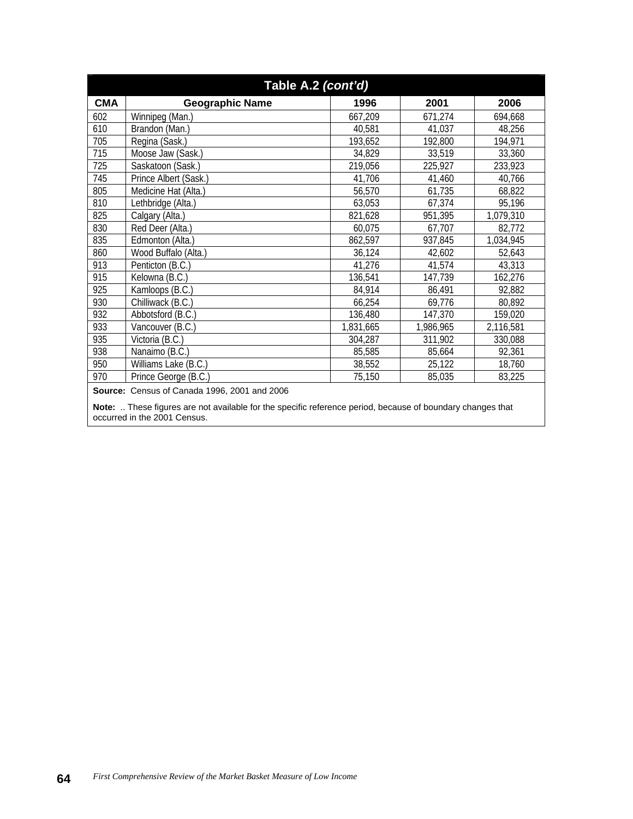| Table A.2 (cont'd) |                        |           |           |           |
|--------------------|------------------------|-----------|-----------|-----------|
| <b>CMA</b>         | <b>Geographic Name</b> | 1996      | 2001      | 2006      |
| 602                | Winnipeg (Man.)        | 667,209   | 671,274   | 694,668   |
| 610                | Brandon (Man.)         | 40,581    | 41,037    | 48,256    |
| 705                | Regina (Sask.)         | 193,652   | 192,800   | 194,971   |
| 715                | Moose Jaw (Sask.)      | 34,829    | 33,519    | 33,360    |
| 725                | Saskatoon (Sask.)      | 219,056   | 225,927   | 233,923   |
| 745                | Prince Albert (Sask.)  | 41,706    | 41,460    | 40,766    |
| 805                | Medicine Hat (Alta.)   | 56,570    | 61,735    | 68,822    |
| 810                | Lethbridge (Alta.)     | 63,053    | 67,374    | 95,196    |
| 825                | Calgary (Alta.)        | 821,628   | 951,395   | 1,079,310 |
| 830                | Red Deer (Alta.)       | 60,075    | 67,707    | 82,772    |
| 835                | Edmonton (Alta.)       | 862,597   | 937,845   | 1,034,945 |
| 860                | Wood Buffalo (Alta.)   | 36,124    | 42,602    | 52,643    |
| 913                | Penticton (B.C.)       | 41,276    | 41,574    | 43,313    |
| 915                | Kelowna (B.C.)         | 136,541   | 147,739   | 162,276   |
| 925                | Kamloops (B.C.)        | 84,914    | 86,491    | 92,882    |
| 930                | Chilliwack (B.C.)      | 66,254    | 69,776    | 80,892    |
| 932                | Abbotsford (B.C.)      | 136,480   | 147,370   | 159,020   |
| 933                | Vancouver (B.C.)       | 1,831,665 | 1,986,965 | 2,116,581 |
| 935                | Victoria (B.C.)        | 304,287   | 311,902   | 330,088   |
| 938                | Nanaimo (B.C.)         | 85,585    | 85,664    | 92,361    |
| 950                | Williams Lake (B.C.)   | 38,552    | 25,122    | 18,760    |
| 970                | Prince George (B.C.)   | 75,150    | 85,035    | 83,225    |

**Source:** Census of Canada 1996, 2001 and 2006

**Note:** .. These figures are not available for the specific reference period, because of boundary changes that occurred in the 2001 Census.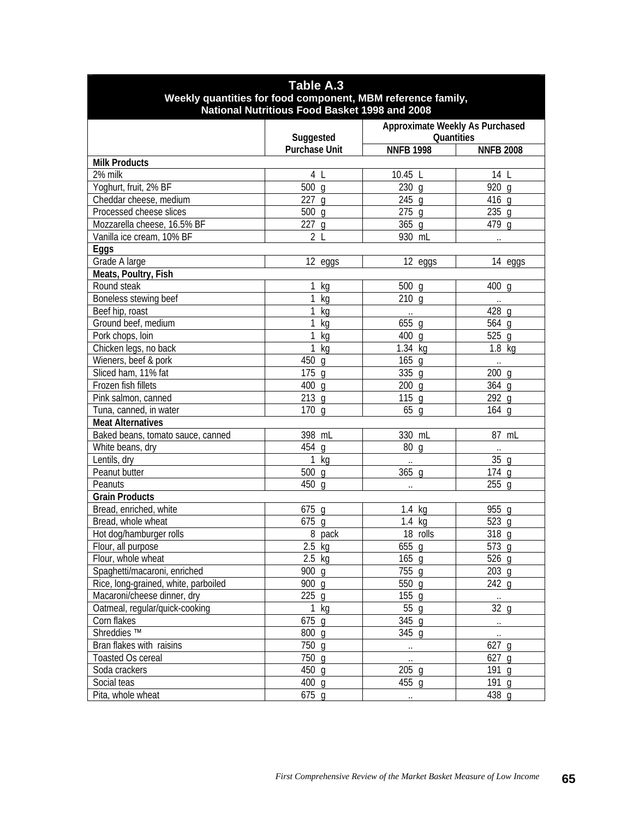| <b>Table A.3</b>                                            |                                               |                                 |                      |  |
|-------------------------------------------------------------|-----------------------------------------------|---------------------------------|----------------------|--|
| Weekly quantities for food component, MBM reference family, |                                               |                                 |                      |  |
|                                                             | National Nutritious Food Basket 1998 and 2008 |                                 |                      |  |
|                                                             |                                               | Approximate Weekly As Purchased |                      |  |
|                                                             | Suggested                                     | Quantities                      |                      |  |
|                                                             | <b>Purchase Unit</b>                          | <b>NNFB 1998</b>                | <b>NNFB 2008</b>     |  |
| <b>Milk Products</b>                                        |                                               |                                 |                      |  |
| 2% milk                                                     | 4 L                                           | 10.45 L                         | 14 L                 |  |
| Yoghurt, fruit, 2% BF                                       | $500$ g                                       | $230$ g                         | 920 $q$              |  |
| Cheddar cheese, medium                                      | $227$ g                                       | $245$ g                         | 416 g                |  |
| Processed cheese slices                                     | $500$ g                                       | $275$ g                         | $235$ g              |  |
| Mozzarella cheese, 16.5% BF                                 | $227$ g                                       | $365$ g                         | 479 g                |  |
| Vanilla ice cream, 10% BF                                   | 2 <sub>l</sub>                                | 930 mL                          | $\ddot{\phantom{a}}$ |  |
| Eggs                                                        |                                               |                                 |                      |  |
| Grade A large                                               | 12 eggs                                       | 12 eggs                         | 14 eggs              |  |
| Meats, Poultry, Fish                                        |                                               |                                 |                      |  |
| Round steak                                                 | kg                                            | $500$ g                         | 400<br>q             |  |
| Boneless stewing beef                                       | kg                                            | $210$ g                         | $\cdot$ .            |  |
| Beef hip, roast                                             | kg                                            | $\ddotsc$                       | $\overline{428}$ g   |  |
| Ground beef, medium                                         | kg                                            | $\overline{6}55$ g              | $564$ g              |  |
| Pork chops, loin                                            | kg                                            | 400 g                           | $525$ g              |  |
| Chicken legs, no back                                       | kg                                            | $\overline{1.34}$ kg            | $1.8$ kg             |  |
| Wieners, beef & pork                                        | 450<br>q                                      | $165$ g                         | $\ddotsc$            |  |
| Sliced ham, 11% fat                                         | $175$ g                                       | 335 g                           | $200$ g              |  |
| Frozen fish fillets                                         | 400 g                                         | 200 <sub>q</sub>                | 364 g                |  |
| Pink salmon, canned                                         | 213q                                          | 115 <sub>q</sub>                | 292 g                |  |
| Tuna, canned, in water                                      | 170q                                          | 65 <sub>q</sub>                 | $164$ q              |  |
| <b>Meat Alternatives</b>                                    |                                               |                                 |                      |  |
| Baked beans, tomato sauce, canned                           | 398 mL                                        | 330 mL                          | 87 mL                |  |
| White beans, dry                                            | 454 g                                         | 80<br>q                         | $\ldots$             |  |
| Lentils, dry                                                | 1<br>kg                                       |                                 | $\overline{35}$ g    |  |
| Peanut butter                                               | 500 g                                         | $365$ g                         | $\overline{174}$ g   |  |
| Peanuts                                                     | 450 g                                         | $\ddot{\phantom{a}}$            | $255$ q              |  |
| <b>Grain Products</b>                                       |                                               |                                 |                      |  |
| Bread, enriched, white                                      | 675 g                                         | $1.4$ kg                        | 955 g                |  |
| Bread, whole wheat                                          | $675$ g                                       | $1.4$ kg                        | 523 g                |  |
| Hot dog/hamburger rolls                                     | 8 pack                                        | 18 rolls                        | 318 g                |  |
| Flour, all purpose                                          | $2.5$ kg                                      | $655$ g                         | $573$ g              |  |
| Flour, whole wheat                                          | $2.5$ kg                                      | $165$ g                         | 526 g                |  |
| Spaghetti/macaroni, enriched                                | 900 g                                         | 755 g                           | $203$ g              |  |
| Rice, long-grained, white, parboiled                        | 900 g                                         | 550 g                           | $242$ g              |  |
| Macaroni/cheese dinner, dry                                 | $225$ g                                       | $155$ g                         | $\ldots$             |  |
| Oatmeal, regular/quick-cooking                              | $1$ kg                                        | 55 g                            | 32 <sub>q</sub>      |  |
| Corn flakes                                                 | 675 g                                         | 345 g                           | $\ddotsc$            |  |
| Shreddies <sup>™</sup>                                      | 800 g                                         | 345 g                           | $\ddotsc$            |  |
| Bran flakes with raisins                                    | 750 g                                         | $\ldots$                        | $627$ g              |  |
| <b>Toasted Os cereal</b>                                    | 750 g                                         | $\ddot{\phantom{1}}$            | 627 g                |  |
| Soda crackers                                               | $450$ g                                       | $205$ g                         | 191 g                |  |
| Social teas                                                 | $400$ g                                       | 455 g                           | 191 g                |  |
| Pita, whole wheat                                           | $675$ g                                       | $\ldots$                        | 438 g                |  |
|                                                             |                                               |                                 |                      |  |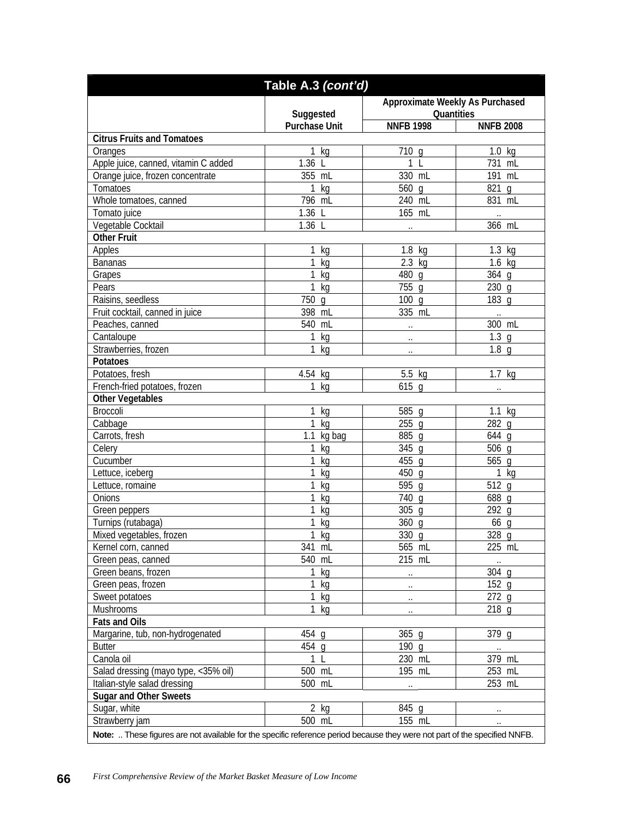|                                      | Table A.3 (cont'd)   |                                 |                                              |
|--------------------------------------|----------------------|---------------------------------|----------------------------------------------|
|                                      |                      | Approximate Weekly As Purchased |                                              |
|                                      | Suggested            | Quantities                      |                                              |
|                                      | <b>Purchase Unit</b> | <b>NNFB 1998</b>                | <b>NNFB 2008</b>                             |
| <b>Citrus Fruits and Tomatoes</b>    |                      |                                 |                                              |
| Oranges                              | 1 kg                 | 710 g                           | $1.0$ kg                                     |
| Apple juice, canned, vitamin C added | 1.36 L               | 1<br>$\mathsf{L}$               | 731 mL                                       |
| Orange juice, frozen concentrate     | 355 mL               | 330 mL                          | 191 mL                                       |
| Tomatoes                             | 1<br>kg              | 560 g                           | $821$ g                                      |
| Whole tomatoes, canned               | 796 mL               | 240 mL                          | 831 mL                                       |
| Tomato juice                         | 1.36 L               | 165 mL                          | $\ddots$                                     |
| Vegetable Cocktail                   | 1.36 L               | $\ddot{\phantom{0}}$            | 366 mL                                       |
| <b>Other Fruit</b>                   |                      |                                 |                                              |
| Apples                               | kg                   | $1.8$ kg                        | $1.3$ kg                                     |
| <b>Bananas</b>                       | kg                   | $2.3$ kg                        | $1.6$ kg                                     |
| Grapes                               | kg                   | 480 g                           | $364$ g                                      |
| Pears                                | kg                   | 755 g                           | $230$ g                                      |
| Raisins, seedless                    | 750 g                | 100 <sub>q</sub>                | 183 g                                        |
| Fruit cocktail, canned in juice      | 398 mL               | 335 mL                          |                                              |
| Peaches, canned                      | 540 mL               |                                 | $\ddots$<br>300 mL                           |
| Cantaloupe                           |                      |                                 | 1.3 <sub>q</sub>                             |
|                                      | kg                   | $\ddot{\phantom{0}}$            | 1.8 <sub>g</sub>                             |
| Strawberries, frozen                 | kg                   | $\ddot{\phantom{0}}$            |                                              |
| Potatoes                             |                      |                                 |                                              |
| Potatoes, fresh                      | 4.54<br>kg           | 5.5<br>kg                       | $1.7$ kg                                     |
| French-fried potatoes, frozen        | kg                   | 615<br>q                        | $\cdot$ .                                    |
| <b>Other Vegetables</b>              |                      |                                 |                                              |
| Broccoli                             | kg                   | 585 g                           | $1.1$ kg                                     |
| Cabbage                              | kg                   | $\overline{2}55$ g              | $\overline{282}$ g                           |
| Carrots, fresh                       | 1.1<br>kg bag        | 885 g                           | 644 g                                        |
| Celery                               | kg                   | 345 g                           | 506 g                                        |
| Cucumber                             | kg                   | 455 g                           | $\overline{565}$ g                           |
| Lettuce, iceberg                     | kg                   | 450<br>q                        | 1<br>kg                                      |
| Lettuce, romaine                     | kg                   | 595<br>q                        | $512$ g                                      |
| Onions                               | kg                   | 740<br>q                        | 688 g                                        |
| Green peppers                        | kg                   | $305$ g                         | 292q                                         |
| Turnips (rutabaga)                   | kg                   | $360$ g                         | 66 g                                         |
| Mixed vegetables, frozen             | 1<br>kg              | 330 g                           | 328 g                                        |
| Kernel corn, canned                  | 341 mL               | 565 mL                          | 225 mL                                       |
| Green peas, canned                   | 540 mL               | 215 mL                          | $\cdot\cdot$                                 |
| Green beans, frozen                  | kg                   | $\cdot$ .                       | 304 g                                        |
| Green peas, frozen                   | kg                   | $\ddot{\phantom{a}}$            | $152$ g                                      |
| Sweet potatoes                       | kg                   | $\ldots$                        | $272$ g                                      |
| Mushrooms                            | kg                   | $\ddotsc$                       | $218$ g                                      |
| <b>Fats and Oils</b>                 |                      |                                 |                                              |
| Margarine, tub, non-hydrogenated     | 454 g                | 365 g                           | 379 g                                        |
| <b>Butter</b>                        | 454 g                | $190$ g                         | $\ddotsc$                                    |
| Canola oil                           | 1                    | 230 mL                          | 379 mL                                       |
| Salad dressing (mayo type, <35% oil) | 500 mL               | 195 mL                          | 253 mL                                       |
| Italian-style salad dressing         | 500 mL               |                                 | 253 mL                                       |
| <b>Sugar and Other Sweets</b>        |                      | $\ddot{\phantom{a}}$            |                                              |
| Sugar, white                         |                      |                                 |                                              |
|                                      |                      |                                 |                                              |
| Strawberry jam                       | $2$ kg<br>500 mL     | 845 g<br>155 mL                 | $\ddot{\phantom{0}}$<br>$\ddot{\phantom{0}}$ |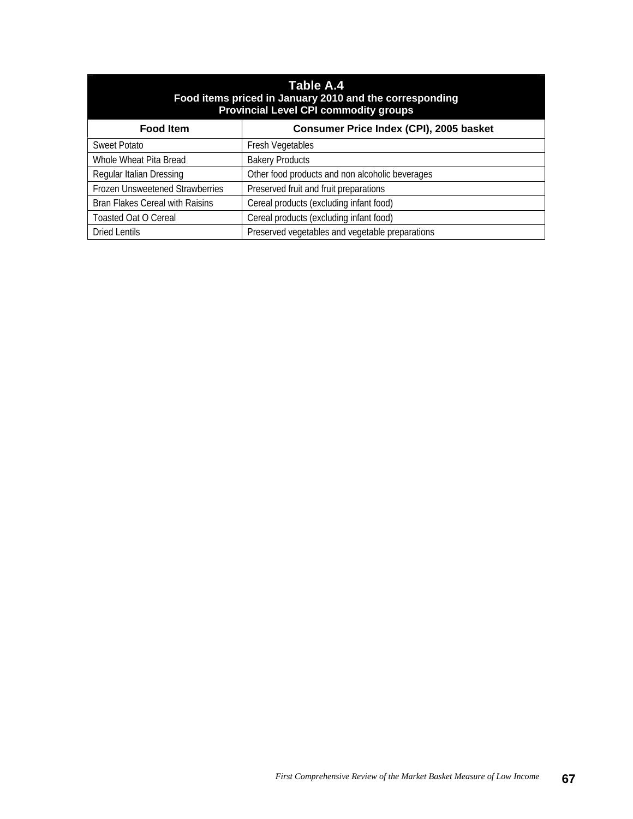| Table A.4<br>Food items priced in January 2010 and the corresponding<br><b>Provincial Level CPI commodity groups</b> |                                                 |  |  |  |
|----------------------------------------------------------------------------------------------------------------------|-------------------------------------------------|--|--|--|
| <b>Food Item</b>                                                                                                     | Consumer Price Index (CPI), 2005 basket         |  |  |  |
| Sweet Potato                                                                                                         | <b>Fresh Vegetables</b>                         |  |  |  |
| Whole Wheat Pita Bread                                                                                               | <b>Bakery Products</b>                          |  |  |  |
| Regular Italian Dressing                                                                                             | Other food products and non alcoholic beverages |  |  |  |
| Frozen Unsweetened Strawberries                                                                                      | Preserved fruit and fruit preparations          |  |  |  |
| Cereal products (excluding infant food)<br><b>Bran Flakes Cereal with Raisins</b>                                    |                                                 |  |  |  |
| <b>Toasted Oat O Cereal</b>                                                                                          | Cereal products (excluding infant food)         |  |  |  |
| Preserved vegetables and vegetable preparations<br>Dried Lentils                                                     |                                                 |  |  |  |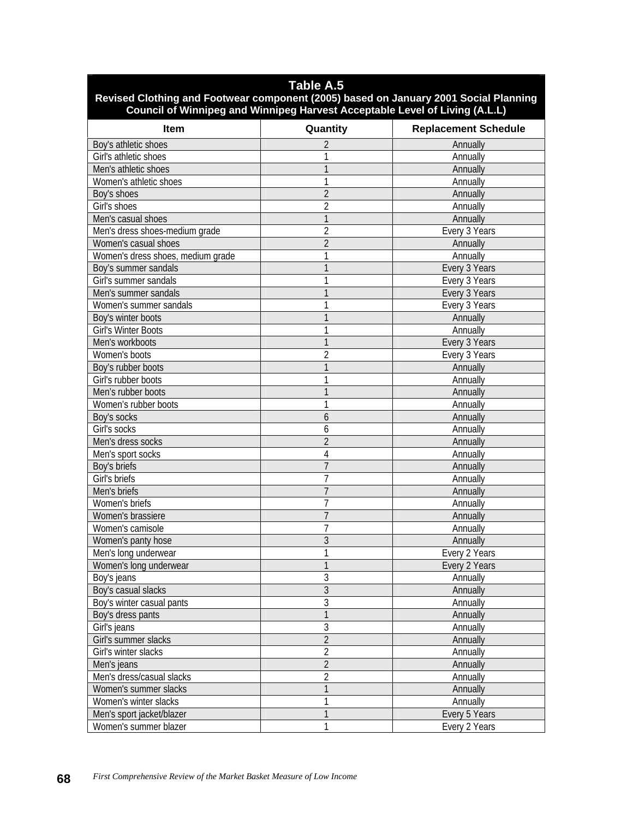## **Table A.5**

## **Revised Clothing and Footwear component (2005) based on January 2001 Social Planning Council of Winnipeg and Winnipeg Harvest Acceptable Level of Living (A.L.L)**

| <b>Item</b>                                | Quantity            | <b>Replacement Schedule</b>    |
|--------------------------------------------|---------------------|--------------------------------|
| Boy's athletic shoes                       | 2                   | Annually                       |
| Girl's athletic shoes                      |                     | Annually                       |
| Men's athletic shoes                       |                     | Annually                       |
| Women's athletic shoes                     |                     | Annually                       |
| Boy's shoes                                | $\overline{2}$      | Annually                       |
| Girl's shoes                               | $\overline{2}$      | Annually                       |
| Men's casual shoes                         |                     | Annually                       |
| Men's dress shoes-medium grade             | $\overline{2}$      | Every 3 Years                  |
| Women's casual shoes                       | $\overline{2}$      | Annually                       |
| Women's dress shoes, medium grade          |                     | Annually                       |
| Boy's summer sandals                       |                     | Every 3 Years                  |
| Girl's summer sandals                      |                     | Every 3 Years                  |
| Men's summer sandals                       |                     | Every 3 Years                  |
| Women's summer sandals                     |                     | Every 3 Years                  |
| Boy's winter boots                         |                     | Annually                       |
| Girl's Winter Boots                        |                     | Annually                       |
| Men's workboots                            |                     | Every 3 Years                  |
| Women's boots                              | 2                   | Every 3 Years                  |
| Boy's rubber boots                         |                     | Annually                       |
| Girl's rubber boots                        |                     | Annually                       |
| Men's rubber boots                         |                     | Annually                       |
| Women's rubber boots                       |                     | Annually                       |
| Boy's socks                                | 6                   | Annually                       |
| Girl's socks                               | 6                   | Annually                       |
| Men's dress socks                          | $\overline{2}$      | Annually                       |
| Men's sport socks                          | 4                   | Annually                       |
| Boy's briefs                               | $\overline{7}$      | Annually                       |
| Girl's briefs                              | 7                   | Annually                       |
| Men's briefs                               | $\overline{7}$      | Annually                       |
| Women's briefs                             | $\overline{7}$      | Annually                       |
| Women's brassiere                          | $\overline{7}$      | Annually                       |
| Women's camisole                           | 7                   | Annually                       |
|                                            | 3                   | Annually                       |
| Women's panty hose<br>Men's long underwear | 1                   |                                |
| Women's long underwear                     | 1                   | Every 2 Years<br>Every 2 Years |
|                                            | 3                   |                                |
| Boy's jeans                                | $\mathfrak{Z}$      | Annually                       |
| Boy's casual slacks                        | 3                   | Annually                       |
| Boy's winter casual pants                  |                     | Annually                       |
| Boy's dress pants                          | 1<br>$\overline{3}$ | Annually                       |
| Girl's jeans                               |                     | Annually                       |
| Girl's summer slacks                       | $\overline{2}$      | Annually                       |
| Girl's winter slacks                       | $\overline{2}$      | Annually                       |
| Men's jeans                                | $\overline{2}$      | Annually                       |
| Men's dress/casual slacks                  | $\overline{2}$      | Annually                       |
| Women's summer slacks                      | 1                   | Annually                       |
| Women's winter slacks                      | 1                   | Annually                       |
| Men's sport jacket/blazer                  | $\overline{1}$      | Every 5 Years                  |
| Women's summer blazer                      | 1                   | Every 2 Years                  |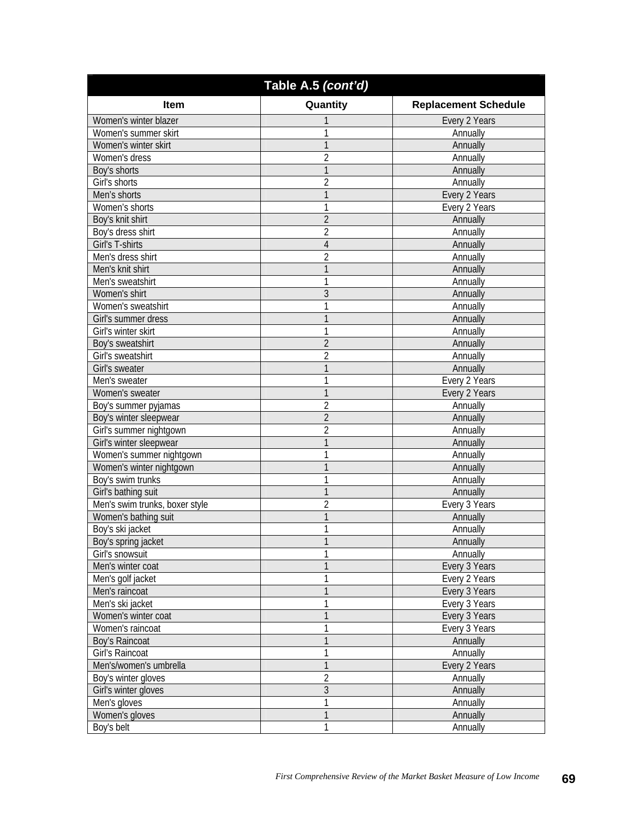| Table A.5 (cont'd)                    |                |                             |  |  |
|---------------------------------------|----------------|-----------------------------|--|--|
| <b>Item</b>                           | Quantity       | <b>Replacement Schedule</b> |  |  |
| Women's winter blazer                 |                | Every 2 Years               |  |  |
| Women's summer skirt                  |                | Annually                    |  |  |
| Women's winter skirt                  |                | Annually                    |  |  |
| Women's dress                         | 2              | Annually                    |  |  |
| Boy's shorts                          | 1              | Annually                    |  |  |
| Girl's shorts                         | 2              | Annually                    |  |  |
| Men's shorts                          | 1              | Every 2 Years               |  |  |
| Women's shorts                        | 1              | Every 2 Years               |  |  |
| Boy's knit shirt                      | 2              | Annually                    |  |  |
| Boy's dress shirt                     | 2              | Annually                    |  |  |
| Girl's T-shirts                       | 4              | Annually                    |  |  |
| Men's dress shirt                     | 2              | Annually                    |  |  |
| Men's knit shirt                      | 1              | Annually                    |  |  |
| Men's sweatshirt                      | 1              | Annually                    |  |  |
| Women's shirt                         | 3              | Annually                    |  |  |
| Women's sweatshirt                    |                | Annually                    |  |  |
| Girl's summer dress                   |                | Annually                    |  |  |
| Girl's winter skirt                   | 1              | Annually                    |  |  |
|                                       | 2              | Annually                    |  |  |
| Boy's sweatshirt<br>Girl's sweatshirt | $\overline{2}$ | Annually                    |  |  |
|                                       |                |                             |  |  |
| Girl's sweater                        | 1              | Annually                    |  |  |
| Men's sweater                         | 1              | Every 2 Years               |  |  |
| Women's sweater                       | 1              | Every 2 Years               |  |  |
| Boy's summer pyjamas                  | $\overline{2}$ | Annually                    |  |  |
| Boy's winter sleepwear                | $\overline{2}$ | Annually                    |  |  |
| Girl's summer nightgown               | 2              | Annually                    |  |  |
| Girl's winter sleepwear               | 1              | Annually                    |  |  |
| Women's summer nightgown              | 1              | Annually                    |  |  |
| Women's winter nightgown              |                | Annually                    |  |  |
| Boy's swim trunks                     | 1              | Annually                    |  |  |
| Girl's bathing suit                   | 1              | Annually                    |  |  |
| Men's swim trunks, boxer style        | $\overline{2}$ | Every 3 Years               |  |  |
| Women's bathing suit                  |                | Annually                    |  |  |
| Boy's ski jacket                      |                | Annually                    |  |  |
| Boy's spring jacket                   |                | Annually                    |  |  |
| Girl's snowsuit                       |                | Annually                    |  |  |
| Men's winter coat                     |                | Every 3 Years               |  |  |
| Men's golf jacket                     |                | Every 2 Years               |  |  |
| Men's raincoat                        |                | Every 3 Years               |  |  |
| Men's ski jacket                      |                | Every 3 Years               |  |  |
| Women's winter coat                   |                | Every 3 Years               |  |  |
| Women's raincoat                      |                | Every 3 Years               |  |  |
| Boy's Raincoat                        |                | Annually                    |  |  |
| Girl's Raincoat                       |                | Annually                    |  |  |
| Men's/women's umbrella                |                | Every 2 Years               |  |  |
| Boy's winter gloves                   | 2              | Annually                    |  |  |
| Girl's winter gloves                  | $\overline{3}$ | Annually                    |  |  |
| Men's gloves                          |                | Annually                    |  |  |
| Women's gloves                        |                | Annually                    |  |  |
| Boy's belt                            |                | Annually                    |  |  |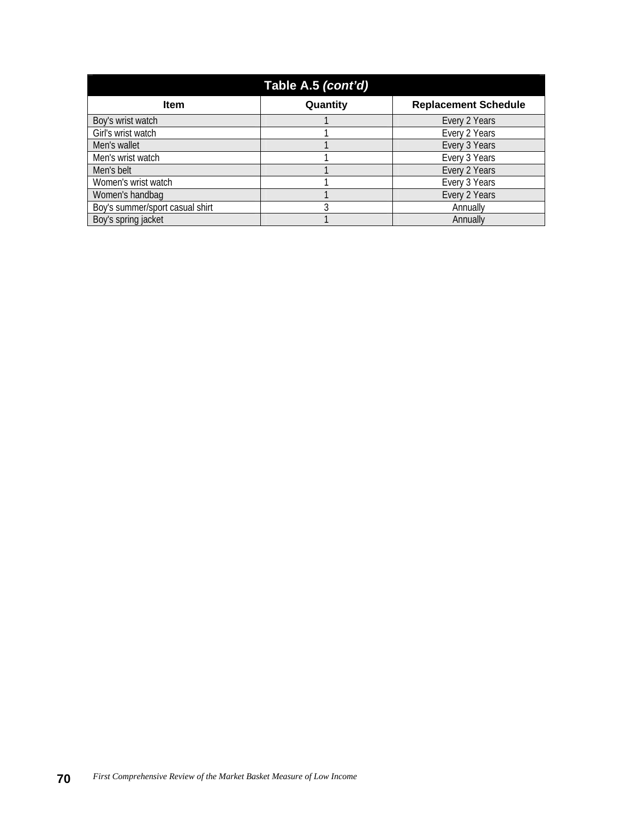|                                 | Table A.5 (cont'd) |                             |
|---------------------------------|--------------------|-----------------------------|
| <b>Item</b>                     | Quantity           | <b>Replacement Schedule</b> |
| Boy's wrist watch               |                    | Every 2 Years               |
| Girl's wrist watch              |                    | Every 2 Years               |
| Men's wallet                    |                    | Every 3 Years               |
| Men's wrist watch               |                    | Every 3 Years               |
| Men's belt                      |                    | Every 2 Years               |
| Women's wrist watch             |                    | Every 3 Years               |
| Women's handbag                 |                    | Every 2 Years               |
| Boy's summer/sport casual shirt |                    | Annually                    |
| Boy's spring jacket             |                    | Annually                    |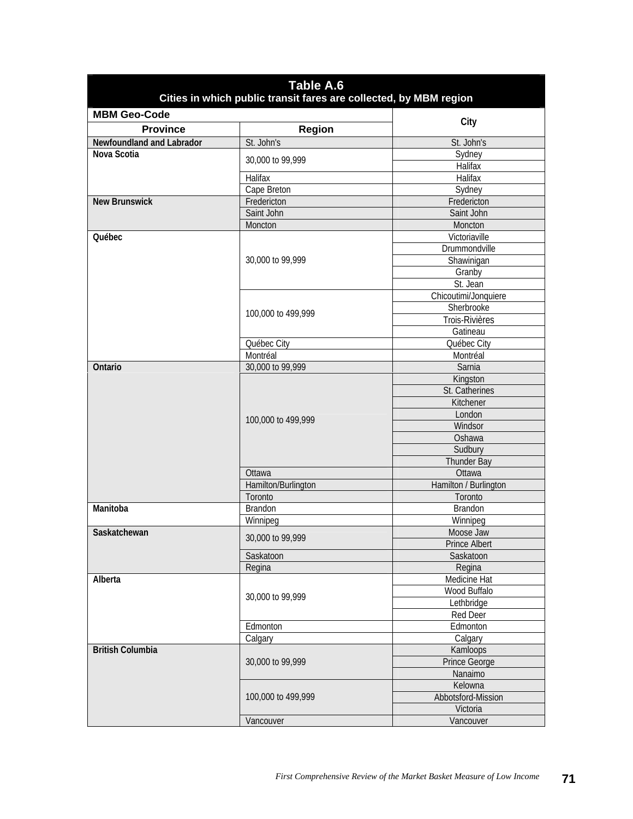| Table A.6<br>Cities in which public transit fares are collected, by MBM region |                     |                       |  |
|--------------------------------------------------------------------------------|---------------------|-----------------------|--|
| <b>MBM Geo-Code</b>                                                            |                     |                       |  |
| <b>Province</b>                                                                | Region              | City                  |  |
| Newfoundland and Labrador                                                      | St. John's          | St. John's            |  |
| Nova Scotia                                                                    |                     | Sydney                |  |
|                                                                                | 30,000 to 99,999    | Halifax               |  |
|                                                                                | Halifax             | Halifax               |  |
|                                                                                | Cape Breton         | Sydney                |  |
| <b>New Brunswick</b>                                                           | Fredericton         | Fredericton           |  |
|                                                                                | Saint John          | Saint John            |  |
|                                                                                | Moncton             | Moncton               |  |
| Québec                                                                         |                     | Victoriaville         |  |
|                                                                                |                     | Drummondville         |  |
|                                                                                | 30,000 to 99,999    | Shawinigan            |  |
|                                                                                |                     | Granby                |  |
|                                                                                |                     | St. Jean              |  |
|                                                                                |                     | Chicoutimi/Jonquiere  |  |
|                                                                                |                     | Sherbrooke            |  |
|                                                                                | 100,000 to 499,999  | Trois-Rivières        |  |
|                                                                                |                     | Gatineau              |  |
|                                                                                | Québec City         | Québec City           |  |
|                                                                                | Montréal            | Montréal              |  |
| Ontario                                                                        | 30,000 to 99,999    | Sarnia                |  |
|                                                                                |                     | Kingston              |  |
|                                                                                | 100,000 to 499,999  | St. Catherines        |  |
|                                                                                |                     | Kitchener             |  |
|                                                                                |                     | London                |  |
|                                                                                |                     | Windsor               |  |
|                                                                                |                     | Oshawa                |  |
|                                                                                |                     | Sudbury               |  |
|                                                                                |                     | Thunder Bay           |  |
|                                                                                | Ottawa              | Ottawa                |  |
|                                                                                | Hamilton/Burlington | Hamilton / Burlington |  |
|                                                                                | Toronto             | Toronto               |  |
| Manitoba                                                                       | <b>Brandon</b>      | <b>Brandon</b>        |  |
|                                                                                | Winnipeg            | Winnipeg              |  |
| Saskatchewan                                                                   | 30,000 to 99,999    | Moose Jaw             |  |
|                                                                                |                     | Prince Albert         |  |
|                                                                                | Saskatoon           | Saskatoon             |  |
|                                                                                | Regina              | Regina                |  |
| Alberta                                                                        |                     | Medicine Hat          |  |
|                                                                                | 30,000 to 99,999    | Wood Buffalo          |  |
|                                                                                |                     | Lethbridge            |  |
|                                                                                |                     | Red Deer              |  |
|                                                                                | Edmonton            | Edmonton              |  |
|                                                                                | Calgary             | Calgary               |  |
| <b>British Columbia</b>                                                        |                     | Kamloops              |  |
|                                                                                | 30,000 to 99,999    | Prince George         |  |
|                                                                                |                     | Nanaimo               |  |
|                                                                                |                     | Kelowna               |  |
|                                                                                | 100,000 to 499,999  | Abbotsford-Mission    |  |
|                                                                                |                     | Victoria              |  |
|                                                                                | Vancouver           | Vancouver             |  |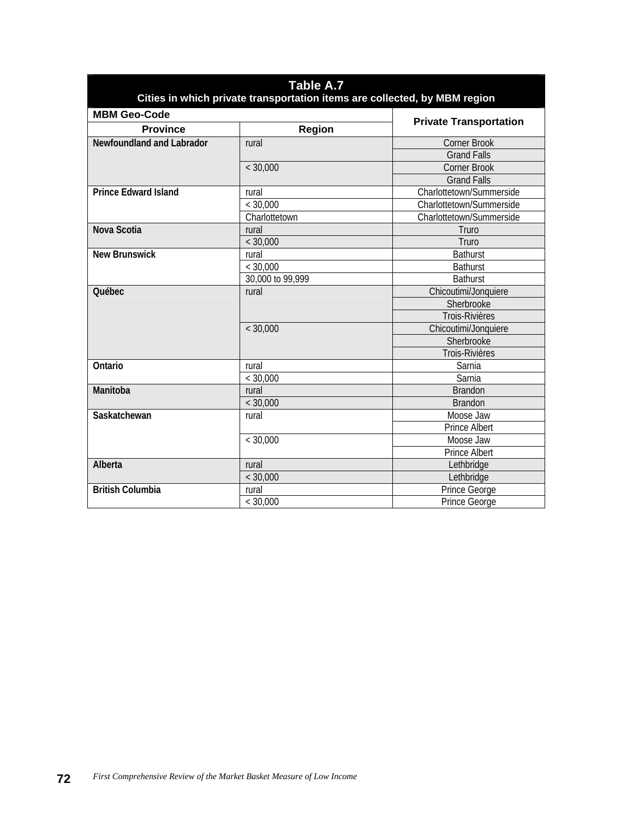| Table A.7<br>Cities in which private transportation items are collected, by MBM region |                  |                               |  |  |
|----------------------------------------------------------------------------------------|------------------|-------------------------------|--|--|
| <b>MBM Geo-Code</b>                                                                    |                  |                               |  |  |
| <b>Province</b>                                                                        | Region           | <b>Private Transportation</b> |  |  |
| Newfoundland and Labrador                                                              | rural            | Corner Brook                  |  |  |
|                                                                                        |                  | <b>Grand Falls</b>            |  |  |
|                                                                                        | < 30,000         | <b>Corner Brook</b>           |  |  |
|                                                                                        |                  | <b>Grand Falls</b>            |  |  |
| <b>Prince Edward Island</b>                                                            | rural            | Charlottetown/Summerside      |  |  |
|                                                                                        | < 30,000         | Charlottetown/Summerside      |  |  |
|                                                                                        | Charlottetown    | Charlottetown/Summerside      |  |  |
| Nova Scotia                                                                            | rural            | Truro                         |  |  |
|                                                                                        | < 30,000         | Truro                         |  |  |
| <b>New Brunswick</b>                                                                   | rural            | <b>Bathurst</b>               |  |  |
|                                                                                        | < 30,000         | <b>Bathurst</b>               |  |  |
|                                                                                        | 30,000 to 99,999 | <b>Bathurst</b>               |  |  |
| Québec                                                                                 | rural            | Chicoutimi/Jonquiere          |  |  |
|                                                                                        |                  | Sherbrooke                    |  |  |
|                                                                                        |                  | Trois-Rivières                |  |  |
|                                                                                        | < 30,000         | Chicoutimi/Jonquiere          |  |  |
|                                                                                        |                  | Sherbrooke                    |  |  |
|                                                                                        |                  | Trois-Rivières                |  |  |
| Ontario                                                                                | rural            | Sarnia                        |  |  |
|                                                                                        | < 30,000         | Sarnia                        |  |  |
| Manitoba                                                                               | rural            | <b>Brandon</b>                |  |  |
|                                                                                        | < 30,000         | <b>Brandon</b>                |  |  |
| Saskatchewan                                                                           | rural            | Moose Jaw                     |  |  |
|                                                                                        |                  | <b>Prince Albert</b>          |  |  |
|                                                                                        | < 30,000         | Moose Jaw                     |  |  |
|                                                                                        |                  | <b>Prince Albert</b>          |  |  |
| Alberta                                                                                | rural            | Lethbridge                    |  |  |
|                                                                                        | < 30,000         | Lethbridge                    |  |  |
| <b>British Columbia</b>                                                                | rural            | Prince George                 |  |  |
|                                                                                        | < 30,000         | Prince George                 |  |  |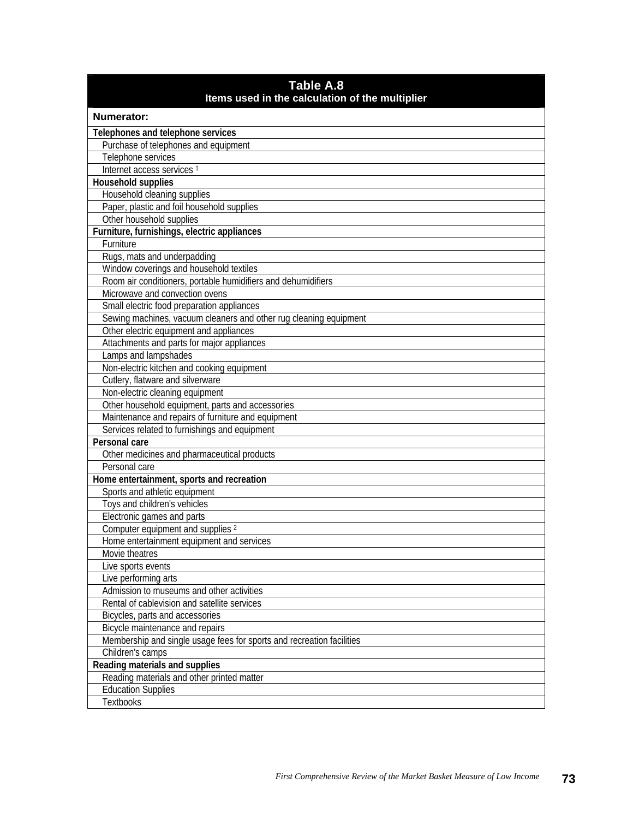| Table A.8<br>Items used in the calculation of the multiplier          |
|-----------------------------------------------------------------------|
| <b>Numerator:</b>                                                     |
| Telephones and telephone services                                     |
| Purchase of telephones and equipment                                  |
| Telephone services                                                    |
| Internet access services <sup>1</sup>                                 |
| Household supplies                                                    |
| Household cleaning supplies                                           |
| Paper, plastic and foil household supplies                            |
| Other household supplies                                              |
| Furniture, furnishings, electric appliances                           |
| Furniture                                                             |
| Rugs, mats and underpadding                                           |
| Window coverings and household textiles                               |
| Room air conditioners, portable humidifiers and dehumidifiers         |
| Microwave and convection ovens                                        |
| Small electric food preparation appliances                            |
| Sewing machines, vacuum cleaners and other rug cleaning equipment     |
| Other electric equipment and appliances                               |
| Attachments and parts for major appliances                            |
| Lamps and lampshades                                                  |
| Non-electric kitchen and cooking equipment                            |
| Cutlery, flatware and silverware                                      |
| Non-electric cleaning equipment                                       |
| Other household equipment, parts and accessories                      |
| Maintenance and repairs of furniture and equipment                    |
| Services related to furnishings and equipment                         |
| Personal care                                                         |
| Other medicines and pharmaceutical products                           |
| Personal care                                                         |
| Home entertainment, sports and recreation                             |
| Sports and athletic equipment                                         |
| Toys and children's vehicles                                          |
| Electronic games and parts                                            |
| Computer equipment and supplies <sup>2</sup>                          |
| Home entertainment equipment and services                             |
| Movie theatres                                                        |
| Live sports events                                                    |
| Live performing arts                                                  |
| Admission to museums and other activities                             |
| Rental of cablevision and satellite services                          |
| Bicycles, parts and accessories                                       |
| Bicycle maintenance and repairs                                       |
| Membership and single usage fees for sports and recreation facilities |
| Children's camps                                                      |
| Reading materials and supplies                                        |
| Reading materials and other printed matter                            |
| <b>Education Supplies</b>                                             |
| Textbooks                                                             |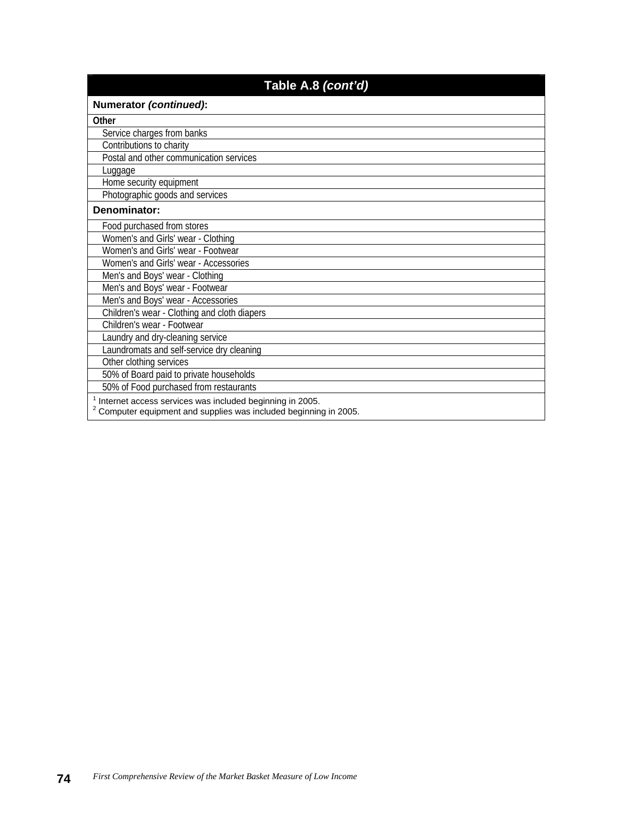| Table A.8 (cont'd)                                                                                                                       |
|------------------------------------------------------------------------------------------------------------------------------------------|
| Numerator (continued):                                                                                                                   |
| Other                                                                                                                                    |
| Service charges from banks                                                                                                               |
| Contributions to charity                                                                                                                 |
| Postal and other communication services                                                                                                  |
| Luggage                                                                                                                                  |
| Home security equipment                                                                                                                  |
| Photographic goods and services                                                                                                          |
| Denominator:                                                                                                                             |
| Food purchased from stores                                                                                                               |
| Women's and Girls' wear - Clothing                                                                                                       |
| Women's and Girls' wear - Footwear                                                                                                       |
| Women's and Girls' wear - Accessories                                                                                                    |
| Men's and Boys' wear - Clothing                                                                                                          |
| Men's and Boys' wear - Footwear                                                                                                          |
| Men's and Boys' wear - Accessories                                                                                                       |
| Children's wear - Clothing and cloth diapers                                                                                             |
| Children's wear - Footwear                                                                                                               |
| Laundry and dry-cleaning service                                                                                                         |
| Laundromats and self-service dry cleaning                                                                                                |
| Other clothing services                                                                                                                  |
| 50% of Board paid to private households                                                                                                  |
| 50% of Food purchased from restaurants                                                                                                   |
| Internet access services was included beginning in 2005.<br><sup>2</sup> Computer equipment and supplies was included beginning in 2005. |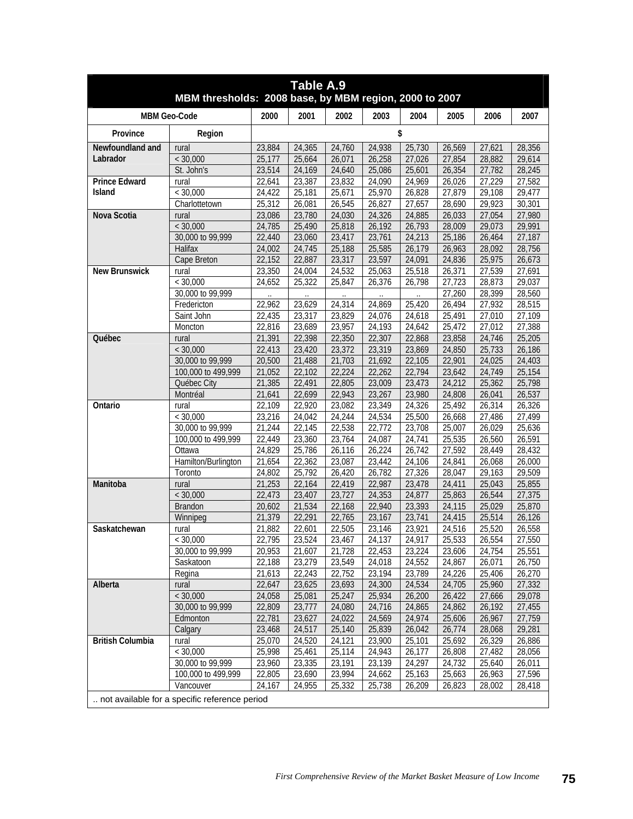| Table A.9               |                                                        |        |        |        |        |        |        |        |        |  |
|-------------------------|--------------------------------------------------------|--------|--------|--------|--------|--------|--------|--------|--------|--|
|                         | MBM thresholds: 2008 base, by MBM region, 2000 to 2007 |        |        |        |        |        |        |        |        |  |
|                         | <b>MBM Geo-Code</b>                                    | 2000   | 2001   | 2002   | 2003   | 2004   | 2005   | 2006   | 2007   |  |
| Province                | Region                                                 |        |        |        |        | \$     |        |        |        |  |
| Newfoundland and        | rural                                                  | 23,884 | 24,365 | 24,760 | 24,938 | 25,730 | 26,569 | 27,621 | 28,356 |  |
| Labrador                | < 30,000                                               | 25,177 | 25,664 | 26,071 | 26,258 | 27,026 | 27,854 | 28,882 | 29,614 |  |
|                         | St. John's                                             | 23,514 | 24,169 | 24,640 | 25,086 | 25,601 | 26,354 | 27,782 | 28,245 |  |
| <b>Prince Edward</b>    | rural                                                  | 22,641 | 23,387 | 23,832 | 24,090 | 24,969 | 26,026 | 27,229 | 27,582 |  |
| Island                  | < 30,000                                               | 24,422 | 25,181 | 25,671 | 25,970 | 26,828 | 27,879 | 29,108 | 29,477 |  |
|                         | Charlottetown                                          | 25,312 | 26,081 | 26,545 | 26,827 | 27,657 | 28,690 | 29,923 | 30,301 |  |
| Nova Scotia             | rural                                                  | 23,086 | 23,780 | 24,030 | 24,326 | 24,885 | 26,033 | 27,054 | 27,980 |  |
|                         | < 30,000                                               | 24,785 | 25,490 | 25,818 | 26,192 | 26,793 | 28,009 | 29,073 | 29,991 |  |
|                         | 30,000 to 99,999                                       | 22,440 | 23,060 | 23,417 | 23,761 | 24,213 | 25,186 | 26,464 | 27,187 |  |
|                         | Halifax                                                | 24,002 | 24,745 | 25,188 | 25,585 | 26,179 | 26,963 | 28,092 | 28,756 |  |
|                         | Cape Breton                                            | 22,152 | 22,887 | 23,317 | 23,597 | 24,091 | 24,836 | 25,975 | 26,673 |  |
| <b>New Brunswick</b>    | rural                                                  | 23,350 | 24,004 | 24,532 | 25,063 | 25,518 | 26,371 | 27,539 | 27,691 |  |
|                         | < 30,000                                               | 24,652 | 25,322 | 25,847 | 26,376 | 26,798 | 27,723 | 28,873 | 29,037 |  |
|                         | 30,000 to 99,999                                       |        |        |        |        |        | 27,260 | 28,399 | 28,560 |  |
|                         | Fredericton                                            | 22,962 | 23,629 | 24,314 | 24,869 | 25,420 | 26,494 | 27,932 | 28,515 |  |
|                         | Saint John                                             | 22,435 | 23,317 | 23,829 | 24,076 | 24,618 | 25,491 | 27,010 | 27,109 |  |
|                         | Moncton                                                | 22,816 | 23,689 | 23,957 | 24,193 | 24,642 | 25,472 | 27,012 | 27,388 |  |
| Québec                  | rural                                                  | 21,391 | 22,398 | 22,350 | 22,307 | 22,868 | 23,858 | 24,746 | 25,205 |  |
|                         | < 30,000                                               | 22,413 | 23,420 | 23,372 | 23,319 | 23,869 | 24,850 | 25,733 | 26,186 |  |
|                         | 30,000 to 99,999                                       | 20,500 | 21,488 | 21,703 | 21,692 | 22,105 | 22,901 | 24,025 | 24,403 |  |
|                         | 100,000 to 499,999                                     | 21,052 | 22,102 | 22,224 | 22,262 | 22,794 | 23,642 | 24,749 | 25,154 |  |
|                         | Québec City                                            | 21,385 | 22,491 | 22,805 | 23,009 | 23,473 | 24,212 | 25,362 | 25,798 |  |
|                         | Montréal                                               | 21,641 | 22,699 | 22,943 | 23,267 | 23,980 | 24,808 | 26,041 | 26,537 |  |
| Ontario                 | rural                                                  | 22,109 | 22,920 | 23,082 | 23,349 | 24,326 | 25,492 | 26,314 | 26,326 |  |
|                         | < 30,000                                               | 23,216 | 24,042 | 24,244 | 24,534 | 25,500 | 26,668 | 27,486 | 27,499 |  |
|                         | 30,000 to 99,999                                       | 21,244 | 22,145 | 22,538 | 22,772 | 23,708 | 25,007 | 26,029 | 25,636 |  |
|                         | 100,000 to 499,999                                     | 22,449 | 23,360 | 23,764 | 24,087 | 24,741 | 25,535 | 26,560 | 26,591 |  |
|                         | Ottawa                                                 | 24,829 | 25,786 | 26,116 | 26,224 | 26,742 | 27,592 | 28,449 | 28,432 |  |
|                         | Hamilton/Burlington                                    | 21,654 | 22,362 | 23,087 | 23,442 | 24,106 | 24,841 | 26,068 | 26,000 |  |
|                         | Toronto                                                | 24,802 | 25,792 | 26,420 | 26,782 | 27,326 | 28,047 | 29,163 | 29,509 |  |
| Manitoba                | rural                                                  | 21,253 | 22,164 | 22,419 | 22,987 | 23,478 | 24,411 | 25,043 | 25,855 |  |
|                         | < 30,000                                               | 22,473 | 23,407 | 23,727 | 24,353 | 24,877 | 25,863 | 26,544 | 27,375 |  |
|                         | Brandon                                                | 20,602 | 21,534 | 22,168 | 22,940 | 23,393 | 24,115 | 25,029 | 25,870 |  |
|                         | Winnipeg                                               | 21,379 | 22,291 | 22,765 | 23,167 | 23,741 | 24,415 | 25,514 | 26,126 |  |
| Saskatchewan            | rural                                                  | 21,882 | 22,601 | 22,505 | 23,146 | 23,921 | 24,516 | 25,520 | 26,558 |  |
|                         | < 30,000                                               | 22,795 | 23,524 | 23,467 | 24,137 | 24,917 | 25,533 | 26,554 | 27,550 |  |
|                         | 30,000 to 99,999                                       | 20,953 | 21,607 | 21,728 | 22,453 | 23,224 | 23,606 | 24,754 | 25,551 |  |
|                         | Saskatoon                                              | 22,188 | 23,279 | 23,549 | 24,018 | 24,552 | 24,867 | 26,071 | 26,750 |  |
|                         | Regina                                                 | 21,613 | 22,243 | 22,752 | 23,194 | 23,789 | 24,226 | 25,406 | 26,270 |  |
| Alberta                 | rural                                                  | 22,647 | 23,625 | 23,693 | 24,300 | 24,534 | 24,705 | 25,960 | 27,332 |  |
|                         | < 30,000                                               | 24,058 | 25,081 | 25,247 | 25,934 | 26,200 | 26,422 | 27,666 | 29,078 |  |
|                         | 30,000 to 99,999                                       | 22,809 | 23,777 | 24,080 | 24,716 | 24,865 | 24,862 | 26,192 | 27,455 |  |
|                         | Edmonton                                               | 22,781 | 23,627 | 24,022 | 24,569 | 24,974 | 25,606 | 26,967 | 27,759 |  |
|                         | Calgary                                                | 23,468 | 24,517 | 25,140 | 25,839 | 26,042 | 26,774 | 28,068 | 29,281 |  |
| <b>British Columbia</b> | rural                                                  | 25,070 | 24,520 | 24,121 | 23,900 | 25,101 | 25,692 | 26,329 | 26,886 |  |
|                         | < 30,000                                               | 25,998 | 25,461 | 25,114 | 24,943 | 26,177 | 26,808 | 27,482 | 28,056 |  |
|                         | 30,000 to 99,999                                       | 23,960 | 23,335 | 23,191 | 23,139 | 24,297 | 24,732 | 25,640 | 26,011 |  |
|                         | 100,000 to 499,999                                     | 22,805 | 23,690 | 23,994 | 24,662 | 25,163 | 25,663 | 26,963 | 27,596 |  |
|                         | Vancouver                                              | 24,167 | 24,955 | 25,332 | 25,738 | 26,209 | 26,823 | 28,002 | 28,418 |  |
|                         | not available for a specific reference period          |        |        |        |        |        |        |        |        |  |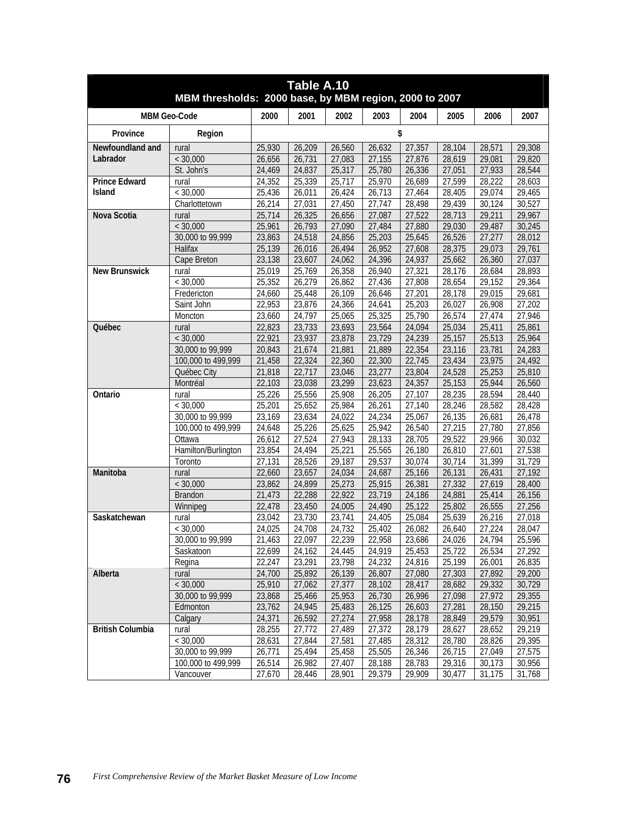| Table A.10<br>MBM thresholds: 2000 base, by MBM region, 2000 to 2007 |                                        |                  |                  |                  |                  |                  |                     |                  |                  |  |
|----------------------------------------------------------------------|----------------------------------------|------------------|------------------|------------------|------------------|------------------|---------------------|------------------|------------------|--|
|                                                                      | <b>MBM Geo-Code</b>                    | 2000             | 2001             | 2002             | 2003             | 2004             | 2005                | 2006             | 2007             |  |
|                                                                      |                                        |                  |                  |                  |                  |                  |                     |                  |                  |  |
| Province                                                             | Region                                 |                  |                  |                  |                  | \$               |                     |                  |                  |  |
| Newfoundland and                                                     | rural                                  | 25,930           | 26,209           | 26,560           | 26,632           | 27,357           | 28,104              | 28,571           | 29,308           |  |
| Labrador                                                             | < 30,000                               | 26,656           | 26,731           | 27,083           | 27,155           | 27,876           | 28,619              | 29,081           | 29,820           |  |
|                                                                      | St. John's                             | 24,469           | 24,837           | 25,317           | 25,780           | 26,336           | 27,051              | 27,933           | 28,544           |  |
| <b>Prince Edward</b>                                                 | rural                                  | 24,352           | 25,339           | 25,717           | 25,970           | 26,689           | 27,599              | 28,222           | 28,603           |  |
| <b>Island</b>                                                        | < 30,000                               | 25,436           | 26,011           | 26,424           | 26,713           | 27,464           | 28,405              | 29,074           | 29,465           |  |
|                                                                      | Charlottetown                          | 26,214           | 27,031           | 27,450           | 27,747           | 28,498           | 29,439              | 30,124           | 30,527           |  |
| Nova Scotia                                                          | rural                                  | 25,714           | 26,325           | 26,656           | 27,087           | 27,522           | 28,713              | 29,211           | 29,967           |  |
|                                                                      | < 30,000                               | 25,961           | 26,793           | 27,090           | 27,484           | 27,880           | 29,030              | 29,487           | 30,245           |  |
|                                                                      | 30,000 to 99,999                       | 23,863           | 24,518           | 24,856           | 25,203           | 25,645           | 26,526              | 27,277           | 28,012           |  |
|                                                                      | Halifax                                | 25,139           | 26,016           | 26,494           | 26,952           | 27,608           | 28,375              | 29,073           | 29,761           |  |
|                                                                      | Cape Breton                            | 23,138           | 23,607           | 24,062           | 24,396           | 24,937           | 25,662              | 26,360           | 27,037           |  |
| <b>New Brunswick</b>                                                 | rural                                  | 25,019           | 25,769           | 26,358           | 26,940           | 27,321           | 28,176              | 28,684           | 28,893           |  |
|                                                                      | < 30,000                               | 25,352           | 26,279           | 26,862           | 27,436           | 27,808           | 28,654              | 29,152           | 29,364           |  |
|                                                                      | Fredericton                            | 24,660           | 25,448           | 26,109           | 26,646           | 27,201           | 28,178              | 29,015           | 29,681           |  |
|                                                                      | Saint John                             | 22,953           | 23,876           | 24,366           | 24,641           | 25,203           | 26,027              | 26,908           | 27,202           |  |
|                                                                      | Moncton                                | 23,660           | 24,797           | 25,065           | 25,325           | 25,790           | 26,574              | 27,474           | 27,946           |  |
| Québec                                                               | rural                                  | 22,823           | 23,733           | 23,693           | 23,564           | 24,094           | 25,034              | 25,411           | 25,861           |  |
|                                                                      | < 30,000                               | 22,921           | 23,937           | 23,878           | 23,729           | 24,239           | 25,157              | 25,513           | 25,964           |  |
|                                                                      | 30,000 to 99,999                       | 20,843           | 21,674           | 21,881           | 21,889           | 22,354           | 23,116              | 23,781           | 24,283           |  |
|                                                                      | 100,000 to 499,999                     | 21,458           | 22,324           | 22,360           | 22,300           | 22,745           | 23,434              | 23,975           | 24,492           |  |
|                                                                      | Québec City                            | 21,818           | 22,717           | 23,046           | 23,277           | 23,804           | 24,528              | 25,253           | 25,810           |  |
|                                                                      | Montréal                               | 22,103           | 23,038           | 23,299           | 23,623           | 24,357           | 25,153              | 25,944           | 26,560           |  |
| Ontario                                                              | rural                                  | 25,226           | 25,556           | 25,908           | 26,205           | 27,107           | 28,235              | 28,594           | 28,440           |  |
|                                                                      | < 30,000                               | 25,201           | 25,652           | 25,984           | 26,261           | 27,140           | 28,246              | 28,582           | 28,428           |  |
|                                                                      | 30,000 to 99,999                       | 23,169           | 23,634           | 24,022           | 24,234           | 25,067           | $\overline{26,135}$ | 26,681           | 26,478           |  |
|                                                                      | 100,000 to 499,999                     | 24,648           | 25,226           | 25,625           | 25,942           | 26,540           | 27,215              | 27,780           | 27,856           |  |
|                                                                      | Ottawa                                 | 26,612           | 27,524           | 27,943           | 28,133           | 28,705           | 29,522              | 29,966           | 30,032           |  |
|                                                                      | Hamilton/Burlington                    | 23,854           | 24,494           | 25,221           | 25,565           | 26,180           | 26,810              | 27,601           | 27,538           |  |
|                                                                      | Toronto                                | 27,131           | 28,526           | 29,187           | 29,537           | 30,074           | 30,714              | 31,399           | 31,729           |  |
| Manitoba                                                             | rural                                  | 22,660           | 23,657           | 24,034           | 24,687           | 25,166           | 26,131              | 26,431           | 27,192           |  |
|                                                                      | < 30,000                               | 23,862           | 24,899           | 25,273           | 25,915           | 26,381           | 27,332              | 27,619           | 28,400           |  |
|                                                                      | <b>Brandon</b>                         | 21,473           | 22,288           | 22,922           | 23,719           | 24,186<br>25,122 | 24,881              | 25,414<br>26,555 | 26,156           |  |
|                                                                      | Winnipeg                               | 22,478           | 23,450           | 24,005           | 24,490           |                  | 25,802              |                  | 27,256           |  |
| Saskatchewan                                                         | rural                                  | 23.042           | 23,730           | 23,741           | 24,405           | 25,084           | 25,639              | 26,216           | 27,018           |  |
|                                                                      | < 30,000                               | 24,025           | 24.708           | 24,732           | 25,402           | 26,082           | 26,640              | 27,224           | 28,047           |  |
|                                                                      | 30,000 to 99,999                       | 21,463<br>22,699 | 22,097           | 22,239           | 22,958           | 23,686           | 24,026              | 24,794           | 25,596           |  |
|                                                                      | Saskatoon                              |                  | 24,162           | 24,445           | 24,919           | 25,453           | 25,722              | 26,534           | 27,292           |  |
|                                                                      | Regina                                 | 22,247           | 23,291           | 23,798           | 24,232           | 24,816           | 25,199              | 26,001<br>27,892 | 26,835           |  |
| Alberta                                                              | rural<br>< 30,000                      | 24,700           | 25,892<br>27,062 | 26,139           | 26,807           | 27,080           | 27,303              |                  | 29,200           |  |
|                                                                      |                                        | 25,910           |                  | 27,377           | 28,102           | 28,417           | 28,682              | 29,332           | 30,729           |  |
|                                                                      | 30,000 to 99,999                       | 23,868           | 25,466           | 25,953           | 26,730           | 26,996           | 27,098              | 27,972           | 29,355           |  |
|                                                                      | Edmonton                               | 23,762           | 24,945           | 25,483           | 26,125           | 26,603           | 27,281              | 28,150           | 29,215           |  |
| <b>British Columbia</b>                                              | Calgary<br>rural                       | 24,371<br>28,255 | 26,592<br>27,772 | 27,274<br>27,489 | 27,958<br>27,372 | 28,178<br>28,179 | 28,849<br>28,627    | 29,579<br>28,652 | 30,951<br>29,219 |  |
|                                                                      |                                        |                  |                  |                  |                  | 28,312           |                     |                  |                  |  |
|                                                                      | < 30,000                               | 28,631           | 27,844           | 27,581           | 27,485<br>25,505 |                  | 28,780<br>26,715    | 28,826           | 29,395<br>27,575 |  |
|                                                                      | 30,000 to 99,999<br>100,000 to 499,999 | 26,771           | 25,494           | 25,458           |                  | 26,346           |                     | 27,049           |                  |  |
|                                                                      | Vancouver                              | 26,514<br>27,670 | 26,982<br>28,446 | 27,407<br>28,901 | 28,188<br>29,379 | 28,783<br>29,909 | 29,316<br>30,477    | 30,173<br>31,175 | 30,956<br>31,768 |  |
|                                                                      |                                        |                  |                  |                  |                  |                  |                     |                  |                  |  |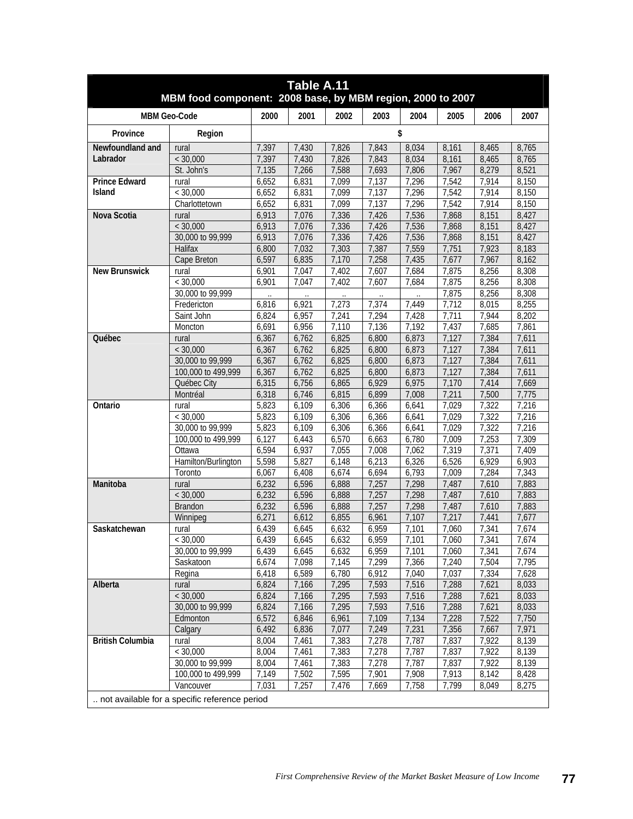| Table A.11<br>MBM food component: 2008 base, by MBM region, 2000 to 2007 |                                                                                   |       |       |       |       |       |       |       |       |  |  |
|--------------------------------------------------------------------------|-----------------------------------------------------------------------------------|-------|-------|-------|-------|-------|-------|-------|-------|--|--|
|                                                                          | <b>MBM Geo-Code</b>                                                               | 2000  | 2001  | 2002  | 2003  | 2004  | 2005  | 2006  | 2007  |  |  |
| Province                                                                 | Region                                                                            |       |       |       |       | \$    |       |       |       |  |  |
| Newfoundland and                                                         | rural                                                                             | 7,397 | 7,430 | 7,826 | 7,843 | 8,034 | 8,161 | 8,465 | 8,765 |  |  |
| Labrador                                                                 | < 30,000                                                                          | 7,397 | 7,430 | 7,826 | 7,843 | 8,034 | 8,161 | 8,465 | 8,765 |  |  |
|                                                                          | St. John's                                                                        | 7,135 | 7,266 | 7,588 | 7,693 | 7,806 | 7,967 | 8,279 | 8,521 |  |  |
| <b>Prince Edward</b>                                                     | rural                                                                             | 6,652 | 6,831 | 7,099 | 7,137 | 7,296 | 7,542 | 7,914 | 8,150 |  |  |
| <b>Island</b>                                                            | $<$ 30.000                                                                        | 6,652 | 6,831 | 7,099 | 7,137 | 7,296 | 7,542 | 7,914 | 8,150 |  |  |
|                                                                          | Charlottetown                                                                     | 6,652 | 6,831 | 7,099 | 7,137 | 7,296 | 7,542 | 7,914 | 8,150 |  |  |
| Nova Scotia                                                              | rural                                                                             | 6,913 | 7,076 | 7,336 | 7,426 | 7,536 | 7,868 | 8,151 | 8,427 |  |  |
|                                                                          | < 30,000                                                                          | 6,913 | 7,076 | 7,336 | 7,426 | 7,536 | 7,868 | 8,151 | 8,427 |  |  |
|                                                                          | 30,000 to 99,999                                                                  | 6,913 | 7,076 | 7,336 | 7,426 | 7,536 | 7,868 | 8,151 | 8,427 |  |  |
|                                                                          | Halifax                                                                           | 6,800 | 7,032 | 7,303 | 7,387 | 7,559 | 7,751 | 7,923 | 8,183 |  |  |
|                                                                          | Cape Breton                                                                       | 6,597 | 6,835 | 7,170 | 7,258 | 7,435 | 7,677 | 7,967 | 8,162 |  |  |
| <b>New Brunswick</b>                                                     | rural                                                                             | 6,901 | 7,047 | 7,402 | 7,607 | 7,684 | 7,875 | 8,256 | 8,308 |  |  |
|                                                                          | < 30,000                                                                          | 6,901 | 7.047 | 7,402 | 7,607 | 7,684 | 7,875 | 8,256 | 8,308 |  |  |
|                                                                          | 30,000 to 99,999                                                                  |       |       |       |       |       | 7,875 | 8,256 | 8,308 |  |  |
|                                                                          | Fredericton                                                                       | 6,816 | 6,921 | 7,273 | 7,374 | 7,449 | 7,712 | 8,015 | 8,255 |  |  |
|                                                                          | Saint John                                                                        | 6,824 | 6,957 | 7,241 | 7,294 | 7,428 | 7,711 | 7,944 | 8,202 |  |  |
|                                                                          | Moncton                                                                           | 6,691 | 6,956 | 7,110 | 7,136 | 7,192 | 7,437 | 7,685 | 7,861 |  |  |
| <b>Ouébec</b>                                                            | rural                                                                             | 6,367 | 6,762 | 6,825 | 6,800 | 6,873 | 7,127 | 7,384 | 7,611 |  |  |
|                                                                          | < 30,000                                                                          | 6,367 | 6,762 | 6,825 | 6,800 | 6,873 | 7,127 | 7,384 | 7,611 |  |  |
|                                                                          | 30,000 to 99,999                                                                  | 6,367 | 6,762 | 6,825 | 6,800 | 6,873 | 7,127 | 7,384 | 7,611 |  |  |
|                                                                          | 100,000 to 499,999                                                                | 6,367 | 6,762 | 6,825 | 6,800 | 6,873 | 7,127 | 7,384 | 7,611 |  |  |
|                                                                          | Québec City                                                                       | 6,315 | 6,756 | 6,865 | 6,929 | 6,975 | 7,170 | 7,414 | 7,669 |  |  |
|                                                                          | Montréal                                                                          | 6,318 | 6,746 | 6,815 | 6,899 | 7,008 | 7,211 | 7,500 | 7,775 |  |  |
| Ontario                                                                  | rural                                                                             | 5,823 | 6,109 | 6,306 | 6,366 | 6,641 | 7,029 | 7,322 | 7,216 |  |  |
|                                                                          | < 30,000                                                                          | 5,823 | 6,109 | 6,306 | 6,366 | 6,641 | 7,029 | 7,322 | 7,216 |  |  |
|                                                                          | 30,000 to 99,999                                                                  | 5,823 | 6,109 | 6,306 | 6,366 | 6,641 | 7,029 | 7,322 | 7,216 |  |  |
|                                                                          | 100,000 to 499,999                                                                | 6,127 | 6,443 | 6,570 | 6,663 | 6,780 | 7,009 | 7,253 | 7,309 |  |  |
|                                                                          | Ottawa                                                                            | 6,594 | 6,937 | 7,055 | 7,008 | 7,062 | 7,319 | 7,371 | 7,409 |  |  |
|                                                                          | Hamilton/Burlington                                                               | 5,598 | 5,827 | 6,148 | 6,213 | 6,326 | 6,526 | 6,929 | 6,903 |  |  |
|                                                                          | Toronto                                                                           | 6,067 | 6,408 | 6,674 | 6,694 | 6,793 | 7,009 | 7,284 | 7,343 |  |  |
| Manitoba                                                                 | rural                                                                             | 6,232 | 6,596 | 6,888 | 7,257 | 7,298 | 7,487 | 7,610 | 7,883 |  |  |
|                                                                          | < 30,000                                                                          | 6,232 | 6,596 | 6,888 | 7,257 | 7,298 | 7,487 | 7,610 | 7,883 |  |  |
|                                                                          | <b>Brandon</b>                                                                    | 6,232 | 6,596 | 6,888 | 7,257 | 7,298 | 7,487 | 7,610 | 7,883 |  |  |
|                                                                          | Winnipeg                                                                          | 6,271 | 6,612 | 6,855 | 6,961 | 7,107 | 7,217 | 7,441 | 7,677 |  |  |
| Saskatchewan                                                             | rural                                                                             | 6,439 | 6,645 | 6,632 | 6,959 | 7,101 | 7,060 | 7,341 | 7,674 |  |  |
|                                                                          | < 30,000                                                                          | 6,439 | 6,645 | 6,632 | 6,959 | 7,101 | 7,060 | 7,341 | 7,674 |  |  |
|                                                                          | 30,000 to 99,999                                                                  | 6,439 | 6,645 | 6,632 | 6,959 | 7,101 | 7,060 | 7,341 | 7,674 |  |  |
|                                                                          | Saskatoon                                                                         | 6,674 | 7,098 | 7,145 | 7,299 | 7,366 | 7,240 | 7,504 | 7,795 |  |  |
|                                                                          | Regina                                                                            | 6,418 | 6,589 | 6,780 | 6,912 | 7,040 | 7,037 | 7,334 | 7,628 |  |  |
| Alberta                                                                  | rural                                                                             | 6,824 | 7,166 | 7,295 | 7,593 | 7,516 | 7,288 | 7,621 | 8,033 |  |  |
|                                                                          | < 30,000                                                                          | 6,824 | 7,166 | 7,295 | 7,593 | 7,516 | 7,288 | 7,621 | 8,033 |  |  |
|                                                                          | 30,000 to 99,999                                                                  | 6,824 | 7,166 | 7,295 | 7,593 | 7,516 | 7,288 | 7,621 | 8,033 |  |  |
|                                                                          | Edmonton                                                                          | 6,572 | 6,846 | 6,961 | 7,109 | 7,134 | 7,228 | 7,522 | 7,750 |  |  |
|                                                                          | Calgary                                                                           | 6,492 | 6,836 | 7,077 | 7,249 | 7,231 | 7,356 | 7,667 | 7,971 |  |  |
| <b>British Columbia</b>                                                  | rural                                                                             | 8,004 | 7,461 | 7,383 | 7,278 | 7,787 | 7,837 | 7,922 | 8,139 |  |  |
|                                                                          | < 30,000                                                                          | 8,004 | 7,461 | 7,383 | 7,278 | 7,787 | 7,837 | 7,922 | 8,139 |  |  |
|                                                                          | 30,000 to 99,999                                                                  | 8,004 | 7,461 | 7,383 | 7,278 | 7,787 | 7,837 | 7,922 | 8,139 |  |  |
|                                                                          | 100,000 to 499,999                                                                | 7,149 | 7,502 | 7,595 | 7,901 | 7,908 | 7,913 | 8,142 | 8,428 |  |  |
|                                                                          | 7,031<br>7,257<br>7,476<br>7,669<br>7,758<br>7,799<br>8,275<br>Vancouver<br>8,049 |       |       |       |       |       |       |       |       |  |  |
|                                                                          | not available for a specific reference period                                     |       |       |       |       |       |       |       |       |  |  |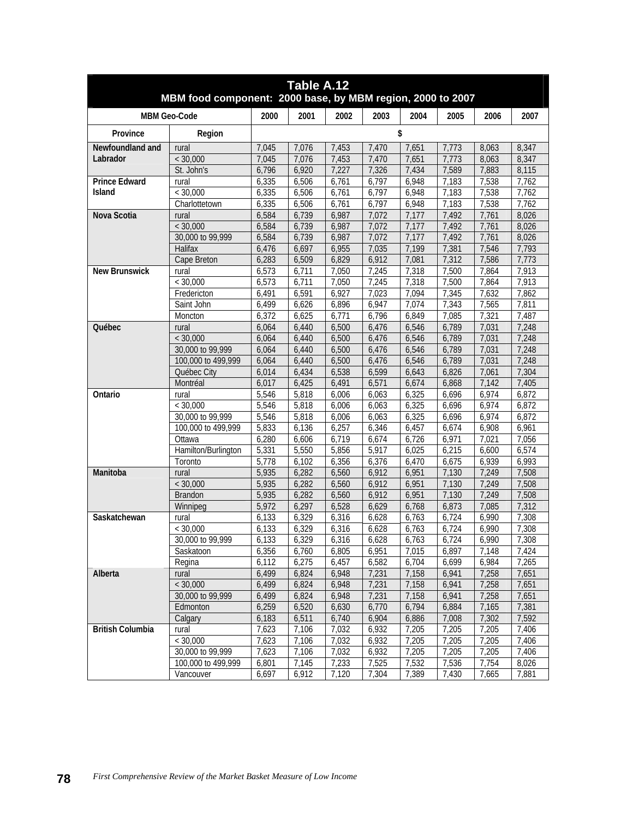| 2002<br><b>MBM Geo-Code</b><br>2000<br>2001<br>2003<br>2004<br>2005<br>2006<br>2007<br>\$<br>Province<br>Region<br>Newfoundland and<br>7,076<br>7,453<br>7,045<br>7,470<br>7,651<br>7,773<br>8,063<br>8,347<br>rural<br>Labrador<br>< 30,000<br>7,045<br>7,076<br>7,453<br>7,773<br>7,470<br>7,651<br>8,063<br>8,347<br>St. John's<br>6,920<br>7,227<br>7,326<br>7,589<br>7,883<br>8,115<br>6,796<br>7,434<br><b>Prince Edward</b><br>6,335<br>6,506<br>6,797<br>6,948<br>7,183<br>7,538<br>7,762<br>6,761<br>rural<br>< 30,000<br>6,506<br>Island<br>6,335<br>6,761<br>6,797<br>7,183<br>7,538<br>7,762<br>6,948<br>6,761<br>6,797<br>7,183<br>7,538<br>7,762<br>Charlottetown<br>6,335<br>6,506<br>6,948<br>Nova Scotia<br>7,072<br>7,177<br>6,584<br>6,739<br>6,987<br>7,492<br>7,761<br>8,026<br>rural<br>< 30,000<br>6,584<br>6,739<br>6,987<br>7,072<br>7,177<br>7,492<br>7,761<br>8,026<br>30,000 to 99,999<br>6,584<br>6,739<br>6,987<br>7,072<br>7,177<br>7,492<br>7,761<br>8,026<br>Halifax<br>6,697<br>7,793<br>6,476<br>6,955<br>7,035<br>7,199<br>7,381<br>7,546<br>6,283<br>6,509<br>6,829<br>7,312<br>7,586<br>7,773<br>Cape Breton<br>6,912<br>7,081<br>6,573<br>7,050<br>7,245<br>7,318<br>7,500<br>7,864<br>7,913<br><b>New Brunswick</b><br>6,711<br>rural<br>7,913<br>< 30,000<br>6,573<br>6,711<br>7,050<br>7,245<br>7,318<br>7,500<br>7,864<br>6,591<br>6,927<br>7,862<br>Fredericton<br>6,491<br>7,023<br>7,094<br>7,345<br>7,632<br>Saint John<br>6,499<br>6,626<br>6,896<br>6,947<br>7,074<br>7,343<br>7,565<br>7,811<br>7,487<br>6,372<br>6,625<br>6,771<br>6,796<br>6,849<br>7,085<br>7,321<br>Moncton<br>6,500<br>6,476<br>6,546<br>6,789<br>7,031<br>7,248<br><b>Ouébec</b><br>6,064<br>6,440<br>rural<br>6,500<br>6,476<br>6,546<br>6,789<br>7,248<br>< 30,000<br>6,064<br>6,440<br>7,031<br>30,000 to 99,999<br>6,476<br>7,031<br>7,248<br>6,064<br>6,440<br>6,500<br>6,546<br>6,789<br>6,500<br>6,546<br>6,789<br>7,248<br>100,000 to 499,999<br>6,064<br>6,440<br>6,476<br>7,031<br>6,599<br>6,826<br>7,304<br>Québec City<br>6,014<br>6,434<br>6,538<br>6,643<br>7,061<br>6,425<br>6,491<br>6,571<br>6,674<br>6,868<br>7,405<br>Montréal<br>6,017<br>7,142<br>5,546<br>5,818<br>6,006<br>6,063<br>6,325<br>6,696<br>6,974<br>6,872<br>Ontario<br>rural<br>5,546<br>5,818<br>6,325<br>6,974<br>6,872<br>< 30,000<br>6,006<br>6,063<br>6,696<br>6,325<br>30,000 to 99,999<br>5,546<br>5,818<br>6,006<br>6,063<br>6,696<br>6,974<br>6,872<br>100,000 to 499,999<br>5,833<br>6,257<br>6,457<br>6,674<br>6,908<br>6,961<br>6,136<br>6,346<br>6,280<br>6,606<br>6,726<br>6,971<br>7,021<br>7,056<br>Ottawa<br>6,719<br>6,674<br>Hamilton/Burlington<br>5,331<br>5,550<br>5,856<br>5,917<br>6,574<br>6,025<br>6,215<br>6,600<br>5,778<br>6,993<br>6,102<br>6,356<br>6,376<br>6,470<br>6,675<br>6,939<br>Toronto<br>Manitoba<br>6,560<br>7,508<br>5,935<br>6,282<br>6,912<br>6,951<br>7,130<br>7,249<br>rural<br>6,282<br>6,560<br>7,130<br>7,249<br>7,508<br>< 30,000<br>5,935<br>6,912<br>6,951<br>5,935<br>6,282<br>6,560<br>6,912<br>6,951<br>7,130<br>7,249<br>7,508<br>Brandon<br>7,312<br>5,972<br>6,297<br>6,528<br>6,629<br>6,768<br>6,873<br>7,085<br>Winnipeg<br>6,329<br>6,316<br>6,628<br>6,763<br>6,724<br>7,308<br>Saskatchewan<br>6,133<br>6,990<br>rural<br>7,308<br>6,133<br>6,329<br>6,316<br>6,628<br>6,763<br>6,724<br>< 30,000<br>6,990<br>30,000 to 99,999<br>6,133<br>6,329<br>6,316<br>6,628<br>6, 763<br>6,724<br>6,990<br>7,308<br>Saskatoon<br>6,356<br>6,760<br>6.805<br>6,951<br>7,015<br>6,897<br>7,148<br>7,424<br>6,457<br>6,582<br>6,699<br>7,265<br>Regina<br>6,112<br>6,275<br>6,704<br>6,984<br>7,158<br>7,258<br>Alberta<br>6,499<br>6,824<br>6,948<br>7,231<br>6,941<br>7,651<br>rural<br>< 30,000<br>7,231<br>7,158<br>7,258<br>6,499<br>6,824<br>6,948<br>6,941<br>7,651<br>30,000 to 99,999<br>7,231<br>7,258<br>6,499<br>6,824<br>6,948<br>7,158<br>6,941<br>7,651<br>Edmonton<br>6,259<br>6,520<br>6,630<br>6,770<br>6,794<br>6,884<br>7,165<br>7,381<br>6,183<br>6,511<br>6,740<br>6,904<br>6,886<br>7,008<br>7,302<br>7,592<br>Calgary<br><b>British Columbia</b><br>7,623<br>7,106<br>7,032<br>6,932<br>7,205<br>7,205<br>7,205<br>7,406<br>rural<br>< 30,000<br>7,623<br>7,106<br>7,032<br>6,932<br>7,205<br>7,205<br>7,205<br>7,406<br>30,000 to 99,999<br>7,032<br>7,205<br>7,205<br>7,205<br>7,623<br>7,106<br>6,932<br>7,406<br>100,000 to 499,999<br>6,801<br>7,145<br>7,233<br>7,525<br>7,532<br>7,536<br>7,754<br>8,026<br>6,697<br>6,912<br>7,120<br>7,304<br>7,389<br>7,430<br>7,881<br>Vancouver<br>7,665 | Table A.12<br>MBM food component: 2000 base, by MBM region, 2000 to 2007 |  |  |  |  |  |  |  |  |  |  |  |
|-----------------------------------------------------------------------------------------------------------------------------------------------------------------------------------------------------------------------------------------------------------------------------------------------------------------------------------------------------------------------------------------------------------------------------------------------------------------------------------------------------------------------------------------------------------------------------------------------------------------------------------------------------------------------------------------------------------------------------------------------------------------------------------------------------------------------------------------------------------------------------------------------------------------------------------------------------------------------------------------------------------------------------------------------------------------------------------------------------------------------------------------------------------------------------------------------------------------------------------------------------------------------------------------------------------------------------------------------------------------------------------------------------------------------------------------------------------------------------------------------------------------------------------------------------------------------------------------------------------------------------------------------------------------------------------------------------------------------------------------------------------------------------------------------------------------------------------------------------------------------------------------------------------------------------------------------------------------------------------------------------------------------------------------------------------------------------------------------------------------------------------------------------------------------------------------------------------------------------------------------------------------------------------------------------------------------------------------------------------------------------------------------------------------------------------------------------------------------------------------------------------------------------------------------------------------------------------------------------------------------------------------------------------------------------------------------------------------------------------------------------------------------------------------------------------------------------------------------------------------------------------------------------------------------------------------------------------------------------------------------------------------------------------------------------------------------------------------------------------------------------------------------------------------------------------------------------------------------------------------------------------------------------------------------------------------------------------------------------------------------------------------------------------------------------------------------------------------------------------------------------------------------------------------------------------------------------------------------------------------------------------------------------------------------------------------------------------------------------------------------------------------------------------------------------------------------------------------------------------------------------------------------------------------------------------------------------------------------------------------------------------------------------------------------------------------------------------------------------------------------------------------------------------------------------------------------------------------------------------------------------------------------------------------------------------------------------------------------------------------------------------------------------------------------------------------------------------------------------------------------------------------------------------------------------------------------------------------------|--------------------------------------------------------------------------|--|--|--|--|--|--|--|--|--|--|--|
|                                                                                                                                                                                                                                                                                                                                                                                                                                                                                                                                                                                                                                                                                                                                                                                                                                                                                                                                                                                                                                                                                                                                                                                                                                                                                                                                                                                                                                                                                                                                                                                                                                                                                                                                                                                                                                                                                                                                                                                                                                                                                                                                                                                                                                                                                                                                                                                                                                                                                                                                                                                                                                                                                                                                                                                                                                                                                                                                                                                                                                                                                                                                                                                                                                                                                                                                                                                                                                                                                                                                                                                                                                                                                                                                                                                                                                                                                                                                                                                                                                                                                                                                                                                                                                                                                                                                                                                                                                                                                                                                                                                               |                                                                          |  |  |  |  |  |  |  |  |  |  |  |
|                                                                                                                                                                                                                                                                                                                                                                                                                                                                                                                                                                                                                                                                                                                                                                                                                                                                                                                                                                                                                                                                                                                                                                                                                                                                                                                                                                                                                                                                                                                                                                                                                                                                                                                                                                                                                                                                                                                                                                                                                                                                                                                                                                                                                                                                                                                                                                                                                                                                                                                                                                                                                                                                                                                                                                                                                                                                                                                                                                                                                                                                                                                                                                                                                                                                                                                                                                                                                                                                                                                                                                                                                                                                                                                                                                                                                                                                                                                                                                                                                                                                                                                                                                                                                                                                                                                                                                                                                                                                                                                                                                                               |                                                                          |  |  |  |  |  |  |  |  |  |  |  |
|                                                                                                                                                                                                                                                                                                                                                                                                                                                                                                                                                                                                                                                                                                                                                                                                                                                                                                                                                                                                                                                                                                                                                                                                                                                                                                                                                                                                                                                                                                                                                                                                                                                                                                                                                                                                                                                                                                                                                                                                                                                                                                                                                                                                                                                                                                                                                                                                                                                                                                                                                                                                                                                                                                                                                                                                                                                                                                                                                                                                                                                                                                                                                                                                                                                                                                                                                                                                                                                                                                                                                                                                                                                                                                                                                                                                                                                                                                                                                                                                                                                                                                                                                                                                                                                                                                                                                                                                                                                                                                                                                                                               |                                                                          |  |  |  |  |  |  |  |  |  |  |  |
|                                                                                                                                                                                                                                                                                                                                                                                                                                                                                                                                                                                                                                                                                                                                                                                                                                                                                                                                                                                                                                                                                                                                                                                                                                                                                                                                                                                                                                                                                                                                                                                                                                                                                                                                                                                                                                                                                                                                                                                                                                                                                                                                                                                                                                                                                                                                                                                                                                                                                                                                                                                                                                                                                                                                                                                                                                                                                                                                                                                                                                                                                                                                                                                                                                                                                                                                                                                                                                                                                                                                                                                                                                                                                                                                                                                                                                                                                                                                                                                                                                                                                                                                                                                                                                                                                                                                                                                                                                                                                                                                                                                               |                                                                          |  |  |  |  |  |  |  |  |  |  |  |
|                                                                                                                                                                                                                                                                                                                                                                                                                                                                                                                                                                                                                                                                                                                                                                                                                                                                                                                                                                                                                                                                                                                                                                                                                                                                                                                                                                                                                                                                                                                                                                                                                                                                                                                                                                                                                                                                                                                                                                                                                                                                                                                                                                                                                                                                                                                                                                                                                                                                                                                                                                                                                                                                                                                                                                                                                                                                                                                                                                                                                                                                                                                                                                                                                                                                                                                                                                                                                                                                                                                                                                                                                                                                                                                                                                                                                                                                                                                                                                                                                                                                                                                                                                                                                                                                                                                                                                                                                                                                                                                                                                                               |                                                                          |  |  |  |  |  |  |  |  |  |  |  |
|                                                                                                                                                                                                                                                                                                                                                                                                                                                                                                                                                                                                                                                                                                                                                                                                                                                                                                                                                                                                                                                                                                                                                                                                                                                                                                                                                                                                                                                                                                                                                                                                                                                                                                                                                                                                                                                                                                                                                                                                                                                                                                                                                                                                                                                                                                                                                                                                                                                                                                                                                                                                                                                                                                                                                                                                                                                                                                                                                                                                                                                                                                                                                                                                                                                                                                                                                                                                                                                                                                                                                                                                                                                                                                                                                                                                                                                                                                                                                                                                                                                                                                                                                                                                                                                                                                                                                                                                                                                                                                                                                                                               |                                                                          |  |  |  |  |  |  |  |  |  |  |  |
|                                                                                                                                                                                                                                                                                                                                                                                                                                                                                                                                                                                                                                                                                                                                                                                                                                                                                                                                                                                                                                                                                                                                                                                                                                                                                                                                                                                                                                                                                                                                                                                                                                                                                                                                                                                                                                                                                                                                                                                                                                                                                                                                                                                                                                                                                                                                                                                                                                                                                                                                                                                                                                                                                                                                                                                                                                                                                                                                                                                                                                                                                                                                                                                                                                                                                                                                                                                                                                                                                                                                                                                                                                                                                                                                                                                                                                                                                                                                                                                                                                                                                                                                                                                                                                                                                                                                                                                                                                                                                                                                                                                               |                                                                          |  |  |  |  |  |  |  |  |  |  |  |
|                                                                                                                                                                                                                                                                                                                                                                                                                                                                                                                                                                                                                                                                                                                                                                                                                                                                                                                                                                                                                                                                                                                                                                                                                                                                                                                                                                                                                                                                                                                                                                                                                                                                                                                                                                                                                                                                                                                                                                                                                                                                                                                                                                                                                                                                                                                                                                                                                                                                                                                                                                                                                                                                                                                                                                                                                                                                                                                                                                                                                                                                                                                                                                                                                                                                                                                                                                                                                                                                                                                                                                                                                                                                                                                                                                                                                                                                                                                                                                                                                                                                                                                                                                                                                                                                                                                                                                                                                                                                                                                                                                                               |                                                                          |  |  |  |  |  |  |  |  |  |  |  |
|                                                                                                                                                                                                                                                                                                                                                                                                                                                                                                                                                                                                                                                                                                                                                                                                                                                                                                                                                                                                                                                                                                                                                                                                                                                                                                                                                                                                                                                                                                                                                                                                                                                                                                                                                                                                                                                                                                                                                                                                                                                                                                                                                                                                                                                                                                                                                                                                                                                                                                                                                                                                                                                                                                                                                                                                                                                                                                                                                                                                                                                                                                                                                                                                                                                                                                                                                                                                                                                                                                                                                                                                                                                                                                                                                                                                                                                                                                                                                                                                                                                                                                                                                                                                                                                                                                                                                                                                                                                                                                                                                                                               |                                                                          |  |  |  |  |  |  |  |  |  |  |  |
|                                                                                                                                                                                                                                                                                                                                                                                                                                                                                                                                                                                                                                                                                                                                                                                                                                                                                                                                                                                                                                                                                                                                                                                                                                                                                                                                                                                                                                                                                                                                                                                                                                                                                                                                                                                                                                                                                                                                                                                                                                                                                                                                                                                                                                                                                                                                                                                                                                                                                                                                                                                                                                                                                                                                                                                                                                                                                                                                                                                                                                                                                                                                                                                                                                                                                                                                                                                                                                                                                                                                                                                                                                                                                                                                                                                                                                                                                                                                                                                                                                                                                                                                                                                                                                                                                                                                                                                                                                                                                                                                                                                               |                                                                          |  |  |  |  |  |  |  |  |  |  |  |
|                                                                                                                                                                                                                                                                                                                                                                                                                                                                                                                                                                                                                                                                                                                                                                                                                                                                                                                                                                                                                                                                                                                                                                                                                                                                                                                                                                                                                                                                                                                                                                                                                                                                                                                                                                                                                                                                                                                                                                                                                                                                                                                                                                                                                                                                                                                                                                                                                                                                                                                                                                                                                                                                                                                                                                                                                                                                                                                                                                                                                                                                                                                                                                                                                                                                                                                                                                                                                                                                                                                                                                                                                                                                                                                                                                                                                                                                                                                                                                                                                                                                                                                                                                                                                                                                                                                                                                                                                                                                                                                                                                                               |                                                                          |  |  |  |  |  |  |  |  |  |  |  |
|                                                                                                                                                                                                                                                                                                                                                                                                                                                                                                                                                                                                                                                                                                                                                                                                                                                                                                                                                                                                                                                                                                                                                                                                                                                                                                                                                                                                                                                                                                                                                                                                                                                                                                                                                                                                                                                                                                                                                                                                                                                                                                                                                                                                                                                                                                                                                                                                                                                                                                                                                                                                                                                                                                                                                                                                                                                                                                                                                                                                                                                                                                                                                                                                                                                                                                                                                                                                                                                                                                                                                                                                                                                                                                                                                                                                                                                                                                                                                                                                                                                                                                                                                                                                                                                                                                                                                                                                                                                                                                                                                                                               |                                                                          |  |  |  |  |  |  |  |  |  |  |  |
|                                                                                                                                                                                                                                                                                                                                                                                                                                                                                                                                                                                                                                                                                                                                                                                                                                                                                                                                                                                                                                                                                                                                                                                                                                                                                                                                                                                                                                                                                                                                                                                                                                                                                                                                                                                                                                                                                                                                                                                                                                                                                                                                                                                                                                                                                                                                                                                                                                                                                                                                                                                                                                                                                                                                                                                                                                                                                                                                                                                                                                                                                                                                                                                                                                                                                                                                                                                                                                                                                                                                                                                                                                                                                                                                                                                                                                                                                                                                                                                                                                                                                                                                                                                                                                                                                                                                                                                                                                                                                                                                                                                               |                                                                          |  |  |  |  |  |  |  |  |  |  |  |
|                                                                                                                                                                                                                                                                                                                                                                                                                                                                                                                                                                                                                                                                                                                                                                                                                                                                                                                                                                                                                                                                                                                                                                                                                                                                                                                                                                                                                                                                                                                                                                                                                                                                                                                                                                                                                                                                                                                                                                                                                                                                                                                                                                                                                                                                                                                                                                                                                                                                                                                                                                                                                                                                                                                                                                                                                                                                                                                                                                                                                                                                                                                                                                                                                                                                                                                                                                                                                                                                                                                                                                                                                                                                                                                                                                                                                                                                                                                                                                                                                                                                                                                                                                                                                                                                                                                                                                                                                                                                                                                                                                                               |                                                                          |  |  |  |  |  |  |  |  |  |  |  |
|                                                                                                                                                                                                                                                                                                                                                                                                                                                                                                                                                                                                                                                                                                                                                                                                                                                                                                                                                                                                                                                                                                                                                                                                                                                                                                                                                                                                                                                                                                                                                                                                                                                                                                                                                                                                                                                                                                                                                                                                                                                                                                                                                                                                                                                                                                                                                                                                                                                                                                                                                                                                                                                                                                                                                                                                                                                                                                                                                                                                                                                                                                                                                                                                                                                                                                                                                                                                                                                                                                                                                                                                                                                                                                                                                                                                                                                                                                                                                                                                                                                                                                                                                                                                                                                                                                                                                                                                                                                                                                                                                                                               |                                                                          |  |  |  |  |  |  |  |  |  |  |  |
|                                                                                                                                                                                                                                                                                                                                                                                                                                                                                                                                                                                                                                                                                                                                                                                                                                                                                                                                                                                                                                                                                                                                                                                                                                                                                                                                                                                                                                                                                                                                                                                                                                                                                                                                                                                                                                                                                                                                                                                                                                                                                                                                                                                                                                                                                                                                                                                                                                                                                                                                                                                                                                                                                                                                                                                                                                                                                                                                                                                                                                                                                                                                                                                                                                                                                                                                                                                                                                                                                                                                                                                                                                                                                                                                                                                                                                                                                                                                                                                                                                                                                                                                                                                                                                                                                                                                                                                                                                                                                                                                                                                               |                                                                          |  |  |  |  |  |  |  |  |  |  |  |
|                                                                                                                                                                                                                                                                                                                                                                                                                                                                                                                                                                                                                                                                                                                                                                                                                                                                                                                                                                                                                                                                                                                                                                                                                                                                                                                                                                                                                                                                                                                                                                                                                                                                                                                                                                                                                                                                                                                                                                                                                                                                                                                                                                                                                                                                                                                                                                                                                                                                                                                                                                                                                                                                                                                                                                                                                                                                                                                                                                                                                                                                                                                                                                                                                                                                                                                                                                                                                                                                                                                                                                                                                                                                                                                                                                                                                                                                                                                                                                                                                                                                                                                                                                                                                                                                                                                                                                                                                                                                                                                                                                                               |                                                                          |  |  |  |  |  |  |  |  |  |  |  |
|                                                                                                                                                                                                                                                                                                                                                                                                                                                                                                                                                                                                                                                                                                                                                                                                                                                                                                                                                                                                                                                                                                                                                                                                                                                                                                                                                                                                                                                                                                                                                                                                                                                                                                                                                                                                                                                                                                                                                                                                                                                                                                                                                                                                                                                                                                                                                                                                                                                                                                                                                                                                                                                                                                                                                                                                                                                                                                                                                                                                                                                                                                                                                                                                                                                                                                                                                                                                                                                                                                                                                                                                                                                                                                                                                                                                                                                                                                                                                                                                                                                                                                                                                                                                                                                                                                                                                                                                                                                                                                                                                                                               |                                                                          |  |  |  |  |  |  |  |  |  |  |  |
|                                                                                                                                                                                                                                                                                                                                                                                                                                                                                                                                                                                                                                                                                                                                                                                                                                                                                                                                                                                                                                                                                                                                                                                                                                                                                                                                                                                                                                                                                                                                                                                                                                                                                                                                                                                                                                                                                                                                                                                                                                                                                                                                                                                                                                                                                                                                                                                                                                                                                                                                                                                                                                                                                                                                                                                                                                                                                                                                                                                                                                                                                                                                                                                                                                                                                                                                                                                                                                                                                                                                                                                                                                                                                                                                                                                                                                                                                                                                                                                                                                                                                                                                                                                                                                                                                                                                                                                                                                                                                                                                                                                               |                                                                          |  |  |  |  |  |  |  |  |  |  |  |
|                                                                                                                                                                                                                                                                                                                                                                                                                                                                                                                                                                                                                                                                                                                                                                                                                                                                                                                                                                                                                                                                                                                                                                                                                                                                                                                                                                                                                                                                                                                                                                                                                                                                                                                                                                                                                                                                                                                                                                                                                                                                                                                                                                                                                                                                                                                                                                                                                                                                                                                                                                                                                                                                                                                                                                                                                                                                                                                                                                                                                                                                                                                                                                                                                                                                                                                                                                                                                                                                                                                                                                                                                                                                                                                                                                                                                                                                                                                                                                                                                                                                                                                                                                                                                                                                                                                                                                                                                                                                                                                                                                                               |                                                                          |  |  |  |  |  |  |  |  |  |  |  |
|                                                                                                                                                                                                                                                                                                                                                                                                                                                                                                                                                                                                                                                                                                                                                                                                                                                                                                                                                                                                                                                                                                                                                                                                                                                                                                                                                                                                                                                                                                                                                                                                                                                                                                                                                                                                                                                                                                                                                                                                                                                                                                                                                                                                                                                                                                                                                                                                                                                                                                                                                                                                                                                                                                                                                                                                                                                                                                                                                                                                                                                                                                                                                                                                                                                                                                                                                                                                                                                                                                                                                                                                                                                                                                                                                                                                                                                                                                                                                                                                                                                                                                                                                                                                                                                                                                                                                                                                                                                                                                                                                                                               |                                                                          |  |  |  |  |  |  |  |  |  |  |  |
|                                                                                                                                                                                                                                                                                                                                                                                                                                                                                                                                                                                                                                                                                                                                                                                                                                                                                                                                                                                                                                                                                                                                                                                                                                                                                                                                                                                                                                                                                                                                                                                                                                                                                                                                                                                                                                                                                                                                                                                                                                                                                                                                                                                                                                                                                                                                                                                                                                                                                                                                                                                                                                                                                                                                                                                                                                                                                                                                                                                                                                                                                                                                                                                                                                                                                                                                                                                                                                                                                                                                                                                                                                                                                                                                                                                                                                                                                                                                                                                                                                                                                                                                                                                                                                                                                                                                                                                                                                                                                                                                                                                               |                                                                          |  |  |  |  |  |  |  |  |  |  |  |
|                                                                                                                                                                                                                                                                                                                                                                                                                                                                                                                                                                                                                                                                                                                                                                                                                                                                                                                                                                                                                                                                                                                                                                                                                                                                                                                                                                                                                                                                                                                                                                                                                                                                                                                                                                                                                                                                                                                                                                                                                                                                                                                                                                                                                                                                                                                                                                                                                                                                                                                                                                                                                                                                                                                                                                                                                                                                                                                                                                                                                                                                                                                                                                                                                                                                                                                                                                                                                                                                                                                                                                                                                                                                                                                                                                                                                                                                                                                                                                                                                                                                                                                                                                                                                                                                                                                                                                                                                                                                                                                                                                                               |                                                                          |  |  |  |  |  |  |  |  |  |  |  |
|                                                                                                                                                                                                                                                                                                                                                                                                                                                                                                                                                                                                                                                                                                                                                                                                                                                                                                                                                                                                                                                                                                                                                                                                                                                                                                                                                                                                                                                                                                                                                                                                                                                                                                                                                                                                                                                                                                                                                                                                                                                                                                                                                                                                                                                                                                                                                                                                                                                                                                                                                                                                                                                                                                                                                                                                                                                                                                                                                                                                                                                                                                                                                                                                                                                                                                                                                                                                                                                                                                                                                                                                                                                                                                                                                                                                                                                                                                                                                                                                                                                                                                                                                                                                                                                                                                                                                                                                                                                                                                                                                                                               |                                                                          |  |  |  |  |  |  |  |  |  |  |  |
|                                                                                                                                                                                                                                                                                                                                                                                                                                                                                                                                                                                                                                                                                                                                                                                                                                                                                                                                                                                                                                                                                                                                                                                                                                                                                                                                                                                                                                                                                                                                                                                                                                                                                                                                                                                                                                                                                                                                                                                                                                                                                                                                                                                                                                                                                                                                                                                                                                                                                                                                                                                                                                                                                                                                                                                                                                                                                                                                                                                                                                                                                                                                                                                                                                                                                                                                                                                                                                                                                                                                                                                                                                                                                                                                                                                                                                                                                                                                                                                                                                                                                                                                                                                                                                                                                                                                                                                                                                                                                                                                                                                               |                                                                          |  |  |  |  |  |  |  |  |  |  |  |
|                                                                                                                                                                                                                                                                                                                                                                                                                                                                                                                                                                                                                                                                                                                                                                                                                                                                                                                                                                                                                                                                                                                                                                                                                                                                                                                                                                                                                                                                                                                                                                                                                                                                                                                                                                                                                                                                                                                                                                                                                                                                                                                                                                                                                                                                                                                                                                                                                                                                                                                                                                                                                                                                                                                                                                                                                                                                                                                                                                                                                                                                                                                                                                                                                                                                                                                                                                                                                                                                                                                                                                                                                                                                                                                                                                                                                                                                                                                                                                                                                                                                                                                                                                                                                                                                                                                                                                                                                                                                                                                                                                                               |                                                                          |  |  |  |  |  |  |  |  |  |  |  |
|                                                                                                                                                                                                                                                                                                                                                                                                                                                                                                                                                                                                                                                                                                                                                                                                                                                                                                                                                                                                                                                                                                                                                                                                                                                                                                                                                                                                                                                                                                                                                                                                                                                                                                                                                                                                                                                                                                                                                                                                                                                                                                                                                                                                                                                                                                                                                                                                                                                                                                                                                                                                                                                                                                                                                                                                                                                                                                                                                                                                                                                                                                                                                                                                                                                                                                                                                                                                                                                                                                                                                                                                                                                                                                                                                                                                                                                                                                                                                                                                                                                                                                                                                                                                                                                                                                                                                                                                                                                                                                                                                                                               |                                                                          |  |  |  |  |  |  |  |  |  |  |  |
|                                                                                                                                                                                                                                                                                                                                                                                                                                                                                                                                                                                                                                                                                                                                                                                                                                                                                                                                                                                                                                                                                                                                                                                                                                                                                                                                                                                                                                                                                                                                                                                                                                                                                                                                                                                                                                                                                                                                                                                                                                                                                                                                                                                                                                                                                                                                                                                                                                                                                                                                                                                                                                                                                                                                                                                                                                                                                                                                                                                                                                                                                                                                                                                                                                                                                                                                                                                                                                                                                                                                                                                                                                                                                                                                                                                                                                                                                                                                                                                                                                                                                                                                                                                                                                                                                                                                                                                                                                                                                                                                                                                               |                                                                          |  |  |  |  |  |  |  |  |  |  |  |
|                                                                                                                                                                                                                                                                                                                                                                                                                                                                                                                                                                                                                                                                                                                                                                                                                                                                                                                                                                                                                                                                                                                                                                                                                                                                                                                                                                                                                                                                                                                                                                                                                                                                                                                                                                                                                                                                                                                                                                                                                                                                                                                                                                                                                                                                                                                                                                                                                                                                                                                                                                                                                                                                                                                                                                                                                                                                                                                                                                                                                                                                                                                                                                                                                                                                                                                                                                                                                                                                                                                                                                                                                                                                                                                                                                                                                                                                                                                                                                                                                                                                                                                                                                                                                                                                                                                                                                                                                                                                                                                                                                                               |                                                                          |  |  |  |  |  |  |  |  |  |  |  |
|                                                                                                                                                                                                                                                                                                                                                                                                                                                                                                                                                                                                                                                                                                                                                                                                                                                                                                                                                                                                                                                                                                                                                                                                                                                                                                                                                                                                                                                                                                                                                                                                                                                                                                                                                                                                                                                                                                                                                                                                                                                                                                                                                                                                                                                                                                                                                                                                                                                                                                                                                                                                                                                                                                                                                                                                                                                                                                                                                                                                                                                                                                                                                                                                                                                                                                                                                                                                                                                                                                                                                                                                                                                                                                                                                                                                                                                                                                                                                                                                                                                                                                                                                                                                                                                                                                                                                                                                                                                                                                                                                                                               |                                                                          |  |  |  |  |  |  |  |  |  |  |  |
|                                                                                                                                                                                                                                                                                                                                                                                                                                                                                                                                                                                                                                                                                                                                                                                                                                                                                                                                                                                                                                                                                                                                                                                                                                                                                                                                                                                                                                                                                                                                                                                                                                                                                                                                                                                                                                                                                                                                                                                                                                                                                                                                                                                                                                                                                                                                                                                                                                                                                                                                                                                                                                                                                                                                                                                                                                                                                                                                                                                                                                                                                                                                                                                                                                                                                                                                                                                                                                                                                                                                                                                                                                                                                                                                                                                                                                                                                                                                                                                                                                                                                                                                                                                                                                                                                                                                                                                                                                                                                                                                                                                               |                                                                          |  |  |  |  |  |  |  |  |  |  |  |
|                                                                                                                                                                                                                                                                                                                                                                                                                                                                                                                                                                                                                                                                                                                                                                                                                                                                                                                                                                                                                                                                                                                                                                                                                                                                                                                                                                                                                                                                                                                                                                                                                                                                                                                                                                                                                                                                                                                                                                                                                                                                                                                                                                                                                                                                                                                                                                                                                                                                                                                                                                                                                                                                                                                                                                                                                                                                                                                                                                                                                                                                                                                                                                                                                                                                                                                                                                                                                                                                                                                                                                                                                                                                                                                                                                                                                                                                                                                                                                                                                                                                                                                                                                                                                                                                                                                                                                                                                                                                                                                                                                                               |                                                                          |  |  |  |  |  |  |  |  |  |  |  |
|                                                                                                                                                                                                                                                                                                                                                                                                                                                                                                                                                                                                                                                                                                                                                                                                                                                                                                                                                                                                                                                                                                                                                                                                                                                                                                                                                                                                                                                                                                                                                                                                                                                                                                                                                                                                                                                                                                                                                                                                                                                                                                                                                                                                                                                                                                                                                                                                                                                                                                                                                                                                                                                                                                                                                                                                                                                                                                                                                                                                                                                                                                                                                                                                                                                                                                                                                                                                                                                                                                                                                                                                                                                                                                                                                                                                                                                                                                                                                                                                                                                                                                                                                                                                                                                                                                                                                                                                                                                                                                                                                                                               |                                                                          |  |  |  |  |  |  |  |  |  |  |  |
|                                                                                                                                                                                                                                                                                                                                                                                                                                                                                                                                                                                                                                                                                                                                                                                                                                                                                                                                                                                                                                                                                                                                                                                                                                                                                                                                                                                                                                                                                                                                                                                                                                                                                                                                                                                                                                                                                                                                                                                                                                                                                                                                                                                                                                                                                                                                                                                                                                                                                                                                                                                                                                                                                                                                                                                                                                                                                                                                                                                                                                                                                                                                                                                                                                                                                                                                                                                                                                                                                                                                                                                                                                                                                                                                                                                                                                                                                                                                                                                                                                                                                                                                                                                                                                                                                                                                                                                                                                                                                                                                                                                               |                                                                          |  |  |  |  |  |  |  |  |  |  |  |
|                                                                                                                                                                                                                                                                                                                                                                                                                                                                                                                                                                                                                                                                                                                                                                                                                                                                                                                                                                                                                                                                                                                                                                                                                                                                                                                                                                                                                                                                                                                                                                                                                                                                                                                                                                                                                                                                                                                                                                                                                                                                                                                                                                                                                                                                                                                                                                                                                                                                                                                                                                                                                                                                                                                                                                                                                                                                                                                                                                                                                                                                                                                                                                                                                                                                                                                                                                                                                                                                                                                                                                                                                                                                                                                                                                                                                                                                                                                                                                                                                                                                                                                                                                                                                                                                                                                                                                                                                                                                                                                                                                                               |                                                                          |  |  |  |  |  |  |  |  |  |  |  |
|                                                                                                                                                                                                                                                                                                                                                                                                                                                                                                                                                                                                                                                                                                                                                                                                                                                                                                                                                                                                                                                                                                                                                                                                                                                                                                                                                                                                                                                                                                                                                                                                                                                                                                                                                                                                                                                                                                                                                                                                                                                                                                                                                                                                                                                                                                                                                                                                                                                                                                                                                                                                                                                                                                                                                                                                                                                                                                                                                                                                                                                                                                                                                                                                                                                                                                                                                                                                                                                                                                                                                                                                                                                                                                                                                                                                                                                                                                                                                                                                                                                                                                                                                                                                                                                                                                                                                                                                                                                                                                                                                                                               |                                                                          |  |  |  |  |  |  |  |  |  |  |  |
|                                                                                                                                                                                                                                                                                                                                                                                                                                                                                                                                                                                                                                                                                                                                                                                                                                                                                                                                                                                                                                                                                                                                                                                                                                                                                                                                                                                                                                                                                                                                                                                                                                                                                                                                                                                                                                                                                                                                                                                                                                                                                                                                                                                                                                                                                                                                                                                                                                                                                                                                                                                                                                                                                                                                                                                                                                                                                                                                                                                                                                                                                                                                                                                                                                                                                                                                                                                                                                                                                                                                                                                                                                                                                                                                                                                                                                                                                                                                                                                                                                                                                                                                                                                                                                                                                                                                                                                                                                                                                                                                                                                               |                                                                          |  |  |  |  |  |  |  |  |  |  |  |
|                                                                                                                                                                                                                                                                                                                                                                                                                                                                                                                                                                                                                                                                                                                                                                                                                                                                                                                                                                                                                                                                                                                                                                                                                                                                                                                                                                                                                                                                                                                                                                                                                                                                                                                                                                                                                                                                                                                                                                                                                                                                                                                                                                                                                                                                                                                                                                                                                                                                                                                                                                                                                                                                                                                                                                                                                                                                                                                                                                                                                                                                                                                                                                                                                                                                                                                                                                                                                                                                                                                                                                                                                                                                                                                                                                                                                                                                                                                                                                                                                                                                                                                                                                                                                                                                                                                                                                                                                                                                                                                                                                                               |                                                                          |  |  |  |  |  |  |  |  |  |  |  |
|                                                                                                                                                                                                                                                                                                                                                                                                                                                                                                                                                                                                                                                                                                                                                                                                                                                                                                                                                                                                                                                                                                                                                                                                                                                                                                                                                                                                                                                                                                                                                                                                                                                                                                                                                                                                                                                                                                                                                                                                                                                                                                                                                                                                                                                                                                                                                                                                                                                                                                                                                                                                                                                                                                                                                                                                                                                                                                                                                                                                                                                                                                                                                                                                                                                                                                                                                                                                                                                                                                                                                                                                                                                                                                                                                                                                                                                                                                                                                                                                                                                                                                                                                                                                                                                                                                                                                                                                                                                                                                                                                                                               |                                                                          |  |  |  |  |  |  |  |  |  |  |  |
|                                                                                                                                                                                                                                                                                                                                                                                                                                                                                                                                                                                                                                                                                                                                                                                                                                                                                                                                                                                                                                                                                                                                                                                                                                                                                                                                                                                                                                                                                                                                                                                                                                                                                                                                                                                                                                                                                                                                                                                                                                                                                                                                                                                                                                                                                                                                                                                                                                                                                                                                                                                                                                                                                                                                                                                                                                                                                                                                                                                                                                                                                                                                                                                                                                                                                                                                                                                                                                                                                                                                                                                                                                                                                                                                                                                                                                                                                                                                                                                                                                                                                                                                                                                                                                                                                                                                                                                                                                                                                                                                                                                               |                                                                          |  |  |  |  |  |  |  |  |  |  |  |
|                                                                                                                                                                                                                                                                                                                                                                                                                                                                                                                                                                                                                                                                                                                                                                                                                                                                                                                                                                                                                                                                                                                                                                                                                                                                                                                                                                                                                                                                                                                                                                                                                                                                                                                                                                                                                                                                                                                                                                                                                                                                                                                                                                                                                                                                                                                                                                                                                                                                                                                                                                                                                                                                                                                                                                                                                                                                                                                                                                                                                                                                                                                                                                                                                                                                                                                                                                                                                                                                                                                                                                                                                                                                                                                                                                                                                                                                                                                                                                                                                                                                                                                                                                                                                                                                                                                                                                                                                                                                                                                                                                                               |                                                                          |  |  |  |  |  |  |  |  |  |  |  |
|                                                                                                                                                                                                                                                                                                                                                                                                                                                                                                                                                                                                                                                                                                                                                                                                                                                                                                                                                                                                                                                                                                                                                                                                                                                                                                                                                                                                                                                                                                                                                                                                                                                                                                                                                                                                                                                                                                                                                                                                                                                                                                                                                                                                                                                                                                                                                                                                                                                                                                                                                                                                                                                                                                                                                                                                                                                                                                                                                                                                                                                                                                                                                                                                                                                                                                                                                                                                                                                                                                                                                                                                                                                                                                                                                                                                                                                                                                                                                                                                                                                                                                                                                                                                                                                                                                                                                                                                                                                                                                                                                                                               |                                                                          |  |  |  |  |  |  |  |  |  |  |  |
|                                                                                                                                                                                                                                                                                                                                                                                                                                                                                                                                                                                                                                                                                                                                                                                                                                                                                                                                                                                                                                                                                                                                                                                                                                                                                                                                                                                                                                                                                                                                                                                                                                                                                                                                                                                                                                                                                                                                                                                                                                                                                                                                                                                                                                                                                                                                                                                                                                                                                                                                                                                                                                                                                                                                                                                                                                                                                                                                                                                                                                                                                                                                                                                                                                                                                                                                                                                                                                                                                                                                                                                                                                                                                                                                                                                                                                                                                                                                                                                                                                                                                                                                                                                                                                                                                                                                                                                                                                                                                                                                                                                               |                                                                          |  |  |  |  |  |  |  |  |  |  |  |
|                                                                                                                                                                                                                                                                                                                                                                                                                                                                                                                                                                                                                                                                                                                                                                                                                                                                                                                                                                                                                                                                                                                                                                                                                                                                                                                                                                                                                                                                                                                                                                                                                                                                                                                                                                                                                                                                                                                                                                                                                                                                                                                                                                                                                                                                                                                                                                                                                                                                                                                                                                                                                                                                                                                                                                                                                                                                                                                                                                                                                                                                                                                                                                                                                                                                                                                                                                                                                                                                                                                                                                                                                                                                                                                                                                                                                                                                                                                                                                                                                                                                                                                                                                                                                                                                                                                                                                                                                                                                                                                                                                                               |                                                                          |  |  |  |  |  |  |  |  |  |  |  |
|                                                                                                                                                                                                                                                                                                                                                                                                                                                                                                                                                                                                                                                                                                                                                                                                                                                                                                                                                                                                                                                                                                                                                                                                                                                                                                                                                                                                                                                                                                                                                                                                                                                                                                                                                                                                                                                                                                                                                                                                                                                                                                                                                                                                                                                                                                                                                                                                                                                                                                                                                                                                                                                                                                                                                                                                                                                                                                                                                                                                                                                                                                                                                                                                                                                                                                                                                                                                                                                                                                                                                                                                                                                                                                                                                                                                                                                                                                                                                                                                                                                                                                                                                                                                                                                                                                                                                                                                                                                                                                                                                                                               |                                                                          |  |  |  |  |  |  |  |  |  |  |  |
|                                                                                                                                                                                                                                                                                                                                                                                                                                                                                                                                                                                                                                                                                                                                                                                                                                                                                                                                                                                                                                                                                                                                                                                                                                                                                                                                                                                                                                                                                                                                                                                                                                                                                                                                                                                                                                                                                                                                                                                                                                                                                                                                                                                                                                                                                                                                                                                                                                                                                                                                                                                                                                                                                                                                                                                                                                                                                                                                                                                                                                                                                                                                                                                                                                                                                                                                                                                                                                                                                                                                                                                                                                                                                                                                                                                                                                                                                                                                                                                                                                                                                                                                                                                                                                                                                                                                                                                                                                                                                                                                                                                               |                                                                          |  |  |  |  |  |  |  |  |  |  |  |
|                                                                                                                                                                                                                                                                                                                                                                                                                                                                                                                                                                                                                                                                                                                                                                                                                                                                                                                                                                                                                                                                                                                                                                                                                                                                                                                                                                                                                                                                                                                                                                                                                                                                                                                                                                                                                                                                                                                                                                                                                                                                                                                                                                                                                                                                                                                                                                                                                                                                                                                                                                                                                                                                                                                                                                                                                                                                                                                                                                                                                                                                                                                                                                                                                                                                                                                                                                                                                                                                                                                                                                                                                                                                                                                                                                                                                                                                                                                                                                                                                                                                                                                                                                                                                                                                                                                                                                                                                                                                                                                                                                                               |                                                                          |  |  |  |  |  |  |  |  |  |  |  |
|                                                                                                                                                                                                                                                                                                                                                                                                                                                                                                                                                                                                                                                                                                                                                                                                                                                                                                                                                                                                                                                                                                                                                                                                                                                                                                                                                                                                                                                                                                                                                                                                                                                                                                                                                                                                                                                                                                                                                                                                                                                                                                                                                                                                                                                                                                                                                                                                                                                                                                                                                                                                                                                                                                                                                                                                                                                                                                                                                                                                                                                                                                                                                                                                                                                                                                                                                                                                                                                                                                                                                                                                                                                                                                                                                                                                                                                                                                                                                                                                                                                                                                                                                                                                                                                                                                                                                                                                                                                                                                                                                                                               |                                                                          |  |  |  |  |  |  |  |  |  |  |  |
|                                                                                                                                                                                                                                                                                                                                                                                                                                                                                                                                                                                                                                                                                                                                                                                                                                                                                                                                                                                                                                                                                                                                                                                                                                                                                                                                                                                                                                                                                                                                                                                                                                                                                                                                                                                                                                                                                                                                                                                                                                                                                                                                                                                                                                                                                                                                                                                                                                                                                                                                                                                                                                                                                                                                                                                                                                                                                                                                                                                                                                                                                                                                                                                                                                                                                                                                                                                                                                                                                                                                                                                                                                                                                                                                                                                                                                                                                                                                                                                                                                                                                                                                                                                                                                                                                                                                                                                                                                                                                                                                                                                               |                                                                          |  |  |  |  |  |  |  |  |  |  |  |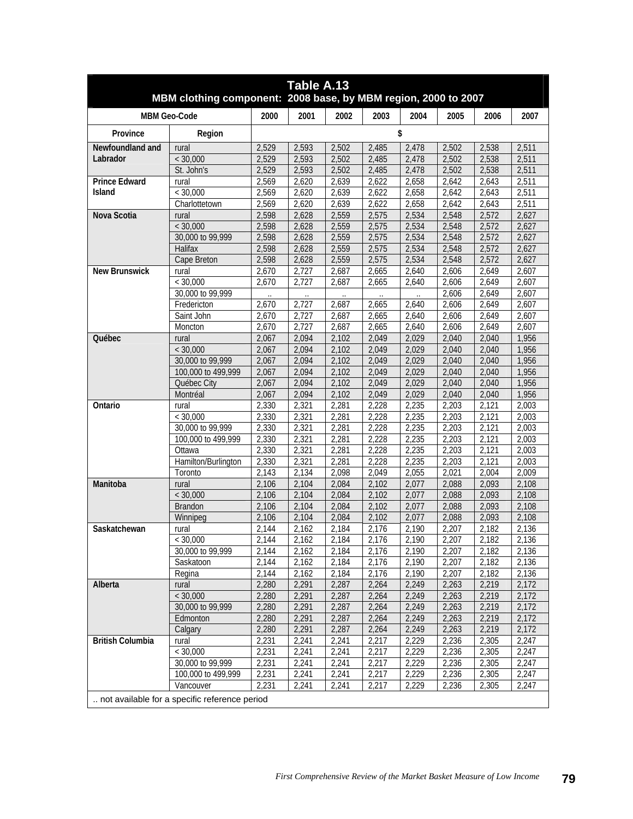| Table A.13<br>MBM clothing component: 2008 base, by MBM region, 2000 to 2007 |                                                                                   |       |       |       |       |       |       |       |       |  |  |
|------------------------------------------------------------------------------|-----------------------------------------------------------------------------------|-------|-------|-------|-------|-------|-------|-------|-------|--|--|
|                                                                              | <b>MBM Geo-Code</b>                                                               | 2000  | 2001  | 2002  | 2003  | 2004  | 2005  | 2006  | 2007  |  |  |
| Province                                                                     | Region                                                                            |       |       |       |       | \$    |       |       |       |  |  |
| Newfoundland and                                                             | rural                                                                             | 2,529 | 2,593 | 2,502 | 2,485 | 2,478 | 2,502 | 2,538 | 2,511 |  |  |
| Labrador                                                                     | < 30,000                                                                          | 2,529 | 2,593 | 2,502 | 2,485 | 2,478 | 2,502 | 2,538 | 2,511 |  |  |
|                                                                              | St. John's                                                                        | 2,529 | 2,593 | 2,502 | 2,485 | 2,478 | 2,502 | 2,538 | 2,511 |  |  |
| <b>Prince Edward</b>                                                         | rural                                                                             | 2,569 | 2,620 | 2,639 | 2,622 | 2,658 | 2,642 | 2,643 | 2,511 |  |  |
| <b>Island</b>                                                                | $<$ 30.000                                                                        | 2,569 | 2,620 | 2,639 | 2,622 | 2,658 | 2,642 | 2,643 | 2,511 |  |  |
|                                                                              | Charlottetown                                                                     | 2,569 | 2,620 | 2,639 | 2,622 | 2,658 | 2,642 | 2,643 | 2,511 |  |  |
| Nova Scotia                                                                  | rural                                                                             | 2,598 | 2,628 | 2,559 | 2,575 | 2,534 | 2,548 | 2,572 | 2,627 |  |  |
|                                                                              | < 30,000                                                                          | 2,598 | 2,628 | 2,559 | 2,575 | 2,534 | 2,548 | 2,572 | 2,627 |  |  |
|                                                                              | 30,000 to 99,999                                                                  | 2,598 | 2,628 | 2,559 | 2,575 | 2,534 | 2,548 | 2,572 | 2,627 |  |  |
|                                                                              | Halifax                                                                           | 2,598 | 2,628 | 2,559 | 2,575 | 2,534 | 2,548 | 2,572 | 2,627 |  |  |
|                                                                              | Cape Breton                                                                       | 2,598 | 2,628 | 2,559 | 2,575 | 2,534 | 2,548 | 2,572 | 2,627 |  |  |
| <b>New Brunswick</b>                                                         | rural                                                                             | 2,670 | 2,727 | 2,687 | 2,665 | 2,640 | 2,606 | 2,649 | 2,607 |  |  |
|                                                                              | < 30,000                                                                          | 2,670 | 2,727 | 2,687 | 2,665 | 2,640 | 2,606 | 2,649 | 2,607 |  |  |
|                                                                              | 30,000 to 99,999                                                                  |       |       |       |       |       | 2,606 | 2,649 | 2,607 |  |  |
|                                                                              | Fredericton                                                                       | 2,670 | 2,727 | 2,687 | 2,665 | 2,640 | 2,606 | 2,649 | 2,607 |  |  |
|                                                                              | Saint John                                                                        | 2,670 | 2,727 | 2,687 | 2,665 | 2,640 | 2,606 | 2,649 | 2,607 |  |  |
|                                                                              | Moncton                                                                           | 2,670 | 2,727 | 2,687 | 2,665 | 2,640 | 2,606 | 2,649 | 2,607 |  |  |
| Québec                                                                       | rural                                                                             | 2,067 | 2,094 | 2,102 | 2,049 | 2,029 | 2,040 | 2,040 | 1,956 |  |  |
|                                                                              | < 30,000                                                                          | 2,067 | 2,094 | 2,102 | 2,049 | 2,029 | 2,040 | 2,040 | 1,956 |  |  |
|                                                                              | 30,000 to 99,999                                                                  | 2,067 | 2,094 | 2,102 | 2,049 | 2,029 | 2,040 | 2,040 | 1,956 |  |  |
|                                                                              | 100,000 to 499,999                                                                | 2,067 | 2,094 | 2,102 | 2,049 | 2,029 | 2,040 | 2,040 | 1,956 |  |  |
|                                                                              | Québec City                                                                       | 2,067 | 2,094 | 2,102 | 2,049 | 2,029 | 2,040 | 2,040 | 1,956 |  |  |
|                                                                              | Montréal                                                                          | 2,067 | 2,094 | 2,102 | 2,049 | 2,029 | 2,040 | 2,040 | 1,956 |  |  |
| Ontario                                                                      | rural                                                                             | 2,330 | 2,321 | 2,281 | 2,228 | 2,235 | 2,203 | 2,121 | 2,003 |  |  |
|                                                                              | < 30,000                                                                          | 2,330 | 2,321 | 2,281 | 2,228 | 2,235 | 2,203 | 2,121 | 2,003 |  |  |
|                                                                              | 30,000 to 99,999                                                                  | 2,330 | 2,321 | 2,281 | 2,228 | 2,235 | 2,203 | 2,121 | 2,003 |  |  |
|                                                                              | 100,000 to 499,999                                                                | 2,330 | 2,321 | 2,281 | 2,228 | 2,235 | 2,203 | 2,121 | 2,003 |  |  |
|                                                                              | Ottawa                                                                            | 2,330 | 2,321 | 2,281 | 2,228 | 2,235 | 2,203 | 2,121 | 2,003 |  |  |
|                                                                              | Hamilton/Burlington                                                               | 2,330 | 2,321 | 2,281 | 2,228 | 2,235 | 2,203 | 2,121 | 2,003 |  |  |
|                                                                              | Toronto                                                                           | 2,143 | 2,134 | 2,098 | 2,049 | 2,055 | 2,021 | 2,004 | 2,009 |  |  |
| Manitoba                                                                     | rural                                                                             | 2,106 | 2,104 | 2,084 | 2,102 | 2,077 | 2,088 | 2,093 | 2,108 |  |  |
|                                                                              | < 30,000                                                                          | 2,106 | 2,104 | 2,084 | 2,102 | 2,077 | 2,088 | 2,093 | 2,108 |  |  |
|                                                                              | <b>Brandon</b>                                                                    | 2,106 | 2,104 | 2,084 | 2,102 | 2,077 | 2,088 | 2,093 | 2,108 |  |  |
|                                                                              | Winnipeg                                                                          | 2,106 | 2,104 | 2,084 | 2,102 | 2,077 | 2,088 | 2,093 | 2,108 |  |  |
| Saskatchewan                                                                 | rural                                                                             | 2,144 | 2,162 | 2,184 | 2,176 | 2,190 | 2,207 | 2,182 | 2,136 |  |  |
|                                                                              | < 30,000                                                                          | 2,144 | 2,162 | 2,184 | 2,176 | 2,190 | 2,207 | 2,182 | 2,136 |  |  |
|                                                                              | 30,000 to 99,999                                                                  | 2,144 | 2,162 | 2,184 | 2,176 | 2,190 | 2,207 | 2,182 | 2,136 |  |  |
|                                                                              | Saskatoon                                                                         | 2,144 | 2,162 | 2,184 | 2,176 | 2,190 | 2,207 | 2,182 | 2,136 |  |  |
|                                                                              | Regina                                                                            | 2,144 | 2,162 | 2,184 | 2,176 | 2,190 | 2,207 | 2,182 | 2,136 |  |  |
| Alberta                                                                      | rural                                                                             | 2,280 | 2,291 | 2,287 | 2,264 | 2,249 | 2,263 | 2,219 | 2,172 |  |  |
|                                                                              | < 30,000                                                                          | 2,280 | 2,291 | 2,287 | 2,264 | 2,249 | 2,263 | 2,219 | 2,172 |  |  |
|                                                                              | 30,000 to 99,999                                                                  | 2,280 | 2,291 | 2,287 | 2,264 | 2,249 | 2,263 | 2,219 | 2,172 |  |  |
|                                                                              | Edmonton                                                                          | 2,280 | 2,291 | 2,287 | 2,264 | 2,249 | 2,263 | 2,219 | 2,172 |  |  |
|                                                                              | Calgary                                                                           | 2,280 | 2,291 | 2,287 | 2,264 | 2,249 | 2,263 | 2,219 | 2,172 |  |  |
| <b>British Columbia</b>                                                      | rural                                                                             | 2,231 | 2,241 | 2,241 | 2,217 | 2,229 | 2,236 | 2,305 | 2,247 |  |  |
|                                                                              | < 30,000                                                                          | 2,231 | 2,241 | 2,241 | 2,217 | 2,229 | 2,236 | 2,305 | 2,247 |  |  |
|                                                                              | 30,000 to 99,999                                                                  | 2,231 | 2,241 | 2,241 | 2,217 | 2,229 | 2,236 | 2,305 | 2,247 |  |  |
|                                                                              | 100,000 to 499,999                                                                | 2,231 | 2,241 | 2,241 | 2,217 | 2,229 | 2,236 | 2,305 | 2,247 |  |  |
|                                                                              | 2,231<br>2,241<br>2,241<br>2,217<br>2,229<br>2,236<br>2,305<br>2,247<br>Vancouver |       |       |       |       |       |       |       |       |  |  |
|                                                                              | not available for a specific reference period                                     |       |       |       |       |       |       |       |       |  |  |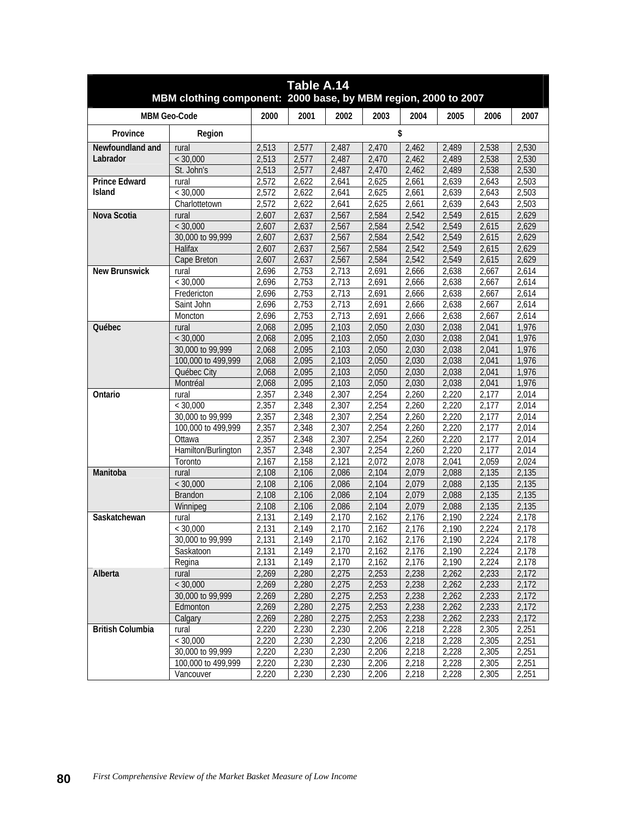| Table A.14<br>MBM clothing component: 2000 base, by MBM region, 2000 to 2007 |                     |                      |       |                      |       |       |       |       |       |  |  |
|------------------------------------------------------------------------------|---------------------|----------------------|-------|----------------------|-------|-------|-------|-------|-------|--|--|
|                                                                              | <b>MBM Geo-Code</b> | 2000                 | 2001  | 2002                 | 2003  | 2004  | 2005  | 2006  | 2007  |  |  |
| Province                                                                     | Region              |                      |       |                      |       | \$    |       |       |       |  |  |
| Newfoundland and                                                             | rural               | 2,513                | 2,577 | 2,487                | 2,470 | 2,462 | 2,489 | 2,538 | 2,530 |  |  |
| Labrador                                                                     | < 30,000            | 2,513                | 2,577 | 2,487                | 2,470 | 2,462 | 2,489 | 2,538 | 2,530 |  |  |
|                                                                              | St. John's          | 2,513                | 2,577 | 2,487                | 2,470 | 2,462 | 2,489 | 2,538 | 2,530 |  |  |
| <b>Prince Edward</b>                                                         | rural               | 2,572                | 2,622 | 2,641                | 2,625 | 2,661 | 2,639 | 2,643 | 2,503 |  |  |
| Island                                                                       | < 30,000            | 2,572                | 2,622 | 2,641                | 2,625 | 2,661 | 2,639 | 2,643 | 2,503 |  |  |
|                                                                              | Charlottetown       | 2,572                | 2,622 | 2,641                | 2,625 | 2,661 | 2,639 | 2,643 | 2,503 |  |  |
| Nova Scotia                                                                  | rural               | 2,607                | 2,637 | 2,567                | 2,584 | 2,542 | 2,549 | 2,615 | 2,629 |  |  |
|                                                                              | < 30,000            | 2,607                | 2,637 | 2,567                | 2,584 | 2,542 | 2,549 | 2,615 | 2,629 |  |  |
|                                                                              | 30,000 to 99,999    | 2,607                | 2,637 | 2,567                | 2,584 | 2,542 | 2,549 | 2,615 | 2,629 |  |  |
|                                                                              | Halifax             | 2,607                | 2,637 | 2,567                | 2,584 | 2,542 | 2,549 | 2,615 | 2,629 |  |  |
|                                                                              | Cape Breton         | 2,607                | 2,637 | 2,567                | 2,584 | 2,542 | 2,549 | 2,615 | 2,629 |  |  |
| <b>New Brunswick</b>                                                         | rural               | 2,696                | 2,753 | 2,713                | 2,691 | 2,666 | 2,638 | 2,667 | 2,614 |  |  |
|                                                                              | < 30,000            | 2,696                | 2,753 | 2,713                | 2,691 | 2,666 | 2,638 | 2,667 | 2,614 |  |  |
|                                                                              | Fredericton         | 2,696                | 2,753 | 2,713                | 2,691 | 2,666 | 2,638 | 2,667 | 2,614 |  |  |
|                                                                              | Saint John          | 2,696                | 2,753 | 2,713                | 2,691 | 2,666 | 2,638 | 2,667 | 2,614 |  |  |
|                                                                              | Moncton             | 2,696                | 2,753 | 2,713                | 2,691 | 2,666 | 2,638 | 2,667 | 2,614 |  |  |
| Québec                                                                       | rural               | 2,068                | 2,095 | 2,103                | 2,050 | 2,030 | 2,038 | 2,041 | 1,976 |  |  |
|                                                                              | < 30,000            | 2,068                | 2,095 | 2,103                | 2,050 | 2,030 | 2,038 | 2,041 | 1,976 |  |  |
|                                                                              | 30,000 to 99,999    | 2,068                | 2,095 | 2,103                | 2,050 | 2,030 | 2,038 | 2,041 | 1,976 |  |  |
|                                                                              | 100,000 to 499,999  | 2,068                | 2,095 | 2,103                | 2,050 | 2,030 | 2,038 | 2,041 | 1,976 |  |  |
|                                                                              | Québec City         | 2,068                | 2,095 | 2,103                | 2,050 | 2,030 | 2,038 | 2,041 | 1,976 |  |  |
|                                                                              | Montréal            | 2,068                | 2,095 | 2,103                | 2,050 | 2,030 | 2,038 | 2,041 | 1,976 |  |  |
| Ontario                                                                      | rural               | 2,357                | 2,348 | 2,307                | 2,254 | 2,260 | 2,220 | 2,177 | 2,014 |  |  |
|                                                                              | < 30,000            | 2,357                | 2,348 | 2,307                | 2,254 | 2,260 | 2,220 | 2,177 | 2,014 |  |  |
|                                                                              | 30,000 to 99,999    | 2,357                | 2,348 | 2,307                | 2,254 | 2,260 | 2,220 | 2,177 | 2,014 |  |  |
|                                                                              | 100,000 to 499,999  | 2,357                | 2,348 | 2,307                | 2,254 | 2,260 | 2,220 | 2,177 | 2,014 |  |  |
|                                                                              | Ottawa              | 2,357                | 2,348 | 2,307                | 2,254 | 2,260 | 2,220 | 2,177 | 2,014 |  |  |
|                                                                              | Hamilton/Burlington | 2,357                | 2,348 | 2,307                | 2,254 | 2,260 | 2,220 | 2,177 | 2,014 |  |  |
|                                                                              | Toronto             | 2,167                | 2,158 | 2,121                | 2,072 | 2,078 | 2,041 | 2,059 | 2,024 |  |  |
| Manitoba                                                                     | rural               | 2,108                | 2,106 | 2,086                | 2,104 | 2,079 | 2,088 | 2,135 | 2,135 |  |  |
|                                                                              | < 30,000            | 2,108                | 2,106 | 2,086                | 2,104 | 2,079 | 2,088 | 2,135 | 2,135 |  |  |
|                                                                              | <b>Brandon</b>      | 2,108                | 2,106 | 2,086                | 2,104 | 2,079 | 2,088 | 2,135 | 2,135 |  |  |
|                                                                              | Winnipeg            | 2,108                | 2,106 | 2,086                | 2,104 | 2,079 | 2,088 | 2,135 | 2,135 |  |  |
| Saskatchewan                                                                 | rural               | 2,131                | 2,149 | 2,170                | 2,162 | 2,176 | 2,190 | 2,224 | 2,178 |  |  |
|                                                                              | $\sqrt{2}$ 30,000   | 2,131                | 2,149 | 2,170                | 2,162 | 2,176 | 2,190 | 2,224 | 2,178 |  |  |
|                                                                              | 30,000 to 99,999    | 2,131                | 2,149 | 2,170                | 2,162 | 2,176 | 2,190 | 2,224 | 2,178 |  |  |
|                                                                              | Saskatoon           | $\overline{2}$ , 131 | 2,149 | $\overline{2}$ , 170 | 2,162 | 2,176 | 2,190 | 2,224 | 2,178 |  |  |
|                                                                              | Regina              | 2,131                | 2,149 | 2,170                | 2,162 | 2,176 | 2,190 | 2,224 | 2,178 |  |  |
| Alberta                                                                      | rural               | 2,269                | 2,280 | 2,275                | 2,253 | 2,238 | 2,262 | 2,233 | 2,172 |  |  |
|                                                                              | < 30,000            | 2,269                | 2,280 | 2,275                | 2,253 | 2,238 | 2,262 | 2,233 | 2,172 |  |  |
|                                                                              | 30,000 to 99,999    | 2,269                | 2,280 | 2,275                | 2,253 | 2,238 | 2,262 | 2,233 | 2,172 |  |  |
|                                                                              | Edmonton            | 2,269                | 2,280 | 2,275                | 2,253 | 2,238 | 2,262 | 2,233 | 2,172 |  |  |
|                                                                              | Calgary             | 2,269                | 2,280 | 2,275                | 2,253 | 2,238 | 2,262 | 2,233 | 2,172 |  |  |
| <b>British Columbia</b>                                                      | rural               | 2,220                | 2,230 | 2,230                | 2,206 | 2,218 | 2,228 | 2,305 | 2,251 |  |  |
|                                                                              | < 30,000            | 2,220                | 2,230 | 2,230                | 2,206 | 2,218 | 2,228 | 2,305 | 2,251 |  |  |
|                                                                              | 30,000 to 99,999    | 2,220                | 2,230 | 2,230                | 2,206 | 2,218 | 2,228 | 2,305 | 2,251 |  |  |
|                                                                              | 100,000 to 499,999  | 2,220                | 2,230 | 2,230                | 2,206 | 2,218 | 2,228 | 2,305 | 2,251 |  |  |
|                                                                              | Vancouver           | 2,220                | 2,230 | 2,230                | 2,206 | 2,218 | 2,228 | 2,305 | 2,251 |  |  |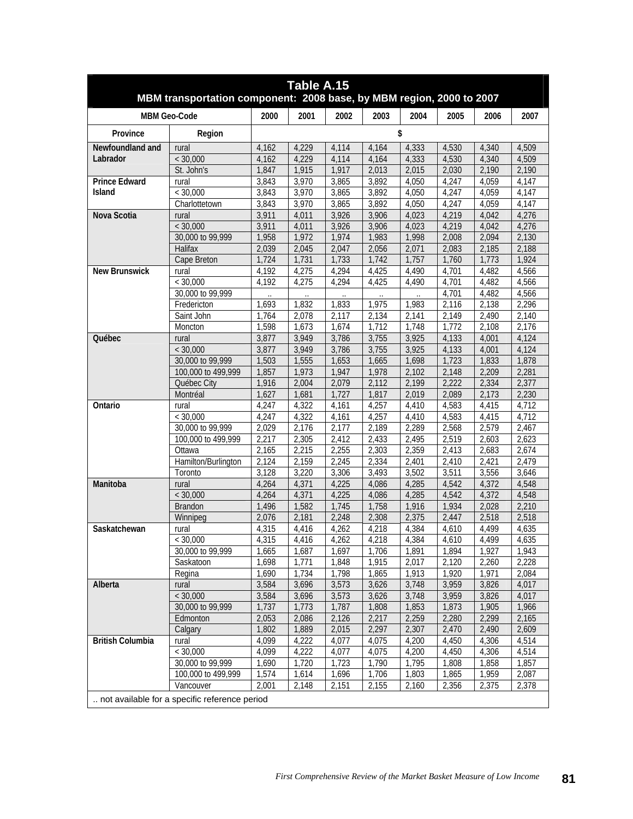| Table A.15<br>MBM transportation component: 2008 base, by MBM region, 2000 to 2007 |                                               |       |       |       |       |       |       |                    |       |  |
|------------------------------------------------------------------------------------|-----------------------------------------------|-------|-------|-------|-------|-------|-------|--------------------|-------|--|
|                                                                                    | <b>MBM Geo-Code</b>                           | 2000  | 2001  | 2002  | 2003  | 2004  | 2005  | 2006               | 2007  |  |
| Province                                                                           | Region                                        |       |       |       |       | \$    |       |                    |       |  |
| Newfoundland and                                                                   | rural                                         | 4,162 | 4,229 | 4,114 | 4,164 | 4,333 | 4,530 | 4,340              | 4,509 |  |
| Labrador                                                                           | < 30,000                                      | 4,162 | 4,229 | 4,114 | 4,164 | 4,333 | 4,530 | 4,340              | 4,509 |  |
|                                                                                    | St. John's                                    | 1,847 | 1,915 | 1,917 | 2,013 | 2,015 | 2,030 | 2,190              | 2,190 |  |
| <b>Prince Edward</b>                                                               | rural                                         | 3,843 | 3,970 | 3,865 | 3,892 | 4,050 | 4,247 | 4,059              | 4,147 |  |
| Island                                                                             | < 30,000                                      | 3,843 | 3,970 | 3,865 | 3,892 | 4,050 | 4,247 | 4,059              | 4,147 |  |
|                                                                                    | Charlottetown                                 | 3,843 | 3,970 | 3,865 | 3,892 | 4,050 | 4,247 | 4,059              | 4,147 |  |
| Nova Scotia                                                                        | rural                                         | 3,911 | 4,011 | 3,926 | 3,906 | 4,023 | 4,219 | 4,042              | 4,276 |  |
|                                                                                    | < 30,000                                      | 3,911 | 4,011 | 3,926 | 3,906 | 4,023 | 4,219 | 4,042              | 4,276 |  |
|                                                                                    | 30,000 to 99,999                              | 1,958 | 1,972 | 1,974 | 1,983 | 1,998 | 2,008 | 2,094              | 2,130 |  |
|                                                                                    | Halifax                                       | 2,039 | 2,045 | 2,047 | 2,056 | 2,071 | 2,083 | 2,185              | 2,188 |  |
|                                                                                    | Cape Breton                                   | 1,724 | 1,731 | 1,733 | 1,742 | 1,757 | 1,760 | 1,773              | 1,924 |  |
| <b>New Brunswick</b>                                                               | rural                                         | 4,192 | 4,275 | 4,294 | 4,425 | 4,490 | 4,701 | 4,482              | 4,566 |  |
|                                                                                    | < 30,000                                      | 4,192 | 4,275 | 4,294 | 4,425 | 4,490 | 4,701 | 4,482              | 4,566 |  |
|                                                                                    | 30,000 to 99,999                              |       |       |       |       |       | 4,701 | 4,482              | 4,566 |  |
|                                                                                    | Fredericton                                   | 1,693 | 1,832 | 1,833 | 1,975 | 1,983 | 2,116 | 2,138              | 2,296 |  |
|                                                                                    | Saint John                                    | 1,764 | 2,078 | 2,117 | 2,134 | 2,141 | 2,149 | 2,490              | 2,140 |  |
|                                                                                    | Moncton                                       | 1,598 | 1,673 | 1,674 | 1,712 | 1,748 | 1,772 | 2,108              | 2,176 |  |
| Québec                                                                             | rural                                         | 3,877 | 3,949 | 3,786 | 3,755 | 3,925 | 4,133 | 4,001              | 4,124 |  |
|                                                                                    | < 30,000                                      | 3,877 | 3,949 | 3,786 | 3,755 | 3,925 | 4,133 | $\overline{4,001}$ | 4,124 |  |
|                                                                                    | 30,000 to 99,999                              | 1,503 | 1,555 | 1,653 | 1,665 | 1,698 | 1,723 | 1,833              | 1,878 |  |
|                                                                                    | 100,000 to 499,999                            | 1,857 | 1,973 | 1,947 | 1,978 | 2,102 | 2,148 | 2,209              | 2,281 |  |
|                                                                                    | Québec City                                   | 1,916 | 2,004 | 2,079 | 2,112 | 2,199 | 2,222 | 2,334              | 2,377 |  |
|                                                                                    | Montréal                                      | 1,627 | 1,681 | 1,727 | 1,817 | 2,019 | 2,089 | 2,173              | 2,230 |  |
| Ontario                                                                            | rural                                         | 4.247 | 4,322 | 4,161 | 4.257 | 4,410 | 4,583 | 4,415              | 4,712 |  |
|                                                                                    | < 30,000                                      | 4,247 | 4,322 | 4,161 | 4,257 | 4,410 | 4,583 | 4,415              | 4,712 |  |
|                                                                                    | 30,000 to 99,999                              | 2,029 | 2,176 | 2,177 | 2,189 | 2,289 | 2,568 | 2,579              | 2,467 |  |
|                                                                                    | 100,000 to 499,999                            | 2,217 | 2,305 | 2,412 | 2,433 | 2,495 | 2,519 | 2,603              | 2,623 |  |
|                                                                                    | Ottawa                                        | 2,165 | 2,215 | 2,255 | 2,303 | 2,359 | 2,413 | 2,683              | 2,674 |  |
|                                                                                    | Hamilton/Burlington                           | 2,124 | 2,159 | 2,245 | 2,334 | 2,401 | 2,410 | 2,421              | 2,479 |  |
|                                                                                    | Toronto                                       | 3,128 | 3,220 | 3,306 | 3,493 | 3,502 | 3,511 | 3,556              | 3,646 |  |
| Manitoba                                                                           | rural                                         | 4,264 | 4,371 | 4,225 | 4,086 | 4,285 | 4,542 | 4,372              | 4,548 |  |
|                                                                                    | < 30,000                                      | 4,264 | 4,371 | 4,225 | 4,086 | 4,285 | 4,542 | 4,372              | 4,548 |  |
|                                                                                    | <b>Brandon</b>                                | 1,496 | 1,582 | 1,745 | 1,758 | 1,916 | 1,934 | 2,028              | 2,210 |  |
|                                                                                    | Winnipeg                                      | 2,076 | 2,181 | 2,248 | 2,308 | 2,375 | 2,447 | 2,518              | 2,518 |  |
| Saskatchewan                                                                       | rural                                         | 4,315 | 4,416 | 4,262 | 4,218 | 4,384 | 4,610 | 4,499              | 4,635 |  |
|                                                                                    | < 30,000                                      | 4,315 | 4,416 | 4,262 | 4,218 | 4,384 | 4,610 | 4,499              | 4,635 |  |
|                                                                                    | 30,000 to 99,999                              | 1,665 | 1,687 | 1,697 | 1,706 | 1,891 | 1,894 | 1,927              | 1,943 |  |
|                                                                                    | Saskatoon                                     | 1,698 | 1,771 | 1,848 | 1,915 | 2,017 | 2,120 | 2,260              | 2,228 |  |
|                                                                                    | Regina                                        | 1,690 | 1,734 | 1,798 | 1,865 | 1,913 | 1,920 | 1,971              | 2,084 |  |
| Alberta                                                                            | rural                                         | 3,584 | 3,696 | 3,573 | 3,626 | 3,748 | 3,959 | 3,826              | 4,017 |  |
|                                                                                    | < 30,000                                      | 3,584 | 3,696 | 3,573 | 3,626 | 3,748 | 3,959 | 3,826              | 4,017 |  |
|                                                                                    | 30,000 to 99,999                              | 1,737 | 1,773 | 1,787 | 1,808 | 1,853 | 1,873 | 1,905              | 1,966 |  |
|                                                                                    | Edmonton                                      | 2,053 | 2,086 | 2,126 | 2,217 | 2,259 | 2,280 | 2,299              | 2,165 |  |
|                                                                                    | Calgary                                       | 1,802 | 1,889 | 2,015 | 2,297 | 2,307 | 2,470 | 2,490              | 2,609 |  |
| <b>British Columbia</b>                                                            | rural                                         | 4,099 | 4,222 | 4,077 | 4,075 | 4,200 | 4,450 | 4,306              | 4,514 |  |
|                                                                                    | < 30,000                                      | 4,099 | 4,222 | 4,077 | 4,075 | 4,200 | 4,450 | 4,306              | 4,514 |  |
|                                                                                    | 30,000 to 99,999                              | 1,690 | 1,720 | 1,723 | 1,790 | 1,795 | 1,808 | 1,858              | 1,857 |  |
|                                                                                    | 100,000 to 499,999                            | 1,574 | 1,614 | 1,696 | 1,706 | 1,803 | 1,865 | 1,959              | 2,087 |  |
|                                                                                    | Vancouver                                     | 2,001 | 2,148 | 2,151 | 2,155 | 2,160 | 2,356 | 2,375              | 2,378 |  |
|                                                                                    | not available for a specific reference period |       |       |       |       |       |       |                    |       |  |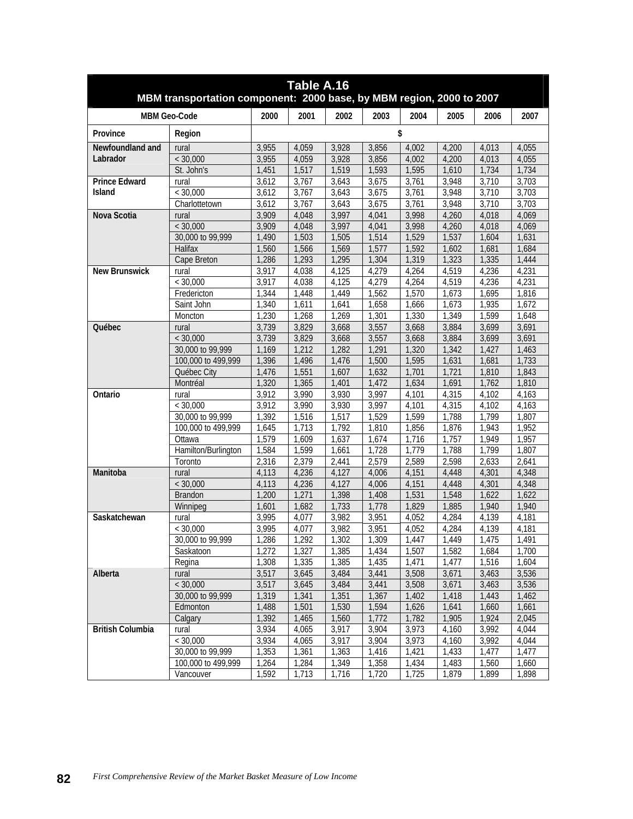| Table A.16<br>MBM transportation component: 2000 base, by MBM region, 2000 to 2007 |                              |                |                |                |                |                |                |                |                |  |
|------------------------------------------------------------------------------------|------------------------------|----------------|----------------|----------------|----------------|----------------|----------------|----------------|----------------|--|
|                                                                                    | <b>MBM Geo-Code</b>          | 2000           | 2001           | 2002           | 2003           | 2004           | 2005           | 2006           | 2007           |  |
| Province                                                                           | Region                       |                |                |                |                | \$             |                |                |                |  |
| Newfoundland and                                                                   | rural                        | 3,955          | 4,059          | 3,928          | 3,856          | 4,002          | 4,200          | 4,013          | 4,055          |  |
| Labrador                                                                           | < 30,000                     | 3,955          | 4,059          | 3,928          | 3,856          | 4,002          | 4,200          | 4,013          | 4,055          |  |
|                                                                                    | St. John's                   | 1,451          | 1,517          | 1,519          | 1,593          | 1,595          | 1,610          | 1,734          | 1,734          |  |
| <b>Prince Edward</b>                                                               | rural                        | 3,612          | 3,767          | 3,643          | 3,675          | 3,761          | 3,948          | 3,710          | 3,703          |  |
| Island                                                                             | < 30,000                     | 3,612          | 3,767          | 3,643          | 3,675          | 3,761          | 3,948          | 3,710          | 3,703          |  |
|                                                                                    | Charlottetown                | 3,612          | 3,767          | 3,643          | 3,675          | 3,761          | 3,948          | 3,710          | 3,703          |  |
| Nova Scotia                                                                        | rural                        | 3,909          | 4,048          | 3,997          | 4,041          | 3,998          | 4,260          | 4,018          | 4,069          |  |
|                                                                                    | < 30,000                     | 3,909          | 4,048          | 3,997          | 4,041          | 3,998          | 4,260          | 4,018          | 4,069          |  |
|                                                                                    | 30,000 to 99,999             | 1,490          | 1,503          | 1,505          | 1,514          | 1,529          | 1,537          | 1,604          | 1,631          |  |
|                                                                                    | Halifax                      | 1,560          | 1,566          | 1,569          | 1,577          | 1,592          | 1,602          | 1,681          | 1,684          |  |
|                                                                                    | Cape Breton                  | 1,286          | 1,293          | 1,295          | 1,304          | 1,319          | 1,323          | 1,335          | 1,444          |  |
| <b>New Brunswick</b>                                                               | rural                        | 3,917          | 4,038          | 4,125          | 4,279          | 4,264          | 4,519          | 4,236          | 4,231          |  |
|                                                                                    | < 30,000                     | 3,917          | 4,038          | 4,125          | 4,279          | 4,264          | 4,519          | 4,236          | 4,231          |  |
|                                                                                    | Fredericton                  | 1.344          | 1,448          | 1,449          | 1,562          | 1,570          | 1,673          | 1,695          | 1,816          |  |
|                                                                                    | Saint John                   | 1,340          | 1,611          | 1,641          | 1,658          | 1,666          | 1,673          | 1,935          | 1,672          |  |
|                                                                                    | Moncton                      | 1,230          | 1,268          | 1,269          | 1,301          | 1,330          | 1,349          | 1,599          | 1,648          |  |
| Québec                                                                             | rural                        | 3,739          | 3,829          | 3,668          | 3,557          | 3,668          | 3,884          | 3,699          | 3,691          |  |
|                                                                                    | < 30,000                     | 3,739          | 3,829          | 3,668          | 3,557          | 3,668          | 3,884          | 3,699          | 3,691          |  |
|                                                                                    | 30,000 to 99,999             | 1,169          | 1,212          | 1,282          | 1,291          | 1,320          | 1,342          | 1,427          | 1,463          |  |
|                                                                                    | 100,000 to 499,999           | 1,396          | 1,496          | 1,476          | 1,500          | 1,595          | 1,631          | 1,681          | 1,733          |  |
|                                                                                    | Québec City                  | 1,476          | 1,551          | 1,607          | 1,632          | 1,701          | 1,721          | 1,810          | 1,843          |  |
|                                                                                    | Montréal                     | 1,320          | 1,365          | 1,401          | 1,472          | 1,634          | 1,691          | 1,762          | 1,810          |  |
| Ontario                                                                            | rural                        | 3,912          | 3,990          | 3,930          | 3,997          | 4,101          | 4,315          | 4,102          | 4,163          |  |
|                                                                                    | < 30,000                     | 3,912          | 3,990          | 3,930          | 3,997          | 4,101          | 4,315          | 4,102          | 4,163          |  |
|                                                                                    | 30,000 to 99,999             | 1,392          | 1,516          | 1,517          | 1,529          | 1,599          | 1,788          | 1,799          | 1,807          |  |
|                                                                                    | 100,000 to 499,999           | 1,645          | 1,713          | 1,792          | 1,810          | 1,856          | 1,876          | 1,943          | 1,952          |  |
|                                                                                    | Ottawa                       | 1,579          | 1,609          | 1,637          | 1,674          | 1,716          | 1,757          | 1,949          | 1,957          |  |
|                                                                                    | Hamilton/Burlington          | 1,584          | 1,599          | 1,661          | 1,728          | 1,779          | 1,788          | 1,799          | 1,807          |  |
|                                                                                    | Toronto                      | 2,316          | 2,379          | 2,441          | 2,579          | 2,589          | 2,598          | 2,633          | 2,641          |  |
| Manitoba                                                                           | rural                        | 4,113          | 4,236          | 4,127          | 4,006          | 4,151          | 4,448          | 4,301          | 4,348          |  |
|                                                                                    | < 30,000                     | 4,113          | 4,236          | 4,127          | 4,006          | 4,151          | 4,448          | 4,301          | 4,348          |  |
|                                                                                    | <b>Brandon</b>               | 1,200          | 1,271          | 1,398          | 1,408          | 1,531          | 1,548          | 1,622          | 1,622          |  |
|                                                                                    | Winnipeg                     | 1,601          | 1,682          | 1,733          | 1,778          | 1,829          | 1,885          | 1,940          | 1,940          |  |
| Saskatchewan                                                                       | rural                        | 3,995          | 4,077          | 3,982          | 3,951          | 4,052          | 4,284          | 4,139          | 4,181          |  |
|                                                                                    | $\frac{1}{5}$ < 30,000       | 3,995          | 4,077          | 3,982          | 3,951          | 4,052          | 4,284          | 4,139          | 4,181          |  |
|                                                                                    | 30,000 to 99,999             | 1,286          | 1,292          | 1,302          | 1,309          | 1,447          | 1,449          | 1,475          | 1,491          |  |
|                                                                                    | Saskatoon                    | 1,272          | 1,327          | 1,385          | 1,434          | 1,507          | 1,582          | 1,684          | 1,700          |  |
|                                                                                    | Regina                       | 1,308          | 1,335          | 1,385          | 1,435          | 1,471          | 1,477          | 1,516          | 1,604          |  |
| Alberta                                                                            | rural                        | 3,517          | 3,645          | 3,484          | 3,441          | 3,508          | 3,671          | 3,463          | 3,536          |  |
|                                                                                    | < 30,000<br>30,000 to 99,999 | 3,517<br>1,319 | 3,645          | 3,484          | 3,441          | 3,508          | 3,671          | 3,463          | 3,536          |  |
|                                                                                    | Edmonton                     |                | 1,341          | 1,351          | 1,367          | 1,402          | 1,418          | 1,443          | 1,462          |  |
|                                                                                    |                              | 1,488          | 1,501          | 1,530          | 1,594          | 1,626          | 1,641          | 1,660          | 1,661          |  |
| <b>British Columbia</b>                                                            | Calgary<br>rural             | 1,392<br>3,934 | 1,465<br>4,065 | 1,560<br>3,917 | 1,772<br>3,904 | 1,782<br>3,973 | 1,905<br>4,160 | 1,924<br>3,992 | 2,045<br>4,044 |  |
|                                                                                    | < 30,000                     | 3,934          | 4,065          | 3,917          | 3,904          | 3,973          | 4,160          | 3,992          | 4,044          |  |
|                                                                                    | 30,000 to 99,999             | 1,353          | 1,361          | 1,363          | 1,416          | 1,421          | 1,433          | 1,477          | 1,477          |  |
|                                                                                    | 100,000 to 499,999           | 1,264          | 1,284          | 1,349          | 1,358          | 1,434          | 1,483          | 1,560          | 1,660          |  |
|                                                                                    | Vancouver                    | 1,592          | 1,713          | 1,716          | 1,720          | 1,725          | 1,879          | 1,899          | 1,898          |  |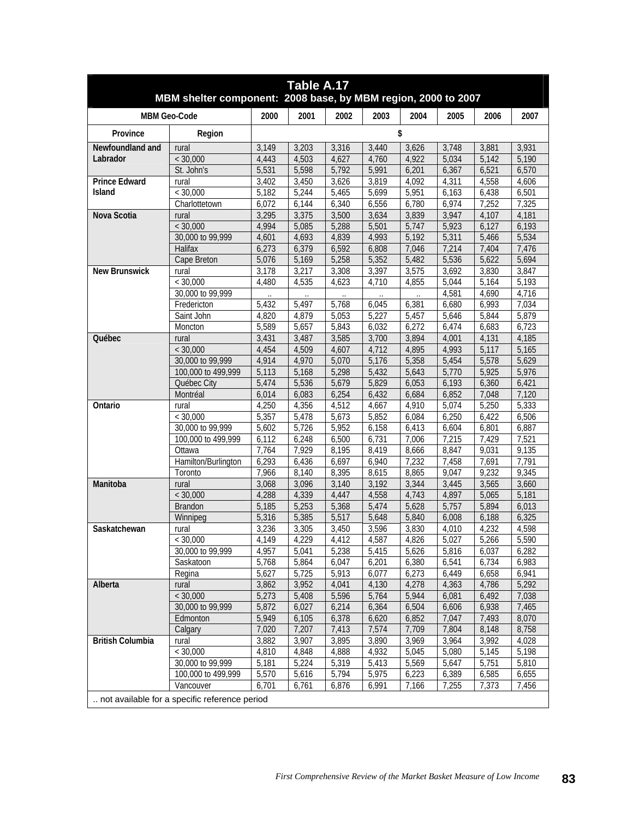| Table A.17<br>MBM shelter component: 2008 base, by MBM region, 2000 to 2007 |                                                                                   |       |       |       |       |       |       |                    |       |  |  |
|-----------------------------------------------------------------------------|-----------------------------------------------------------------------------------|-------|-------|-------|-------|-------|-------|--------------------|-------|--|--|
|                                                                             | <b>MBM Geo-Code</b>                                                               | 2000  | 2001  | 2002  | 2003  | 2004  | 2005  | 2006               | 2007  |  |  |
| Province                                                                    | Region                                                                            |       |       |       |       | \$    |       |                    |       |  |  |
| Newfoundland and                                                            | rural                                                                             | 3,149 | 3,203 | 3,316 | 3,440 | 3,626 | 3,748 | 3,881              | 3,931 |  |  |
| Labrador                                                                    | < 30,000                                                                          | 4,443 | 4,503 | 4,627 | 4,760 | 4,922 | 5,034 | 5,142              | 5,190 |  |  |
|                                                                             | St. John's                                                                        | 5,531 | 5,598 | 5,792 | 5,991 | 6,201 | 6,367 | 6,521              | 6,570 |  |  |
| <b>Prince Edward</b>                                                        | rural                                                                             | 3,402 | 3,450 | 3,626 | 3,819 | 4,092 | 4,311 | 4,558              | 4,606 |  |  |
| <b>Island</b>                                                               | $<$ 30.000                                                                        | 5,182 | 5,244 | 5,465 | 5,699 | 5,951 | 6,163 | 6,438              | 6,501 |  |  |
|                                                                             | Charlottetown                                                                     | 6,072 | 6,144 | 6,340 | 6,556 | 6,780 | 6,974 | 7,252              | 7,325 |  |  |
| Nova Scotia                                                                 | rural                                                                             | 3,295 | 3,375 | 3,500 | 3,634 | 3,839 | 3,947 | 4,107              | 4,181 |  |  |
|                                                                             | < 30,000                                                                          | 4,994 | 5,085 | 5,288 | 5,501 | 5,747 | 5,923 | 6,127              | 6,193 |  |  |
|                                                                             | 30,000 to 99,999                                                                  | 4,601 | 4,693 | 4,839 | 4,993 | 5,192 | 5,311 | 5,466              | 5,534 |  |  |
|                                                                             | Halifax                                                                           | 6,273 | 6,379 | 6,592 | 6,808 | 7,046 | 7,214 | 7,404              | 7,476 |  |  |
|                                                                             | Cape Breton                                                                       | 5,076 | 5,169 | 5,258 | 5,352 | 5,482 | 5,536 | 5,622              | 5,694 |  |  |
| <b>New Brunswick</b>                                                        | rural                                                                             | 3,178 | 3,217 | 3,308 | 3,397 | 3,575 | 3,692 | 3,830              | 3,847 |  |  |
|                                                                             | < 30,000                                                                          | 4,480 | 4,535 | 4,623 | 4,710 | 4,855 | 5,044 | 5,164              | 5,193 |  |  |
|                                                                             | 30,000 to 99,999                                                                  |       |       |       |       |       | 4,581 | 4,690              | 4,716 |  |  |
|                                                                             | Fredericton                                                                       | 5,432 | 5,497 | 5,768 | 6,045 | 6,381 | 6,680 | 6,993              | 7,034 |  |  |
|                                                                             | Saint John                                                                        | 4,820 | 4,879 | 5,053 | 5,227 | 5,457 | 5,646 | 5,844              | 5,879 |  |  |
|                                                                             | Moncton                                                                           | 5,589 | 5,657 | 5,843 | 6,032 | 6,272 | 6,474 | 6,683              | 6,723 |  |  |
| Québec                                                                      | rural                                                                             | 3,431 | 3,487 | 3,585 | 3,700 | 3,894 | 4,001 | 4,131              | 4,185 |  |  |
|                                                                             | < 30.000                                                                          | 4,454 | 4,509 | 4,607 | 4,712 | 4,895 | 4,993 | 5,117              | 5,165 |  |  |
|                                                                             | 30,000 to 99,999                                                                  | 4,914 | 4,970 | 5,070 | 5,176 | 5,358 | 5,454 | 5,578              | 5,629 |  |  |
|                                                                             | 100,000 to 499,999                                                                | 5,113 | 5,168 | 5,298 | 5,432 | 5,643 | 5,770 | 5,925              | 5,976 |  |  |
|                                                                             | Québec City                                                                       | 5,474 | 5,536 | 5,679 | 5,829 | 6,053 | 6,193 | 6,360              | 6,421 |  |  |
|                                                                             | Montréal                                                                          | 6,014 | 6,083 | 6,254 | 6,432 | 6,684 | 6,852 | 7,048              | 7,120 |  |  |
| Ontario                                                                     | rural                                                                             | 4,250 | 4,356 | 4,512 | 4,667 | 4,910 | 5,074 | $\overline{5,250}$ | 5,333 |  |  |
|                                                                             | < 30,000                                                                          | 5,357 | 5,478 | 5,673 | 5,852 | 6,084 | 6,250 | 6,422              | 6,506 |  |  |
|                                                                             | 30,000 to 99,999                                                                  | 5,602 | 5,726 | 5,952 | 6,158 | 6,413 | 6,604 | 6,801              | 6,887 |  |  |
|                                                                             | 100,000 to 499,999                                                                | 6,112 | 6,248 | 6,500 | 6,731 | 7,006 | 7,215 | 7,429              | 7,521 |  |  |
|                                                                             | Ottawa                                                                            | 7,764 | 7,929 | 8,195 | 8,419 | 8,666 | 8,847 | 9,031              | 9,135 |  |  |
|                                                                             | Hamilton/Burlington                                                               | 6,293 | 6,436 | 6,697 | 6,940 | 7,232 | 7,458 | 7,691              | 7,791 |  |  |
|                                                                             | Toronto                                                                           | 7,966 | 8,140 | 8,395 | 8,615 | 8,865 | 9,047 | 9,232              | 9,345 |  |  |
| Manitoba                                                                    | rural                                                                             | 3,068 | 3,096 | 3,140 | 3,192 | 3,344 | 3,445 | 3,565              | 3,660 |  |  |
|                                                                             | < 30,000                                                                          | 4,288 | 4,339 | 4,447 | 4,558 | 4,743 | 4,897 | 5,065              | 5,181 |  |  |
|                                                                             | <b>Brandon</b>                                                                    | 5,185 | 5,253 | 5,368 | 5,474 | 5,628 | 5,757 | 5,894              | 6,013 |  |  |
|                                                                             | Winnipeg                                                                          | 5,316 | 5,385 | 5,517 | 5,648 | 5,840 | 6,008 | 6,188              | 6,325 |  |  |
| Saskatchewan                                                                | rural                                                                             | 3,236 | 3,305 | 3,450 | 3,596 | 3,830 | 4,010 | 4,232              | 4,598 |  |  |
|                                                                             | < 30,000                                                                          | 4,149 | 4,229 | 4,412 | 4,587 | 4,826 | 5,027 | 5,266              | 5,590 |  |  |
|                                                                             | 30,000 to 99,999                                                                  | 4,957 | 5,041 | 5,238 | 5,415 | 5,626 | 5,816 | 6,037              | 6,282 |  |  |
|                                                                             | Saskatoon                                                                         | 5,768 | 5,864 | 6,047 | 6,201 | 6,380 | 6,541 | 6,734              | 6,983 |  |  |
|                                                                             | Regina                                                                            | 5,627 | 5,725 | 5,913 | 6,077 | 6,273 | 6,449 | 6,658              | 6,941 |  |  |
| Alberta                                                                     | rural                                                                             | 3,862 | 3,952 | 4,041 | 4,130 | 4,278 | 4,363 | 4,786              | 5,292 |  |  |
|                                                                             | < 30,000                                                                          | 5,273 | 5,408 | 5,596 | 5,764 | 5,944 | 6,081 | 6,492              | 7,038 |  |  |
|                                                                             | 30,000 to 99,999                                                                  | 5,872 | 6,027 | 6,214 | 6,364 | 6,504 | 6,606 | 6,938              | 7,465 |  |  |
|                                                                             | Edmonton                                                                          | 5,949 | 6,105 | 6,378 | 6,620 | 6,852 | 7,047 | 7,493              | 8,070 |  |  |
|                                                                             | Calgary                                                                           | 7,020 | 7,207 | 7,413 | 7,574 | 7,709 | 7,804 | 8,148              | 8,758 |  |  |
| <b>British Columbia</b>                                                     | rural                                                                             | 3,882 | 3,907 | 3,895 | 3,890 | 3,969 | 3,964 | 3,992              | 4,028 |  |  |
|                                                                             | < 30,000                                                                          | 4,810 | 4,848 | 4,888 | 4,932 | 5,045 | 5,080 | 5,145              | 5,198 |  |  |
|                                                                             | 30,000 to 99,999                                                                  | 5,181 | 5,224 | 5,319 | 5,413 | 5,569 | 5,647 | 5,751              | 5,810 |  |  |
|                                                                             | 100,000 to 499,999                                                                | 5,570 | 5,616 | 5,794 | 5,975 | 6,223 | 6,389 | 6,585              | 6,655 |  |  |
|                                                                             | 6,991<br>7,255<br>7,373<br>7,456<br>Vancouver<br>6,701<br>6,761<br>6,876<br>7,166 |       |       |       |       |       |       |                    |       |  |  |
|                                                                             | not available for a specific reference period                                     |       |       |       |       |       |       |                    |       |  |  |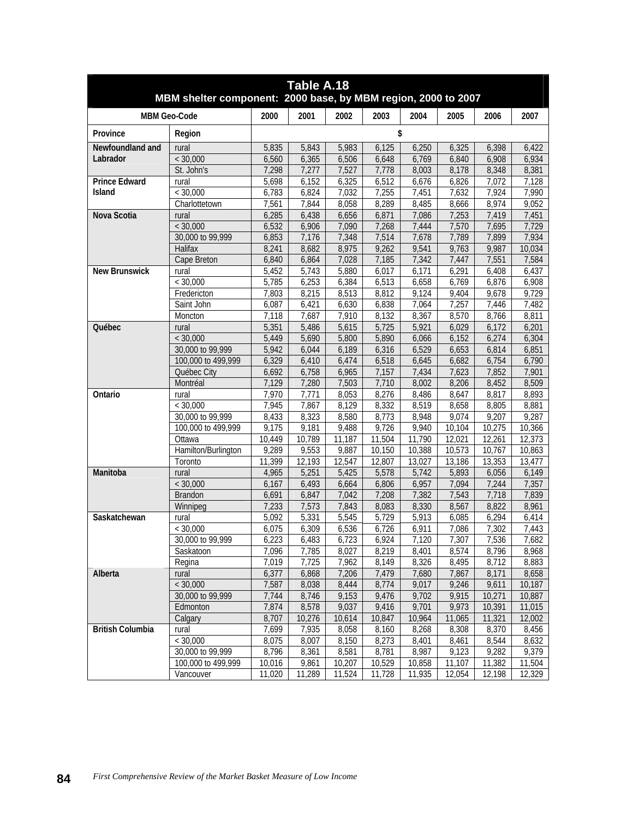| Table A.18<br>MBM shelter component: 2000 base, by MBM region, 2000 to 2007 |                     |                |                    |                    |                 |                 |                 |                  |                  |  |
|-----------------------------------------------------------------------------|---------------------|----------------|--------------------|--------------------|-----------------|-----------------|-----------------|------------------|------------------|--|
|                                                                             | <b>MBM Geo-Code</b> | 2000           | 2001               | 2002               | 2003            | 2004            | 2005            | 2006             | 2007             |  |
| Province                                                                    | Region              |                |                    |                    | \$              |                 |                 |                  |                  |  |
| Newfoundland and                                                            | rural               | 5,835          | 5.843              | 5,983              | 6,125           | 6,250           | 6,325           | 6,398            | 6,422            |  |
| Labrador                                                                    | < 30,000            | 6,560          | 6,365              | 6,506              | 6,648           | 6,769           | 6,840           | 6,908            | 6,934            |  |
|                                                                             | St. John's          | 7,298          | 7,277              | 7,527              | 7,778           | 8,003           | 8,178           | 8,348            | 8,381            |  |
| <b>Prince Edward</b>                                                        | rural               | 5,698          | 6,152              | 6,325              | 6,512           | 6,676           | 6,826           | 7,072            | 7,128            |  |
| Island                                                                      | < 30,000            | 6,783          | 6,824              | 7,032              | 7,255           | 7,451           | 7,632           | 7,924            | 7,990            |  |
|                                                                             | Charlottetown       | 7,561          | 7,844              | 8,058              | 8,289           | 8,485           | 8,666           | 8,974            | 9,052            |  |
| Nova Scotia                                                                 | rural               | 6,285          | 6,438              | 6,656              | 6,871           | 7,086           | 7,253           | 7,419            | 7,451            |  |
|                                                                             | < 30,000            | 6,532          | 6,906              | 7,090              | 7,268           | 7,444           | 7,570           | 7,695            | 7,729            |  |
|                                                                             | 30,000 to 99,999    | 6,853          | 7,176              | 7,348              | 7,514           | 7,678           | 7,789           | 7,899            | 7,934            |  |
|                                                                             | Halifax             | 8,241          | 8,682              | 8,975              | 9,262           | 9,541           | 9,763           | 9,987            | 10,034           |  |
|                                                                             | Cape Breton         | 6,840          | 6,864              | 7,028              | 7,185           | 7,342           | 7,447           | 7,551            | 7,584            |  |
| <b>New Brunswick</b>                                                        | rural               | 5,452          | 5,743              | 5,880              | 6,017           | 6,171           | 6,291           | 6,408            | 6,437            |  |
|                                                                             | < 30,000            | 5,785          | 6,253              | 6,384              | 6,513           | 6,658           | 6,769           | 6,876            | 6,908            |  |
|                                                                             | Fredericton         | 7.803          | 8,215              | 8,513              | 8,812           | 9,124           | 9.404           | 9,678            | 9,729            |  |
|                                                                             | Saint John          | 6,087          | 6,421              | 6,630              | 6,838           | 7,064           | 7,257           | 7,446            | 7,482            |  |
|                                                                             | Moncton             | 7,118          | 7,687              | 7,910              | 8,132           | 8,367           | 8,570           | 8,766            | 8,811            |  |
| Québec                                                                      | rural               | 5,351          | 5,486              | 5,615              | 5,725           | 5,921           | 6,029           | 6,172            | 6,201            |  |
|                                                                             | < 30,000            | 5,449          | 5,690              | 5,800              | 5,890           | 6,066           | 6,152           | 6,274            | 6,304            |  |
|                                                                             | 30,000 to 99,999    | 5.942          | 6,044              | 6,189              | 6,316           | 6,529           | 6,653           | 6,814            | 6,851            |  |
|                                                                             | 100,000 to 499,999  | 6,329          | 6,410              | 6,474              | 6,518           | 6,645           | 6,682           | 6,754            | 6,790            |  |
|                                                                             | Québec City         | 6,692          | 6,758              | 6,965              | 7,157           | 7,434           | 7,623           | 7,852            | 7,901            |  |
|                                                                             | Montréal            | 7,129          | 7,280              | 7,503              | 7,710           | 8,002           | 8,206           | 8,452            | 8,509            |  |
| Ontario                                                                     | rural               | 7,970          | 7,771              | 8,053              | 8,276           | 8,486           | 8,647           | 8,817            | 8,893            |  |
|                                                                             | < 30,000            | 7.945          | 7,867              | 8,129              | 8,332           | 8,519           | 8,658           | 8,805            | 8,881            |  |
|                                                                             | 30,000 to 99,999    | 8,433          | 8,323              | 8,580              | 8,773           | 8,948           | 9,074           | 9,207            | 9,287            |  |
|                                                                             | 100,000 to 499,999  | 9,175          | 9,181              | 9,488              | 9,726           | 9,940           | 10,104          | 10,275           | 10,366           |  |
|                                                                             | Ottawa              | 10.449         | 10,789             | 11,187             | 11,504          | 11,790          | 12,021          | 12,261           | 12,373           |  |
|                                                                             | Hamilton/Burlington | 9,289          | 9,553              | 9,887              | 10,150          | 10,388          | 10,573          | 10,767           | 10,863           |  |
|                                                                             | Toronto             | 11,399         | 12,193             | 12,547             | 12,807          | 13,027          | 13,186          | 13,353           | 13,477           |  |
| Manitoba                                                                    | rural               | 4,965          | 5,251              | 5,425              | 5,578           | 5,742           | 5,893           | 6,056            | 6,149            |  |
|                                                                             | < 30,000            | 6,167          | 6,493              | 6,664              | 6,806           | 6,957           | 7,094           | 7,244            | 7,357            |  |
|                                                                             | Brandon             | 6,691          | 6,847              | 7,042              | 7,208           | 7,382           | 7,543           | 7,718            | 7,839            |  |
|                                                                             | Winnipeg            | 7,233          | 7,573              | 7,843              | 8,083           | 8,330           | 8,567           | 8,822            | 8,961            |  |
| Saskatchewan                                                                | rural               | 5,092          | $\overline{5,331}$ | $\overline{5,545}$ | 5,729           | 5,913           | 6,085           | 6,294            | 6,414            |  |
|                                                                             | < 30,000            | 6.075          | 6,309              | 6,536              | 6,726           | 6,911           | 7,086           | 7,302            | 7,443            |  |
|                                                                             | 30,000 to 99,999    | 6,223          | 6,483              | 6,723              | 6,924           | 7,120           | 7,307           | 7,536            | 7,682            |  |
|                                                                             | Saskatoon           | 7,096<br>7,019 | 7,785<br>7,725     | 8,027              | 8,219<br>8,149  | 8,401<br>8,326  | 8,574<br>8,495  | 8,796<br>8,712   | 8,968<br>8,883   |  |
|                                                                             | Regina              |                |                    | 7,962              |                 |                 |                 |                  |                  |  |
| Alberta                                                                     | rural<br>< 30,000   | 6,377<br>7,587 | 6,868<br>8,038     | 7,206<br>8,444     | 7,479<br>8,774  | 7,680<br>9,017  | 7,867<br>9,246  | 8,171<br>9,611   | 8,658<br>10,187  |  |
|                                                                             | 30,000 to 99,999    |                |                    | 9,153              | 9,476           |                 | 9,915           |                  | 10,887           |  |
|                                                                             | Edmonton            | 7,744          | 8,746              |                    |                 | 9,702           |                 | 10,271           |                  |  |
|                                                                             |                     | 7,874<br>8,707 | 8,578<br>10,276    | 9,037<br>10,614    | 9,416<br>10,847 | 9,701<br>10,964 | 9,973<br>11,065 | 10,391<br>11,321 | 11,015<br>12,002 |  |
| <b>British Columbia</b>                                                     | Calgary<br>rural    | 7,699          | 7,935              | 8,058              | 8,160           | 8,268           | 8,308           | 8,370            | 8,456            |  |
|                                                                             | < 30,000            | 8,075          | 8,007              | 8,150              | 8,273           | 8,401           | 8,461           | 8,544            | 8,632            |  |
|                                                                             | 30,000 to 99,999    | 8,796          | 8,361              | 8,581              | 8,781           | 8,987           | 9,123           | 9,282            | 9,379            |  |
|                                                                             | 100,000 to 499,999  | 10,016         | 9,861              | 10,207             | 10,529          | 10,858          | 11,107          | 11,382           | 11,504           |  |
|                                                                             | Vancouver           | 11,020         | 11,289             | 11,524             | 11,728          | 11,935          | 12,054          | 12,198           | 12,329           |  |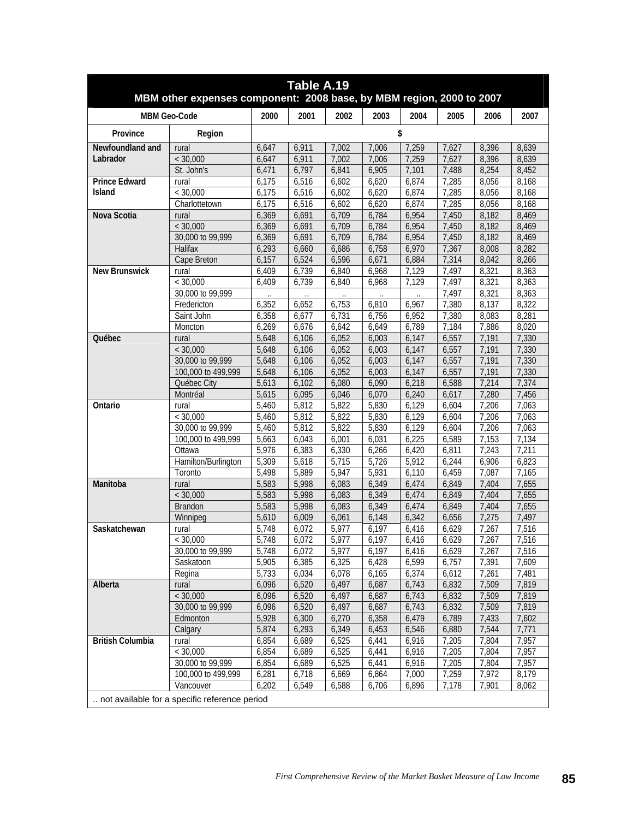| Table A.19<br>MBM other expenses component: 2008 base, by MBM region, 2000 to 2007 |                                               |       |       |       |       |       |       |       |       |  |
|------------------------------------------------------------------------------------|-----------------------------------------------|-------|-------|-------|-------|-------|-------|-------|-------|--|
|                                                                                    | <b>MBM Geo-Code</b>                           | 2000  | 2001  | 2002  | 2003  | 2004  | 2005  | 2006  | 2007  |  |
| Province                                                                           | Region                                        |       |       |       |       | \$    |       |       |       |  |
| Newfoundland and                                                                   | rural                                         | 6,647 | 6,911 | 7,002 | 7,006 | 7,259 | 7,627 | 8,396 | 8,639 |  |
| Labrador                                                                           | < 30,000                                      | 6,647 | 6,911 | 7,002 | 7,006 | 7,259 | 7,627 | 8,396 | 8,639 |  |
|                                                                                    | St. John's                                    | 6,471 | 6,797 | 6,841 | 6,905 | 7,101 | 7,488 | 8,254 | 8,452 |  |
| <b>Prince Edward</b>                                                               | rural                                         | 6,175 | 6,516 | 6,602 | 6,620 | 6,874 | 7,285 | 8,056 | 8,168 |  |
| Island                                                                             | < 30,000                                      | 6,175 | 6,516 | 6,602 | 6,620 | 6,874 | 7,285 | 8,056 | 8,168 |  |
|                                                                                    | Charlottetown                                 | 6,175 | 6,516 | 6,602 | 6,620 | 6,874 | 7,285 | 8,056 | 8,168 |  |
| Nova Scotia                                                                        | rural                                         | 6,369 | 6,691 | 6,709 | 6,784 | 6,954 | 7,450 | 8,182 | 8,469 |  |
|                                                                                    | < 30,000                                      | 6,369 | 6,691 | 6,709 | 6,784 | 6,954 | 7,450 | 8,182 | 8,469 |  |
|                                                                                    | 30,000 to 99,999                              | 6,369 | 6,691 | 6,709 | 6,784 | 6,954 | 7,450 | 8,182 | 8,469 |  |
|                                                                                    | Halifax                                       | 6,293 | 6,660 | 6,686 | 6,758 | 6,970 | 7,367 | 8,008 | 8,282 |  |
|                                                                                    | Cape Breton                                   | 6,157 | 6,524 | 6,596 | 6,671 | 6,884 | 7,314 | 8,042 | 8,266 |  |
| <b>New Brunswick</b>                                                               | rural                                         | 6,409 | 6,739 | 6,840 | 6,968 | 7,129 | 7,497 | 8,321 | 8,363 |  |
|                                                                                    | < 30,000                                      | 6,409 | 6,739 | 6,840 | 6,968 | 7,129 | 7,497 | 8,321 | 8,363 |  |
|                                                                                    | 30,000 to 99,999                              |       |       |       |       |       | 7,497 | 8,321 | 8,363 |  |
|                                                                                    | Fredericton                                   | 6,352 | 6,652 | 6,753 | 6,810 | 6,967 | 7,380 | 8,137 | 8,322 |  |
|                                                                                    | Saint John                                    | 6,358 | 6,677 | 6,731 | 6,756 | 6,952 | 7,380 | 8,083 | 8,281 |  |
|                                                                                    | Moncton                                       | 6,269 | 6,676 | 6,642 | 6,649 | 6,789 | 7,184 | 7,886 | 8,020 |  |
| Québec                                                                             | rural                                         | 5,648 | 6,106 | 6,052 | 6,003 | 6,147 | 6,557 | 7,191 | 7,330 |  |
|                                                                                    | < 30,000                                      | 5,648 | 6,106 | 6,052 | 6,003 | 6,147 | 6,557 | 7,191 | 7,330 |  |
|                                                                                    | 30,000 to 99,999                              | 5,648 | 6,106 | 6,052 | 6,003 | 6,147 | 6,557 | 7,191 | 7,330 |  |
|                                                                                    | 100,000 to 499,999                            | 5,648 | 6,106 | 6,052 | 6,003 | 6,147 | 6,557 | 7,191 | 7,330 |  |
|                                                                                    | Québec City                                   | 5,613 | 6,102 | 6,080 | 6,090 | 6,218 | 6,588 | 7,214 | 7,374 |  |
|                                                                                    | Montréal                                      | 5,615 | 6,095 | 6,046 | 6,070 | 6,240 | 6,617 | 7,280 | 7,456 |  |
| Ontario                                                                            | rural                                         | 5,460 | 5,812 | 5,822 | 5,830 | 6,129 | 6,604 | 7,206 | 7,063 |  |
|                                                                                    | < 30,000                                      | 5,460 | 5,812 | 5,822 | 5,830 | 6,129 | 6,604 | 7,206 | 7,063 |  |
|                                                                                    | 30,000 to 99,999                              | 5,460 | 5,812 | 5,822 | 5,830 | 6,129 | 6,604 | 7,206 | 7,063 |  |
|                                                                                    | 100,000 to 499,999                            | 5,663 | 6,043 | 6,001 | 6,031 | 6,225 | 6,589 | 7,153 | 7,134 |  |
|                                                                                    | Ottawa                                        | 5,976 | 6,383 | 6,330 | 6,266 | 6,420 | 6,811 | 7,243 | 7,211 |  |
|                                                                                    | Hamilton/Burlington                           | 5,309 | 5,618 | 5,715 | 5,726 | 5,912 | 6,244 | 6,906 | 6,823 |  |
|                                                                                    | Toronto                                       | 5,498 | 5,889 | 5,947 | 5,931 | 6,110 | 6,459 | 7,087 | 7,165 |  |
| Manitoba                                                                           | rural                                         | 5,583 | 5,998 | 6,083 | 6,349 | 6,474 | 6,849 | 7,404 | 7,655 |  |
|                                                                                    | < 30,000                                      | 5,583 | 5,998 | 6,083 | 6,349 | 6,474 | 6,849 | 7,404 | 7,655 |  |
|                                                                                    | <b>Brandon</b>                                | 5,583 | 5,998 | 6,083 | 6,349 | 6,474 | 6,849 | 7,404 | 7,655 |  |
|                                                                                    | Winnipeg                                      | 5,610 | 6,009 | 6,061 | 6,148 | 6,342 | 6,656 | 7,275 | 7,497 |  |
| Saskatchewan                                                                       | rural                                         | 5,748 | 6,072 | 5,977 | 6,197 | 6,416 | 6,629 | 7,267 | 7,516 |  |
|                                                                                    | < 30,000                                      | ხ,748 | 6,072 | 5,977 | 6,197 | 6,416 | 6,629 | 7,267 | 7,516 |  |
|                                                                                    | 30,000 to 99,999                              | 5,748 | 6,072 | 5,977 | 6,197 | 6,416 | 6,629 | 7,267 | 7,516 |  |
|                                                                                    | Saskatoon                                     | 5,905 | 6,385 | 6,325 | 6,428 | 6,599 | 6,757 | 7,391 | 7,609 |  |
|                                                                                    | Regina                                        | 5,733 | 6,034 | 6,078 | 6,165 | 6,374 | 6,612 | 7,261 | 7,481 |  |
| Alberta                                                                            | rural                                         | 6,096 | 6,520 | 6,497 | 6,687 | 6,743 | 6,832 | 7,509 | 7,819 |  |
|                                                                                    | < 30,000                                      | 6,096 | 6,520 | 6,497 | 6,687 | 6,743 | 6,832 | 7,509 | 7,819 |  |
|                                                                                    | 30,000 to 99,999                              | 6,096 | 6,520 | 6,497 | 6,687 | 6,743 | 6,832 | 7,509 | 7,819 |  |
|                                                                                    | Edmonton                                      | 5,928 | 6,300 | 6,270 | 6,358 | 6,479 | 6,789 | 7,433 | 7,602 |  |
|                                                                                    | Calgary                                       | 5,874 | 6,293 | 6,349 | 6,453 | 6,546 | 6,880 | 7,544 | 7,771 |  |
| <b>British Columbia</b>                                                            | rural                                         | 6,854 | 6,689 | 6,525 | 6,441 | 6,916 | 7,205 | 7,804 | 7,957 |  |
|                                                                                    | < 30,000                                      | 6,854 | 6,689 | 6,525 | 6,441 | 6,916 | 7,205 | 7,804 | 7,957 |  |
|                                                                                    | 30,000 to 99,999                              | 6,854 | 6,689 | 6,525 | 6,441 | 6,916 | 7,205 | 7,804 | 7,957 |  |
|                                                                                    | 100,000 to 499,999                            | 6,281 | 6,718 | 6,669 | 6,864 | 7,000 | 7,259 | 7,972 | 8,179 |  |
|                                                                                    | Vancouver                                     | 6,202 | 6,549 | 6,588 | 6,706 | 6,896 | 7,178 | 7,901 | 8,062 |  |
|                                                                                    | not available for a specific reference period |       |       |       |       |       |       |       |       |  |